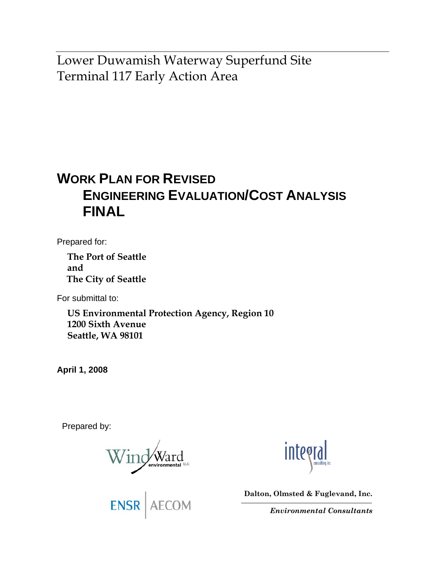Lower Duwamish Waterway Superfund Site Terminal 117 Early Action Area

# **WORK PLAN FOR REVISED ENGINEERING EVALUATION/COST ANALYSIS FINAL**

Prepared for:

**The Port of Seattle and The City of Seattle** 

For submittal to:

**US Environmental Protection Agency, Region 10 1200 Sixth Avenue Seattle, WA 98101** 

**April 1, 2008** 

Prepared by:

Wind Ward

ENSR AECOM

**Integ** 

**Dalton, Olmsted & Fuglevand, Inc.** 

*Environmental Consultants*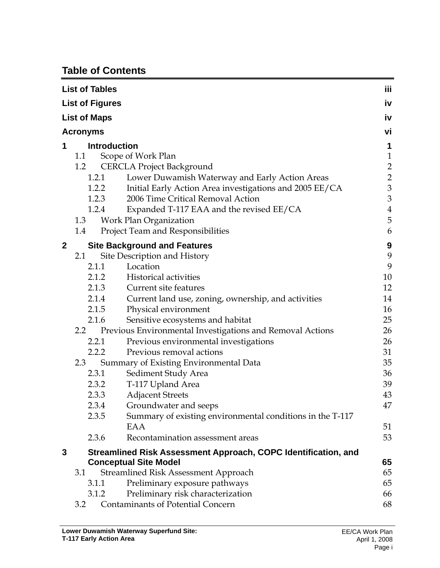# **Table of Contents**

| <b>List of Tables</b> |                        |                                                                                               |                     |  |
|-----------------------|------------------------|-----------------------------------------------------------------------------------------------|---------------------|--|
|                       | <b>List of Figures</b> |                                                                                               | iv                  |  |
|                       | <b>List of Maps</b>    |                                                                                               | iv                  |  |
|                       |                        |                                                                                               | vi                  |  |
|                       | <b>Acronyms</b>        |                                                                                               |                     |  |
| 1                     | <b>Introduction</b>    |                                                                                               | 1                   |  |
|                       | 1.1                    | Scope of Work Plan                                                                            | $\mathbf{1}$        |  |
|                       | 1.2                    | <b>CERCLA Project Background</b>                                                              | $\frac{2}{2}$       |  |
|                       | 1.2.1                  | Lower Duwamish Waterway and Early Action Areas                                                |                     |  |
|                       | 1.2.2                  | Initial Early Action Area investigations and 2005 EE/CA<br>2006 Time Critical Removal Action  | 3                   |  |
|                       | 1.2.3<br>1.2.4         |                                                                                               | 3<br>$\overline{4}$ |  |
|                       | 1.3                    | Expanded T-117 EAA and the revised EE/CA<br>Work Plan Organization                            | 5                   |  |
|                       | 1.4                    | Project Team and Responsibilities                                                             | 6                   |  |
|                       |                        |                                                                                               |                     |  |
| 2                     |                        | <b>Site Background and Features</b>                                                           | 9                   |  |
|                       | 2.1                    | Site Description and History                                                                  | 9                   |  |
|                       | 2.1.1                  | Location                                                                                      | 9                   |  |
|                       | 2.1.2                  | <b>Historical activities</b><br>Current site features                                         | 10                  |  |
|                       | 2.1.3                  |                                                                                               | 12<br>14            |  |
|                       | 2.1.4<br>2.1.5         | Current land use, zoning, ownership, and activities                                           | 16                  |  |
|                       | 2.1.6                  | Physical environment                                                                          | 25                  |  |
|                       | 2.2                    | Sensitive ecosystems and habitat<br>Previous Environmental Investigations and Removal Actions | 26                  |  |
|                       | 2.2.1                  | Previous environmental investigations                                                         | 26                  |  |
|                       | 2.2.2                  | Previous removal actions                                                                      | 31                  |  |
|                       | 2.3                    | Summary of Existing Environmental Data                                                        | 35                  |  |
|                       | 2.3.1                  | Sediment Study Area                                                                           | 36                  |  |
|                       | 2.3.2                  | T-117 Upland Area                                                                             | 39                  |  |
|                       | 2.3.3                  | <b>Adjacent Streets</b>                                                                       | 43                  |  |
|                       | 2.3.4                  | Groundwater and seeps                                                                         | 47                  |  |
|                       | 2.3.5                  | Summary of existing environmental conditions in the T-117                                     |                     |  |
|                       |                        | EAA                                                                                           | 51                  |  |
|                       | 2.3.6                  | Recontamination assessment areas                                                              | 53                  |  |
| 3                     |                        | Streamlined Risk Assessment Approach, COPC Identification, and                                |                     |  |
|                       |                        | <b>Conceptual Site Model</b>                                                                  | 65                  |  |
|                       | 3.1                    | Streamlined Risk Assessment Approach                                                          | 65                  |  |
|                       | 3.1.1                  | Preliminary exposure pathways                                                                 | 65                  |  |
|                       | 3.1.2                  | Preliminary risk characterization                                                             | 66                  |  |
|                       | 3.2                    | <b>Contaminants of Potential Concern</b>                                                      | 68                  |  |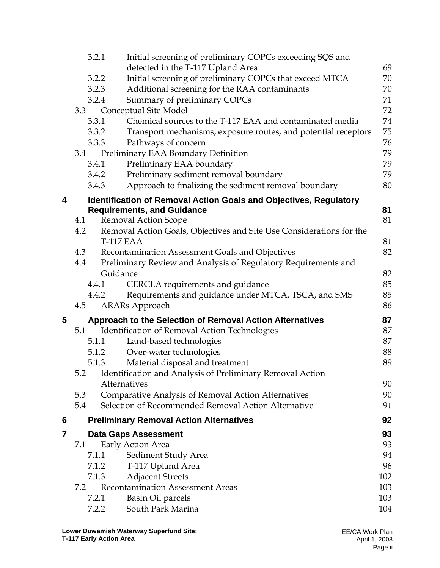|   | 3.2.1 | Initial screening of preliminary COPCs exceeding SQS and                 |     |
|---|-------|--------------------------------------------------------------------------|-----|
|   |       | detected in the T-117 Upland Area                                        | 69  |
|   | 3.2.2 | Initial screening of preliminary COPCs that exceed MTCA                  | 70  |
|   | 3.2.3 | Additional screening for the RAA contaminants                            | 70  |
|   | 3.2.4 | Summary of preliminary COPCs                                             | 71  |
|   | 3.3   | Conceptual Site Model                                                    | 72  |
|   | 3.3.1 | Chemical sources to the T-117 EAA and contaminated media                 | 74  |
|   | 3.3.2 | Transport mechanisms, exposure routes, and potential receptors           | 75  |
|   | 3.3.3 | Pathways of concern                                                      | 76  |
|   | 3.4   | Preliminary EAA Boundary Definition                                      | 79  |
|   | 3.4.1 | Preliminary EAA boundary                                                 | 79  |
|   | 3.4.2 | Preliminary sediment removal boundary                                    | 79  |
|   | 3.4.3 | Approach to finalizing the sediment removal boundary                     | 80  |
| 4 |       | <b>Identification of Removal Action Goals and Objectives, Regulatory</b> |     |
|   |       | <b>Requirements, and Guidance</b>                                        | 81  |
|   | 4.1   | <b>Removal Action Scope</b>                                              | 81  |
|   | 4.2   | Removal Action Goals, Objectives and Site Use Considerations for the     |     |
|   |       | <b>T-117 EAA</b>                                                         | 81  |
|   | 4.3   | Recontamination Assessment Goals and Objectives                          | 82  |
|   | 4.4   | Preliminary Review and Analysis of Regulatory Requirements and           |     |
|   |       | Guidance                                                                 | 82  |
|   | 4.4.1 | CERCLA requirements and guidance                                         | 85  |
|   | 4.4.2 | Requirements and guidance under MTCA, TSCA, and SMS                      | 85  |
|   | 4.5   | <b>ARARs</b> Approach                                                    | 86  |
| 5 |       | <b>Approach to the Selection of Removal Action Alternatives</b>          | 87  |
|   | 5.1   | Identification of Removal Action Technologies                            | 87  |
|   | 5.1.1 | Land-based technologies                                                  | 87  |
|   | 5.1.2 | Over-water technologies                                                  | 88  |
|   | 5.1.3 | Material disposal and treatment                                          | 89  |
|   |       | 5.2 Identification and Analysis of Preliminary Removal Action            |     |
|   |       | Alternatives                                                             | 90  |
|   | 5.3   | Comparative Analysis of Removal Action Alternatives                      | 90  |
|   | 5.4   | Selection of Recommended Removal Action Alternative                      | 91  |
| 6 |       | <b>Preliminary Removal Action Alternatives</b>                           | 92  |
| 7 |       | <b>Data Gaps Assessment</b>                                              | 93  |
|   | 7.1   | Early Action Area                                                        | 93  |
|   | 7.1.1 | Sediment Study Area                                                      | 94  |
|   | 7.1.2 | T-117 Upland Area                                                        | 96  |
|   | 7.1.3 | <b>Adjacent Streets</b>                                                  | 102 |
|   | 7.2   | <b>Recontamination Assessment Areas</b>                                  | 103 |
|   | 7.2.1 | <b>Basin Oil parcels</b>                                                 | 103 |
|   | 7.2.2 | South Park Marina                                                        | 104 |
|   |       |                                                                          |     |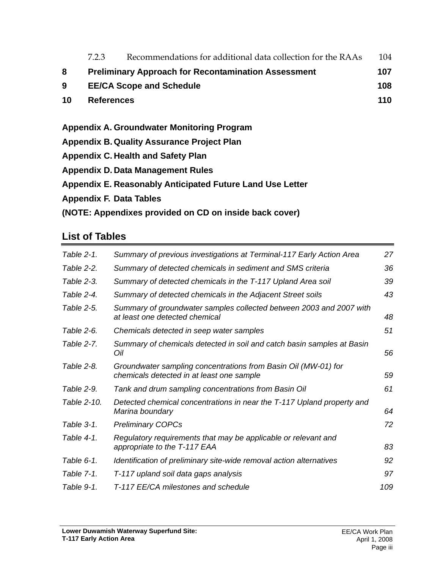|                         | 7.2.3                                                             | Recommendations for additional data collection for the RAAs | 104 |  |  |  |
|-------------------------|-------------------------------------------------------------------|-------------------------------------------------------------|-----|--|--|--|
| 8                       | <b>Preliminary Approach for Recontamination Assessment</b><br>107 |                                                             |     |  |  |  |
| 9                       | 108<br><b>EE/CA Scope and Schedule</b>                            |                                                             |     |  |  |  |
| 10<br><b>References</b> |                                                                   |                                                             | 110 |  |  |  |
|                         |                                                                   |                                                             |     |  |  |  |
|                         |                                                                   | Appendix A. Groundwater Monitoring Program                  |     |  |  |  |
|                         | <b>Appendix B. Quality Assurance Project Plan</b>                 |                                                             |     |  |  |  |
|                         | <b>Appendix C. Health and Safety Plan</b>                         |                                                             |     |  |  |  |
|                         | <b>Appendix D. Data Management Rules</b>                          |                                                             |     |  |  |  |
|                         | Appendix E. Reasonably Anticipated Future Land Use Letter         |                                                             |     |  |  |  |
|                         | <b>Appendix F. Data Tables</b>                                    |                                                             |     |  |  |  |

**(NOTE: Appendixes provided on CD on inside back cover)** 

# **List of Tables**

| Table 2-1.  | Summary of previous investigations at Terminal-117 Early Action Area                                        | 27  |
|-------------|-------------------------------------------------------------------------------------------------------------|-----|
| Table 2-2.  | Summary of detected chemicals in sediment and SMS criteria                                                  | 36  |
| Table 2-3.  | Summary of detected chemicals in the T-117 Upland Area soil                                                 | 39  |
| Table 2-4.  | Summary of detected chemicals in the Adjacent Street soils                                                  | 43  |
| Table 2-5.  | Summary of groundwater samples collected between 2003 and 2007 with<br>at least one detected chemical       | 48  |
| Table 2-6.  | Chemicals detected in seep water samples                                                                    | 51  |
| Table 2-7.  | Summary of chemicals detected in soil and catch basin samples at Basin<br>Oil                               | 56  |
| Table 2-8.  | Groundwater sampling concentrations from Basin Oil (MW-01) for<br>chemicals detected in at least one sample | 59  |
| Table 2-9.  | Tank and drum sampling concentrations from Basin Oil                                                        | 61  |
| Table 2-10. | Detected chemical concentrations in near the T-117 Upland property and<br>Marina boundary                   | 64  |
| Table 3-1.  | <b>Preliminary COPCs</b>                                                                                    | 72  |
| Table 4-1.  | Regulatory requirements that may be applicable or relevant and<br>appropriate to the T-117 EAA              | 83  |
| Table 6-1.  | Identification of preliminary site-wide removal action alternatives                                         | 92  |
| Table 7-1.  | T-117 upland soil data gaps analysis                                                                        | 97  |
| Table 9-1.  | T-117 EE/CA milestones and schedule                                                                         | 109 |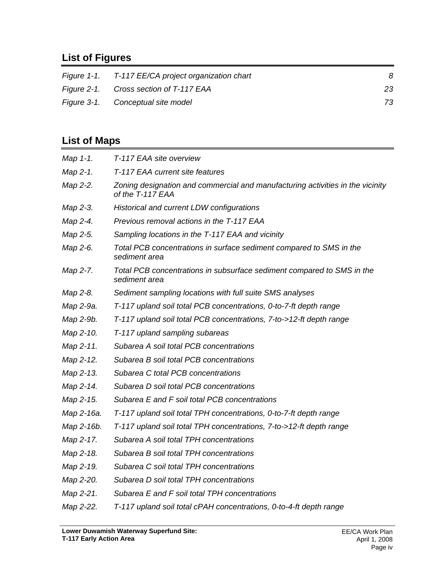# **List of Figures**

| Figure 1-1. T-117 EE/CA project organization chart | 8  |
|----------------------------------------------------|----|
| Figure 2-1. Cross section of T-117 EAA             | 23 |
| Figure 3-1. Conceptual site model                  | 73 |

# **List of Maps**

| Map 1-1.   | T-117 EAA site overview                                                                            |
|------------|----------------------------------------------------------------------------------------------------|
| Map 2-1.   | T-117 EAA current site features                                                                    |
| Map 2-2.   | Zoning designation and commercial and manufacturing activities in the vicinity<br>of the T-117 EAA |
| Map 2-3.   | Historical and current LDW configurations                                                          |
| Map 2-4.   | Previous removal actions in the T-117 EAA                                                          |
| Map 2-5.   | Sampling locations in the T-117 EAA and vicinity                                                   |
| Map 2-6.   | Total PCB concentrations in surface sediment compared to SMS in the<br>sediment area               |
| Map 2-7.   | Total PCB concentrations in subsurface sediment compared to SMS in the<br>sediment area            |
| Map 2-8.   | Sediment sampling locations with full suite SMS analyses                                           |
| Map 2-9a.  | T-117 upland soil total PCB concentrations, 0-to-7-ft depth range                                  |
| Map 2-9b.  | T-117 upland soil total PCB concentrations, 7-to->12-ft depth range                                |
| Map 2-10.  | T-117 upland sampling subareas                                                                     |
| Map 2-11.  | Subarea A soil total PCB concentrations                                                            |
| Map 2-12.  | Subarea B soil total PCB concentrations                                                            |
| Map 2-13.  | Subarea C total PCB concentrations                                                                 |
| Map 2-14.  | Subarea D soil total PCB concentrations                                                            |
| Map 2-15.  | Subarea E and F soil total PCB concentrations                                                      |
| Map 2-16a. | T-117 upland soil total TPH concentrations, 0-to-7-ft depth range                                  |
| Map 2-16b. | T-117 upland soil total TPH concentrations, 7-to->12-ft depth range                                |
| Map 2-17.  | Subarea A soil total TPH concentrations                                                            |
| Map 2-18.  | Subarea B soil total TPH concentrations                                                            |
| Map 2-19.  | Subarea C soil total TPH concentrations                                                            |
| Map 2-20.  | Subarea D soil total TPH concentrations                                                            |
| Map 2-21.  | Subarea E and F soil total TPH concentrations                                                      |
| Map 2-22.  | T-117 upland soil total cPAH concentrations, 0-to-4-ft depth range                                 |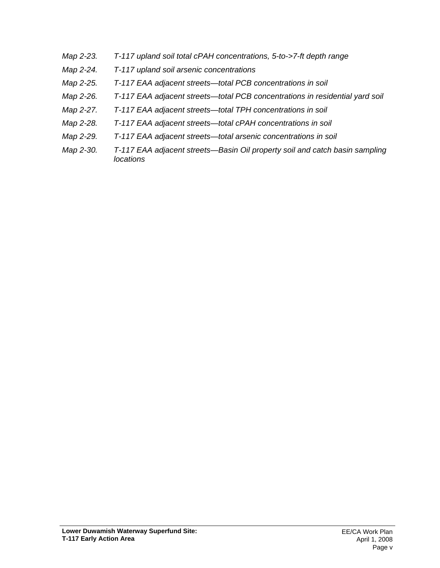- *Map 2-23. T-117 upland soil total cPAH concentrations, 5-to->7-ft depth range*
- *Map 2-24. T-117 upland soil arsenic concentrations*
- *Map 2-25. T-117 EAA adjacent streets—total PCB concentrations in soil*
- *Map 2-26. T-117 EAA adjacent streets—total PCB concentrations in residential yard soil*
- *Map 2-27. T-117 EAA adjacent streets—total TPH concentrations in soil*
- *Map 2-28. T-117 EAA adjacent streets—total cPAH concentrations in soil*
- *Map 2-29. T-117 EAA adjacent streets—total arsenic concentrations in soil*
- *Map 2-30. T-117 EAA adjacent streets—Basin Oil property soil and catch basin sampling locations*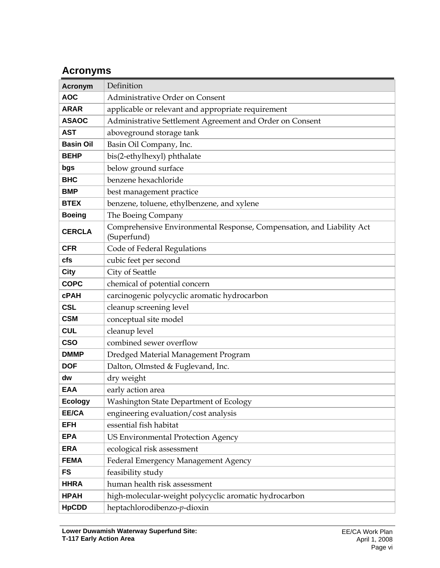# **Acronyms**

| <b>Acronym</b>                                | Definition                                                                           |  |  |  |  |
|-----------------------------------------------|--------------------------------------------------------------------------------------|--|--|--|--|
| <b>AOC</b><br>Administrative Order on Consent |                                                                                      |  |  |  |  |
| <b>ARAR</b>                                   | applicable or relevant and appropriate requirement                                   |  |  |  |  |
| <b>ASAOC</b>                                  | Administrative Settlement Agreement and Order on Consent                             |  |  |  |  |
| <b>AST</b>                                    | aboveground storage tank                                                             |  |  |  |  |
| <b>Basin Oil</b>                              | Basin Oil Company, Inc.                                                              |  |  |  |  |
| <b>BEHP</b>                                   | bis(2-ethylhexyl) phthalate                                                          |  |  |  |  |
| bgs                                           | below ground surface                                                                 |  |  |  |  |
| <b>BHC</b>                                    | benzene hexachloride                                                                 |  |  |  |  |
| <b>BMP</b>                                    | best management practice                                                             |  |  |  |  |
| <b>BTEX</b>                                   | benzene, toluene, ethylbenzene, and xylene                                           |  |  |  |  |
| <b>Boeing</b>                                 | The Boeing Company                                                                   |  |  |  |  |
| <b>CERCLA</b>                                 | Comprehensive Environmental Response, Compensation, and Liability Act<br>(Superfund) |  |  |  |  |
| <b>CFR</b>                                    | Code of Federal Regulations                                                          |  |  |  |  |
| cfs                                           | cubic feet per second                                                                |  |  |  |  |
| <b>City</b>                                   | City of Seattle                                                                      |  |  |  |  |
| <b>COPC</b>                                   | chemical of potential concern                                                        |  |  |  |  |
| <b>cPAH</b>                                   | carcinogenic polycyclic aromatic hydrocarbon                                         |  |  |  |  |
| <b>CSL</b>                                    | cleanup screening level                                                              |  |  |  |  |
| <b>CSM</b>                                    | conceptual site model                                                                |  |  |  |  |
| <b>CUL</b>                                    | cleanup level                                                                        |  |  |  |  |
| <b>CSO</b>                                    | combined sewer overflow                                                              |  |  |  |  |
| <b>DMMP</b>                                   | Dredged Material Management Program                                                  |  |  |  |  |
| <b>DOF</b>                                    | Dalton, Olmsted & Fuglevand, Inc.                                                    |  |  |  |  |
| dw                                            | dry weight                                                                           |  |  |  |  |
| <b>EAA</b>                                    | early action area                                                                    |  |  |  |  |
| <b>Ecology</b>                                | Washington State Department of Ecology                                               |  |  |  |  |
| EE/CA                                         | engineering evaluation/cost analysis                                                 |  |  |  |  |
| <b>EFH</b>                                    | essential fish habitat                                                               |  |  |  |  |
| <b>EPA</b>                                    | <b>US Environmental Protection Agency</b>                                            |  |  |  |  |
| <b>ERA</b>                                    | ecological risk assessment                                                           |  |  |  |  |
| <b>FEMA</b>                                   | Federal Emergency Management Agency                                                  |  |  |  |  |
| <b>FS</b>                                     | feasibility study                                                                    |  |  |  |  |
| <b>HHRA</b>                                   | human health risk assessment                                                         |  |  |  |  |
| <b>HPAH</b>                                   | high-molecular-weight polycyclic aromatic hydrocarbon                                |  |  |  |  |
| <b>HpCDD</b>                                  | heptachlorodibenzo-p-dioxin                                                          |  |  |  |  |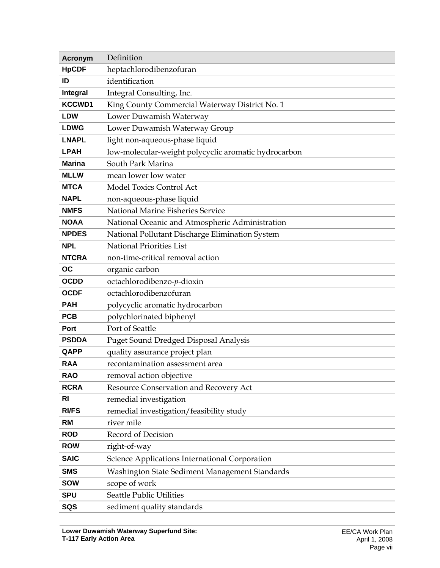| <b>Acronym</b>                                                  | Definition                                           |  |  |  |  |
|-----------------------------------------------------------------|------------------------------------------------------|--|--|--|--|
| <b>HpCDF</b>                                                    | heptachlorodibenzofuran                              |  |  |  |  |
| ID                                                              | identification                                       |  |  |  |  |
| Integral                                                        | Integral Consulting, Inc.                            |  |  |  |  |
| <b>KCCWD1</b>                                                   | King County Commercial Waterway District No. 1       |  |  |  |  |
| <b>LDW</b>                                                      | Lower Duwamish Waterway                              |  |  |  |  |
| Lower Duwamish Waterway Group<br><b>LDWG</b>                    |                                                      |  |  |  |  |
| <b>LNAPL</b>                                                    | light non-aqueous-phase liquid                       |  |  |  |  |
| <b>LPAH</b>                                                     | low-molecular-weight polycyclic aromatic hydrocarbon |  |  |  |  |
| <b>Marina</b>                                                   | South Park Marina                                    |  |  |  |  |
| <b>MLLW</b>                                                     | mean lower low water                                 |  |  |  |  |
| <b>MTCA</b>                                                     | <b>Model Toxics Control Act</b>                      |  |  |  |  |
| <b>NAPL</b><br>non-aqueous-phase liquid                         |                                                      |  |  |  |  |
| <b>NMFS</b>                                                     | National Marine Fisheries Service                    |  |  |  |  |
| <b>NOAA</b>                                                     | National Oceanic and Atmospheric Administration      |  |  |  |  |
| National Pollutant Discharge Elimination System<br><b>NPDES</b> |                                                      |  |  |  |  |
| <b>National Priorities List</b><br><b>NPL</b>                   |                                                      |  |  |  |  |
| <b>NTCRA</b>                                                    | non-time-critical removal action                     |  |  |  |  |
| OC                                                              | organic carbon                                       |  |  |  |  |
| <b>OCDD</b>                                                     | octachlorodibenzo-p-dioxin                           |  |  |  |  |
| octachlorodibenzofuran<br><b>OCDF</b>                           |                                                      |  |  |  |  |
| <b>PAH</b>                                                      | polycyclic aromatic hydrocarbon                      |  |  |  |  |
| <b>PCB</b>                                                      | polychlorinated biphenyl                             |  |  |  |  |
| Port                                                            | Port of Seattle                                      |  |  |  |  |
| <b>PSDDA</b>                                                    | Puget Sound Dredged Disposal Analysis                |  |  |  |  |
| QAPP                                                            | quality assurance project plan                       |  |  |  |  |
| <b>RAA</b>                                                      | recontamination assessment area                      |  |  |  |  |
| <b>RAO</b>                                                      | removal action objective                             |  |  |  |  |
| <b>RCRA</b>                                                     | Resource Conservation and Recovery Act               |  |  |  |  |
| <b>RI</b><br>remedial investigation                             |                                                      |  |  |  |  |
| <b>RI/FS</b>                                                    | remedial investigation/feasibility study             |  |  |  |  |
| <b>RM</b>                                                       | river mile                                           |  |  |  |  |
| <b>ROD</b>                                                      | Record of Decision                                   |  |  |  |  |
| <b>ROW</b>                                                      | right-of-way                                         |  |  |  |  |
| <b>SAIC</b>                                                     | Science Applications International Corporation       |  |  |  |  |
| <b>SMS</b>                                                      | Washington State Sediment Management Standards       |  |  |  |  |
| <b>SOW</b>                                                      | scope of work                                        |  |  |  |  |
| <b>SPU</b>                                                      | Seattle Public Utilities                             |  |  |  |  |
| SQS                                                             | sediment quality standards                           |  |  |  |  |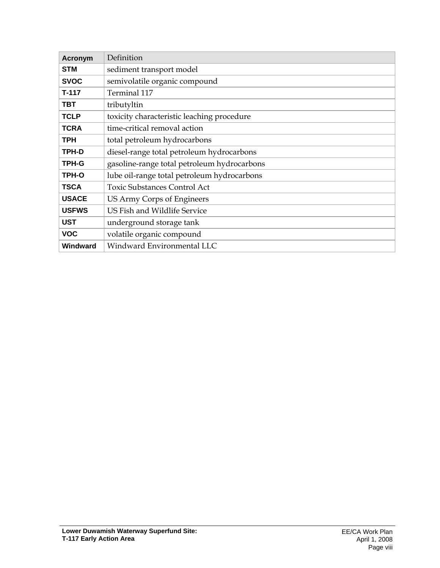| Definition<br><b>Acronym</b> |                                             |  |  |
|------------------------------|---------------------------------------------|--|--|
| <b>STM</b>                   | sediment transport model                    |  |  |
| <b>SVOC</b>                  | semivolatile organic compound               |  |  |
| T-117                        | Terminal 117                                |  |  |
| <b>TBT</b>                   | tributyltin                                 |  |  |
| <b>TCLP</b>                  | toxicity characteristic leaching procedure  |  |  |
| <b>TCRA</b>                  | time-critical removal action                |  |  |
| <b>TPH</b>                   | total petroleum hydrocarbons                |  |  |
| TPH-D                        | diesel-range total petroleum hydrocarbons   |  |  |
| TPH-G                        | gasoline-range total petroleum hydrocarbons |  |  |
| TPH-O                        | lube oil-range total petroleum hydrocarbons |  |  |
| <b>TSCA</b>                  | <b>Toxic Substances Control Act</b>         |  |  |
| <b>USACE</b>                 | US Army Corps of Engineers                  |  |  |
| <b>USFWS</b>                 | US Fish and Wildlife Service                |  |  |
| <b>UST</b>                   | underground storage tank                    |  |  |
| <b>VOC</b>                   | volatile organic compound                   |  |  |
| Windward                     | Windward Environmental LLC                  |  |  |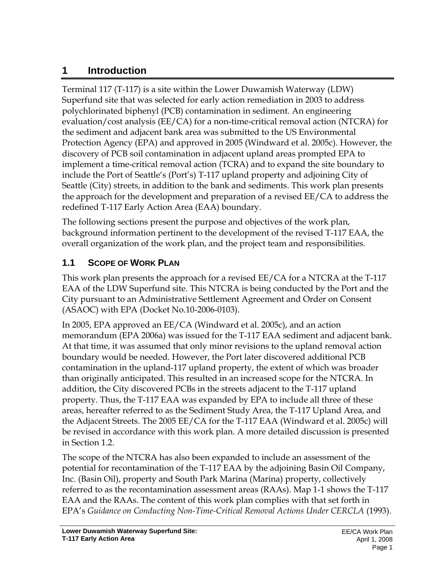# **1 Introduction**

Terminal 117 (T-117) is a site within the Lower Duwamish Waterway (LDW) Superfund site that was selected for early action remediation in 2003 to address polychlorinated biphenyl (PCB) contamination in sediment. An engineering evaluation/cost analysis (EE/CA) for a non-time-critical removal action (NTCRA) for the sediment and adjacent bank area was submitted to the US Environmental Protection Agency (EPA) and approved in 2005 (Windward et al. 2005c). However, the discovery of PCB soil contamination in adjacent upland areas prompted EPA to implement a time-critical removal action (TCRA) and to expand the site boundary to include the Port of Seattle's (Port's) T-117 upland property and adjoining City of Seattle (City) streets, in addition to the bank and sediments. This work plan presents the approach for the development and preparation of a revised EE/CA to address the redefined T-117 Early Action Area (EAA) boundary.

The following sections present the purpose and objectives of the work plan, background information pertinent to the development of the revised T-117 EAA, the overall organization of the work plan, and the project team and responsibilities.

# **1.1 SCOPE OF WORK PLAN**

This work plan presents the approach for a revised EE/CA for a NTCRA at the T-117 EAA of the LDW Superfund site. This NTCRA is being conducted by the Port and the City pursuant to an Administrative Settlement Agreement and Order on Consent (ASAOC) with EPA (Docket No.10-2006-0103).

In 2005, EPA approved an EE/CA (Windward et al. 2005c), and an action memorandum (EPA 2006a) was issued for the T-117 EAA sediment and adjacent bank. At that time, it was assumed that only minor revisions to the upland removal action boundary would be needed. However, the Port later discovered additional PCB contamination in the upland-117 upland property, the extent of which was broader than originally anticipated. This resulted in an increased scope for the NTCRA. In addition, the City discovered PCBs in the streets adjacent to the T-117 upland property. Thus, the T-117 EAA was expanded by EPA to include all three of these areas, hereafter referred to as the Sediment Study Area, the T-117 Upland Area, and the Adjacent Streets. The 2005 EE/CA for the T-117 EAA (Windward et al. 2005c) will be revised in accordance with this work plan. A more detailed discussion is presented in Section 1.2.

The scope of the NTCRA has also been expanded to include an assessment of the potential for recontamination of the T-117 EAA by the adjoining Basin Oil Company, Inc. (Basin Oil), property and South Park Marina (Marina) property, collectively referred to as the recontamination assessment areas (RAAs). Map 1-1 shows the T-117 EAA and the RAAs. The content of this work plan complies with that set forth in EPA's *Guidance on Conducting Non-Time-Critical Removal Actions Under CERCLA* (1993).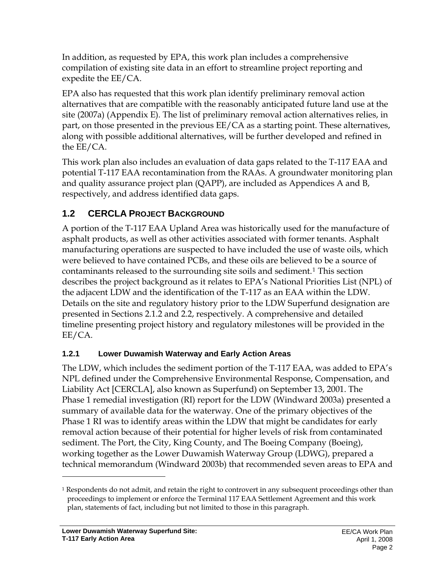In addition, as requested by EPA, this work plan includes a comprehensive compilation of existing site data in an effort to streamline project reporting and expedite the EE/CA.

EPA also has requested that this work plan identify preliminary removal action alternatives that are compatible with the reasonably anticipated future land use at the site (2007a) (Appendix E). The list of preliminary removal action alternatives relies, in part, on those presented in the previous EE/CA as a starting point. These alternatives, along with possible additional alternatives, will be further developed and refined in the EE/CA.

This work plan also includes an evaluation of data gaps related to the T-117 EAA and potential T-117 EAA recontamination from the RAAs. A groundwater monitoring plan and quality assurance project plan (QAPP), are included as Appendices A and B, respectively, and address identified data gaps.

# **1.2 CERCLA PROJECT BACKGROUND**

A portion of the T-117 EAA Upland Area was historically used for the manufacture of asphalt products, as well as other activities associated with former tenants. Asphalt manufacturing operations are suspected to have included the use of waste oils, which were believed to have contained PCBs, and these oils are believed to be a source of contaminants released to the surrounding site soils and sediment.1 This section describes the project background as it relates to EPA's National Priorities List (NPL) of the adjacent LDW and the identification of the T-117 as an EAA within the LDW. Details on the site and regulatory history prior to the LDW Superfund designation are presented in Sections 2.1.2 and 2.2, respectively. A comprehensive and detailed timeline presenting project history and regulatory milestones will be provided in the EE/CA.

### **1.2.1 Lower Duwamish Waterway and Early Action Areas**

The LDW, which includes the sediment portion of the T-117 EAA, was added to EPA's NPL defined under the Comprehensive Environmental Response, Compensation, and Liability Act [CERCLA], also known as Superfund) on September 13, 2001. The Phase 1 remedial investigation (RI) report for the LDW (Windward 2003a) presented a summary of available data for the waterway. One of the primary objectives of the Phase 1 RI was to identify areas within the LDW that might be candidates for early removal action because of their potential for higher levels of risk from contaminated sediment. The Port, the City, King County, and The Boeing Company (Boeing), working together as the Lower Duwamish Waterway Group (LDWG), prepared a technical memorandum (Windward 2003b) that recommended seven areas to EPA and

 $\overline{a}$ 

<sup>1</sup> Respondents do not admit, and retain the right to controvert in any subsequent proceedings other than proceedings to implement or enforce the Terminal 117 EAA Settlement Agreement and this work plan, statements of fact, including but not limited to those in this paragraph.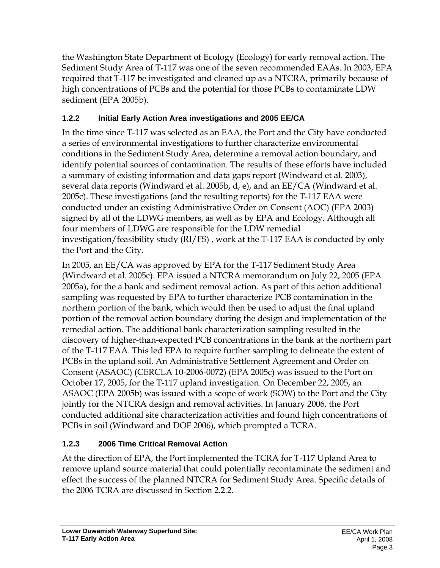the Washington State Department of Ecology (Ecology) for early removal action. The Sediment Study Area of T-117 was one of the seven recommended EAAs. In 2003, EPA required that T-117 be investigated and cleaned up as a NTCRA, primarily because of high concentrations of PCBs and the potential for those PCBs to contaminate LDW sediment (EPA 2005b).

## **1.2.2 Initial Early Action Area investigations and 2005 EE/CA**

In the time since T-117 was selected as an EAA, the Port and the City have conducted a series of environmental investigations to further characterize environmental conditions in the Sediment Study Area, determine a removal action boundary, and identify potential sources of contamination. The results of these efforts have included a summary of existing information and data gaps report (Windward et al. 2003), several data reports (Windward et al. 2005b, d, e), and an EE/CA (Windward et al. 2005c). These investigations (and the resulting reports) for the T-117 EAA were conducted under an existing Administrative Order on Consent (AOC) (EPA 2003) signed by all of the LDWG members, as well as by EPA and Ecology. Although all four members of LDWG are responsible for the LDW remedial investigation/feasibility study (RI/FS) , work at the T-117 EAA is conducted by only the Port and the City.

In 2005, an EE/CA was approved by EPA for the T-117 Sediment Study Area (Windward et al. 2005c). EPA issued a NTCRA memorandum on July 22, 2005 (EPA 2005a), for the a bank and sediment removal action. As part of this action additional sampling was requested by EPA to further characterize PCB contamination in the northern portion of the bank, which would then be used to adjust the final upland portion of the removal action boundary during the design and implementation of the remedial action. The additional bank characterization sampling resulted in the discovery of higher-than-expected PCB concentrations in the bank at the northern part of the T-117 EAA. This led EPA to require further sampling to delineate the extent of PCBs in the upland soil. An Administrative Settlement Agreement and Order on Consent (ASAOC) (CERCLA 10-2006-0072) (EPA 2005c) was issued to the Port on October 17, 2005, for the T-117 upland investigation. On December 22, 2005, an ASAOC (EPA 2005b) was issued with a scope of work (SOW) to the Port and the City jointly for the NTCRA design and removal activities. In January 2006, the Port conducted additional site characterization activities and found high concentrations of PCBs in soil (Windward and DOF 2006), which prompted a TCRA.

# **1.2.3 2006 Time Critical Removal Action**

At the direction of EPA, the Port implemented the TCRA for T-117 Upland Area to remove upland source material that could potentially recontaminate the sediment and effect the success of the planned NTCRA for Sediment Study Area. Specific details of the 2006 TCRA are discussed in Section 2.2.2.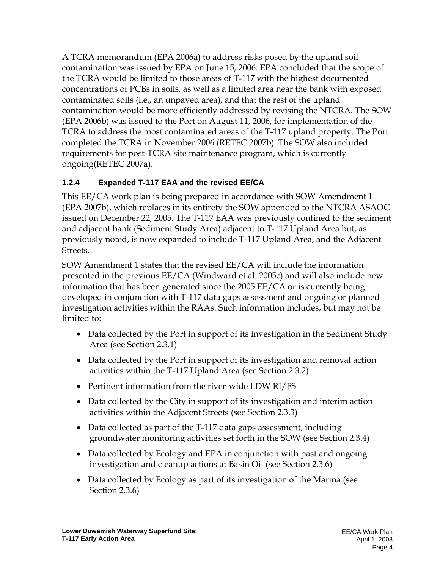A TCRA memorandum (EPA 2006a) to address risks posed by the upland soil contamination was issued by EPA on June 15, 2006. EPA concluded that the scope of the TCRA would be limited to those areas of T-117 with the highest documented concentrations of PCBs in soils, as well as a limited area near the bank with exposed contaminated soils (i.e., an unpaved area), and that the rest of the upland contamination would be more efficiently addressed by revising the NTCRA. The SOW (EPA 2006b) was issued to the Port on August 11, 2006, for implementation of the TCRA to address the most contaminated areas of the T-117 upland property. The Port completed the TCRA in November 2006 (RETEC 2007b). The SOW also included requirements for post-TCRA site maintenance program, which is currently ongoing(RETEC 2007a).

### **1.2.4 Expanded T-117 EAA and the revised EE/CA**

This EE/CA work plan is being prepared in accordance with SOW Amendment 1 (EPA 2007b), which replaces in its entirety the SOW appended to the NTCRA ASAOC issued on December 22, 2005. The T-117 EAA was previously confined to the sediment and adjacent bank (Sediment Study Area) adjacent to T-117 Upland Area but, as previously noted, is now expanded to include T-117 Upland Area, and the Adjacent Streets.

SOW Amendment 1 states that the revised EE/CA will include the information presented in the previous EE/CA (Windward et al. 2005c) and will also include new information that has been generated since the 2005 EE/CA or is currently being developed in conjunction with T-117 data gaps assessment and ongoing or planned investigation activities within the RAAs. Such information includes, but may not be limited to:

- Data collected by the Port in support of its investigation in the Sediment Study Area (see Section 2.3.1)
- Data collected by the Port in support of its investigation and removal action activities within the T-117 Upland Area (see Section 2.3.2)
- Pertinent information from the river-wide LDW RI/FS
- Data collected by the City in support of its investigation and interim action activities within the Adjacent Streets (see Section 2.3.3)
- Data collected as part of the T-117 data gaps assessment, including groundwater monitoring activities set forth in the SOW (see Section 2.3.4)
- Data collected by Ecology and EPA in conjunction with past and ongoing investigation and cleanup actions at Basin Oil (see Section 2.3.6)
- Data collected by Ecology as part of its investigation of the Marina (see Section 2.3.6)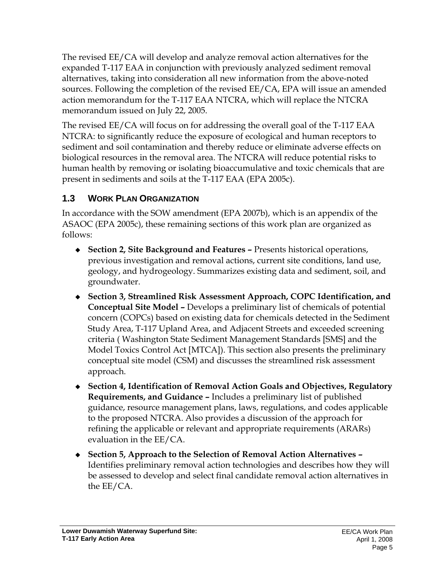The revised EE/CA will develop and analyze removal action alternatives for the expanded T-117 EAA in conjunction with previously analyzed sediment removal alternatives, taking into consideration all new information from the above-noted sources. Following the completion of the revised EE/CA, EPA will issue an amended action memorandum for the T-117 EAA NTCRA, which will replace the NTCRA memorandum issued on July 22, 2005.

The revised EE/CA will focus on for addressing the overall goal of the T-117 EAA NTCRA: to significantly reduce the exposure of ecological and human receptors to sediment and soil contamination and thereby reduce or eliminate adverse effects on biological resources in the removal area. The NTCRA will reduce potential risks to human health by removing or isolating bioaccumulative and toxic chemicals that are present in sediments and soils at the T-117 EAA (EPA 2005c).

# **1.3 WORK PLAN ORGANIZATION**

In accordance with the SOW amendment (EPA 2007b), which is an appendix of the ASAOC (EPA 2005c), these remaining sections of this work plan are organized as follows:

- **Section 2, Site Background and Features** Presents historical operations, previous investigation and removal actions, current site conditions, land use, geology, and hydrogeology. Summarizes existing data and sediment, soil, and groundwater.
- **Section 3, Streamlined Risk Assessment Approach, COPC Identification, and Conceptual Site Model –** Develops a preliminary list of chemicals of potential concern (COPCs) based on existing data for chemicals detected in the Sediment Study Area, T-117 Upland Area, and Adjacent Streets and exceeded screening criteria ( Washington State Sediment Management Standards [SMS] and the Model Toxics Control Act [MTCA]). This section also presents the preliminary conceptual site model (CSM) and discusses the streamlined risk assessment approach.
- **Section 4, Identification of Removal Action Goals and Objectives, Regulatory Requirements, and Guidance –** Includes a preliminary list of published guidance, resource management plans, laws, regulations, and codes applicable to the proposed NTCRA. Also provides a discussion of the approach for refining the applicable or relevant and appropriate requirements (ARARs) evaluation in the EE/CA.
- **Section 5, Approach to the Selection of Removal Action Alternatives**  Identifies preliminary removal action technologies and describes how they will be assessed to develop and select final candidate removal action alternatives in the EE/CA.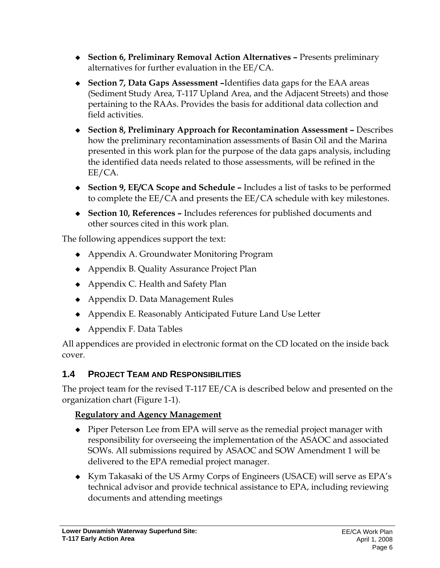- **Section 6, Preliminary Removal Action Alternatives –** Presents preliminary alternatives for further evaluation in the EE/CA.
- **Section 7, Data Gaps Assessment –**Identifies data gaps for the EAA areas (Sediment Study Area, T-117 Upland Area, and the Adjacent Streets) and those pertaining to the RAAs. Provides the basis for additional data collection and field activities.
- **Section 8, Preliminary Approach for Recontamination Assessment** Describes how the preliminary recontamination assessments of Basin Oil and the Marina presented in this work plan for the purpose of the data gaps analysis, including the identified data needs related to those assessments, will be refined in the EE/CA.
- **Section 9, EE/CA Scope and Schedule –** Includes a list of tasks to be performed to complete the EE/CA and presents the EE/CA schedule with key milestones.
- **Section 10, References** Includes references for published documents and other sources cited in this work plan.

The following appendices support the text:

- Appendix A. Groundwater Monitoring Program
- ◆ Appendix B. Quality Assurance Project Plan
- ◆ Appendix C. Health and Safety Plan
- ◆ Appendix D. Data Management Rules
- Appendix E. Reasonably Anticipated Future Land Use Letter
- $\leftrightarrow$  Appendix F. Data Tables

All appendices are provided in electronic format on the CD located on the inside back cover.

# **1.4 PROJECT TEAM AND RESPONSIBILITIES**

The project team for the revised T-117 EE/CA is described below and presented on the organization chart (Figure 1-1).

# **Regulatory and Agency Management**

- Piper Peterson Lee from EPA will serve as the remedial project manager with responsibility for overseeing the implementation of the ASAOC and associated SOWs. All submissions required by ASAOC and SOW Amendment 1 will be delivered to the EPA remedial project manager.
- Kym Takasaki of the US Army Corps of Engineers (USACE) will serve as EPA's technical advisor and provide technical assistance to EPA, including reviewing documents and attending meetings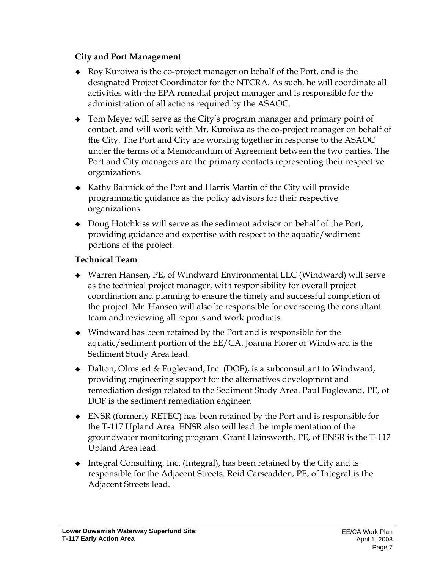#### **City and Port Management**

- Roy Kuroiwa is the co-project manager on behalf of the Port, and is the designated Project Coordinator for the NTCRA. As such, he will coordinate all activities with the EPA remedial project manager and is responsible for the administration of all actions required by the ASAOC.
- Tom Meyer will serve as the City's program manager and primary point of contact, and will work with Mr. Kuroiwa as the co-project manager on behalf of the City. The Port and City are working together in response to the ASAOC under the terms of a Memorandum of Agreement between the two parties. The Port and City managers are the primary contacts representing their respective organizations.
- Kathy Bahnick of the Port and Harris Martin of the City will provide programmatic guidance as the policy advisors for their respective organizations.
- Doug Hotchkiss will serve as the sediment advisor on behalf of the Port, providing guidance and expertise with respect to the aquatic/sediment portions of the project.

### **Technical Team**

- Warren Hansen, PE, of Windward Environmental LLC (Windward) will serve as the technical project manager, with responsibility for overall project coordination and planning to ensure the timely and successful completion of the project. Mr. Hansen will also be responsible for overseeing the consultant team and reviewing all reports and work products.
- Windward has been retained by the Port and is responsible for the aquatic/sediment portion of the EE/CA. Joanna Florer of Windward is the Sediment Study Area lead.
- ◆ Dalton, Olmsted & Fuglevand, Inc. (DOF), is a subconsultant to Windward, providing engineering support for the alternatives development and remediation design related to the Sediment Study Area. Paul Fuglevand, PE, of DOF is the sediment remediation engineer.
- ENSR (formerly RETEC) has been retained by the Port and is responsible for the T-117 Upland Area. ENSR also will lead the implementation of the groundwater monitoring program. Grant Hainsworth, PE, of ENSR is the T-117 Upland Area lead.
- Integral Consulting, Inc. (Integral), has been retained by the City and is responsible for the Adjacent Streets. Reid Carscadden, PE, of Integral is the Adjacent Streets lead.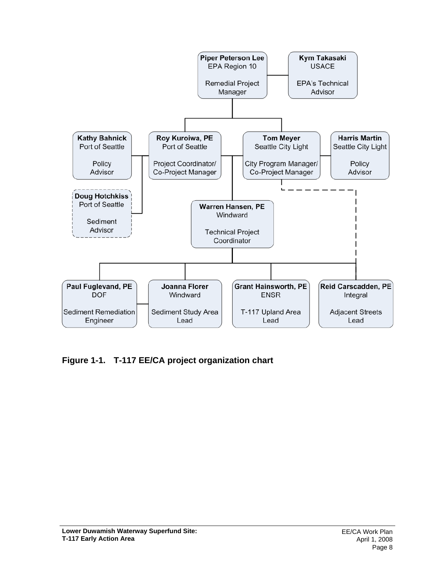

**Figure 1-1. T-117 EE/CA project organization chart**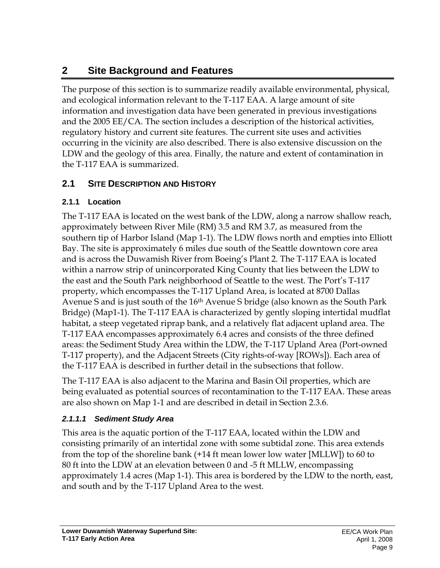# **2 Site Background and Features**

The purpose of this section is to summarize readily available environmental, physical, and ecological information relevant to the T-117 EAA. A large amount of site information and investigation data have been generated in previous investigations and the 2005 EE/CA. The section includes a description of the historical activities, regulatory history and current site features. The current site uses and activities occurring in the vicinity are also described. There is also extensive discussion on the LDW and the geology of this area. Finally, the nature and extent of contamination in the T-117 EAA is summarized.

# **2.1 SITE DESCRIPTION AND HISTORY**

### **2.1.1 Location**

The T-117 EAA is located on the west bank of the LDW, along a narrow shallow reach, approximately between River Mile (RM) 3.5 and RM 3.7, as measured from the southern tip of Harbor Island (Map 1-1). The LDW flows north and empties into Elliott Bay. The site is approximately 6 miles due south of the Seattle downtown core area and is across the Duwamish River from Boeing's Plant 2. The T-117 EAA is located within a narrow strip of unincorporated King County that lies between the LDW to the east and the South Park neighborhood of Seattle to the west. The Port's T-117 property, which encompasses the T-117 Upland Area, is located at 8700 Dallas Avenue S and is just south of the 16th Avenue S bridge (also known as the South Park Bridge) (Map1-1). The T-117 EAA is characterized by gently sloping intertidal mudflat habitat, a steep vegetated riprap bank, and a relatively flat adjacent upland area. The T-117 EAA encompasses approximately 6.4 acres and consists of the three defined areas: the Sediment Study Area within the LDW, the T-117 Upland Area (Port-owned T-117 property), and the Adjacent Streets (City rights-of-way [ROWs]). Each area of the T-117 EAA is described in further detail in the subsections that follow.

The T-117 EAA is also adjacent to the Marina and Basin Oil properties, which are being evaluated as potential sources of recontamination to the T-117 EAA. These areas are also shown on Map 1-1 and are described in detail in Section 2.3.6.

# *2.1.1.1 Sediment Study Area*

This area is the aquatic portion of the T-117 EAA, located within the LDW and consisting primarily of an intertidal zone with some subtidal zone. This area extends from the top of the shoreline bank (+14 ft mean lower low water [MLLW]) to 60 to 80 ft into the LDW at an elevation between 0 and -5 ft MLLW, encompassing approximately 1.4 acres (Map 1-1). This area is bordered by the LDW to the north, east, and south and by the T-117 Upland Area to the west.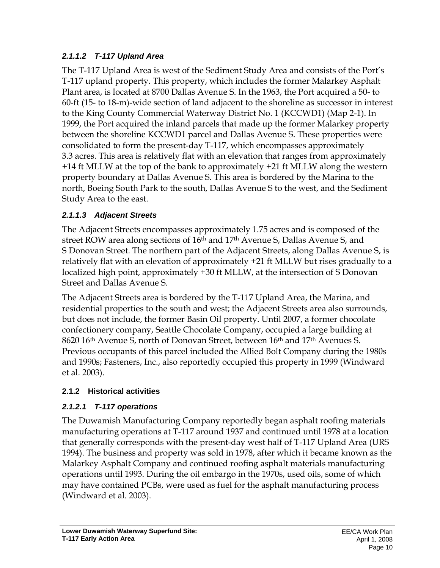### *2.1.1.2 T-117 Upland Area*

The T-117 Upland Area is west of the Sediment Study Area and consists of the Port's T-117 upland property. This property, which includes the former Malarkey Asphalt Plant area, is located at 8700 Dallas Avenue S. In the 1963, the Port acquired a 50- to 60-ft (15- to 18-m)-wide section of land adjacent to the shoreline as successor in interest to the King County Commercial Waterway District No. 1 (KCCWD1) (Map 2-1). In 1999, the Port acquired the inland parcels that made up the former Malarkey property between the shoreline KCCWD1 parcel and Dallas Avenue S. These properties were consolidated to form the present-day T-117, which encompasses approximately 3.3 acres. This area is relatively flat with an elevation that ranges from approximately +14 ft MLLW at the top of the bank to approximately +21 ft MLLW along the western property boundary at Dallas Avenue S. This area is bordered by the Marina to the north, Boeing South Park to the south, Dallas Avenue S to the west, and the Sediment Study Area to the east.

### *2.1.1.3 Adjacent Streets*

The Adjacent Streets encompasses approximately 1.75 acres and is composed of the street ROW area along sections of 16<sup>th</sup> and 17<sup>th</sup> Avenue S, Dallas Avenue S, and S Donovan Street. The northern part of the Adjacent Streets, along Dallas Avenue S, is relatively flat with an elevation of approximately +21 ft MLLW but rises gradually to a localized high point, approximately +30 ft MLLW, at the intersection of S Donovan Street and Dallas Avenue S.

The Adjacent Streets area is bordered by the T-117 Upland Area, the Marina, and residential properties to the south and west; the Adjacent Streets area also surrounds, but does not include, the former Basin Oil property. Until 2007, a former chocolate confectionery company, Seattle Chocolate Company, occupied a large building at 8620 16th Avenue S, north of Donovan Street, between 16th and 17th Avenues S. Previous occupants of this parcel included the Allied Bolt Company during the 1980s and 1990s; Fasteners, Inc., also reportedly occupied this property in 1999 (Windward et al. 2003).

### **2.1.2 Historical activities**

# *2.1.2.1 T-117 operations*

The Duwamish Manufacturing Company reportedly began asphalt roofing materials manufacturing operations at T-117 around 1937 and continued until 1978 at a location that generally corresponds with the present-day west half of T-117 Upland Area (URS 1994). The business and property was sold in 1978, after which it became known as the Malarkey Asphalt Company and continued roofing asphalt materials manufacturing operations until 1993. During the oil embargo in the 1970s, used oils, some of which may have contained PCBs, were used as fuel for the asphalt manufacturing process (Windward et al. 2003).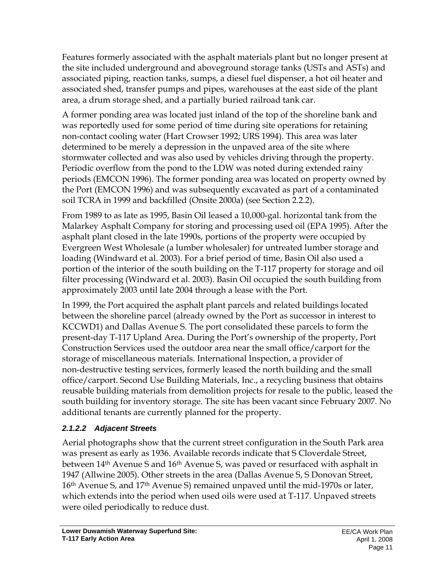Features formerly associated with the asphalt materials plant but no longer present at the site included underground and aboveground storage tanks (USTs and ASTs) and associated piping, reaction tanks, sumps, a diesel fuel dispenser, a hot oil heater and associated shed, transfer pumps and pipes, warehouses at the east side of the plant area, a drum storage shed, and a partially buried railroad tank car.

A former ponding area was located just inland of the top of the shoreline bank and was reportedly used for some period of time during site operations for retaining non-contact cooling water (Hart Crowser 1992; URS 1994). This area was later determined to be merely a depression in the unpaved area of the site where stormwater collected and was also used by vehicles driving through the property. Periodic overflow from the pond to the LDW was noted during extended rainy periods (EMCON 1996). The former ponding area was located on property owned by the Port (EMCON 1996) and was subsequently excavated as part of a contaminated soil TCRA in 1999 and backfilled (Onsite 2000a) (see Section 2.2.2).

From 1989 to as late as 1995, Basin Oil leased a 10,000-gal. horizontal tank from the Malarkey Asphalt Company for storing and processing used oil (EPA 1995). After the asphalt plant closed in the late 1990s, portions of the property were occupied by Evergreen West Wholesale (a lumber wholesaler) for untreated lumber storage and loading (Windward et al. 2003). For a brief period of time, Basin Oil also used a portion of the interior of the south building on the T-117 property for storage and oil filter processing (Windward et al. 2003). Basin Oil occupied the south building from approximately 2003 until late 2004 through a lease with the Port.

In 1999, the Port acquired the asphalt plant parcels and related buildings located between the shoreline parcel (already owned by the Port as successor in interest to KCCWD1) and Dallas Avenue S. The port consolidated these parcels to form the present-day T-117 Upland Area. During the Port's ownership of the property, Port Construction Services used the outdoor area near the small office/carport for the storage of miscellaneous materials. International Inspection, a provider of non-destructive testing services, formerly leased the north building and the small office/carport. Second Use Building Materials, Inc., a recycling business that obtains reusable building materials from demolition projects for resale to the public, leased the south building for inventory storage. The site has been vacant since February 2007. No additional tenants are currently planned for the property.

### *2.1.2.2 Adjacent Streets*

Aerial photographs show that the current street configuration in the South Park area was present as early as 1936. Available records indicate that S Cloverdale Street, between 14<sup>th</sup> Avenue S and 16<sup>th</sup> Avenue S, was paved or resurfaced with asphalt in 1947 (Allwine 2005). Other streets in the area (Dallas Avenue S, S Donovan Street, 16th Avenue S, and 17th Avenue S) remained unpaved until the mid-1970s or later, which extends into the period when used oils were used at T-117. Unpaved streets were oiled periodically to reduce dust.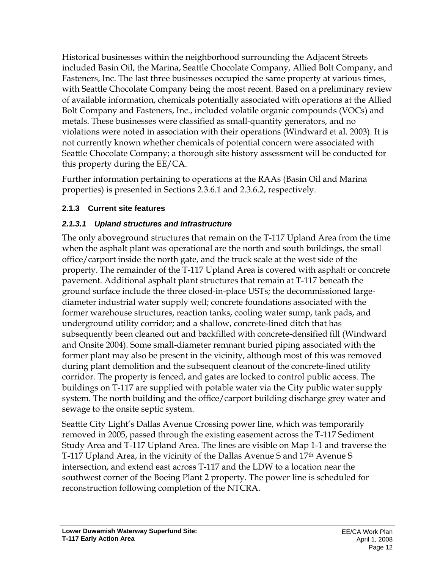Historical businesses within the neighborhood surrounding the Adjacent Streets included Basin Oil, the Marina, Seattle Chocolate Company, Allied Bolt Company, and Fasteners, Inc. The last three businesses occupied the same property at various times, with Seattle Chocolate Company being the most recent. Based on a preliminary review of available information, chemicals potentially associated with operations at the Allied Bolt Company and Fasteners, Inc., included volatile organic compounds (VOCs) and metals. These businesses were classified as small-quantity generators, and no violations were noted in association with their operations (Windward et al. 2003). It is not currently known whether chemicals of potential concern were associated with Seattle Chocolate Company; a thorough site history assessment will be conducted for this property during the EE/CA.

Further information pertaining to operations at the RAAs (Basin Oil and Marina properties) is presented in Sections 2.3.6.1 and 2.3.6.2, respectively.

#### **2.1.3 Current site features**

#### *2.1.3.1 Upland structures and infrastructure*

The only aboveground structures that remain on the T-117 Upland Area from the time when the asphalt plant was operational are the north and south buildings, the small office/carport inside the north gate, and the truck scale at the west side of the property. The remainder of the T-117 Upland Area is covered with asphalt or concrete pavement. Additional asphalt plant structures that remain at T-117 beneath the ground surface include the three closed-in-place USTs; the decommissioned largediameter industrial water supply well; concrete foundations associated with the former warehouse structures, reaction tanks, cooling water sump, tank pads, and underground utility corridor; and a shallow, concrete-lined ditch that has subsequently been cleaned out and backfilled with concrete-densified fill (Windward and Onsite 2004). Some small-diameter remnant buried piping associated with the former plant may also be present in the vicinity, although most of this was removed during plant demolition and the subsequent cleanout of the concrete-lined utility corridor. The property is fenced, and gates are locked to control public access. The buildings on T-117 are supplied with potable water via the City public water supply system. The north building and the office/carport building discharge grey water and sewage to the onsite septic system.

Seattle City Light's Dallas Avenue Crossing power line, which was temporarily removed in 2005, passed through the existing easement across the T-117 Sediment Study Area and T-117 Upland Area. The lines are visible on Map 1-1 and traverse the T-117 Upland Area, in the vicinity of the Dallas Avenue S and 17th Avenue S intersection, and extend east across T-117 and the LDW to a location near the southwest corner of the Boeing Plant 2 property. The power line is scheduled for reconstruction following completion of the NTCRA.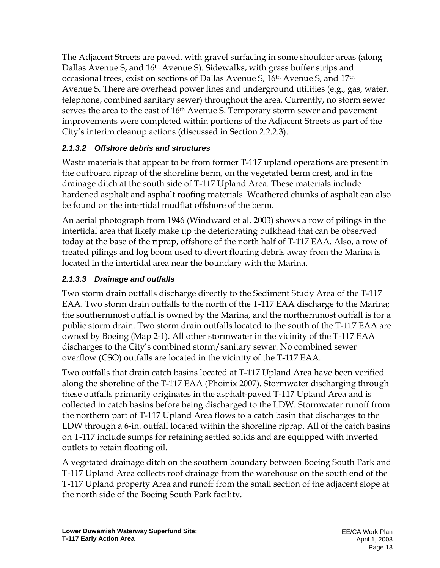The Adjacent Streets are paved, with gravel surfacing in some shoulder areas (along Dallas Avenue S, and 16th Avenue S). Sidewalks, with grass buffer strips and occasional trees, exist on sections of Dallas Avenue S, 16th Avenue S, and 17th Avenue S. There are overhead power lines and underground utilities (e.g., gas, water, telephone, combined sanitary sewer) throughout the area. Currently, no storm sewer serves the area to the east of 16<sup>th</sup> Avenue S. Temporary storm sewer and pavement improvements were completed within portions of the Adjacent Streets as part of the City's interim cleanup actions (discussed in Section 2.2.2.3).

# *2.1.3.2 Offshore debris and structures*

Waste materials that appear to be from former T-117 upland operations are present in the outboard riprap of the shoreline berm, on the vegetated berm crest, and in the drainage ditch at the south side of T-117 Upland Area. These materials include hardened asphalt and asphalt roofing materials. Weathered chunks of asphalt can also be found on the intertidal mudflat offshore of the berm.

An aerial photograph from 1946 (Windward et al. 2003) shows a row of pilings in the intertidal area that likely make up the deteriorating bulkhead that can be observed today at the base of the riprap, offshore of the north half of T-117 EAA. Also, a row of treated pilings and log boom used to divert floating debris away from the Marina is located in the intertidal area near the boundary with the Marina.

# *2.1.3.3 Drainage and outfalls*

Two storm drain outfalls discharge directly to the Sediment Study Area of the T-117 EAA. Two storm drain outfalls to the north of the T-117 EAA discharge to the Marina; the southernmost outfall is owned by the Marina, and the northernmost outfall is for a public storm drain. Two storm drain outfalls located to the south of the T-117 EAA are owned by Boeing (Map 2-1). All other stormwater in the vicinity of the T-117 EAA discharges to the City's combined storm/sanitary sewer. No combined sewer overflow (CSO) outfalls are located in the vicinity of the T-117 EAA.

Two outfalls that drain catch basins located at T-117 Upland Area have been verified along the shoreline of the T-117 EAA (Phoinix 2007). Stormwater discharging through these outfalls primarily originates in the asphalt-paved T-117 Upland Area and is collected in catch basins before being discharged to the LDW. Stormwater runoff from the northern part of T-117 Upland Area flows to a catch basin that discharges to the LDW through a 6-in. outfall located within the shoreline riprap. All of the catch basins on T-117 include sumps for retaining settled solids and are equipped with inverted outlets to retain floating oil.

A vegetated drainage ditch on the southern boundary between Boeing South Park and T-117 Upland Area collects roof drainage from the warehouse on the south end of the T-117 Upland property Area and runoff from the small section of the adjacent slope at the north side of the Boeing South Park facility.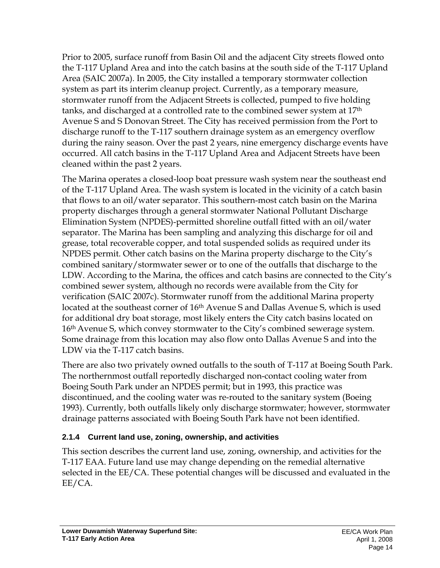Prior to 2005, surface runoff from Basin Oil and the adjacent City streets flowed onto the T-117 Upland Area and into the catch basins at the south side of the T-117 Upland Area (SAIC 2007a). In 2005, the City installed a temporary stormwater collection system as part its interim cleanup project. Currently, as a temporary measure, stormwater runoff from the Adjacent Streets is collected, pumped to five holding tanks, and discharged at a controlled rate to the combined sewer system at 17th Avenue S and S Donovan Street. The City has received permission from the Port to discharge runoff to the T-117 southern drainage system as an emergency overflow during the rainy season. Over the past 2 years, nine emergency discharge events have occurred. All catch basins in the T-117 Upland Area and Adjacent Streets have been cleaned within the past 2 years.

The Marina operates a closed-loop boat pressure wash system near the southeast end of the T-117 Upland Area. The wash system is located in the vicinity of a catch basin that flows to an oil/water separator. This southern-most catch basin on the Marina property discharges through a general stormwater National Pollutant Discharge Elimination System (NPDES)-permitted shoreline outfall fitted with an oil/water separator. The Marina has been sampling and analyzing this discharge for oil and grease, total recoverable copper, and total suspended solids as required under its NPDES permit. Other catch basins on the Marina property discharge to the City's combined sanitary/stormwater sewer or to one of the outfalls that discharge to the LDW. According to the Marina, the offices and catch basins are connected to the City's combined sewer system, although no records were available from the City for verification (SAIC 2007c). Stormwater runoff from the additional Marina property located at the southeast corner of 16th Avenue S and Dallas Avenue S, which is used for additional dry boat storage, most likely enters the City catch basins located on 16th Avenue S, which convey stormwater to the City's combined sewerage system. Some drainage from this location may also flow onto Dallas Avenue S and into the LDW via the T-117 catch basins.

There are also two privately owned outfalls to the south of T-117 at Boeing South Park. The northernmost outfall reportedly discharged non-contact cooling water from Boeing South Park under an NPDES permit; but in 1993, this practice was discontinued, and the cooling water was re-routed to the sanitary system (Boeing 1993). Currently, both outfalls likely only discharge stormwater; however, stormwater drainage patterns associated with Boeing South Park have not been identified.

### **2.1.4 Current land use, zoning, ownership, and activities**

This section describes the current land use, zoning, ownership, and activities for the T-117 EAA. Future land use may change depending on the remedial alternative selected in the EE/CA. These potential changes will be discussed and evaluated in the EE/CA.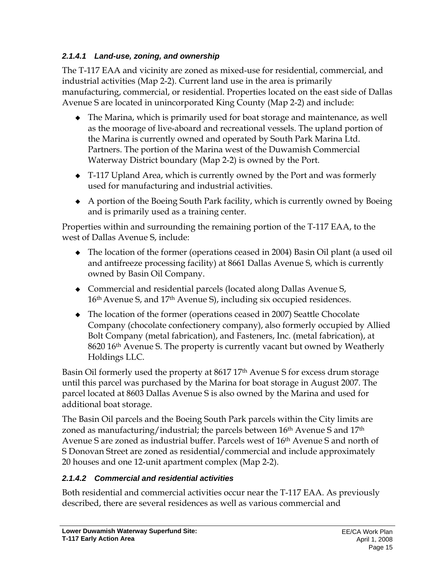### *2.1.4.1 Land-use, zoning, and ownership*

The T-117 EAA and vicinity are zoned as mixed-use for residential, commercial, and industrial activities (Map 2-2). Current land use in the area is primarily manufacturing, commercial, or residential. Properties located on the east side of Dallas Avenue S are located in unincorporated King County (Map 2-2) and include:

- The Marina, which is primarily used for boat storage and maintenance, as well as the moorage of live-aboard and recreational vessels. The upland portion of the Marina is currently owned and operated by South Park Marina Ltd. Partners. The portion of the Marina west of the Duwamish Commercial Waterway District boundary (Map 2-2) is owned by the Port.
- T-117 Upland Area, which is currently owned by the Port and was formerly used for manufacturing and industrial activities.
- A portion of the Boeing South Park facility, which is currently owned by Boeing and is primarily used as a training center.

Properties within and surrounding the remaining portion of the T-117 EAA, to the west of Dallas Avenue S, include:

- The location of the former (operations ceased in 2004) Basin Oil plant (a used oil and antifreeze processing facility) at 8661 Dallas Avenue S, which is currently owned by Basin Oil Company.
- Commercial and residential parcels (located along Dallas Avenue S, 16th Avenue S, and 17th Avenue S), including six occupied residences.
- The location of the former (operations ceased in 2007) Seattle Chocolate Company (chocolate confectionery company), also formerly occupied by Allied Bolt Company (metal fabrication), and Fasteners, Inc. (metal fabrication), at 8620 16<sup>th</sup> Avenue S. The property is currently vacant but owned by Weatherly Holdings LLC.

Basin Oil formerly used the property at 8617 17<sup>th</sup> Avenue S for excess drum storage until this parcel was purchased by the Marina for boat storage in August 2007. The parcel located at 8603 Dallas Avenue S is also owned by the Marina and used for additional boat storage.

The Basin Oil parcels and the Boeing South Park parcels within the City limits are zoned as manufacturing/industrial; the parcels between 16<sup>th</sup> Avenue S and 17<sup>th</sup> Avenue S are zoned as industrial buffer. Parcels west of 16th Avenue S and north of S Donovan Street are zoned as residential/commercial and include approximately 20 houses and one 12-unit apartment complex (Map 2-2).

### *2.1.4.2 Commercial and residential activities*

Both residential and commercial activities occur near the T-117 EAA. As previously described, there are several residences as well as various commercial and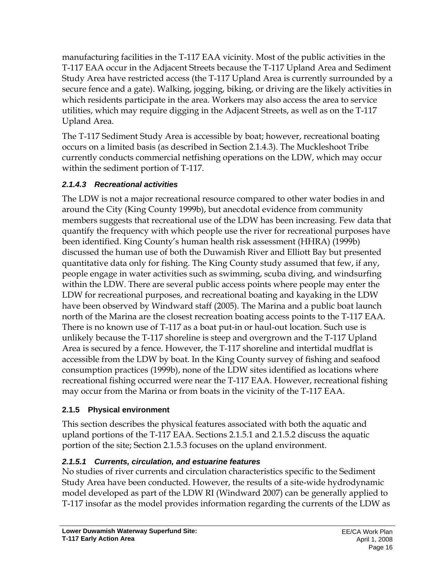manufacturing facilities in the T-117 EAA vicinity. Most of the public activities in the T-117 EAA occur in the Adjacent Streets because the T-117 Upland Area and Sediment Study Area have restricted access (the T-117 Upland Area is currently surrounded by a secure fence and a gate). Walking, jogging, biking, or driving are the likely activities in which residents participate in the area. Workers may also access the area to service utilities, which may require digging in the Adjacent Streets, as well as on the T-117 Upland Area.

The T-117 Sediment Study Area is accessible by boat; however, recreational boating occurs on a limited basis (as described in Section 2.1.4.3). The Muckleshoot Tribe currently conducts commercial netfishing operations on the LDW, which may occur within the sediment portion of T-117.

### *2.1.4.3 Recreational activities*

The LDW is not a major recreational resource compared to other water bodies in and around the City (King County 1999b), but anecdotal evidence from community members suggests that recreational use of the LDW has been increasing. Few data that quantify the frequency with which people use the river for recreational purposes have been identified. King County's human health risk assessment (HHRA) (1999b) discussed the human use of both the Duwamish River and Elliott Bay but presented quantitative data only for fishing. The King County study assumed that few, if any, people engage in water activities such as swimming, scuba diving, and windsurfing within the LDW. There are several public access points where people may enter the LDW for recreational purposes, and recreational boating and kayaking in the LDW have been observed by Windward staff (2005). The Marina and a public boat launch north of the Marina are the closest recreation boating access points to the T-117 EAA. There is no known use of T-117 as a boat put-in or haul-out location. Such use is unlikely because the T-117 shoreline is steep and overgrown and the T-117 Upland Area is secured by a fence. However, the T-117 shoreline and intertidal mudflat is accessible from the LDW by boat. In the King County survey of fishing and seafood consumption practices (1999b), none of the LDW sites identified as locations where recreational fishing occurred were near the T-117 EAA. However, recreational fishing may occur from the Marina or from boats in the vicinity of the T-117 EAA.

#### **2.1.5 Physical environment**

This section describes the physical features associated with both the aquatic and upland portions of the T-117 EAA. Sections 2.1.5.1 and 2.1.5.2 discuss the aquatic portion of the site; Section 2.1.5.3 focuses on the upland environment.

### *2.1.5.1 Currents, circulation, and estuarine features*

No studies of river currents and circulation characteristics specific to the Sediment Study Area have been conducted. However, the results of a site-wide hydrodynamic model developed as part of the LDW RI (Windward 2007) can be generally applied to T-117 insofar as the model provides information regarding the currents of the LDW as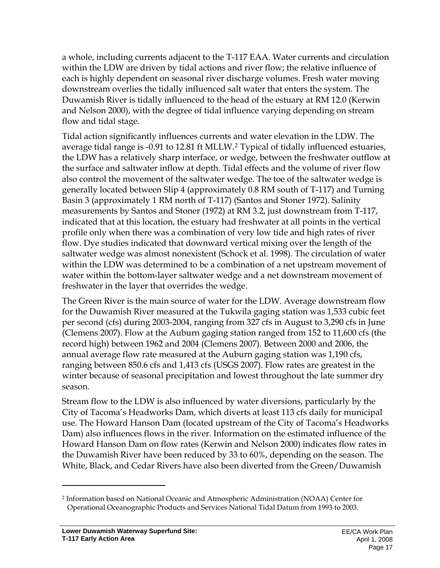a whole, including currents adjacent to the T-117 EAA. Water currents and circulation within the LDW are driven by tidal actions and river flow; the relative influence of each is highly dependent on seasonal river discharge volumes. Fresh water moving downstream overlies the tidally influenced salt water that enters the system. The Duwamish River is tidally influenced to the head of the estuary at RM 12.0 (Kerwin and Nelson 2000), with the degree of tidal influence varying depending on stream flow and tidal stage.

Tidal action significantly influences currents and water elevation in the LDW. The average tidal range is -0.91 to 12.81 ft MLLW.2 Typical of tidally influenced estuaries, the LDW has a relatively sharp interface, or wedge, between the freshwater outflow at the surface and saltwater inflow at depth. Tidal effects and the volume of river flow also control the movement of the saltwater wedge. The toe of the saltwater wedge is generally located between Slip 4 (approximately 0.8 RM south of T-117) and Turning Basin 3 (approximately 1 RM north of T-117) (Santos and Stoner 1972). Salinity measurements by Santos and Stoner (1972) at RM 3.2, just downstream from T-117, indicated that at this location, the estuary had freshwater at all points in the vertical profile only when there was a combination of very low tide and high rates of river flow. Dye studies indicated that downward vertical mixing over the length of the saltwater wedge was almost nonexistent (Schock et al. 1998). The circulation of water within the LDW was determined to be a combination of a net upstream movement of water within the bottom-layer saltwater wedge and a net downstream movement of freshwater in the layer that overrides the wedge.

The Green River is the main source of water for the LDW. Average downstream flow for the Duwamish River measured at the Tukwila gaging station was 1,533 cubic feet per second (cfs) during 2003-2004, ranging from 327 cfs in August to 3,290 cfs in June (Clemens 2007). Flow at the Auburn gaging station ranged from 152 to 11,600 cfs (the record high) between 1962 and 2004 (Clemens 2007). Between 2000 and 2006, the annual average flow rate measured at the Auburn gaging station was 1,190 cfs, ranging between 850.6 cfs and 1,413 cfs (USGS 2007). Flow rates are greatest in the winter because of seasonal precipitation and lowest throughout the late summer dry season.

Stream flow to the LDW is also influenced by water diversions, particularly by the City of Tacoma's Headworks Dam, which diverts at least 113 cfs daily for municipal use. The Howard Hanson Dam (located upstream of the City of Tacoma's Headworks Dam) also influences flows in the river. Information on the estimated influence of the Howard Hanson Dam on flow rates (Kerwin and Nelson 2000) indicates flow rates in the Duwamish River have been reduced by 33 to 60%, depending on the season. The White, Black, and Cedar Rivers have also been diverted from the Green/Duwamish

 $\overline{a}$ 

<sup>2</sup> Information based on National Oceanic and Atmospheric Administration (NOAA) Center for Operational Oceanographic Products and Services National Tidal Datum from 1993 to 2003.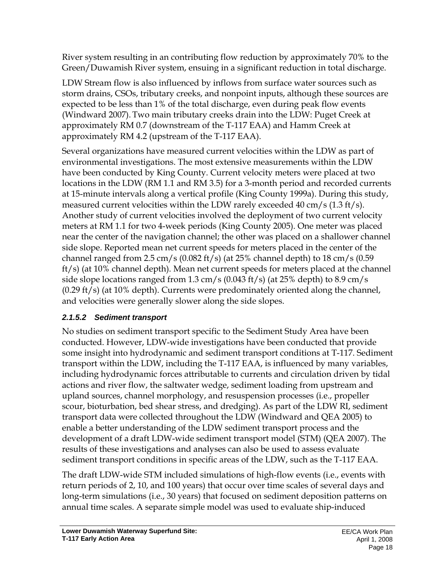River system resulting in an contributing flow reduction by approximately 70% to the Green/Duwamish River system, ensuing in a significant reduction in total discharge.

LDW Stream flow is also influenced by inflows from surface water sources such as storm drains, CSOs, tributary creeks, and nonpoint inputs, although these sources are expected to be less than 1% of the total discharge, even during peak flow events (Windward 2007). Two main tributary creeks drain into the LDW: Puget Creek at approximately RM 0.7 (downstream of the T-117 EAA) and Hamm Creek at approximately RM 4.2 (upstream of the T-117 EAA).

Several organizations have measured current velocities within the LDW as part of environmental investigations. The most extensive measurements within the LDW have been conducted by King County. Current velocity meters were placed at two locations in the LDW (RM 1.1 and RM 3.5) for a 3-month period and recorded currents at 15-minute intervals along a vertical profile (King County 1999a). During this study, measured current velocities within the LDW rarely exceeded 40 cm/s (1.3 ft/s). Another study of current velocities involved the deployment of two current velocity meters at RM 1.1 for two 4-week periods (King County 2005). One meter was placed near the center of the navigation channel; the other was placed on a shallower channel side slope. Reported mean net current speeds for meters placed in the center of the channel ranged from  $2.5 \text{ cm/s}$  (0.082 ft/s) (at  $25\%$  channel depth) to  $18 \text{ cm/s}$  (0.59 ft/s) (at 10% channel depth). Mean net current speeds for meters placed at the channel side slope locations ranged from 1.3 cm/s (0.043 ft/s) (at 25% depth) to 8.9 cm/s (0.29 ft/s) (at 10% depth). Currents were predominately oriented along the channel, and velocities were generally slower along the side slopes.

# *2.1.5.2 Sediment transport*

No studies on sediment transport specific to the Sediment Study Area have been conducted. However, LDW-wide investigations have been conducted that provide some insight into hydrodynamic and sediment transport conditions at T-117. Sediment transport within the LDW, including the T-117 EAA, is influenced by many variables, including hydrodynamic forces attributable to currents and circulation driven by tidal actions and river flow, the saltwater wedge, sediment loading from upstream and upland sources, channel morphology, and resuspension processes (i.e., propeller scour, bioturbation, bed shear stress, and dredging). As part of the LDW RI, sediment transport data were collected throughout the LDW (Windward and QEA 2005) to enable a better understanding of the LDW sediment transport process and the development of a draft LDW-wide sediment transport model (STM) (QEA 2007). The results of these investigations and analyses can also be used to assess evaluate sediment transport conditions in specific areas of the LDW, such as the T-117 EAA.

The draft LDW-wide STM included simulations of high-flow events (i.e., events with return periods of 2, 10, and 100 years) that occur over time scales of several days and long-term simulations (i.e., 30 years) that focused on sediment deposition patterns on annual time scales. A separate simple model was used to evaluate ship-induced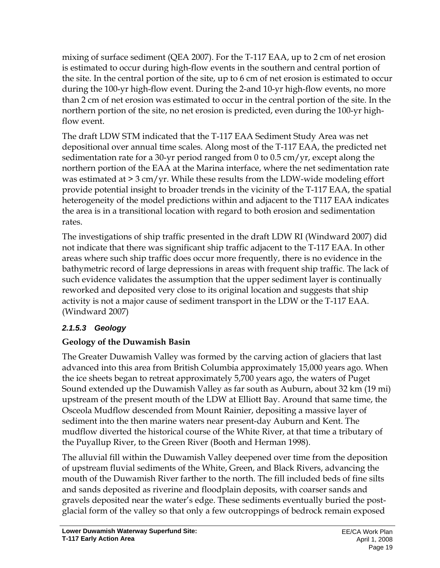mixing of surface sediment (QEA 2007). For the T-117 EAA, up to 2 cm of net erosion is estimated to occur during high-flow events in the southern and central portion of the site. In the central portion of the site, up to 6 cm of net erosion is estimated to occur during the 100-yr high-flow event. During the 2-and 10-yr high-flow events, no more than 2 cm of net erosion was estimated to occur in the central portion of the site. In the northern portion of the site, no net erosion is predicted, even during the 100-yr highflow event.

The draft LDW STM indicated that the T-117 EAA Sediment Study Area was net depositional over annual time scales. Along most of the T-117 EAA, the predicted net sedimentation rate for a 30-yr period ranged from 0 to 0.5 cm/yr, except along the northern portion of the EAA at the Marina interface, where the net sedimentation rate was estimated at > 3 cm/yr. While these results from the LDW-wide modeling effort provide potential insight to broader trends in the vicinity of the T-117 EAA, the spatial heterogeneity of the model predictions within and adjacent to the T117 EAA indicates the area is in a transitional location with regard to both erosion and sedimentation rates.

The investigations of ship traffic presented in the draft LDW RI (Windward 2007) did not indicate that there was significant ship traffic adjacent to the T-117 EAA. In other areas where such ship traffic does occur more frequently, there is no evidence in the bathymetric record of large depressions in areas with frequent ship traffic. The lack of such evidence validates the assumption that the upper sediment layer is continually reworked and deposited very close to its original location and suggests that ship activity is not a major cause of sediment transport in the LDW or the T-117 EAA. (Windward 2007)

### *2.1.5.3 Geology*

### **Geology of the Duwamish Basin**

The Greater Duwamish Valley was formed by the carving action of glaciers that last advanced into this area from British Columbia approximately 15,000 years ago. When the ice sheets began to retreat approximately 5,700 years ago, the waters of Puget Sound extended up the Duwamish Valley as far south as Auburn, about 32 km (19 mi) upstream of the present mouth of the LDW at Elliott Bay. Around that same time, the Osceola Mudflow descended from Mount Rainier, depositing a massive layer of sediment into the then marine waters near present-day Auburn and Kent. The mudflow diverted the historical course of the White River, at that time a tributary of the Puyallup River, to the Green River (Booth and Herman 1998).

The alluvial fill within the Duwamish Valley deepened over time from the deposition of upstream fluvial sediments of the White, Green, and Black Rivers, advancing the mouth of the Duwamish River farther to the north. The fill included beds of fine silts and sands deposited as riverine and floodplain deposits, with coarser sands and gravels deposited near the water's edge. These sediments eventually buried the postglacial form of the valley so that only a few outcroppings of bedrock remain exposed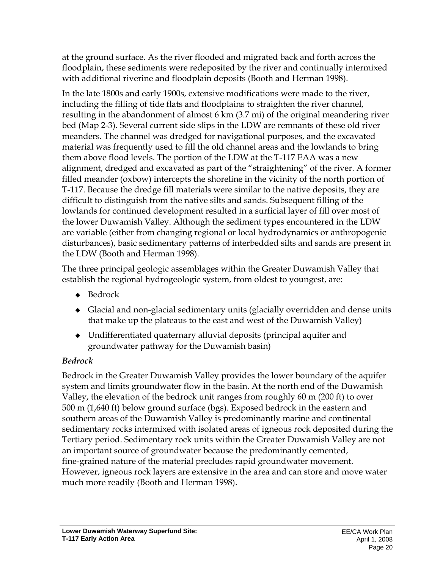at the ground surface. As the river flooded and migrated back and forth across the floodplain, these sediments were redeposited by the river and continually intermixed with additional riverine and floodplain deposits (Booth and Herman 1998).

In the late 1800s and early 1900s, extensive modifications were made to the river, including the filling of tide flats and floodplains to straighten the river channel, resulting in the abandonment of almost 6 km (3.7 mi) of the original meandering river bed (Map 2-3). Several current side slips in the LDW are remnants of these old river meanders. The channel was dredged for navigational purposes, and the excavated material was frequently used to fill the old channel areas and the lowlands to bring them above flood levels. The portion of the LDW at the T-117 EAA was a new alignment, dredged and excavated as part of the "straightening" of the river. A former filled meander (oxbow) intercepts the shoreline in the vicinity of the north portion of T-117. Because the dredge fill materials were similar to the native deposits, they are difficult to distinguish from the native silts and sands. Subsequent filling of the lowlands for continued development resulted in a surficial layer of fill over most of the lower Duwamish Valley. Although the sediment types encountered in the LDW are variable (either from changing regional or local hydrodynamics or anthropogenic disturbances), basic sedimentary patterns of interbedded silts and sands are present in the LDW (Booth and Herman 1998).

The three principal geologic assemblages within the Greater Duwamish Valley that establish the regional hydrogeologic system, from oldest to youngest, are:

- ◆ Bedrock
- Glacial and non-glacial sedimentary units (glacially overridden and dense units that make up the plateaus to the east and west of the Duwamish Valley)
- Undifferentiated quaternary alluvial deposits (principal aquifer and groundwater pathway for the Duwamish basin)

# *Bedrock*

Bedrock in the Greater Duwamish Valley provides the lower boundary of the aquifer system and limits groundwater flow in the basin. At the north end of the Duwamish Valley, the elevation of the bedrock unit ranges from roughly 60 m (200 ft) to over 500 m (1,640 ft) below ground surface (bgs). Exposed bedrock in the eastern and southern areas of the Duwamish Valley is predominantly marine and continental sedimentary rocks intermixed with isolated areas of igneous rock deposited during the Tertiary period. Sedimentary rock units within the Greater Duwamish Valley are not an important source of groundwater because the predominantly cemented, fine-grained nature of the material precludes rapid groundwater movement. However, igneous rock layers are extensive in the area and can store and move water much more readily (Booth and Herman 1998).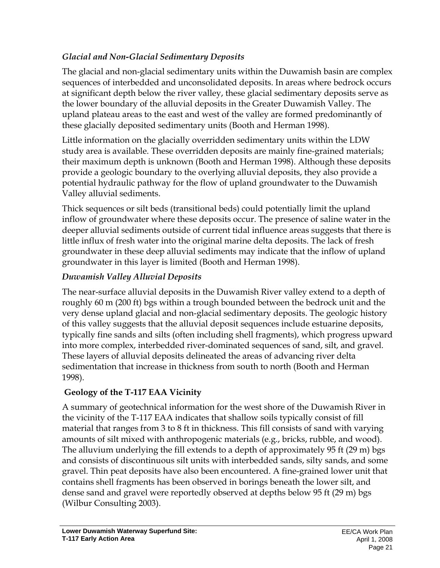## *Glacial and Non-Glacial Sedimentary Deposits*

The glacial and non-glacial sedimentary units within the Duwamish basin are complex sequences of interbedded and unconsolidated deposits. In areas where bedrock occurs at significant depth below the river valley, these glacial sedimentary deposits serve as the lower boundary of the alluvial deposits in the Greater Duwamish Valley. The upland plateau areas to the east and west of the valley are formed predominantly of these glacially deposited sedimentary units (Booth and Herman 1998).

Little information on the glacially overridden sedimentary units within the LDW study area is available. These overridden deposits are mainly fine-grained materials; their maximum depth is unknown (Booth and Herman 1998). Although these deposits provide a geologic boundary to the overlying alluvial deposits, they also provide a potential hydraulic pathway for the flow of upland groundwater to the Duwamish Valley alluvial sediments.

Thick sequences or silt beds (transitional beds) could potentially limit the upland inflow of groundwater where these deposits occur. The presence of saline water in the deeper alluvial sediments outside of current tidal influence areas suggests that there is little influx of fresh water into the original marine delta deposits. The lack of fresh groundwater in these deep alluvial sediments may indicate that the inflow of upland groundwater in this layer is limited (Booth and Herman 1998).

# *Duwamish Valley Alluvial Deposits*

The near-surface alluvial deposits in the Duwamish River valley extend to a depth of roughly 60 m (200 ft) bgs within a trough bounded between the bedrock unit and the very dense upland glacial and non-glacial sedimentary deposits. The geologic history of this valley suggests that the alluvial deposit sequences include estuarine deposits, typically fine sands and silts (often including shell fragments), which progress upward into more complex, interbedded river-dominated sequences of sand, silt, and gravel. These layers of alluvial deposits delineated the areas of advancing river delta sedimentation that increase in thickness from south to north (Booth and Herman 1998).

### **Geology of the T-117 EAA Vicinity**

A summary of geotechnical information for the west shore of the Duwamish River in the vicinity of the T-117 EAA indicates that shallow soils typically consist of fill material that ranges from 3 to 8 ft in thickness. This fill consists of sand with varying amounts of silt mixed with anthropogenic materials (e.g., bricks, rubble, and wood). The alluvium underlying the fill extends to a depth of approximately 95 ft (29 m) bgs and consists of discontinuous silt units with interbedded sands, silty sands, and some gravel. Thin peat deposits have also been encountered. A fine-grained lower unit that contains shell fragments has been observed in borings beneath the lower silt, and dense sand and gravel were reportedly observed at depths below 95 ft (29 m) bgs (Wilbur Consulting 2003).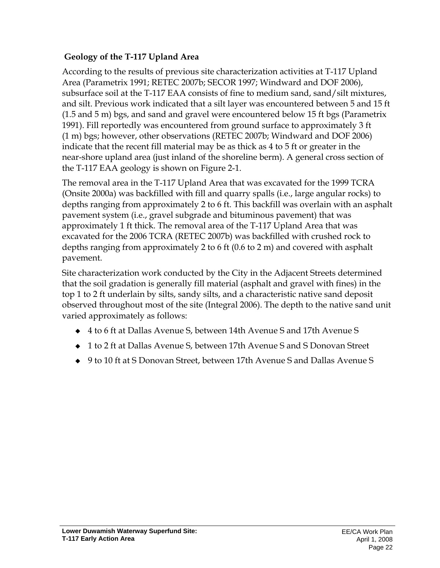### **Geology of the T-117 Upland Area**

According to the results of previous site characterization activities at T-117 Upland Area (Parametrix 1991; RETEC 2007b; SECOR 1997; Windward and DOF 2006), subsurface soil at the T-117 EAA consists of fine to medium sand, sand/silt mixtures, and silt. Previous work indicated that a silt layer was encountered between 5 and 15 ft (1.5 and 5 m) bgs, and sand and gravel were encountered below 15 ft bgs (Parametrix 1991). Fill reportedly was encountered from ground surface to approximately 3 ft (1 m) bgs; however, other observations (RETEC 2007b; Windward and DOF 2006) indicate that the recent fill material may be as thick as 4 to 5 ft or greater in the near-shore upland area (just inland of the shoreline berm). A general cross section of the T-117 EAA geology is shown on Figure 2-1.

The removal area in the T-117 Upland Area that was excavated for the 1999 TCRA (Onsite 2000a) was backfilled with fill and quarry spalls (i.e., large angular rocks) to depths ranging from approximately 2 to 6 ft. This backfill was overlain with an asphalt pavement system (i.e., gravel subgrade and bituminous pavement) that was approximately 1 ft thick. The removal area of the T-117 Upland Area that was excavated for the 2006 TCRA (RETEC 2007b) was backfilled with crushed rock to depths ranging from approximately 2 to 6 ft (0.6 to 2 m) and covered with asphalt pavement.

Site characterization work conducted by the City in the Adjacent Streets determined that the soil gradation is generally fill material (asphalt and gravel with fines) in the top 1 to 2 ft underlain by silts, sandy silts, and a characteristic native sand deposit observed throughout most of the site (Integral 2006). The depth to the native sand unit varied approximately as follows:

- 4 to 6 ft at Dallas Avenue S, between 14th Avenue S and 17th Avenue S
- 1 to 2 ft at Dallas Avenue S, between 17th Avenue S and S Donovan Street
- 9 to 10 ft at S Donovan Street, between 17th Avenue S and Dallas Avenue S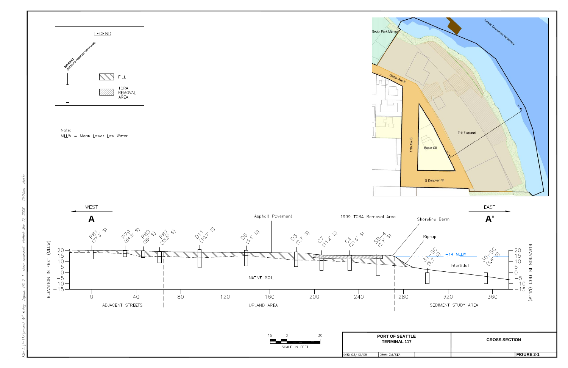





Kef's:

10:04 am

 $\overline{1}$ 

 $2008\,$  $\mathcal{L}$ Mar

Plotted:

S

 $\sim$ FIG

Layout:

 $-sect - \mathcal{A}' - 6.$ dwg

 $\angle$ :  $|7 - 117|$  x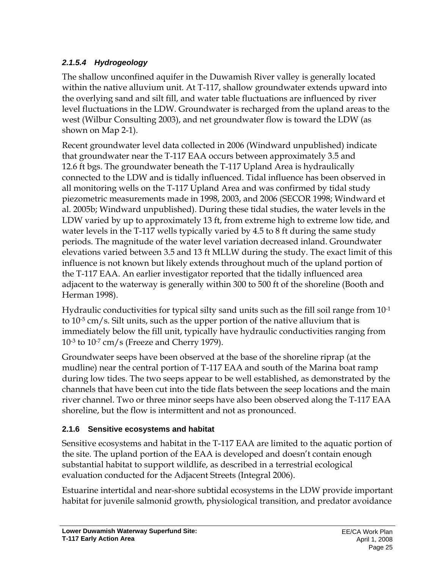# *2.1.5.4 Hydrogeology*

The shallow unconfined aquifer in the Duwamish River valley is generally located within the native alluvium unit. At T-117, shallow groundwater extends upward into the overlying sand and silt fill, and water table fluctuations are influenced by river level fluctuations in the LDW. Groundwater is recharged from the upland areas to the west (Wilbur Consulting 2003), and net groundwater flow is toward the LDW (as shown on Map 2-1).

Recent groundwater level data collected in 2006 (Windward unpublished) indicate that groundwater near the T-117 EAA occurs between approximately 3.5 and 12.6 ft bgs. The groundwater beneath the T-117 Upland Area is hydraulically connected to the LDW and is tidally influenced. Tidal influence has been observed in all monitoring wells on the T-117 Upland Area and was confirmed by tidal study piezometric measurements made in 1998, 2003, and 2006 (SECOR 1998; Windward et al. 2005b; Windward unpublished). During these tidal studies, the water levels in the LDW varied by up to approximately 13 ft, from extreme high to extreme low tide, and water levels in the T-117 wells typically varied by 4.5 to 8 ft during the same study periods. The magnitude of the water level variation decreased inland. Groundwater elevations varied between 3.5 and 13 ft MLLW during the study. The exact limit of this influence is not known but likely extends throughout much of the upland portion of the T-117 EAA. An earlier investigator reported that the tidally influenced area adjacent to the waterway is generally within 300 to 500 ft of the shoreline (Booth and Herman 1998).

Hydraulic conductivities for typical silty sand units such as the fill soil range from  $10^{-1}$ to 10-5 cm/s. Silt units, such as the upper portion of the native alluvium that is immediately below the fill unit, typically have hydraulic conductivities ranging from 10-3 to 10-7 cm/s (Freeze and Cherry 1979).

Groundwater seeps have been observed at the base of the shoreline riprap (at the mudline) near the central portion of T-117 EAA and south of the Marina boat ramp during low tides. The two seeps appear to be well established, as demonstrated by the channels that have been cut into the tide flats between the seep locations and the main river channel. Two or three minor seeps have also been observed along the T-117 EAA shoreline, but the flow is intermittent and not as pronounced.

### **2.1.6 Sensitive ecosystems and habitat**

Sensitive ecosystems and habitat in the T-117 EAA are limited to the aquatic portion of the site. The upland portion of the EAA is developed and doesn't contain enough substantial habitat to support wildlife, as described in a terrestrial ecological evaluation conducted for the Adjacent Streets (Integral 2006).

Estuarine intertidal and near-shore subtidal ecosystems in the LDW provide important habitat for juvenile salmonid growth, physiological transition, and predator avoidance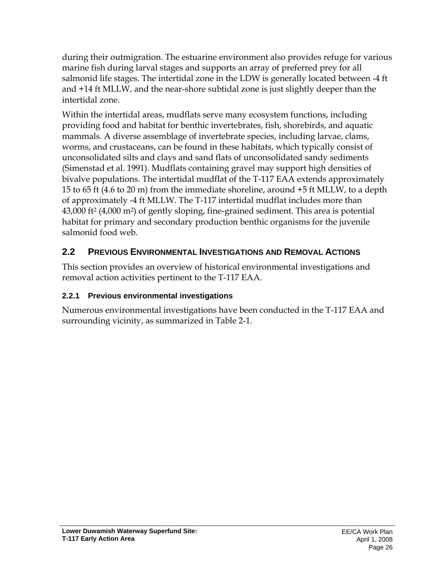during their outmigration. The estuarine environment also provides refuge for various marine fish during larval stages and supports an array of preferred prey for all salmonid life stages. The intertidal zone in the LDW is generally located between -4 ft and +14 ft MLLW, and the near-shore subtidal zone is just slightly deeper than the intertidal zone.

Within the intertidal areas, mudflats serve many ecosystem functions, including providing food and habitat for benthic invertebrates, fish, shorebirds, and aquatic mammals. A diverse assemblage of invertebrate species, including larvae, clams, worms, and crustaceans, can be found in these habitats, which typically consist of unconsolidated silts and clays and sand flats of unconsolidated sandy sediments (Simenstad et al. 1991). Mudflats containing gravel may support high densities of bivalve populations. The intertidal mudflat of the T-117 EAA extends approximately 15 to 65 ft (4.6 to 20 m) from the immediate shoreline, around +5 ft MLLW, to a depth of approximately -4 ft MLLW. The T-117 intertidal mudflat includes more than 43,000 ft2 (4,000 m2) of gently sloping, fine-grained sediment. This area is potential habitat for primary and secondary production benthic organisms for the juvenile salmonid food web.

# **2.2 PREVIOUS ENVIRONMENTAL INVESTIGATIONS AND REMOVAL ACTIONS**

This section provides an overview of historical environmental investigations and removal action activities pertinent to the T-117 EAA.

### **2.2.1 Previous environmental investigations**

Numerous environmental investigations have been conducted in the T-117 EAA and surrounding vicinity, as summarized in Table 2-1.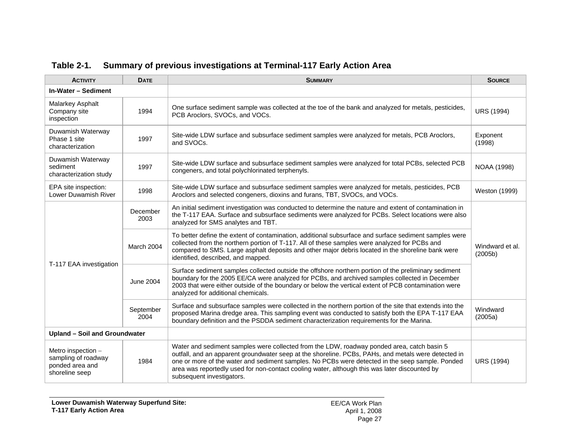| <b>ACTIVITY</b>                                                                | <b>DATE</b>       | <b>SUMMARY</b>                                                                                                                                                                                                                                                                                                                                                                                                                     | <b>SOURCE</b>              |
|--------------------------------------------------------------------------------|-------------------|------------------------------------------------------------------------------------------------------------------------------------------------------------------------------------------------------------------------------------------------------------------------------------------------------------------------------------------------------------------------------------------------------------------------------------|----------------------------|
| In-Water - Sediment                                                            |                   |                                                                                                                                                                                                                                                                                                                                                                                                                                    |                            |
| Malarkey Asphalt<br>Company site<br>inspection                                 | 1994              | One surface sediment sample was collected at the toe of the bank and analyzed for metals, pesticides,<br>PCB Aroclors, SVOCs, and VOCs.                                                                                                                                                                                                                                                                                            | <b>URS (1994)</b>          |
| Duwamish Waterway<br>Phase 1 site<br>characterization                          | 1997              | Site-wide LDW surface and subsurface sediment samples were analyzed for metals, PCB Aroclors,<br>and SVOCs.                                                                                                                                                                                                                                                                                                                        | Exponent<br>(1998)         |
| Duwamish Waterway<br>sediment<br>characterization study                        | 1997              | Site-wide LDW surface and subsurface sediment samples were analyzed for total PCBs, selected PCB<br>congeners, and total polychlorinated terphenyls.                                                                                                                                                                                                                                                                               | <b>NOAA (1998)</b>         |
| EPA site inspection:<br>Lower Duwamish River                                   | 1998              | Site-wide LDW surface and subsurface sediment samples were analyzed for metals, pesticides, PCB<br>Aroclors and selected congeners, dioxins and furans, TBT, SVOCs, and VOCs.                                                                                                                                                                                                                                                      | Weston (1999)              |
|                                                                                | December<br>2003  | An initial sediment investigation was conducted to determine the nature and extent of contamination in<br>the T-117 EAA. Surface and subsurface sediments were analyzed for PCBs. Select locations were also<br>analyzed for SMS analytes and TBT.                                                                                                                                                                                 | Windward et al.<br>(2005b) |
|                                                                                | March 2004        | To better define the extent of contamination, additional subsurface and surface sediment samples were<br>collected from the northern portion of T-117. All of these samples were analyzed for PCBs and<br>compared to SMS. Large asphalt deposits and other major debris located in the shoreline bank were<br>identified, described, and mapped.                                                                                  |                            |
| T-117 EAA investigation                                                        | <b>June 2004</b>  | Surface sediment samples collected outside the offshore northern portion of the preliminary sediment<br>boundary for the 2005 EE/CA were analyzed for PCBs, and archived samples collected in December<br>2003 that were either outside of the boundary or below the vertical extent of PCB contamination were<br>analyzed for additional chemicals.                                                                               |                            |
|                                                                                | September<br>2004 | Surface and subsurface samples were collected in the northern portion of the site that extends into the<br>proposed Marina dredge area. This sampling event was conducted to satisfy both the EPA T-117 EAA<br>boundary definition and the PSDDA sediment characterization requirements for the Marina.                                                                                                                            | Windward<br>(2005a)        |
| Upland - Soil and Groundwater                                                  |                   |                                                                                                                                                                                                                                                                                                                                                                                                                                    |                            |
| Metro inspection -<br>sampling of roadway<br>ponded area and<br>shoreline seep | 1984              | Water and sediment samples were collected from the LDW, roadway ponded area, catch basin 5<br>outfall, and an apparent groundwater seep at the shoreline. PCBs, PAHs, and metals were detected in<br>one or more of the water and sediment samples. No PCBs were detected in the seep sample. Ponded<br>area was reportedly used for non-contact cooling water, although this was later discounted by<br>subsequent investigators. | <b>URS (1994)</b>          |

### **Table 2-1. Summary of previous investigations at Terminal-117 Early Action Area**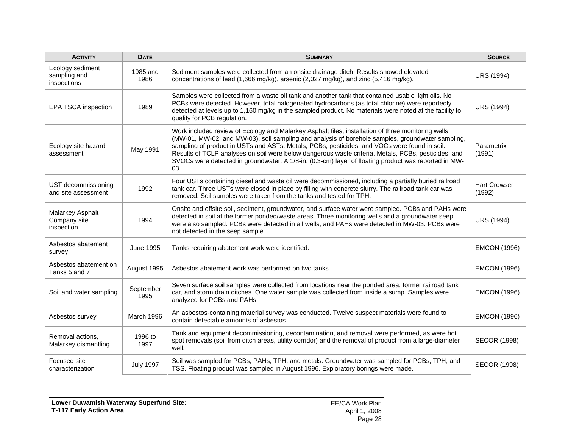| <b>ACTIVITY</b>                                 | <b>DATE</b>       | <b>SUMMARY</b>                                                                                                                                                                                                                                                                                                                                                                                                                                                                                                               | <b>SOURCE</b>                 |
|-------------------------------------------------|-------------------|------------------------------------------------------------------------------------------------------------------------------------------------------------------------------------------------------------------------------------------------------------------------------------------------------------------------------------------------------------------------------------------------------------------------------------------------------------------------------------------------------------------------------|-------------------------------|
| Ecology sediment<br>sampling and<br>inspections | 1985 and<br>1986  | Sediment samples were collected from an onsite drainage ditch. Results showed elevated<br>concentrations of lead (1,666 mg/kg), arsenic (2,027 mg/kg), and zinc (5,416 mg/kg).                                                                                                                                                                                                                                                                                                                                               | <b>URS (1994)</b>             |
| EPA TSCA inspection                             | 1989              | Samples were collected from a waste oil tank and another tank that contained usable light oils. No<br>PCBs were detected. However, total halogenated hydrocarbons (as total chlorine) were reportedly<br>detected at levels up to 1,160 mg/kg in the sampled product. No materials were noted at the facility to<br>qualify for PCB regulation.                                                                                                                                                                              | <b>URS (1994)</b>             |
| Ecology site hazard<br>assessment               | May 1991          | Work included review of Ecology and Malarkey Asphalt files, installation of three monitoring wells<br>(MW-01, MW-02, and MW-03), soil sampling and analysis of borehole samples, groundwater sampling,<br>sampling of product in USTs and ASTs. Metals, PCBs, pesticides, and VOCs were found in soil.<br>Results of TCLP analyses on soil were below dangerous waste criteria. Metals, PCBs, pesticides, and<br>SVOCs were detected in groundwater. A 1/8-in. (0.3-cm) layer of floating product was reported in MW-<br>03. | Parametrix<br>(1991)          |
| UST decommissioning<br>and site assessment      | 1992              | Four USTs containing diesel and waste oil were decommissioned, including a partially buried railroad<br>tank car. Three USTs were closed in place by filling with concrete slurry. The railroad tank car was<br>removed. Soil samples were taken from the tanks and tested for TPH.                                                                                                                                                                                                                                          | <b>Hart Crowser</b><br>(1992) |
| Malarkey Asphalt<br>Company site<br>inspection  | 1994              | Onsite and offsite soil, sediment, groundwater, and surface water were sampled. PCBs and PAHs were<br>detected in soil at the former ponded/waste areas. Three monitoring wells and a groundwater seep<br>were also sampled. PCBs were detected in all wells, and PAHs were detected in MW-03. PCBs were<br>not detected in the seep sample.                                                                                                                                                                                 | <b>URS (1994)</b>             |
| Asbestos abatement<br>survey                    | <b>June 1995</b>  | Tanks requiring abatement work were identified.                                                                                                                                                                                                                                                                                                                                                                                                                                                                              | <b>EMCON (1996)</b>           |
| Asbestos abatement on<br>Tanks 5 and 7          | August 1995       | Asbestos abatement work was performed on two tanks.                                                                                                                                                                                                                                                                                                                                                                                                                                                                          | <b>EMCON (1996)</b>           |
| Soil and water sampling                         | September<br>1995 | Seven surface soil samples were collected from locations near the ponded area, former railroad tank<br>car, and storm drain ditches. One water sample was collected from inside a sump. Samples were<br>analyzed for PCBs and PAHs.                                                                                                                                                                                                                                                                                          | <b>EMCON (1996)</b>           |
| Asbestos survey                                 | March 1996        | An asbestos-containing material survey was conducted. Twelve suspect materials were found to<br>contain detectable amounts of asbestos.                                                                                                                                                                                                                                                                                                                                                                                      | <b>EMCON (1996)</b>           |
| Removal actions,<br>Malarkey dismantling        | 1996 to<br>1997   | Tank and equipment decommissioning, decontamination, and removal were performed, as were hot<br>spot removals (soil from ditch areas, utility corridor) and the removal of product from a large-diameter<br>well.                                                                                                                                                                                                                                                                                                            | <b>SECOR (1998)</b>           |
| Focused site<br>characterization                | <b>July 1997</b>  | Soil was sampled for PCBs, PAHs, TPH, and metals. Groundwater was sampled for PCBs, TPH, and<br>TSS. Floating product was sampled in August 1996. Exploratory borings were made.                                                                                                                                                                                                                                                                                                                                             | <b>SECOR (1998)</b>           |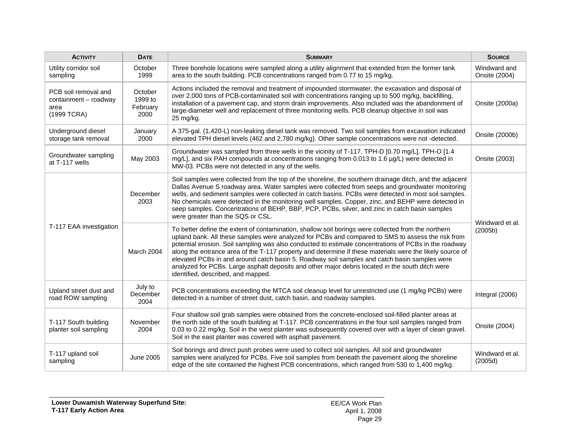| <b>ACTIVITY</b>                                                      | <b>DATE</b>                            | <b>SUMMARY</b>                                                                                                                                                                                                                                                                                                                                                                                                                                                                                                                                                                                                                                                          | <b>SOURCE</b>                 |  |
|----------------------------------------------------------------------|----------------------------------------|-------------------------------------------------------------------------------------------------------------------------------------------------------------------------------------------------------------------------------------------------------------------------------------------------------------------------------------------------------------------------------------------------------------------------------------------------------------------------------------------------------------------------------------------------------------------------------------------------------------------------------------------------------------------------|-------------------------------|--|
| Utility corridor soil<br>sampling                                    | October<br>1999                        | Three borehole locations were sampled along a utility alignment that extended from the former tank<br>area to the south building. PCB concentrations ranged from 0.77 to 15 mg/kg.                                                                                                                                                                                                                                                                                                                                                                                                                                                                                      | Windward and<br>Onsite (2004) |  |
| PCB soil removal and<br>containment - roadway<br>area<br>(1999 TCRA) | October<br>1999 to<br>February<br>2000 | Actions included the removal and treatment of impounded stormwater, the excavation and disposal of<br>over 2,000 tons of PCB-contaminated soil with concentrations ranging up to 500 mg/kg, backfilling,<br>installation of a pavement cap, and storm drain improvements. Also included was the abandonment of<br>large-diameter well and replacement of three monitoring wells. PCB cleanup objective in soil was<br>25 mg/kg.                                                                                                                                                                                                                                         | Onsite (2000a)                |  |
| Underground diesel<br>storage tank removal                           | January<br>2000                        | A 375-gal. (1,420-L) non-leaking diesel tank was removed. Two soil samples from excavation indicated<br>elevated TPH diesel levels (462 and 2,780 mg/kg). Other sample concentrations were not -detected.                                                                                                                                                                                                                                                                                                                                                                                                                                                               | Onsite (2000b)                |  |
| Groundwater sampling<br>at T-117 wells                               | May 2003                               | Groundwater was sampled from three wells in the vicinity of T-117. TPH-D [0.70 mg/L], TPH-O [1.4<br>mg/L], and six PAH compounds at concentrations ranging from 0.013 to 1.6 µg/L) were detected in<br>MW-03. PCBs were not detected in any of the wells.                                                                                                                                                                                                                                                                                                                                                                                                               | Onsite (2003)                 |  |
|                                                                      | December<br>2003                       | Soil samples were collected from the top of the shoreline, the southern drainage ditch, and the adjacent<br>Dallas Avenue S roadway area. Water samples were collected from seeps and groundwater monitoring<br>wells, and sediment samples were collected in catch basins. PCBs were detected in most soil samples.<br>No chemicals were detected in the monitoring well samples. Copper, zinc, and BEHP were detected in<br>seep samples. Concentrations of BEHP, BBP, PCP, PCBs, silver, and zinc in catch basin samples<br>were greater than the SQS or CSL.                                                                                                        |                               |  |
| T-117 EAA investigation                                              | March 2004                             | To better define the extent of contamination, shallow soil borings were collected from the northern<br>upland bank. All these samples were analyzed for PCBs and compared to SMS to assess the risk from<br>potential erosion. Soil sampling was also conducted to estimate concentrations of PCBs in the roadway<br>along the entrance area of the T-117 property and determine if these materials were the likely source of<br>elevated PCBs in and around catch basin 5. Roadway soil samples and catch basin samples were<br>analyzed for PCBs. Large asphalt deposits and other major debris located in the south ditch were<br>identified, described, and mapped. | Windward et al.<br>(2005b)    |  |
| Upland street dust and<br>road ROW sampling                          | July to<br>December<br>2004            | PCB concentrations exceeding the MTCA soil cleanup level for unrestricted use (1 mg/kg PCBs) were<br>detected in a number of street dust, catch basin, and roadway samples.                                                                                                                                                                                                                                                                                                                                                                                                                                                                                             | Integral (2006)               |  |
| T-117 South building<br>planter soil sampling                        | November<br>2004                       | Four shallow soil grab samples were obtained from the concrete-enclosed soil-filled planter areas at<br>the north side of the south building at T-117. PCB concentrations in the four soil samples ranged from<br>0.03 to 0.22 mg/kg. Soil in the west planter was subsequently covered over with a layer of clean gravel.<br>Soil in the east planter was covered with asphalt pavement.                                                                                                                                                                                                                                                                               | Onsite (2004)                 |  |
| T-117 upland soil<br>sampling                                        | <b>June 2005</b>                       | Soil borings and direct push probes were used to collect soil samples. All soil and groundwater<br>samples were analyzed for PCBs. Five soil samples from beneath the pavement along the shoreline<br>edge of the site contained the highest PCB concentrations, which ranged from 530 to 1,400 mg/kg.                                                                                                                                                                                                                                                                                                                                                                  | Windward et al.<br>(2005d)    |  |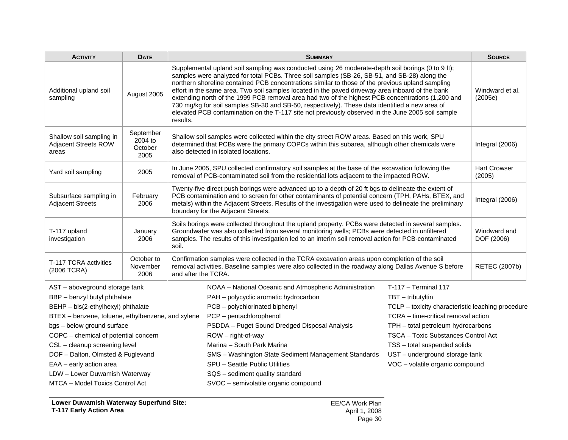| <b>ACTIVITY</b>                                                  | <b>DATE</b>                             |          | <b>SUMMARY</b>                                                                                                                                                                                                                                                                                                                                                                                                                                                                                                                                                                                                                                                                                                        |                                                   | <b>SOURCE</b> |  |  |  |
|------------------------------------------------------------------|-----------------------------------------|----------|-----------------------------------------------------------------------------------------------------------------------------------------------------------------------------------------------------------------------------------------------------------------------------------------------------------------------------------------------------------------------------------------------------------------------------------------------------------------------------------------------------------------------------------------------------------------------------------------------------------------------------------------------------------------------------------------------------------------------|---------------------------------------------------|---------------|--|--|--|
| Additional upland soil<br>sampling                               | August 2005                             | results. | Supplemental upland soil sampling was conducted using 26 moderate-depth soil borings (0 to 9 ft);<br>samples were analyzed for total PCBs. Three soil samples (SB-26, SB-51, and SB-28) along the<br>northern shoreline contained PCB concentrations similar to those of the previous upland sampling<br>effort in the same area. Two soil samples located in the paved driveway area inboard of the bank<br>extending north of the 1999 PCB removal area had two of the highest PCB concentrations (1,200 and<br>730 mg/kg for soil samples SB-30 and SB-50, respectively). These data identified a new area of<br>elevated PCB contamination on the T-117 site not previously observed in the June 2005 soil sample |                                                   |               |  |  |  |
| Shallow soil sampling in<br><b>Adjacent Streets ROW</b><br>areas | September<br>2004 to<br>October<br>2005 |          | Shallow soil samples were collected within the city street ROW areas. Based on this work, SPU<br>determined that PCBs were the primary COPCs within this subarea, although other chemicals were<br>also detected in isolated locations.                                                                                                                                                                                                                                                                                                                                                                                                                                                                               |                                                   |               |  |  |  |
| Yard soil sampling                                               | 2005                                    |          | <b>Hart Crowser</b><br>In June 2005, SPU collected confirmatory soil samples at the base of the excavation following the<br>removal of PCB-contaminated soil from the residential lots adjacent to the impacted ROW.<br>(2005)                                                                                                                                                                                                                                                                                                                                                                                                                                                                                        |                                                   |               |  |  |  |
| Subsurface sampling in<br><b>Adjacent Streets</b>                | February<br>2006                        |          | Twenty-five direct push borings were advanced up to a depth of 20 ft bgs to delineate the extent of<br>PCB contamination and to screen for other contaminants of potential concern (TPH, PAHs, BTEX, and<br>Integral (2006)<br>metals) within the Adjacent Streets. Results of the investigation were used to delineate the preliminary<br>boundary for the Adjacent Streets.                                                                                                                                                                                                                                                                                                                                         |                                                   |               |  |  |  |
| T-117 upland<br>investigation                                    | January<br>2006                         | soil.    | Soils borings were collected throughout the upland property. PCBs were detected in several samples.<br>Groundwater was also collected from several monitoring wells; PCBs were detected in unfiltered<br>samples. The results of this investigation led to an interim soil removal action for PCB-contaminated<br>DOF (2006)                                                                                                                                                                                                                                                                                                                                                                                          |                                                   |               |  |  |  |
| T-117 TCRA activities<br>(2006 TCRA)                             | October to<br>November<br>2006          |          | Confirmation samples were collected in the TCRA excavation areas upon completion of the soil<br>removal activities. Baseline samples were also collected in the roadway along Dallas Avenue S before<br>and after the TCRA.                                                                                                                                                                                                                                                                                                                                                                                                                                                                                           |                                                   |               |  |  |  |
| AST - aboveground storage tank                                   |                                         |          | NOAA - National Oceanic and Atmospheric Administration                                                                                                                                                                                                                                                                                                                                                                                                                                                                                                                                                                                                                                                                | $T-117 - Terminal 117$                            |               |  |  |  |
| BBP - benzyl butyl phthalate                                     |                                         |          | PAH - polycyclic aromatic hydrocarbon                                                                                                                                                                                                                                                                                                                                                                                                                                                                                                                                                                                                                                                                                 | TBT - tributyltin                                 |               |  |  |  |
| BEHP - bis(2-ethylhexyl) phthalate                               |                                         |          | PCB - polychlorinated biphenyl                                                                                                                                                                                                                                                                                                                                                                                                                                                                                                                                                                                                                                                                                        | TCLP - toxicity characteristic leaching procedure |               |  |  |  |
| BTEX - benzene, toluene, ethylbenzene, and xylene                |                                         |          | PCP - pentachlorophenol                                                                                                                                                                                                                                                                                                                                                                                                                                                                                                                                                                                                                                                                                               | TCRA - time-critical removal action               |               |  |  |  |
| bgs - below ground surface                                       |                                         |          | PSDDA - Puget Sound Dredged Disposal Analysis                                                                                                                                                                                                                                                                                                                                                                                                                                                                                                                                                                                                                                                                         | TPH - total petroleum hydrocarbons                |               |  |  |  |
| COPC - chemical of potential concern                             |                                         |          | ROW - right-of-way                                                                                                                                                                                                                                                                                                                                                                                                                                                                                                                                                                                                                                                                                                    | TSCA - Toxic Substances Control Act               |               |  |  |  |
| CSL - cleanup screening level                                    |                                         |          | Marina - South Park Marina                                                                                                                                                                                                                                                                                                                                                                                                                                                                                                                                                                                                                                                                                            | TSS - total suspended solids                      |               |  |  |  |
| DOF - Dalton, Olmsted & Fuglevand                                |                                         |          | SMS - Washington State Sediment Management Standards                                                                                                                                                                                                                                                                                                                                                                                                                                                                                                                                                                                                                                                                  | UST - underground storage tank                    |               |  |  |  |
| EAA - early action area                                          |                                         |          | SPU - Seattle Public Utilities                                                                                                                                                                                                                                                                                                                                                                                                                                                                                                                                                                                                                                                                                        | VOC - volatile organic compound                   |               |  |  |  |
| LDW - Lower Duwamish Waterway                                    |                                         |          | SQS - sediment quality standard                                                                                                                                                                                                                                                                                                                                                                                                                                                                                                                                                                                                                                                                                       |                                                   |               |  |  |  |
| MTCA - Model Toxics Control Act                                  |                                         |          | SVOC - semivolatile organic compound                                                                                                                                                                                                                                                                                                                                                                                                                                                                                                                                                                                                                                                                                  |                                                   |               |  |  |  |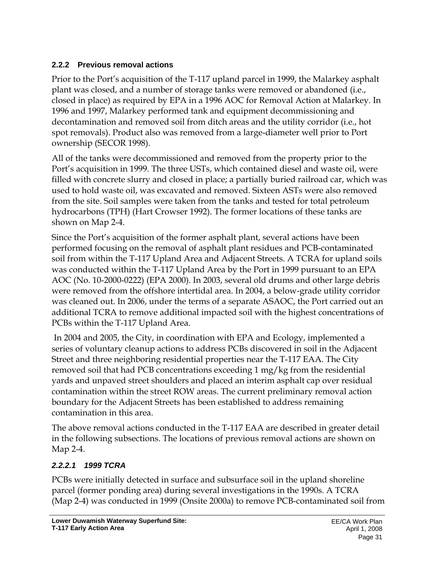# **2.2.2 Previous removal actions**

Prior to the Port's acquisition of the T-117 upland parcel in 1999, the Malarkey asphalt plant was closed, and a number of storage tanks were removed or abandoned (i.e., closed in place) as required by EPA in a 1996 AOC for Removal Action at Malarkey. In 1996 and 1997, Malarkey performed tank and equipment decommissioning and decontamination and removed soil from ditch areas and the utility corridor (i.e., hot spot removals). Product also was removed from a large-diameter well prior to Port ownership (SECOR 1998).

All of the tanks were decommissioned and removed from the property prior to the Port's acquisition in 1999. The three USTs, which contained diesel and waste oil, were filled with concrete slurry and closed in place; a partially buried railroad car, which was used to hold waste oil, was excavated and removed. Sixteen ASTs were also removed from the site. Soil samples were taken from the tanks and tested for total petroleum hydrocarbons (TPH) (Hart Crowser 1992). The former locations of these tanks are shown on Map 2-4.

Since the Port's acquisition of the former asphalt plant, several actions have been performed focusing on the removal of asphalt plant residues and PCB-contaminated soil from within the T-117 Upland Area and Adjacent Streets. A TCRA for upland soils was conducted within the T-117 Upland Area by the Port in 1999 pursuant to an EPA AOC (No. 10-2000-0222) (EPA 2000). In 2003, several old drums and other large debris were removed from the offshore intertidal area. In 2004, a below-grade utility corridor was cleaned out. In 2006, under the terms of a separate ASAOC, the Port carried out an additional TCRA to remove additional impacted soil with the highest concentrations of PCBs within the T-117 Upland Area.

 In 2004 and 2005, the City, in coordination with EPA and Ecology, implemented a series of voluntary cleanup actions to address PCBs discovered in soil in the Adjacent Street and three neighboring residential properties near the T-117 EAA. The City removed soil that had PCB concentrations exceeding 1 mg/kg from the residential yards and unpaved street shoulders and placed an interim asphalt cap over residual contamination within the street ROW areas. The current preliminary removal action boundary for the Adjacent Streets has been established to address remaining contamination in this area.

The above removal actions conducted in the T-117 EAA are described in greater detail in the following subsections. The locations of previous removal actions are shown on Map 2-4.

# *2.2.2.1 1999 TCRA*

PCBs were initially detected in surface and subsurface soil in the upland shoreline parcel (former ponding area) during several investigations in the 1990s. A TCRA (Map 2-4) was conducted in 1999 (Onsite 2000a) to remove PCB-contaminated soil from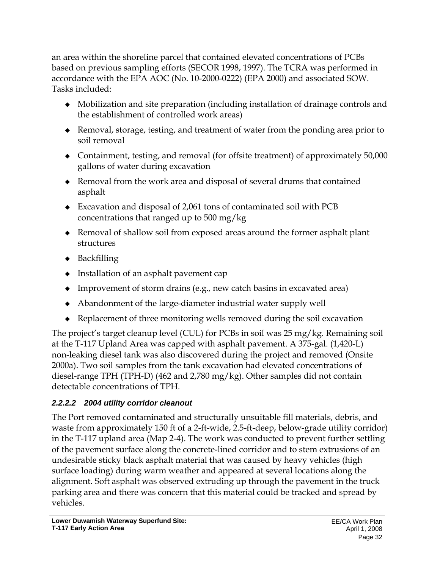an area within the shoreline parcel that contained elevated concentrations of PCBs based on previous sampling efforts (SECOR 1998, 1997). The TCRA was performed in accordance with the EPA AOC (No. 10-2000-0222) (EPA 2000) and associated SOW. Tasks included:

- Mobilization and site preparation (including installation of drainage controls and the establishment of controlled work areas)
- Removal, storage, testing, and treatment of water from the ponding area prior to soil removal
- Containment, testing, and removal (for offsite treatment) of approximately 50,000 gallons of water during excavation
- Removal from the work area and disposal of several drums that contained asphalt
- Excavation and disposal of 2,061 tons of contaminated soil with PCB concentrations that ranged up to 500 mg/kg
- Removal of shallow soil from exposed areas around the former asphalt plant structures
- $\bullet$  Backfilling
- Installation of an asphalt pavement cap
- $\bullet$  Improvement of storm drains (e.g., new catch basins in excavated area)
- Abandonment of the large-diameter industrial water supply well
- Replacement of three monitoring wells removed during the soil excavation

The project's target cleanup level (CUL) for PCBs in soil was 25 mg/kg. Remaining soil at the T-117 Upland Area was capped with asphalt pavement. A 375-gal. (1,420-L) non-leaking diesel tank was also discovered during the project and removed (Onsite 2000a). Two soil samples from the tank excavation had elevated concentrations of diesel-range TPH (TPH-D) (462 and 2,780 mg/kg). Other samples did not contain detectable concentrations of TPH.

# *2.2.2.2 2004 utility corridor cleanout*

The Port removed contaminated and structurally unsuitable fill materials, debris, and waste from approximately 150 ft of a 2-ft-wide, 2.5-ft-deep, below-grade utility corridor) in the T-117 upland area (Map 2-4). The work was conducted to prevent further settling of the pavement surface along the concrete-lined corridor and to stem extrusions of an undesirable sticky black asphalt material that was caused by heavy vehicles (high surface loading) during warm weather and appeared at several locations along the alignment. Soft asphalt was observed extruding up through the pavement in the truck parking area and there was concern that this material could be tracked and spread by vehicles.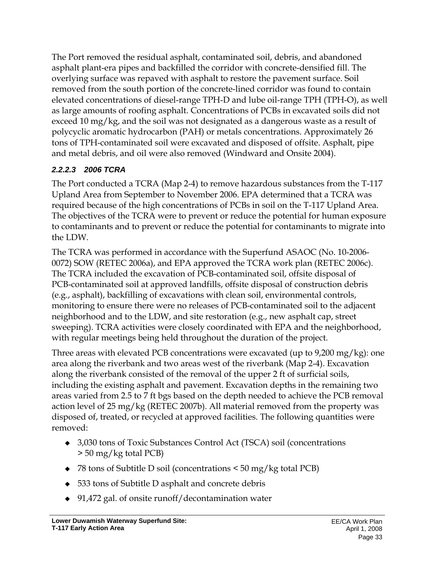The Port removed the residual asphalt, contaminated soil, debris, and abandoned asphalt plant-era pipes and backfilled the corridor with concrete-densified fill. The overlying surface was repaved with asphalt to restore the pavement surface. Soil removed from the south portion of the concrete-lined corridor was found to contain elevated concentrations of diesel-range TPH-D and lube oil-range TPH (TPH-O), as well as large amounts of roofing asphalt. Concentrations of PCBs in excavated soils did not exceed 10 mg/kg, and the soil was not designated as a dangerous waste as a result of polycyclic aromatic hydrocarbon (PAH) or metals concentrations. Approximately 26 tons of TPH-contaminated soil were excavated and disposed of offsite. Asphalt, pipe and metal debris, and oil were also removed (Windward and Onsite 2004).

# *2.2.2.3 2006 TCRA*

The Port conducted a TCRA (Map 2-4) to remove hazardous substances from the T-117 Upland Area from September to November 2006. EPA determined that a TCRA was required because of the high concentrations of PCBs in soil on the T-117 Upland Area. The objectives of the TCRA were to prevent or reduce the potential for human exposure to contaminants and to prevent or reduce the potential for contaminants to migrate into the LDW.

The TCRA was performed in accordance with the Superfund ASAOC (No. 10-2006- 0072) SOW (RETEC 2006a), and EPA approved the TCRA work plan (RETEC 2006c). The TCRA included the excavation of PCB-contaminated soil, offsite disposal of PCB-contaminated soil at approved landfills, offsite disposal of construction debris (e.g., asphalt), backfilling of excavations with clean soil, environmental controls, monitoring to ensure there were no releases of PCB-contaminated soil to the adjacent neighborhood and to the LDW, and site restoration (e.g., new asphalt cap, street sweeping). TCRA activities were closely coordinated with EPA and the neighborhood, with regular meetings being held throughout the duration of the project.

Three areas with elevated PCB concentrations were excavated (up to 9,200 mg/kg): one area along the riverbank and two areas west of the riverbank (Map 2-4). Excavation along the riverbank consisted of the removal of the upper 2 ft of surficial soils, including the existing asphalt and pavement. Excavation depths in the remaining two areas varied from 2.5 to 7 ft bgs based on the depth needed to achieve the PCB removal action level of 25 mg/kg (RETEC 2007b). All material removed from the property was disposed of, treated, or recycled at approved facilities. The following quantities were removed:

- 3,030 tons of Toxic Substances Control Act (TSCA) soil (concentrations > 50 mg/kg total PCB)
- 78 tons of Subtitle D soil (concentrations < 50 mg/kg total PCB)
- 533 tons of Subtitle D asphalt and concrete debris
- ◆ 91,472 gal. of onsite runoff/decontamination water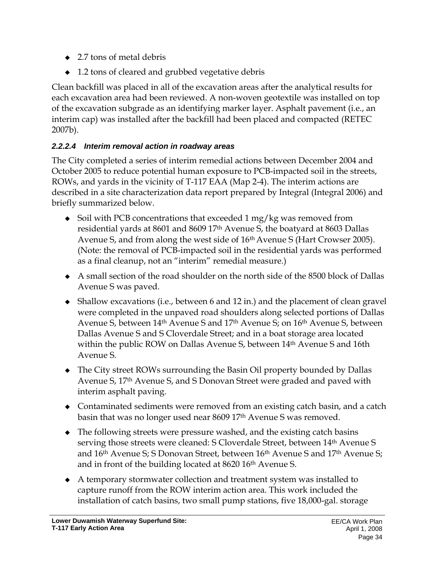- $\triangle$  2.7 tons of metal debris
- ◆ 1.2 tons of cleared and grubbed vegetative debris

Clean backfill was placed in all of the excavation areas after the analytical results for each excavation area had been reviewed. A non-woven geotextile was installed on top of the excavation subgrade as an identifying marker layer. Asphalt pavement (i.e., an interim cap) was installed after the backfill had been placed and compacted (RETEC 2007b).

# *2.2.2.4 Interim removal action in roadway areas*

The City completed a series of interim remedial actions between December 2004 and October 2005 to reduce potential human exposure to PCB-impacted soil in the streets, ROWs, and yards in the vicinity of T-117 EAA (Map 2-4). The interim actions are described in a site characterization data report prepared by Integral (Integral 2006) and briefly summarized below.

- $\bullet$  Soil with PCB concentrations that exceeded 1 mg/kg was removed from residential yards at 8601 and 8609 17th Avenue S, the boatyard at 8603 Dallas Avenue S, and from along the west side of 16th Avenue S (Hart Crowser 2005). (Note: the removal of PCB-impacted soil in the residential yards was performed as a final cleanup, not an "interim" remedial measure.)
- A small section of the road shoulder on the north side of the 8500 block of Dallas Avenue S was paved.
- Shallow excavations (i.e., between 6 and 12 in.) and the placement of clean gravel were completed in the unpaved road shoulders along selected portions of Dallas Avenue S, between 14<sup>th</sup> Avenue S and 17<sup>th</sup> Avenue S; on 16<sup>th</sup> Avenue S, between Dallas Avenue S and S Cloverdale Street; and in a boat storage area located within the public ROW on Dallas Avenue S, between 14<sup>th</sup> Avenue S and 16th Avenue S.
- The City street ROWs surrounding the Basin Oil property bounded by Dallas Avenue S, 17th Avenue S, and S Donovan Street were graded and paved with interim asphalt paving.
- Contaminated sediments were removed from an existing catch basin, and a catch basin that was no longer used near 8609 17<sup>th</sup> Avenue S was removed.
- The following streets were pressure washed, and the existing catch basins serving those streets were cleaned: S Cloverdale Street, between 14<sup>th</sup> Avenue S and 16<sup>th</sup> Avenue S; S Donovan Street, between 16<sup>th</sup> Avenue S and 17<sup>th</sup> Avenue S; and in front of the building located at 8620 16<sup>th</sup> Avenue S.
- A temporary stormwater collection and treatment system was installed to capture runoff from the ROW interim action area. This work included the installation of catch basins, two small pump stations, five 18,000-gal. storage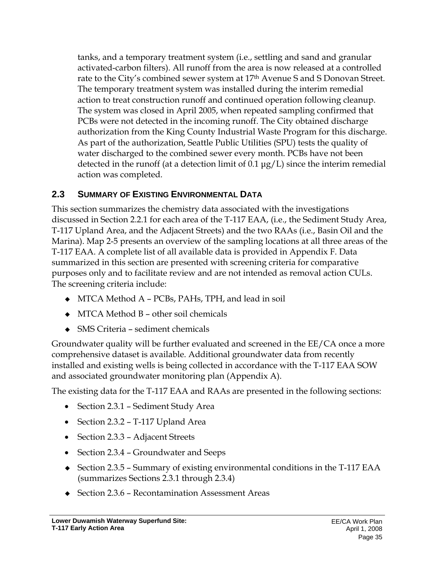tanks, and a temporary treatment system (i.e., settling and sand and granular activated-carbon filters). All runoff from the area is now released at a controlled rate to the City's combined sewer system at 17<sup>th</sup> Avenue S and S Donovan Street. The temporary treatment system was installed during the interim remedial action to treat construction runoff and continued operation following cleanup. The system was closed in April 2005, when repeated sampling confirmed that PCBs were not detected in the incoming runoff. The City obtained discharge authorization from the King County Industrial Waste Program for this discharge. As part of the authorization, Seattle Public Utilities (SPU) tests the quality of water discharged to the combined sewer every month. PCBs have not been detected in the runoff (at a detection limit of 0.1 μg/L) since the interim remedial action was completed.

# **2.3 SUMMARY OF EXISTING ENVIRONMENTAL DATA**

This section summarizes the chemistry data associated with the investigations discussed in Section 2.2.1 for each area of the T-117 EAA, (i.e., the Sediment Study Area, T-117 Upland Area, and the Adjacent Streets) and the two RAAs (i.e., Basin Oil and the Marina). Map 2-5 presents an overview of the sampling locations at all three areas of the T-117 EAA. A complete list of all available data is provided in Appendix F. Data summarized in this section are presented with screening criteria for comparative purposes only and to facilitate review and are not intended as removal action CULs. The screening criteria include:

- ◆ MTCA Method A PCBs, PAHs, TPH, and lead in soil
- $\bullet$  MTCA Method B other soil chemicals
- ◆ SMS Criteria sediment chemicals

Groundwater quality will be further evaluated and screened in the EE/CA once a more comprehensive dataset is available. Additional groundwater data from recently installed and existing wells is being collected in accordance with the T-117 EAA SOW and associated groundwater monitoring plan (Appendix A).

The existing data for the T-117 EAA and RAAs are presented in the following sections:

- Section 2.3.1 Sediment Study Area
- Section 2.3.2 T-117 Upland Area
- Section 2.3.3 Adjacent Streets
- Section 2.3.4 Groundwater and Seeps
- ◆ Section 2.3.5 Summary of existing environmental conditions in the T-117 EAA (summarizes Sections 2.3.1 through 2.3.4)
- ◆ Section 2.3.6 Recontamination Assessment Areas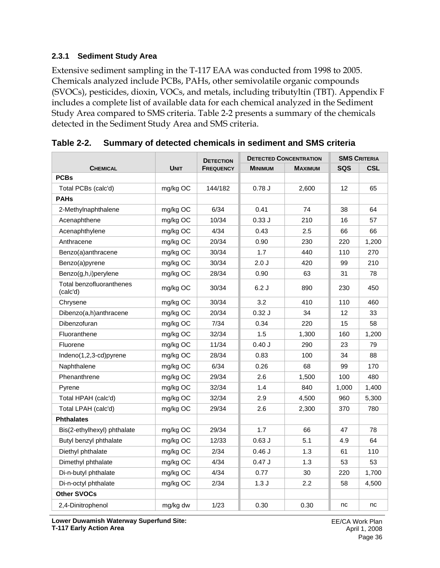#### **2.3.1 Sediment Study Area**

Extensive sediment sampling in the T-117 EAA was conducted from 1998 to 2005. Chemicals analyzed include PCBs, PAHs, other semivolatile organic compounds (SVOCs), pesticides, dioxin, VOCs, and metals, including tributyltin (TBT). Appendix F includes a complete list of available data for each chemical analyzed in the Sediment Study Area compared to SMS criteria. Table 2-2 presents a summary of the chemicals detected in the Sediment Study Area and SMS criteria.

|                                      |             | <b>DETECTION</b> | <b>DETECTED CONCENTRATION</b> | <b>SMS CRITERIA</b> |            |            |
|--------------------------------------|-------------|------------------|-------------------------------|---------------------|------------|------------|
| <b>CHEMICAL</b>                      | <b>UNIT</b> | <b>FREQUENCY</b> | <b>MINIMUM</b>                | <b>MAXIMUM</b>      | <b>SQS</b> | <b>CSL</b> |
| <b>PCBs</b>                          |             |                  |                               |                     |            |            |
| Total PCBs (calc'd)                  | mg/kg OC    | 144/182          | 0.78J                         | 2,600               | 12         | 65         |
| <b>PAHs</b>                          |             |                  |                               |                     |            |            |
| 2-Methylnaphthalene                  | mg/kg OC    | 6/34             | 0.41                          | 74                  | 38         | 64         |
| Acenaphthene                         | mg/kg OC    | 10/34            | 0.33J                         | 210                 | 16         | 57         |
| Acenaphthylene                       | mg/kg OC    | 4/34             | 0.43                          | 2.5                 | 66         | 66         |
| Anthracene                           | mg/kg OC    | 20/34            | 0.90                          | 230                 | 220        | 1,200      |
| Benzo(a)anthracene                   | mg/kg OC    | 30/34            | 1.7                           | 440                 | 110        | 270        |
| Benzo(a)pyrene                       | mg/kg OC    | 30/34            | 2.0J                          | 420                 | 99         | 210        |
| Benzo(g,h,i)perylene                 | mg/kg OC    | 28/34            | 0.90                          | 63                  | 31         | 78         |
| Total benzofluoranthenes<br>(calc'd) | mg/kg OC    | 30/34            | 6.2J                          | 890                 | 230        | 450        |
| Chrysene                             | mg/kg OC    | 30/34            | 3.2                           | 410                 | 110        | 460        |
| Dibenzo(a,h)anthracene               | mg/kg OC    | 20/34            | 0.32J                         | 34                  | 12         | 33         |
| Dibenzofuran                         | mg/kg OC    | 7/34             | 0.34                          | 220                 | 15         | 58         |
| Fluoranthene                         | mg/kg OC    | 32/34            | 1.5                           | 1,300               | 160        | 1,200      |
| Fluorene                             | mg/kg OC    | 11/34            | 0.40J                         | 290                 | 23         | 79         |
| Indeno(1,2,3-cd)pyrene               | mg/kg OC    | 28/34            | 0.83                          | 100                 | 34         | 88         |
| Naphthalene                          | mg/kg OC    | 6/34             | 0.26                          | 68                  | 99         | 170        |
| Phenanthrene                         | mg/kg OC    | 29/34            | 2.6                           | 1,500               | 100        | 480        |
| Pyrene                               | mg/kg OC    | 32/34            | 1.4                           | 840                 | 1,000      | 1,400      |
| Total HPAH (calc'd)                  | mg/kg OC    | 32/34            | 2.9                           | 4,500               | 960        | 5,300      |
| Total LPAH (calc'd)                  | mg/kg OC    | 29/34            | 2.6                           | 2,300               | 370        | 780        |
| <b>Phthalates</b>                    |             |                  |                               |                     |            |            |
| Bis(2-ethylhexyl) phthalate          | mg/kg OC    | 29/34            | 1.7                           | 66                  | 47         | 78         |
| Butyl benzyl phthalate               | mg/kg OC    | 12/33            | $0.63$ J                      | 5.1                 | 4.9        | 64         |
| Diethyl phthalate                    | mg/kg OC    | 2/34             | $0.46$ J                      | 1.3                 | 61         | 110        |
| Dimethyl phthalate                   | mg/kg OC    | 4/34             | 0.47J                         | 1.3                 | 53         | 53         |
| Di-n-butyl phthalate                 | mg/kg OC    | 4/34             | 0.77                          | 30                  | 220        | 1,700      |
| Di-n-octyl phthalate                 | mg/kg OC    | 2/34             | 1.3J                          | 2.2                 | 58         | 4,500      |
| Other SVOCs                          |             |                  |                               |                     |            |            |
| 2,4-Dinitrophenol                    | mg/kg dw    | 1/23             | 0.30                          | 0.30                | nc         | nc         |

**Table 2-2. Summary of detected chemicals in sediment and SMS criteria** 

**Lower Duwamish Waterway Superfund Site: T-117 Early Action Area**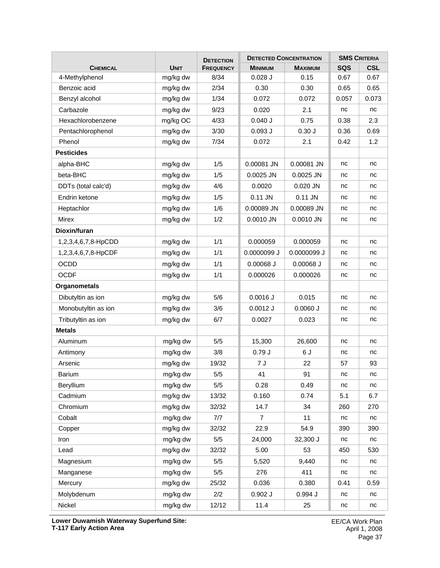|                     |             | <b>DETECTION</b> | <b>DETECTED CONCENTRATION</b> | <b>SMS CRITERIA</b> |            |            |
|---------------------|-------------|------------------|-------------------------------|---------------------|------------|------------|
| <b>CHEMICAL</b>     | <b>UNIT</b> | <b>FREQUENCY</b> | <b>MINIMUM</b>                | <b>MAXIMUM</b>      | <b>SQS</b> | <b>CSL</b> |
| 4-Methylphenol      | mg/kg dw    | 8/34             | $0.028$ J                     | 0.15                | 0.67       | 0.67       |
| Benzoic acid        | mg/kg dw    | 2/34             | 0.30                          | 0.30                | 0.65       | 0.65       |
| Benzyl alcohol      | mg/kg dw    | 1/34             | 0.072                         | 0.072               | 0.057      | 0.073      |
| Carbazole           | mg/kg dw    | 9/23             | 0.020                         | 2.1                 | nc         | nc         |
| Hexachlorobenzene   | mg/kg OC    | 4/33             | $0.040$ J                     | 0.75                | 0.38       | 2.3        |
| Pentachlorophenol   | mg/kg dw    | 3/30             | $0.093$ $J$                   | 0.30J               | 0.36       | 0.69       |
| Phenol              | mg/kg dw    | 7/34             | 0.072                         | 2.1                 | 0.42       | 1.2        |
| <b>Pesticides</b>   |             |                  |                               |                     |            |            |
| alpha-BHC           | mg/kg dw    | 1/5              | 0.00081 JN                    | 0.00081 JN          | nc         | nc         |
| beta-BHC            | mg/kg dw    | 1/5              | 0.0025 JN                     | 0.0025 JN           | nc         | nc         |
| DDTs (total calc'd) | mg/kg dw    | 4/6              | 0.0020                        | 0.020 JN            | nc         | nc         |
| Endrin ketone       | mg/kg dw    | 1/5              | $0.11$ JN                     | 0.11 JN             | nc         | nc         |
| Heptachlor          | mg/kg dw    | 1/6              | 0.00089 JN                    | 0.00089 JN          | nc         | nc         |
| Mirex               | mg/kg dw    | 1/2              | 0.0010 JN                     | $0.0010$ JN         | nc         | nc         |
| Dioxin/furan        |             |                  |                               |                     |            |            |
| 1,2,3,4,6,7,8-HpCDD | mg/kg dw    | 1/1              | 0.000059                      | 0.000059            | nc         | nc         |
| 1,2,3,4,6,7,8-HpCDF | mg/kg dw    | 1/1              | 0.0000099 J                   | 0.0000099 J         | nc         | nc         |
| <b>OCDD</b>         | mg/kg dw    | 1/1              | $0.00068$ J                   | $0.00068$ J         | nc         | nc         |
| <b>OCDF</b>         | mg/kg dw    | 1/1              | 0.000026                      | 0.000026            | nc         | nc         |
| <b>Organometals</b> |             |                  |                               |                     |            |            |
| Dibutyltin as ion   | mg/kg dw    | 5/6              | $0.0016$ J                    | 0.015               | nc         | nc         |
| Monobutyltin as ion | mg/kg dw    | 3/6              | $0.0012$ J                    | $0.0060$ J          | nc         | nc         |
| Tributyltin as ion  | mg/kg dw    | 6/7              | 0.0027                        | 0.023               | nc         | nc         |
| <b>Metals</b>       |             |                  |                               |                     |            |            |
| Aluminum            | mg/kg dw    | 5/5              | 15,300                        | 26,600              | nc         | nc         |
| Antimony            | mg/kg dw    | 3/8              | 0.79J                         | 6J                  | nc         | nc         |
| Arsenic             | mg/kg dw    | 19/32            | 7 J                           | 22                  | 57         | 93         |
| Barium              | mg/kg dw    | $5/5$            | 41                            | 91                  | nc         | nc         |
| Beryllium           | mg/kg dw    | 5/5              | 0.28                          | 0.49                | nc         | nc         |
| Cadmium             | mg/kg dw    | 13/32            | 0.160                         | 0.74                | 5.1        | 6.7        |
| Chromium            | mg/kg dw    | 32/32            | 14.7                          | 34                  | 260        | 270        |
| Cobalt              | mg/kg dw    | 7/7              | 7                             | 11                  | nc         | nc         |
| Copper              | mg/kg dw    | 32/32            | 22.9                          | 54.9                | 390        | 390        |
| Iron                | mg/kg dw    | 5/5              | 24,000                        | 32,300 J            | nc         | nc         |
| Lead                | mg/kg dw    | 32/32            | 5.00                          | 53                  | 450        | 530        |
| Magnesium           | mg/kg dw    | 5/5              | 5,520                         | 9,440               | nc         | nc         |
| Manganese           | mg/kg dw    | $5/5$            | 276                           | 411                 | nc         | nc         |
| Mercury             | mg/kg dw    | 25/32            | 0.036                         | 0.380               | 0.41       | 0.59       |
| Molybdenum          | mg/kg dw    | 2/2              | $0.902$ J                     | 0.994 J             | nc         | nc         |
| Nickel              | mg/kg dw    | 12/12            | 11.4                          | 25                  | nc         | nc         |

**Lower Duwamish Waterway Superfund Site: T-117 Early Action Area**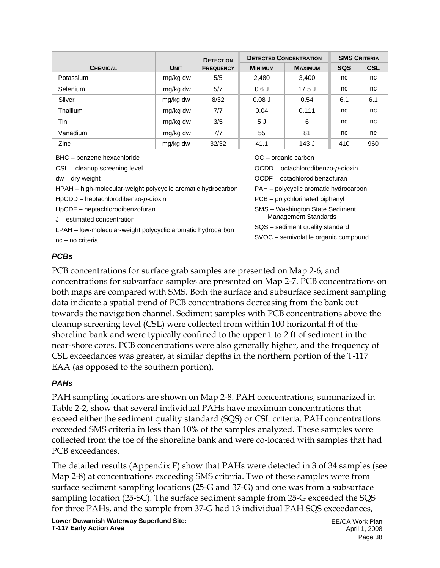|                 |             | <b>DETECTION</b> | <b>DETECTED CONCENTRATION</b> |                |            | <b>SMS CRITERIA</b> |
|-----------------|-------------|------------------|-------------------------------|----------------|------------|---------------------|
| <b>CHEMICAL</b> | <b>UNIT</b> | <b>FREQUENCY</b> | <b>MINIMUM</b>                | <b>MAXIMUM</b> | <b>SQS</b> | <b>CSL</b>          |
| Potassium       | mg/kg dw    | 5/5              | 2,480                         | 3,400          | nc         | nc                  |
| <b>Selenium</b> | mg/kg dw    | 5/7              | 0.6J                          | $17.5$ J       | nc         | nc                  |
| Silver          | mg/kg dw    | 8/32             | $0.08$ J                      | 0.54           | 6.1        | 6.1                 |
| Thallium        | mg/kg dw    | 7/7              | 0.04                          | 0.111          | nc         | nc                  |
| Tin             | mg/kg dw    | 3/5              | 5J                            | 6              | nc         | nc                  |
| Vanadium        | mg/kg dw    | 7/7              | 55                            | 81             | nc         | nc                  |
| Zinc            | mg/kg dw    | 32/32            | 41.1                          | 143 J          | 410        | 960                 |

BHC – benzene hexachloride

CSL – cleanup screening level

dw – dry weight

HPAH – high-molecular-weight polycyclic aromatic hydrocarbon

HpCDD – heptachlorodibenzo-*p*-dioxin

HpCDF – heptachlorodibenzofuran

J – estimated concentration

LPAH – low-molecular-weight polycyclic aromatic hydrocarbon

nc – no criteria

OC – organic carbon

OCDD – octachlorodibenzo-*p*-dioxin

OCDF – octachlorodibenzofuran

PAH – polycyclic aromatic hydrocarbon

PCB – polychlorinated biphenyl

SMS – Washington State Sediment Management Standards

SQS – sediment quality standard

SVOC – semivolatile organic compound

## *PCBs*

PCB concentrations for surface grab samples are presented on Map 2-6, and concentrations for subsurface samples are presented on Map 2-7. PCB concentrations on both maps are compared with SMS. Both the surface and subsurface sediment sampling data indicate a spatial trend of PCB concentrations decreasing from the bank out towards the navigation channel. Sediment samples with PCB concentrations above the cleanup screening level (CSL) were collected from within 100 horizontal ft of the shoreline bank and were typically confined to the upper 1 to 2 ft of sediment in the near-shore cores. PCB concentrations were also generally higher, and the frequency of CSL exceedances was greater, at similar depths in the northern portion of the T-117 EAA (as opposed to the southern portion).

### *PAHs*

PAH sampling locations are shown on Map 2-8. PAH concentrations, summarized in Table 2-2, show that several individual PAHs have maximum concentrations that exceed either the sediment quality standard (SQS) or CSL criteria. PAH concentrations exceeded SMS criteria in less than 10% of the samples analyzed. These samples were collected from the toe of the shoreline bank and were co-located with samples that had PCB exceedances.

The detailed results (Appendix F) show that PAHs were detected in 3 of 34 samples (see Map 2-8) at concentrations exceeding SMS criteria. Two of these samples were from surface sediment sampling locations (25-G and 37-G) and one was from a subsurface sampling location (25-SC). The surface sediment sample from 25-G exceeded the SQS for three PAHs, and the sample from 37-G had 13 individual PAH SQS exceedances,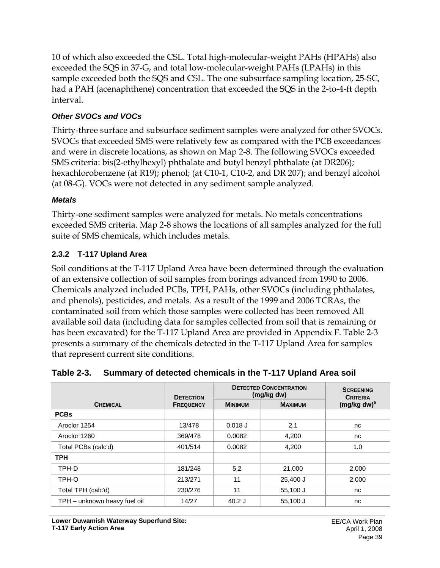10 of which also exceeded the CSL. Total high-molecular-weight PAHs (HPAHs) also exceeded the SQS in 37-G, and total low-molecular-weight PAHs (LPAHs) in this sample exceeded both the SQS and CSL. The one subsurface sampling location, 25-SC, had a PAH (acenaphthene) concentration that exceeded the SQS in the 2-to-4-ft depth interval.

## *Other SVOCs and VOCs*

Thirty-three surface and subsurface sediment samples were analyzed for other SVOCs. SVOCs that exceeded SMS were relatively few as compared with the PCB exceedances and were in discrete locations, as shown on Map 2-8. The following SVOCs exceeded SMS criteria: bis(2-ethylhexyl) phthalate and butyl benzyl phthalate (at DR206); hexachlorobenzene (at R19); phenol; (at C10-1, C10-2, and DR 207); and benzyl alcohol (at 08-G). VOCs were not detected in any sediment sample analyzed.

### *Metals*

Thirty-one sediment samples were analyzed for metals. No metals concentrations exceeded SMS criteria. Map 2-8 shows the locations of all samples analyzed for the full suite of SMS chemicals, which includes metals.

## **2.3.2 T-117 Upland Area**

Soil conditions at the T-117 Upland Area have been determined through the evaluation of an extensive collection of soil samples from borings advanced from 1990 to 2006. Chemicals analyzed included PCBs, TPH, PAHs, other SVOCs (including phthalates, and phenols), pesticides, and metals. As a result of the 1999 and 2006 TCRAs, the contaminated soil from which those samples were collected has been removed All available soil data (including data for samples collected from soil that is remaining or has been excavated) for the T-117 Upland Area are provided in Appendix F. Table 2-3 presents a summary of the chemicals detected in the T-117 Upland Area for samples that represent current site conditions.

|  | Table 2-3. Summary of detected chemicals in the T-117 Upland Area soil |
|--|------------------------------------------------------------------------|
|--|------------------------------------------------------------------------|

|                              | <b>DETECTION</b> | <b>DETECTED CONCENTRATION</b><br>(mg/kg dw) | <b>SCREENING</b><br><b>CRITERIA</b> |                |
|------------------------------|------------------|---------------------------------------------|-------------------------------------|----------------|
| <b>CHEMICAL</b>              | <b>FREQUENCY</b> | <b>MINIMUM</b>                              | <b>MAXIMUM</b>                      | $(mg/kg dw)^a$ |
| <b>PCBs</b>                  |                  |                                             |                                     |                |
| Aroclor 1254                 | 13/478           | $0.018$ J                                   | 2.1                                 | nc             |
| Aroclor 1260                 | 369/478          | 0.0082                                      | 4,200                               | nc             |
| Total PCBs (calc'd)          | 401/514          | 0.0082                                      | 4,200                               | 1.0            |
| <b>TPH</b>                   |                  |                                             |                                     |                |
| TPH-D                        | 181/248          | 5.2                                         | 21,000                              | 2,000          |
| TPH-O                        | 213/271          | 11                                          | 25,400 J                            | 2,000          |
| Total TPH (calc'd)           | 230/276          | 11                                          | 55,100 J                            | nc             |
| TPH - unknown heavy fuel oil | 14/27            | $40.2$ J                                    | 55,100 J                            | nc             |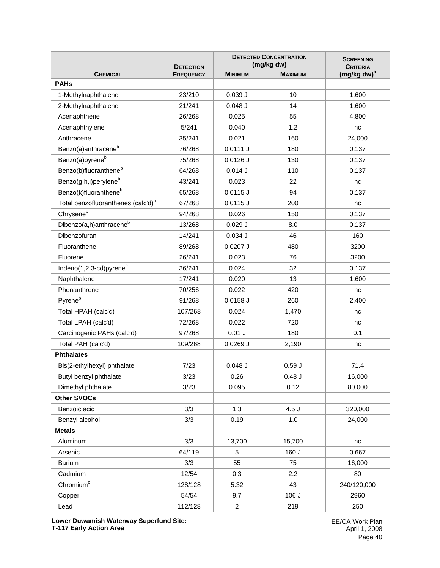|                                                | <b>DETECTION</b> | <b>DETECTED CONCENTRATION</b><br>(mg/kg dw) | <b>SCREENING</b><br><b>CRITERIA</b> |                |
|------------------------------------------------|------------------|---------------------------------------------|-------------------------------------|----------------|
| <b>CHEMICAL</b>                                | <b>FREQUENCY</b> | <b>MINIMUM</b>                              | <b>MAXIMUM</b>                      | $(mg/kg dw)^a$ |
| <b>PAHs</b>                                    |                  |                                             |                                     |                |
| 1-Methylnaphthalene                            | 23/210           | 0.039J                                      | 10                                  | 1,600          |
| 2-Methylnaphthalene                            | 21/241           | $0.048$ J                                   | 14                                  | 1,600          |
| Acenaphthene                                   | 26/268           | 0.025                                       | 55                                  | 4,800          |
| Acenaphthylene                                 | 5/241            | 0.040                                       | 1.2                                 | nc             |
| Anthracene                                     | 35/241           | 0.021                                       | 160                                 | 24,000         |
| Benzo(a)anthracene <sup>b</sup>                | 76/268           | 0.0111 J                                    | 180                                 | 0.137          |
| Benzo(a)pyrene <sup>b</sup>                    | 75/268           | $0.0126$ J                                  | 130                                 | 0.137          |
| Benzo(b)fluoranthene <sup>b</sup>              | 64/268           | 0.014J                                      | 110                                 | 0.137          |
| Benzo(g,h,i)perylene <sup>b</sup>              | 43/241           | 0.023                                       | 22                                  | nc             |
| Benzo(k)fluoranthene <sup>b</sup>              | 65/268           | 0.0115J                                     | 94                                  | 0.137          |
| Total benzofluoranthenes (calc'd) <sup>b</sup> | 67/268           | $0.0115$ J                                  | 200                                 | nc             |
| Chrysene <sup>b</sup>                          | 94/268           | 0.026                                       | 150                                 | 0.137          |
| Dibenzo(a,h)anthracene <sup>b</sup>            | 13/268           | $0.029$ J                                   | 8.0                                 | 0.137          |
| Dibenzofuran                                   | 14/241           | 0.034J                                      | 46                                  | 160            |
| Fluoranthene                                   | 89/268           | $0.0207$ J                                  | 480                                 | 3200           |
| Fluorene                                       | 26/241           | 0.023                                       | 76                                  | 3200           |
| Indeno(1,2,3-cd)pyrene <sup>b</sup>            | 36/241           | 0.024                                       | 32                                  | 0.137          |
| Naphthalene                                    | 17/241           | 0.020                                       | 13                                  | 1,600          |
| Phenanthrene                                   | 70/256           | 0.022                                       | 420                                 | nc             |
| Pyrene <sup>b</sup>                            | 91/268           | $0.0158$ J                                  | 260                                 | 2,400          |
| Total HPAH (calc'd)                            | 107/268          | 0.024                                       | 1,470                               | nc             |
| Total LPAH (calc'd)                            | 72/268           | 0.022                                       | 720                                 | nc             |
| Carcinogenic PAHs (calc'd)                     | 97/268           | $0.01$ J                                    | 180                                 | 0.1            |
| Total PAH (calc'd)                             | 109/268          | $0.0269$ J                                  | 2,190                               | nc             |
| <b>Phthalates</b>                              |                  |                                             |                                     |                |
| Bis(2-ethylhexyl) phthalate                    | 7/23             | $0.048$ J                                   | 0.59J                               | 71.4           |
| Butyl benzyl phthalate                         | 3/23             | 0.26                                        | $0.48$ J                            | 16,000         |
| Dimethyl phthalate                             | 3/23             | 0.095                                       | 0.12                                | 80,000         |
| <b>Other SVOCs</b>                             |                  |                                             |                                     |                |
| Benzoic acid                                   | 3/3              | 1.3                                         | 4.5J                                | 320,000        |
| Benzyl alcohol                                 | 3/3              | 0.19                                        | 1.0                                 | 24,000         |
| <b>Metals</b>                                  |                  |                                             |                                     |                |
| Aluminum                                       | 3/3              | 13,700                                      | 15,700                              | nc             |
| Arsenic                                        | 64/119           | 5                                           | 160J                                | 0.667          |
| <b>Barium</b>                                  | 3/3              | 55                                          | 75                                  | 16,000         |
| Cadmium                                        | 12/54            | 0.3                                         | 2.2                                 | 80             |
| Chromium <sup>c</sup>                          | 128/128          | 5.32                                        | 43                                  | 240/120,000    |
| Copper                                         | 54/54            | 9.7                                         | 106 J                               | 2960           |
| Lead                                           | 112/128          | $\overline{2}$                              | 219                                 | 250            |

**Lower Duwamish Waterway Superfund Site: T-117 Early Action Area**

EE/CA Work Plan April 1, 2008 Page 40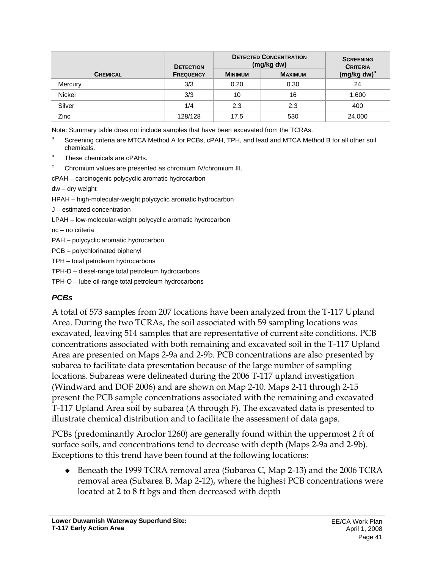|                 | <b>DETECTION</b> | <b>DETECTED CONCENTRATION</b><br>(mg/kg dw) | <b>SCREENING</b><br><b>CRITERIA</b> |                         |
|-----------------|------------------|---------------------------------------------|-------------------------------------|-------------------------|
| <b>CHEMICAL</b> | <b>FREQUENCY</b> | <b>MINIMUM</b>                              | <b>MAXIMUM</b>                      | (mg/kg dw) <sup>a</sup> |
| Mercury         | 3/3              | 0.20                                        | 0.30                                | 24                      |
| Nickel          | 3/3              | 10                                          | 16                                  | 1,600                   |
| Silver          | 1/4              | 2.3                                         | 2.3                                 | 400                     |
| Zinc            | 128/128          | 17.5                                        | 530                                 | 24,000                  |

Note: Summary table does not include samples that have been excavated from the TCRAs.

- a Screening criteria are MTCA Method A for PCBs, cPAH, TPH, and lead and MTCA Method B for all other soil chemicals.
- These chemicals are cPAHs.
- Chromium values are presented as chromium IV/chromium III.

cPAH – carcinogenic polycyclic aromatic hydrocarbon

dw – dry weight

- HPAH high-molecular-weight polycyclic aromatic hydrocarbon
- J estimated concentration
- LPAH low-molecular-weight polycyclic aromatic hydrocarbon
- nc no criteria

PAH – polycyclic aromatic hydrocarbon

- PCB polychlorinated biphenyl
- TPH total petroleum hydrocarbons

TPH-D – diesel-range total petroleum hydrocarbons

TPH-O – lube oil-range total petroleum hydrocarbons

# *PCBs*

A total of 573 samples from 207 locations have been analyzed from the T-117 Upland Area. During the two TCRAs, the soil associated with 59 sampling locations was excavated, leaving 514 samples that are representative of current site conditions. PCB concentrations associated with both remaining and excavated soil in the T-117 Upland Area are presented on Maps 2-9a and 2-9b. PCB concentrations are also presented by subarea to facilitate data presentation because of the large number of sampling locations. Subareas were delineated during the 2006 T-117 upland investigation (Windward and DOF 2006) and are shown on Map 2-10. Maps 2-11 through 2-15 present the PCB sample concentrations associated with the remaining and excavated T-117 Upland Area soil by subarea (A through F). The excavated data is presented to illustrate chemical distribution and to facilitate the assessment of data gaps.

PCBs (predominantly Aroclor 1260) are generally found within the uppermost 2 ft of surface soils, and concentrations tend to decrease with depth (Maps 2-9a and 2-9b). Exceptions to this trend have been found at the following locations:

◆ Beneath the 1999 TCRA removal area (Subarea C, Map 2-13) and the 2006 TCRA removal area (Subarea B, Map 2-12), where the highest PCB concentrations were located at 2 to 8 ft bgs and then decreased with depth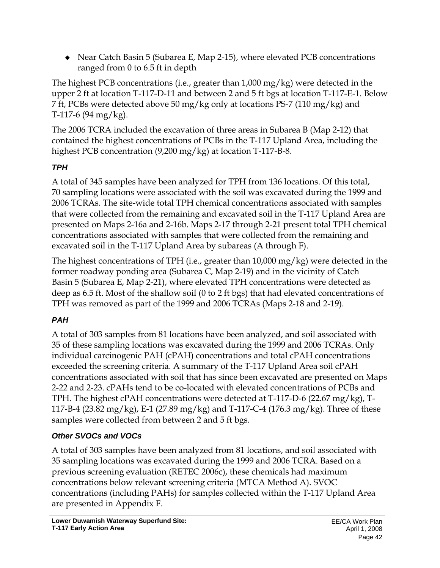• Near Catch Basin 5 (Subarea E, Map 2-15), where elevated PCB concentrations ranged from 0 to 6.5 ft in depth

The highest PCB concentrations (i.e., greater than 1,000 mg/kg) were detected in the upper 2 ft at location T-117-D-11 and between 2 and 5 ft bgs at location T-117-E-1. Below 7 ft, PCBs were detected above 50 mg/kg only at locations PS-7 (110 mg/kg) and T-117-6 (94 mg/kg).

The 2006 TCRA included the excavation of three areas in Subarea B (Map 2-12) that contained the highest concentrations of PCBs in the T-117 Upland Area, including the highest PCB concentration (9,200 mg/kg) at location T-117-B-8.

# *TPH*

A total of 345 samples have been analyzed for TPH from 136 locations. Of this total, 70 sampling locations were associated with the soil was excavated during the 1999 and 2006 TCRAs. The site-wide total TPH chemical concentrations associated with samples that were collected from the remaining and excavated soil in the T-117 Upland Area are presented on Maps 2-16a and 2-16b. Maps 2-17 through 2-21 present total TPH chemical concentrations associated with samples that were collected from the remaining and excavated soil in the T-117 Upland Area by subareas (A through F).

The highest concentrations of TPH (i.e., greater than 10,000 mg/kg) were detected in the former roadway ponding area (Subarea C, Map 2-19) and in the vicinity of Catch Basin 5 (Subarea E, Map 2-21), where elevated TPH concentrations were detected as deep as 6.5 ft. Most of the shallow soil (0 to 2 ft bgs) that had elevated concentrations of TPH was removed as part of the 1999 and 2006 TCRAs (Maps 2-18 and 2-19).

# *PAH*

A total of 303 samples from 81 locations have been analyzed, and soil associated with 35 of these sampling locations was excavated during the 1999 and 2006 TCRAs. Only individual carcinogenic PAH (cPAH) concentrations and total cPAH concentrations exceeded the screening criteria. A summary of the T-117 Upland Area soil cPAH concentrations associated with soil that has since been excavated are presented on Maps 2-22 and 2-23. cPAHs tend to be co-located with elevated concentrations of PCBs and TPH. The highest cPAH concentrations were detected at T-117-D-6 (22.67 mg/kg), T-117-B-4 (23.82 mg/kg), E-1 (27.89 mg/kg) and T-117-C-4 (176.3 mg/kg). Three of these samples were collected from between 2 and 5 ft bgs.

# *Other SVOCs and VOCs*

A total of 303 samples have been analyzed from 81 locations, and soil associated with 35 sampling locations was excavated during the 1999 and 2006 TCRA. Based on a previous screening evaluation (RETEC 2006c), these chemicals had maximum concentrations below relevant screening criteria (MTCA Method A). SVOC concentrations (including PAHs) for samples collected within the T-117 Upland Area are presented in Appendix F.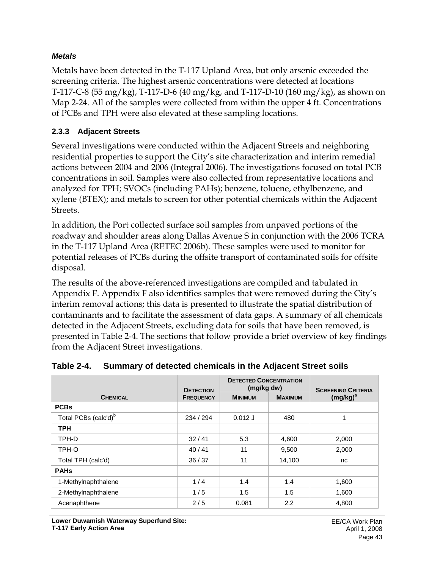### *Metals*

Metals have been detected in the T-117 Upland Area, but only arsenic exceeded the screening criteria. The highest arsenic concentrations were detected at locations T-117-C-8 (55 mg/kg), T-117-D-6 (40 mg/kg, and T-117-D-10 (160 mg/kg), as shown on Map 2-24. All of the samples were collected from within the upper 4 ft. Concentrations of PCBs and TPH were also elevated at these sampling locations.

### **2.3.3 Adjacent Streets**

Several investigations were conducted within the Adjacent Streets and neighboring residential properties to support the City's site characterization and interim remedial actions between 2004 and 2006 (Integral 2006). The investigations focused on total PCB concentrations in soil. Samples were also collected from representative locations and analyzed for TPH; SVOCs (including PAHs); benzene, toluene, ethylbenzene, and xylene (BTEX); and metals to screen for other potential chemicals within the Adjacent Streets.

In addition, the Port collected surface soil samples from unpaved portions of the roadway and shoulder areas along Dallas Avenue S in conjunction with the 2006 TCRA in the T-117 Upland Area (RETEC 2006b). These samples were used to monitor for potential releases of PCBs during the offsite transport of contaminated soils for offsite disposal.

The results of the above-referenced investigations are compiled and tabulated in Appendix F. Appendix F also identifies samples that were removed during the City's interim removal actions; this data is presented to illustrate the spatial distribution of contaminants and to facilitate the assessment of data gaps. A summary of all chemicals detected in the Adjacent Streets, excluding data for soils that have been removed, is presented in Table 2-4. The sections that follow provide a brief overview of key findings from the Adjacent Street investigations.

|                                  | <b>DETECTION</b> | <b>DETECTED CONCENTRATION</b><br>(mg/kg dw) |                | <b>SCREENING CRITERIA</b> |  |
|----------------------------------|------------------|---------------------------------------------|----------------|---------------------------|--|
| <b>CHEMICAL</b>                  | <b>FREQUENCY</b> | <b>MINIMUM</b>                              | <b>MAXIMUM</b> | $(mg/kg)^a$               |  |
| <b>PCBs</b>                      |                  |                                             |                |                           |  |
| Total PCBs (calc'd) <sup>b</sup> | 234 / 294        | $0.012$ J                                   | 480            | 1                         |  |
| <b>TPH</b>                       |                  |                                             |                |                           |  |
| TPH-D                            | 32/41            | 5.3                                         | 4,600          | 2,000                     |  |
| TPH-O                            | 40/41            | 11                                          | 9,500          | 2,000                     |  |
| Total TPH (calc'd)               | 36/37            | 11                                          | 14,100         | nc                        |  |
| <b>PAHs</b>                      |                  |                                             |                |                           |  |
| 1-Methylnaphthalene              | 1/4              | 1.4                                         | 1.4            | 1,600                     |  |
| 2-Methylnaphthalene              | 1/5              | 1.5                                         | 1.5            | 1,600                     |  |
| Acenaphthene                     | 2/5              | 0.081                                       | 2.2            | 4,800                     |  |

### **Table 2-4. Summary of detected chemicals in the Adjacent Street soils**

**Lower Duwamish Waterway Superfund Site: T-117 Early Action Area**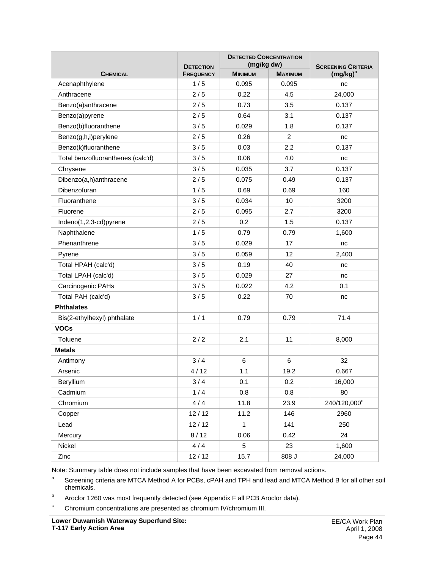|                                   | <b>DETECTION</b> | <b>DETECTED CONCENTRATION</b><br>(mg/kg dw) |                | <b>SCREENING CRITERIA</b> |  |
|-----------------------------------|------------------|---------------------------------------------|----------------|---------------------------|--|
| <b>CHEMICAL</b>                   | <b>FREQUENCY</b> | <b>MINIMUM</b>                              | <b>MAXIMUM</b> | $(mg/kg)^a$               |  |
| Acenaphthylene                    | 1/5              | 0.095                                       | 0.095          | nc                        |  |
| Anthracene                        | 2/5              | 0.22                                        | 4.5            | 24,000                    |  |
| Benzo(a)anthracene                | 2/5              | 0.73                                        | 3.5            | 0.137                     |  |
| Benzo(a)pyrene                    | 2/5              | 0.64                                        | 3.1            | 0.137                     |  |
| Benzo(b)fluoranthene              | 3/5              | 0.029                                       | 1.8            | 0.137                     |  |
| Benzo(g,h,i)perylene              | 2/5              | 0.26                                        | $\overline{c}$ | nc                        |  |
| Benzo(k)fluoranthene              | 3/5              | 0.03                                        | 2.2            | 0.137                     |  |
| Total benzofluoranthenes (calc'd) | 3/5              | 0.06                                        | 4.0            | nc                        |  |
| Chrysene                          | 3/5              | 0.035                                       | 3.7            | 0.137                     |  |
| Dibenzo(a,h)anthracene            | 2/5              | 0.075                                       | 0.49           | 0.137                     |  |
| Dibenzofuran                      | 1/5              | 0.69                                        | 0.69           | 160                       |  |
| Fluoranthene                      | 3/5              | 0.034                                       | 10             | 3200                      |  |
| Fluorene                          | 2/5              | 0.095                                       | 2.7            | 3200                      |  |
| Indeno(1,2,3-cd)pyrene            | 2/5              | 0.2                                         | 1.5            | 0.137                     |  |
| Naphthalene                       | 1/5              | 0.79                                        | 0.79           | 1,600                     |  |
| Phenanthrene                      | 3/5              | 0.029                                       | 17             | nc                        |  |
| Pyrene                            | 3/5              | 0.059                                       | 12             | 2,400                     |  |
| Total HPAH (calc'd)               | 3/5              | 0.19                                        | 40             | nc                        |  |
| Total LPAH (calc'd)               | 3/5              | 0.029                                       | 27             | nc                        |  |
| Carcinogenic PAHs                 | 3/5              | 0.022                                       | 4.2            | 0.1                       |  |
| Total PAH (calc'd)                | 3/5              | 0.22                                        | 70             | nc                        |  |
| <b>Phthalates</b>                 |                  |                                             |                |                           |  |
| Bis(2-ethylhexyl) phthalate       | 1/1              | 0.79                                        | 0.79           | 71.4                      |  |
| <b>VOCs</b>                       |                  |                                             |                |                           |  |
| Toluene                           | 2/2              | 2.1                                         | 11             | 8,000                     |  |
| <b>Metals</b>                     |                  |                                             |                |                           |  |
| Antimony                          | 3/4              | 6                                           | 6              | 32                        |  |
| Arsenic                           | 4/12             | 1.1                                         | 19.2           | 0.667                     |  |
| Beryllium                         | 3/4              | 0.1                                         | 0.2            | 16,000                    |  |
| Cadmium                           | 1/4              | 0.8                                         | 0.8            | 80                        |  |
| Chromium                          | 4/4              | 11.8                                        | 23.9           | 240/120,000°              |  |
| Copper                            | 12/12            | 11.2                                        | 146            | 2960                      |  |
| Lead                              | 12/12            | $\mathbf{1}$                                | 141            | 250                       |  |
| Mercury                           | 8/12             | 0.06                                        | 0.42           | 24                        |  |
| Nickel                            | 4/4              | 5                                           | 23             | 1,600                     |  |
| Zinc                              | 12/12            | 15.7                                        | 808 J          | 24,000                    |  |

Note: Summary table does not include samples that have been excavated from removal actions.

<sup>a</sup> Screening criteria are MTCA Method A for PCBs, cPAH and TPH and lead and MTCA Method B for all other soil chemicals.

- b Aroclor 1260 was most frequently detected (see Appendix F all PCB Aroclor data).
- $\degree$  Chromium concentrations are presented as chromium IV/chromium III.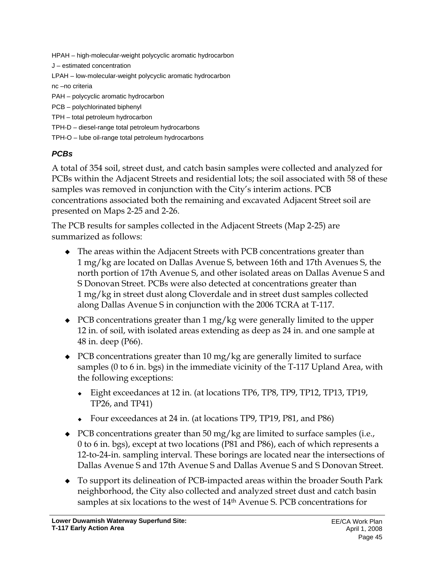HPAH – high-molecular-weight polycyclic aromatic hydrocarbon J – estimated concentration LPAH – low-molecular-weight polycyclic aromatic hydrocarbon nc –no criteria PAH – polycyclic aromatic hydrocarbon PCB – polychlorinated biphenyl TPH – total petroleum hydrocarbon TPH-D – diesel-range total petroleum hydrocarbons TPH-O – lube oil-range total petroleum hydrocarbons

## *PCBs*

A total of 354 soil, street dust, and catch basin samples were collected and analyzed for PCBs within the Adjacent Streets and residential lots; the soil associated with 58 of these samples was removed in conjunction with the City's interim actions. PCB concentrations associated both the remaining and excavated Adjacent Street soil are presented on Maps 2-25 and 2-26.

The PCB results for samples collected in the Adjacent Streets (Map 2-25) are summarized as follows:

- The areas within the Adjacent Streets with PCB concentrations greater than 1 mg/kg are located on Dallas Avenue S, between 16th and 17th Avenues S, the north portion of 17th Avenue S, and other isolated areas on Dallas Avenue S and S Donovan Street. PCBs were also detected at concentrations greater than 1 mg/kg in street dust along Cloverdale and in street dust samples collected along Dallas Avenue S in conjunction with the 2006 TCRA at T-117.
- PCB concentrations greater than 1 mg/kg were generally limited to the upper 12 in. of soil, with isolated areas extending as deep as 24 in. and one sample at 48 in. deep (P66).
- PCB concentrations greater than 10 mg/kg are generally limited to surface samples (0 to 6 in. bgs) in the immediate vicinity of the T-117 Upland Area, with the following exceptions:
	- Eight exceedances at 12 in. (at locations TP6, TP8, TP9, TP12, TP13, TP19, TP26, and TP41)
	- Four exceedances at 24 in. (at locations TP9, TP19, P81, and P86)
- PCB concentrations greater than 50 mg/kg are limited to surface samples (i.e., 0 to 6 in. bgs), except at two locations (P81 and P86), each of which represents a 12-to-24-in. sampling interval. These borings are located near the intersections of Dallas Avenue S and 17th Avenue S and Dallas Avenue S and S Donovan Street.
- To support its delineation of PCB-impacted areas within the broader South Park neighborhood, the City also collected and analyzed street dust and catch basin samples at six locations to the west of 14th Avenue S. PCB concentrations for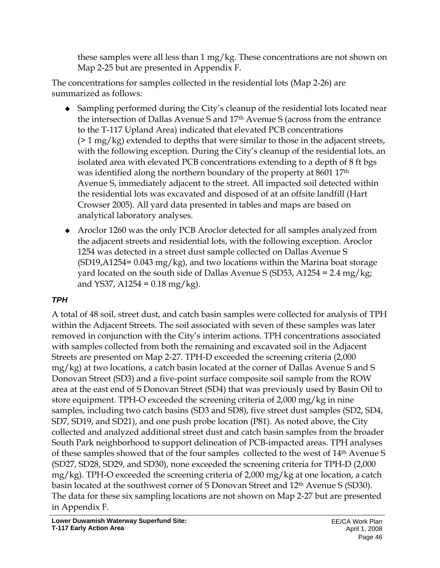these samples were all less than 1 mg/kg. These concentrations are not shown on Map 2-25 but are presented in Appendix F.

The concentrations for samples collected in the residential lots (Map 2-26) are summarized as follows:

- Sampling performed during the City's cleanup of the residential lots located near the intersection of Dallas Avenue S and 17th Avenue S (across from the entrance to the T-117 Upland Area) indicated that elevated PCB concentrations  $(2 \cdot 1 \text{ mg/kg})$  extended to depths that were similar to those in the adjacent streets, with the following exception. During the City's cleanup of the residential lots, an isolated area with elevated PCB concentrations extending to a depth of 8 ft bgs was identified along the northern boundary of the property at 8601 17<sup>th</sup> Avenue S, immediately adjacent to the street. All impacted soil detected within the residential lots was excavated and disposed of at an offsite landfill (Hart Crowser 2005). All yard data presented in tables and maps are based on analytical laboratory analyses.
- Aroclor 1260 was the only PCB Aroclor detected for all samples analyzed from the adjacent streets and residential lots, with the following exception. Aroclor 1254 was detected in a street dust sample collected on Dallas Avenue S  $(SD19, A1254= 0.043 \text{ mg/kg})$ , and two locations within the Marina boat storage yard located on the south side of Dallas Avenue S (SD53, A1254 = 2.4 mg/kg; and YS37, A1254 =  $0.18 \text{ mg/kg}$ .

# *TPH*

A total of 48 soil, street dust, and catch basin samples were collected for analysis of TPH within the Adjacent Streets. The soil associated with seven of these samples was later removed in conjunction with the City's interim actions. TPH concentrations associated with samples collected from both the remaining and excavated soil in the Adjacent Streets are presented on Map 2-27. TPH-D exceeded the screening criteria (2,000 mg/kg) at two locations, a catch basin located at the corner of Dallas Avenue S and S Donovan Street (SD3) and a five-point surface composite soil sample from the ROW area at the east end of S Donovan Street (SD4) that was previously used by Basin Oil to store equipment. TPH-O exceeded the screening criteria of 2,000 mg/kg in nine samples, including two catch basins (SD3 and SD8), five street dust samples (SD2, SD4, SD7, SD19, and SD21), and one push probe location (P81). As noted above, the City collected and analyzed additional street dust and catch basin samples from the broader South Park neighborhood to support delineation of PCB-impacted areas. TPH analyses of these samples showed that of the four samples collected to the west of 14th Avenue S (SD27, SD28, SD29, and SD30), none exceeded the screening criteria for TPH-D (2,000 mg/kg). TPH-O exceeded the screening criteria of 2,000 mg/kg at one location, a catch basin located at the southwest corner of S Donovan Street and 12th Avenue S (SD30). The data for these six sampling locations are not shown on Map 2-27 but are presented in Appendix F.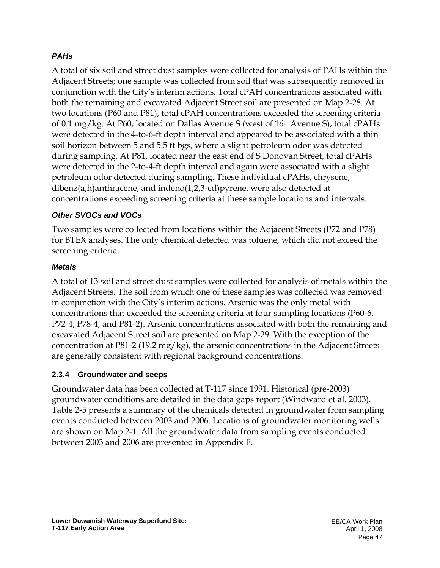## *PAHs*

A total of six soil and street dust samples were collected for analysis of PAHs within the Adjacent Streets; one sample was collected from soil that was subsequently removed in conjunction with the City's interim actions. Total cPAH concentrations associated with both the remaining and excavated Adjacent Street soil are presented on Map 2-28. At two locations (P60 and P81), total cPAH concentrations exceeded the screening criteria of 0.1 mg/kg. At P60, located on Dallas Avenue S (west of 16th Avenue S), total cPAHs were detected in the 4-to-6-ft depth interval and appeared to be associated with a thin soil horizon between 5 and 5.5 ft bgs, where a slight petroleum odor was detected during sampling. At P81, located near the east end of S Donovan Street, total cPAHs were detected in the 2-to-4-ft depth interval and again were associated with a slight petroleum odor detected during sampling. These individual cPAHs, chrysene, dibenz(a,h)anthracene, and indeno(1,2,3-cd)pyrene, were also detected at concentrations exceeding screening criteria at these sample locations and intervals.

### *Other SVOCs and VOCs*

Two samples were collected from locations within the Adjacent Streets (P72 and P78) for BTEX analyses. The only chemical detected was toluene, which did not exceed the screening criteria.

### *Metals*

A total of 13 soil and street dust samples were collected for analysis of metals within the Adjacent Streets. The soil from which one of these samples was collected was removed in conjunction with the City's interim actions. Arsenic was the only metal with concentrations that exceeded the screening criteria at four sampling locations (P60-6, P72-4, P78-4, and P81-2). Arsenic concentrations associated with both the remaining and excavated Adjacent Street soil are presented on Map 2-29. With the exception of the concentration at P81-2 (19.2 mg/kg), the arsenic concentrations in the Adjacent Streets are generally consistent with regional background concentrations.

### **2.3.4 Groundwater and seeps**

Groundwater data has been collected at T-117 since 1991. Historical (pre-2003) groundwater conditions are detailed in the data gaps report (Windward et al. 2003). Table 2-5 presents a summary of the chemicals detected in groundwater from sampling events conducted between 2003 and 2006. Locations of groundwater monitoring wells are shown on Map 2-1. All the groundwater data from sampling events conducted between 2003 and 2006 are presented in Appendix F.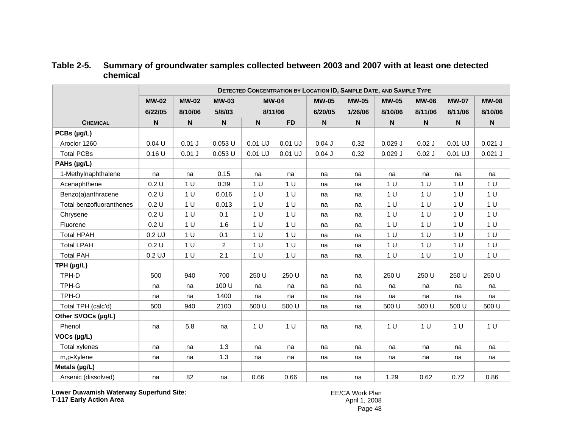|                          |                           | DETECTED CONCENTRATION BY LOCATION ID, SAMPLE DATE, AND SAMPLE TYPE |              |                           |                |                           |                           |                           |                           |                           |                           |
|--------------------------|---------------------------|---------------------------------------------------------------------|--------------|---------------------------|----------------|---------------------------|---------------------------|---------------------------|---------------------------|---------------------------|---------------------------|
|                          | <b>MW-02</b>              | <b>MW-02</b>                                                        | <b>MW-03</b> | <b>MW-04</b>              |                | <b>MW-05</b>              | <b>MW-05</b>              | <b>MW-05</b>              | <b>MW-06</b>              | <b>MW-07</b>              | <b>MW-08</b>              |
|                          | 6/22/05                   | 8/10/06                                                             | 5/8/03       | 8/11/06                   |                | 6/20/05                   | 1/26/06                   | 8/10/06                   | 8/11/06                   | 8/11/06                   | 8/10/06                   |
| <b>CHEMICAL</b>          | $\boldsymbol{\mathsf{N}}$ | $\boldsymbol{\mathsf{N}}$                                           | N            | $\boldsymbol{\mathsf{N}}$ | <b>FD</b>      | $\boldsymbol{\mathsf{N}}$ | $\boldsymbol{\mathsf{N}}$ | $\boldsymbol{\mathsf{N}}$ | $\boldsymbol{\mathsf{N}}$ | $\boldsymbol{\mathsf{N}}$ | $\boldsymbol{\mathsf{N}}$ |
| PCBs (µg/L)              |                           |                                                                     |              |                           |                |                           |                           |                           |                           |                           |                           |
| Aroclor 1260             | 0.04 U                    | 0.01 J                                                              | $0.053$ U    | 0.01 UJ                   | 0.01 UJ        | $0.04$ J                  | 0.32                      | 0.029J                    | $0.02$ J                  | 0.01 UJ                   | $0.021$ J                 |
| <b>Total PCBs</b>        | 0.16U                     | $0.01$ J                                                            | $0.053$ U    | 0.01 UJ                   | $0.01$ UJ      | $0.04$ J                  | 0.32                      | $0.029$ J                 | $0.02$ J                  | $0.01$ UJ                 | $0.021$ J                 |
| PAHs (µg/L)              |                           |                                                                     |              |                           |                |                           |                           |                           |                           |                           |                           |
| 1-Methylnaphthalene      | na                        | na                                                                  | 0.15         | na                        | na             | na                        | na                        | na                        | na                        | na                        | na                        |
| Acenaphthene             | 0.2 U                     | 1 <sup>U</sup>                                                      | 0.39         | 1 <sub>U</sub>            | 1 <sup>U</sup> | na                        | na                        | 1 <sub>U</sub>            | 1 <sup>U</sup>            | 1 <sub>U</sub>            | 1 <sub>U</sub>            |
| Benzo(a)anthracene       | 0.2 U                     | 1 <sup>U</sup>                                                      | 0.016        | 1 <sub>U</sub>            | 1 <sub>U</sub> | na                        | na                        | 1 <sub>U</sub>            | 1 <sup>U</sup>            | 1 <sub>U</sub>            | 1 <sup>U</sup>            |
| Total benzofluoranthenes | 0.2 U                     | 1 <sup>U</sup>                                                      | 0.013        | 1 <sub>U</sub>            | 1 <sub>U</sub> | na                        | na                        | 1 <sub>U</sub>            | 1 <sub>U</sub>            | 1 U                       | 1 <sup>U</sup>            |
| Chrysene                 | 0.2 U                     | 1 <sup>U</sup>                                                      | 0.1          | 1 <sub>U</sub>            | 1 <sub>U</sub> | na                        | na                        | 1 <sup>U</sup>            | 1 <sub>U</sub>            | 1 <sub>U</sub>            | 1 <sup>U</sup>            |
| Fluorene                 | 0.2 U                     | 1 <sup>U</sup>                                                      | 1.6          | 1 <sub>U</sub>            | 1 <sub>U</sub> | na                        | na                        | 1 U                       | 1 <sub>U</sub>            | 1 U                       | 1 <sub>U</sub>            |
| <b>Total HPAH</b>        | $0.2$ UJ                  | 1 <sup>U</sup>                                                      | 0.1          | 1 <sub>U</sub>            | 1 <sub>U</sub> | na                        | na                        | 1 <sub>U</sub>            | 1 <sup>U</sup>            | 1 <sub>U</sub>            | 1 <sup>U</sup>            |
| <b>Total LPAH</b>        | 0.2 U                     | 1 <sup>U</sup>                                                      | 2            | 1 <sub>U</sub>            | 1 U            | na                        | na                        | 1 <sup>U</sup>            | 1 <sub>U</sub>            | 1 <sub>U</sub>            | 1 <sub>U</sub>            |
| <b>Total PAH</b>         | $0.2$ UJ                  | 1 <sub>U</sub>                                                      | 2.1          | 1 <sub>U</sub>            | 1 <sub>U</sub> | na                        | na                        | 1 <sub>U</sub>            | 1 <sub>U</sub>            | 1 <sub>U</sub>            | 1 <sub>U</sub>            |
| TPH (µg/L)               |                           |                                                                     |              |                           |                |                           |                           |                           |                           |                           |                           |
| TPH-D                    | 500                       | 940                                                                 | 700          | 250 U                     | 250 U          | na                        | na                        | 250 U                     | 250 U                     | 250 U                     | 250 U                     |
| TPH-G                    | na                        | na                                                                  | 100 U        | na                        | na             | na                        | na                        | na                        | na                        | na                        | na                        |
| TPH-O                    | na                        | na                                                                  | 1400         | na                        | na             | na                        | na                        | na                        | na                        | na                        | na                        |
| Total TPH (calc'd)       | 500                       | 940                                                                 | 2100         | 500 U                     | 500 U          | na                        | na                        | 500 U                     | 500 U                     | 500 U                     | 500 U                     |
| Other SVOCs (µg/L)       |                           |                                                                     |              |                           |                |                           |                           |                           |                           |                           |                           |
| Phenol                   | na                        | 5.8                                                                 | na           | 1 <sup>U</sup>            | 1 <sub>U</sub> | na                        | na                        | 1 <sub>U</sub>            | 1 <sup>U</sup>            | 1 <sub>U</sub>            | 1 <sub>U</sub>            |
| VOCs (µg/L)              |                           |                                                                     |              |                           |                |                           |                           |                           |                           |                           |                           |
| <b>Total xylenes</b>     | na                        | na                                                                  | 1.3          | na                        | na             | na                        | na                        | na                        | na                        | na                        | na                        |
| m,p-Xylene               | na                        | na                                                                  | 1.3          | na                        | na             | na                        | na                        | na                        | na                        | na                        | na                        |
| Metals (µg/L)            |                           |                                                                     |              |                           |                |                           |                           |                           |                           |                           |                           |
| Arsenic (dissolved)      | na                        | 82                                                                  | na           | 0.66                      | 0.66           | na                        | na                        | 1.29                      | 0.62                      | 0.72                      | 0.86                      |

#### **Table 2-5. Summary of groundwater samples collected between 2003 and 2007 with at least one detected chemical**

**Lower Duwamish Waterway Superfund Site: T-117 Early Action Area**

EE/CA Work Plan April 1, 2008 Page 48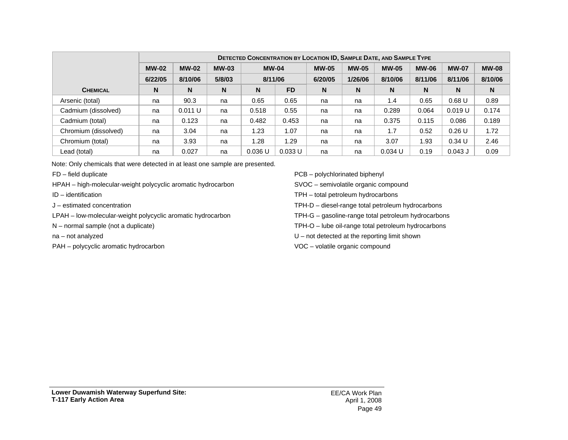|                      |              | <b>DETECTED CONCENTRATION BY LOCATION ID, SAMPLE DATE, AND SAMPLE TYPE</b> |              |              |           |              |              |              |              |              |              |
|----------------------|--------------|----------------------------------------------------------------------------|--------------|--------------|-----------|--------------|--------------|--------------|--------------|--------------|--------------|
|                      | <b>MW-02</b> | <b>MW-02</b>                                                               | <b>MW-03</b> | <b>MW-04</b> |           | <b>MW-05</b> | <b>MW-05</b> | <b>MW-05</b> | <b>MW-06</b> | <b>MW-07</b> | <b>MW-08</b> |
|                      | 6/22/05      | 8/10/06                                                                    | 5/8/03       | 8/11/06      |           | 6/20/05      | 1/26/06      | 8/10/06      | 8/11/06      | 8/11/06      | 8/10/06      |
| <b>CHEMICAL</b>      | N            | N                                                                          | N            | N            | <b>FD</b> | N            | N            | N            | N            | N            | N            |
| Arsenic (total)      | na           | 90.3                                                                       | na           | 0.65         | 0.65      | na           | na           | 1.4          | 0.65         | 0.68U        | 0.89         |
| Cadmium (dissolved)  | na           | 0.011 U                                                                    | na           | 0.518        | 0.55      | na           | na           | 0.289        | 0.064        | 0.019 U      | 0.174        |
| Cadmium (total)      | na           | 0.123                                                                      | na           | 0.482        | 0.453     | na           | na           | 0.375        | 0.115        | 0.086        | 0.189        |
| Chromium (dissolved) | na           | 3.04                                                                       | na           | 1.23         | 1.07      | na           | na           | 1.7          | 0.52         | $0.26$ U     | 1.72         |
| Chromium (total)     | na           | 3.93                                                                       | na           | 1.28         | 1.29      | na           | na           | 3.07         | 1.93         | $0.34$ U     | 2.46         |
| Lead (total)         | na           | 0.027                                                                      | na           | 0.036 U      | 0.033 U   | na           | na           | $0.034$ U    | 0.19         | $0.043$ J    | 0.09         |

Note: Only chemicals that were detected in at least one sample are presented.

FD – field duplicate

HPAH – high-molecular-weight polycyclic aromatic hydrocarbon

ID – identification

J – estimated concentration

LPAH – low-molecular-weight polycyclic aromatic hydrocarbon

N – normal sample (not a duplicate)

na – not analyzed

PAH – polycyclic aromatic hydrocarbon

PCB – polychlorinated biphenyl

SVOC – semivolatile organic compound

TPH – total petroleum hydrocarbons

TPH-D – diesel-range total petroleum hydrocarbons

TPH-G – gasoline-range total petroleum hydrocarbons

TPH-O – lube oil-range total petroleum hydrocarbons

U – not detected at the reporting limit shown

VOC – volatile organic compound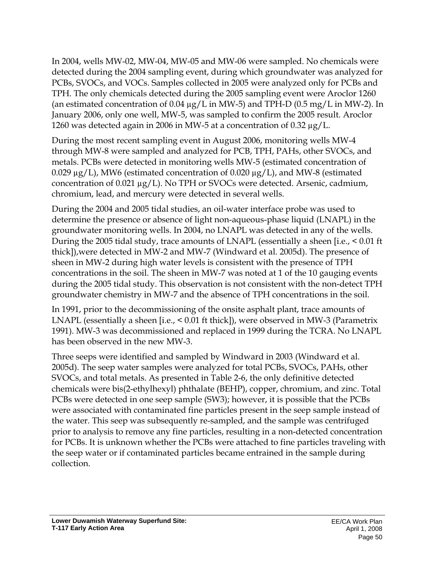In 2004, wells MW-02, MW-04, MW-05 and MW-06 were sampled. No chemicals were detected during the 2004 sampling event, during which groundwater was analyzed for PCBs, SVOCs, and VOCs. Samples collected in 2005 were analyzed only for PCBs and TPH. The only chemicals detected during the 2005 sampling event were Aroclor 1260 (an estimated concentration of 0.04  $\mu$ g/L in MW-5) and TPH-D (0.5 mg/L in MW-2). In January 2006, only one well, MW-5, was sampled to confirm the 2005 result. Aroclor 1260 was detected again in 2006 in MW-5 at a concentration of 0.32 µg/L.

During the most recent sampling event in August 2006, monitoring wells MW-4 through MW-8 were sampled and analyzed for PCB, TPH, PAHs, other SVOCs, and metals. PCBs were detected in monitoring wells MW-5 (estimated concentration of 0.029  $\mu$ g/L), MW6 (estimated concentration of 0.020  $\mu$ g/L), and MW-8 (estimated concentration of 0.021 µg/L). No TPH or SVOCs were detected. Arsenic, cadmium, chromium, lead, and mercury were detected in several wells.

During the 2004 and 2005 tidal studies, an oil-water interface probe was used to determine the presence or absence of light non-aqueous-phase liquid (LNAPL) in the groundwater monitoring wells. In 2004, no LNAPL was detected in any of the wells. During the 2005 tidal study, trace amounts of LNAPL (essentially a sheen [i.e., < 0.01 ft thick]),were detected in MW-2 and MW-7 (Windward et al. 2005d). The presence of sheen in MW-2 during high water levels is consistent with the presence of TPH concentrations in the soil. The sheen in MW-7 was noted at 1 of the 10 gauging events during the 2005 tidal study. This observation is not consistent with the non-detect TPH groundwater chemistry in MW-7 and the absence of TPH concentrations in the soil.

In 1991, prior to the decommissioning of the onsite asphalt plant, trace amounts of LNAPL (essentially a sheen [i.e., < 0.01 ft thick]), were observed in MW-3 (Parametrix 1991). MW-3 was decommissioned and replaced in 1999 during the TCRA. No LNAPL has been observed in the new MW-3.

Three seeps were identified and sampled by Windward in 2003 (Windward et al. 2005d). The seep water samples were analyzed for total PCBs, SVOCs, PAHs, other SVOCs, and total metals. As presented in Table 2-6, the only definitive detected chemicals were bis(2-ethylhexyl) phthalate (BEHP), copper, chromium, and zinc. Total PCBs were detected in one seep sample (SW3); however, it is possible that the PCBs were associated with contaminated fine particles present in the seep sample instead of the water. This seep was subsequently re-sampled, and the sample was centrifuged prior to analysis to remove any fine particles, resulting in a non-detected concentration for PCBs. It is unknown whether the PCBs were attached to fine particles traveling with the seep water or if contaminated particles became entrained in the sample during collection.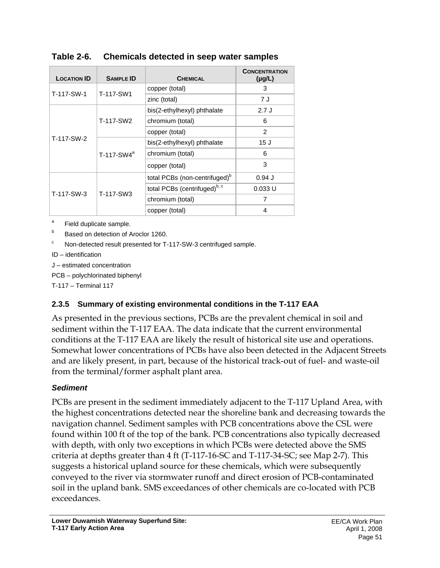| <b>LOCATION ID</b> | <b>SAMPLE ID</b> | <b>CHEMICAL</b>                           | <b>CONCENTRATION</b><br>$(\mu g/L)$ |
|--------------------|------------------|-------------------------------------------|-------------------------------------|
| T-117-SW-1         | T-117-SW1        | copper (total)                            | 3                                   |
|                    |                  | zinc (total)                              | 7 J                                 |
|                    |                  | bis(2-ethylhexyl) phthalate               | 2.7J                                |
|                    | T-117-SW2        | chromium (total)                          | 6                                   |
|                    |                  | copper (total)                            | 2                                   |
| T-117-SW-2         |                  | bis(2-ethylhexyl) phthalate               | 15J                                 |
|                    | $T-117-SW4^a$    | chromium (total)                          | 6                                   |
|                    |                  | copper (total)                            | 3                                   |
|                    |                  | total PCBs (non-centrifuged) <sup>b</sup> | $0.94$ J                            |
|                    |                  | total PCBs (centrifuged) <sup>b, c</sup>  | 0.033 U                             |
| T-117-SW-3         | T-117-SW3        | chromium (total)                          | 7                                   |
|                    |                  | copper (total)                            | 4                                   |

**Table 2-6. Chemicals detected in seep water samples** 

a Field duplicate sample.

b Based on detection of Aroclor 1260.

c Non-detected result presented for T-117-SW-3 centrifuged sample.

ID – identification

J – estimated concentration

PCB – polychlorinated biphenyl

T-117 – Terminal 117

### **2.3.5 Summary of existing environmental conditions in the T-117 EAA**

As presented in the previous sections, PCBs are the prevalent chemical in soil and sediment within the T-117 EAA. The data indicate that the current environmental conditions at the T-117 EAA are likely the result of historical site use and operations. Somewhat lower concentrations of PCBs have also been detected in the Adjacent Streets and are likely present, in part, because of the historical track-out of fuel- and waste-oil from the terminal/former asphalt plant area.

### *Sediment*

PCBs are present in the sediment immediately adjacent to the T-117 Upland Area, with the highest concentrations detected near the shoreline bank and decreasing towards the navigation channel. Sediment samples with PCB concentrations above the CSL were found within 100 ft of the top of the bank. PCB concentrations also typically decreased with depth, with only two exceptions in which PCBs were detected above the SMS criteria at depths greater than 4 ft (T-117-16-SC and T-117-34-SC; see Map 2-7). This suggests a historical upland source for these chemicals, which were subsequently conveyed to the river via stormwater runoff and direct erosion of PCB-contaminated soil in the upland bank. SMS exceedances of other chemicals are co-located with PCB exceedances.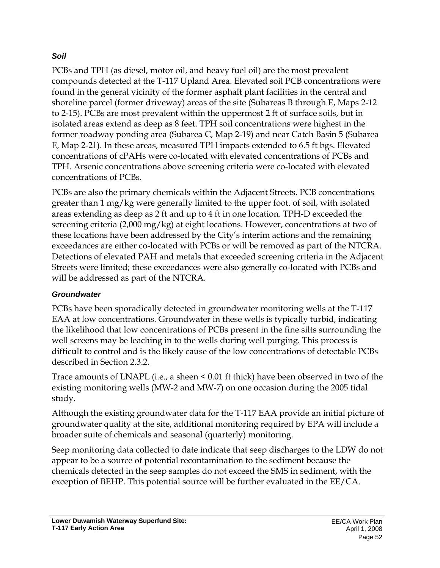## *Soil*

PCBs and TPH (as diesel, motor oil, and heavy fuel oil) are the most prevalent compounds detected at the T-117 Upland Area. Elevated soil PCB concentrations were found in the general vicinity of the former asphalt plant facilities in the central and shoreline parcel (former driveway) areas of the site (Subareas B through E, Maps 2-12 to 2-15). PCBs are most prevalent within the uppermost 2 ft of surface soils, but in isolated areas extend as deep as 8 feet. TPH soil concentrations were highest in the former roadway ponding area (Subarea C, Map 2-19) and near Catch Basin 5 (Subarea E, Map 2-21). In these areas, measured TPH impacts extended to 6.5 ft bgs. Elevated concentrations of cPAHs were co-located with elevated concentrations of PCBs and TPH. Arsenic concentrations above screening criteria were co-located with elevated concentrations of PCBs.

PCBs are also the primary chemicals within the Adjacent Streets. PCB concentrations greater than 1 mg/kg were generally limited to the upper foot. of soil, with isolated areas extending as deep as 2 ft and up to 4 ft in one location. TPH-D exceeded the screening criteria (2,000 mg/kg) at eight locations. However, concentrations at two of these locations have been addressed by the City's interim actions and the remaining exceedances are either co-located with PCBs or will be removed as part of the NTCRA. Detections of elevated PAH and metals that exceeded screening criteria in the Adjacent Streets were limited; these exceedances were also generally co-located with PCBs and will be addressed as part of the NTCRA.

# *Groundwater*

PCBs have been sporadically detected in groundwater monitoring wells at the T-117 EAA at low concentrations. Groundwater in these wells is typically turbid, indicating the likelihood that low concentrations of PCBs present in the fine silts surrounding the well screens may be leaching in to the wells during well purging. This process is difficult to control and is the likely cause of the low concentrations of detectable PCBs described in Section 2.3.2.

Trace amounts of LNAPL (i.e., a sheen < 0.01 ft thick) have been observed in two of the existing monitoring wells (MW-2 and MW-7) on one occasion during the 2005 tidal study.

Although the existing groundwater data for the T-117 EAA provide an initial picture of groundwater quality at the site, additional monitoring required by EPA will include a broader suite of chemicals and seasonal (quarterly) monitoring.

Seep monitoring data collected to date indicate that seep discharges to the LDW do not appear to be a source of potential recontamination to the sediment because the chemicals detected in the seep samples do not exceed the SMS in sediment, with the exception of BEHP. This potential source will be further evaluated in the EE/CA.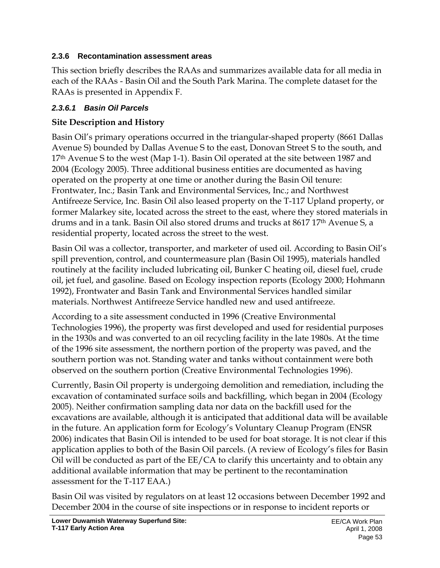## **2.3.6 Recontamination assessment areas**

This section briefly describes the RAAs and summarizes available data for all media in each of the RAAs - Basin Oil and the South Park Marina. The complete dataset for the RAAs is presented in Appendix F.

# *2.3.6.1 Basin Oil Parcels*

# **Site Description and History**

Basin Oil's primary operations occurred in the triangular-shaped property (8661 Dallas Avenue S) bounded by Dallas Avenue S to the east, Donovan Street S to the south, and 17<sup>th</sup> Avenue S to the west (Map 1-1). Basin Oil operated at the site between 1987 and 2004 (Ecology 2005). Three additional business entities are documented as having operated on the property at one time or another during the Basin Oil tenure: Frontwater, Inc.; Basin Tank and Environmental Services, Inc.; and Northwest Antifreeze Service, Inc. Basin Oil also leased property on the T-117 Upland property, or former Malarkey site, located across the street to the east, where they stored materials in drums and in a tank. Basin Oil also stored drums and trucks at 8617 17th Avenue S, a residential property, located across the street to the west.

Basin Oil was a collector, transporter, and marketer of used oil. According to Basin Oil's spill prevention, control, and countermeasure plan (Basin Oil 1995), materials handled routinely at the facility included lubricating oil, Bunker C heating oil, diesel fuel, crude oil, jet fuel, and gasoline. Based on Ecology inspection reports (Ecology 2000; Hohmann 1992), Frontwater and Basin Tank and Environmental Services handled similar materials. Northwest Antifreeze Service handled new and used antifreeze.

According to a site assessment conducted in 1996 (Creative Environmental Technologies 1996), the property was first developed and used for residential purposes in the 1930s and was converted to an oil recycling facility in the late 1980s. At the time of the 1996 site assessment, the northern portion of the property was paved, and the southern portion was not. Standing water and tanks without containment were both observed on the southern portion (Creative Environmental Technologies 1996).

Currently, Basin Oil property is undergoing demolition and remediation, including the excavation of contaminated surface soils and backfilling, which began in 2004 (Ecology 2005). Neither confirmation sampling data nor data on the backfill used for the excavations are available, although it is anticipated that additional data will be available in the future. An application form for Ecology's Voluntary Cleanup Program (ENSR 2006) indicates that Basin Oil is intended to be used for boat storage. It is not clear if this application applies to both of the Basin Oil parcels. (A review of Ecology's files for Basin Oil will be conducted as part of the EE/CA to clarify this uncertainty and to obtain any additional available information that may be pertinent to the recontamination assessment for the T-117 EAA.)

Basin Oil was visited by regulators on at least 12 occasions between December 1992 and December 2004 in the course of site inspections or in response to incident reports or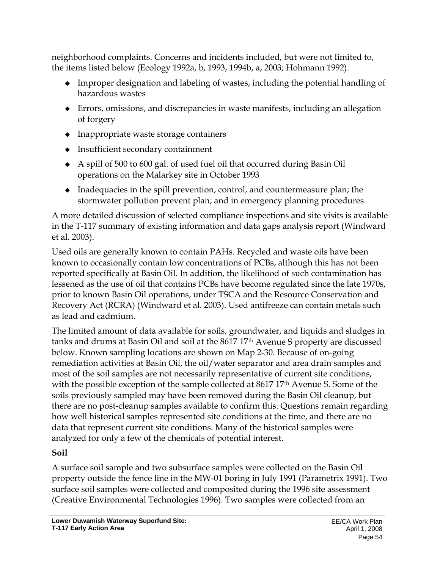neighborhood complaints. Concerns and incidents included, but were not limited to, the items listed below (Ecology 1992a, b, 1993, 1994b, a, 2003; Hohmann 1992).

- Improper designation and labeling of wastes, including the potential handling of hazardous wastes
- Errors, omissions, and discrepancies in waste manifests, including an allegation of forgery
- Inappropriate waste storage containers
- Insufficient secondary containment
- A spill of 500 to 600 gal. of used fuel oil that occurred during Basin Oil operations on the Malarkey site in October 1993
- $\bullet$  Inadequacies in the spill prevention, control, and countermeasure plan; the stormwater pollution prevent plan; and in emergency planning procedures

A more detailed discussion of selected compliance inspections and site visits is available in the T-117 summary of existing information and data gaps analysis report (Windward et al. 2003).

Used oils are generally known to contain PAHs. Recycled and waste oils have been known to occasionally contain low concentrations of PCBs, although this has not been reported specifically at Basin Oil. In addition, the likelihood of such contamination has lessened as the use of oil that contains PCBs have become regulated since the late 1970s, prior to known Basin Oil operations, under TSCA and the Resource Conservation and Recovery Act (RCRA) (Windward et al. 2003). Used antifreeze can contain metals such as lead and cadmium.

The limited amount of data available for soils, groundwater, and liquids and sludges in tanks and drums at Basin Oil and soil at the 8617 17th Avenue S property are discussed below. Known sampling locations are shown on Map 2-30. Because of on-going remediation activities at Basin Oil, the oil/water separator and area drain samples and most of the soil samples are not necessarily representative of current site conditions, with the possible exception of the sample collected at  $8617\,17<sup>th</sup>$  Avenue S. Some of the soils previously sampled may have been removed during the Basin Oil cleanup, but there are no post-cleanup samples available to confirm this. Questions remain regarding how well historical samples represented site conditions at the time, and there are no data that represent current site conditions. Many of the historical samples were analyzed for only a few of the chemicals of potential interest.

# **Soil**

A surface soil sample and two subsurface samples were collected on the Basin Oil property outside the fence line in the MW-01 boring in July 1991 (Parametrix 1991). Two surface soil samples were collected and composited during the 1996 site assessment (Creative Environmental Technologies 1996). Two samples were collected from an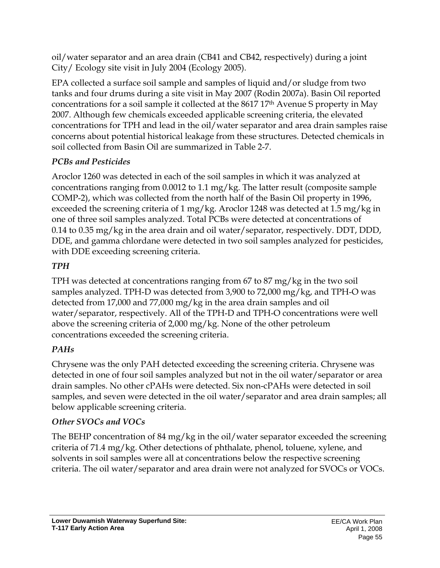oil/water separator and an area drain (CB41 and CB42, respectively) during a joint City/ Ecology site visit in July 2004 (Ecology 2005).

EPA collected a surface soil sample and samples of liquid and/or sludge from two tanks and four drums during a site visit in May 2007 (Rodin 2007a). Basin Oil reported concentrations for a soil sample it collected at the 8617 17th Avenue S property in May 2007. Although few chemicals exceeded applicable screening criteria, the elevated concentrations for TPH and lead in the oil/water separator and area drain samples raise concerns about potential historical leakage from these structures. Detected chemicals in soil collected from Basin Oil are summarized in Table 2-7.

# *PCBs and Pesticides*

Aroclor 1260 was detected in each of the soil samples in which it was analyzed at concentrations ranging from 0.0012 to 1.1 mg/kg. The latter result (composite sample COMP-2), which was collected from the north half of the Basin Oil property in 1996, exceeded the screening criteria of 1 mg/kg. Aroclor 1248 was detected at 1.5 mg/kg in one of three soil samples analyzed. Total PCBs were detected at concentrations of 0.14 to 0.35 mg/kg in the area drain and oil water/separator, respectively. DDT, DDD, DDE, and gamma chlordane were detected in two soil samples analyzed for pesticides, with DDE exceeding screening criteria.

# *TPH*

TPH was detected at concentrations ranging from 67 to 87 mg/kg in the two soil samples analyzed. TPH-D was detected from 3,900 to 72,000 mg/kg, and TPH-O was detected from 17,000 and 77,000 mg/kg in the area drain samples and oil water/separator, respectively. All of the TPH-D and TPH-O concentrations were well above the screening criteria of 2,000 mg/kg. None of the other petroleum concentrations exceeded the screening criteria.

# *PAHs*

Chrysene was the only PAH detected exceeding the screening criteria. Chrysene was detected in one of four soil samples analyzed but not in the oil water/separator or area drain samples. No other cPAHs were detected. Six non-cPAHs were detected in soil samples, and seven were detected in the oil water/separator and area drain samples; all below applicable screening criteria.

# *Other SVOCs and VOCs*

The BEHP concentration of 84 mg/kg in the oil/water separator exceeded the screening criteria of 71.4 mg/kg. Other detections of phthalate, phenol, toluene, xylene, and solvents in soil samples were all at concentrations below the respective screening criteria. The oil water/separator and area drain were not analyzed for SVOCs or VOCs.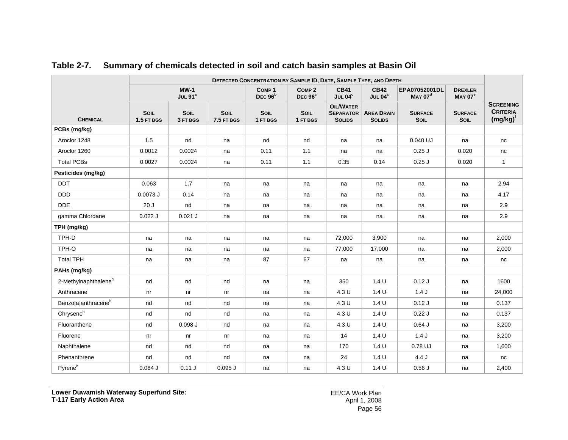|                                  | DETECTED CONCENTRATION BY SAMPLE ID, DATE, SAMPLE TYPE, AND DEPTH |                               |                           |                                |                                     |                                                       |                                    |                                      |                                      |                                                    |
|----------------------------------|-------------------------------------------------------------------|-------------------------------|---------------------------|--------------------------------|-------------------------------------|-------------------------------------------------------|------------------------------------|--------------------------------------|--------------------------------------|----------------------------------------------------|
|                                  |                                                                   | $MW-1$<br>JUL 91 <sup>a</sup> |                           | COMP <sub>1</sub><br>DEC $96b$ | COMP <sub>2</sub><br>DEC $96^\circ$ | <b>CB41</b><br>JUL $04^c$                             | <b>CB42</b><br>JUL $04^c$          | EPA07052001DL<br>MAY 07 <sup>d</sup> | <b>DREXLER</b><br>MAYO7 <sup>e</sup> |                                                    |
| <b>CHEMICAL</b>                  | SOIL<br>1.5 FT BGS                                                | <b>SOIL</b><br>3 FT BGS       | <b>SOIL</b><br>7.5 FT BGS | SOIL<br>1 FT BGS               | SOIL<br>1 FT BGS                    | <b>OIL/WATER</b><br><b>SEPARATOR</b><br><b>SOLIDS</b> | <b>AREA DRAIN</b><br><b>SOLIDS</b> | <b>SURFACE</b><br>SOIL               | <b>SURFACE</b><br>SOIL               | <b>SCREENING</b><br><b>CRITERIA</b><br>$(mg/kg)^t$ |
| PCBs (mg/kg)                     |                                                                   |                               |                           |                                |                                     |                                                       |                                    |                                      |                                      |                                                    |
| Aroclor 1248                     | 1.5                                                               | nd                            | na                        | nd                             | nd                                  | na                                                    | na                                 | 0.040 UJ                             | na                                   | nc                                                 |
| Aroclor 1260                     | 0.0012                                                            | 0.0024                        | na                        | 0.11                           | 1.1                                 | na                                                    | na                                 | $0.25$ J                             | 0.020                                | nc                                                 |
| <b>Total PCBs</b>                | 0.0027                                                            | 0.0024                        | na                        | 0.11                           | 1.1                                 | 0.35                                                  | 0.14                               | $0.25$ J                             | 0.020                                | $\mathbf{1}$                                       |
| Pesticides (mg/kg)               |                                                                   |                               |                           |                                |                                     |                                                       |                                    |                                      |                                      |                                                    |
| <b>DDT</b>                       | 0.063                                                             | 1.7                           | na                        | na                             | na                                  | na                                                    | na                                 | na                                   | na                                   | 2.94                                               |
| <b>DDD</b>                       | $0.0073$ J                                                        | 0.14                          | na                        | na                             | na                                  | na                                                    | na                                 | na                                   | na                                   | 4.17                                               |
| <b>DDE</b>                       | 20J                                                               | nd                            | na                        | na                             | na                                  | na                                                    | na                                 | na                                   | na                                   | 2.9                                                |
| gamma Chlordane                  | $0.022$ J                                                         | $0.021$ J                     | na                        | na                             | na                                  | na                                                    | na                                 | na                                   | na                                   | 2.9                                                |
| TPH (mg/kg)                      |                                                                   |                               |                           |                                |                                     |                                                       |                                    |                                      |                                      |                                                    |
| TPH-D                            | na                                                                | na                            | na                        | na                             | na                                  | 72,000                                                | 3.900                              | na                                   | na                                   | 2,000                                              |
| TPH-O                            | na                                                                | na                            | na                        | na                             | na                                  | 77,000                                                | 17,000                             | na                                   | na                                   | 2,000                                              |
| <b>Total TPH</b>                 | na                                                                | na                            | na                        | 87                             | 67                                  | na                                                    | na                                 | na                                   | na                                   | nc                                                 |
| PAHs (mg/kg)                     |                                                                   |                               |                           |                                |                                     |                                                       |                                    |                                      |                                      |                                                    |
| 2-Methylnaphthalene <sup>9</sup> | nd                                                                | nd                            | nd                        | na                             | na                                  | 350                                                   | 1.4 <sub>U</sub>                   | 0.12J                                | na                                   | 1600                                               |
| Anthracene                       | nr                                                                | nr                            | n <b>r</b>                | na                             | na                                  | 4.3 U                                                 | 1.4 U                              | 1.4J                                 | na                                   | 24,000                                             |
| Benzo[a]anthracene <sup>h</sup>  | nd                                                                | nd                            | nd                        | na                             | na                                  | 4.3 U                                                 | 1.4 <sub>U</sub>                   | 0.12J                                | na                                   | 0.137                                              |
| Chryseneh                        | nd                                                                | nd                            | nd                        | na                             | na                                  | 4.3 U                                                 | 1.4 <sub>U</sub>                   | 0.22J                                | na                                   | 0.137                                              |
| Fluoranthene                     | nd                                                                | $0.098$ $J$                   | nd                        | na                             | na                                  | 4.3 U                                                 | 1.4 U                              | $0.64$ J                             | na                                   | 3,200                                              |
| Fluorene                         | nr                                                                | nr                            | nr                        | na                             | na                                  | 14                                                    | 1.4 <sub>U</sub>                   | 1.4J                                 | na                                   | 3,200                                              |
| Naphthalene                      | nd                                                                | nd                            | nd                        | na                             | na                                  | 170                                                   | 1.4 <sub>U</sub>                   | 0.78 UJ                              | na                                   | 1,600                                              |
| Phenanthrene                     | nd                                                                | nd                            | nd                        | na                             | na                                  | 24                                                    | 1.4 U                              | 4.4 J                                | na                                   | nc                                                 |
| Pyreneh                          | $0.084$ J                                                         | 0.11J                         | $0.095$ $J$               | na                             | na                                  | 4.3 U                                                 | 1.4 U                              | 0.56J                                | na                                   | 2,400                                              |

### **Table 2-7. Summary of chemicals detected in soil and catch basin samples at Basin Oil**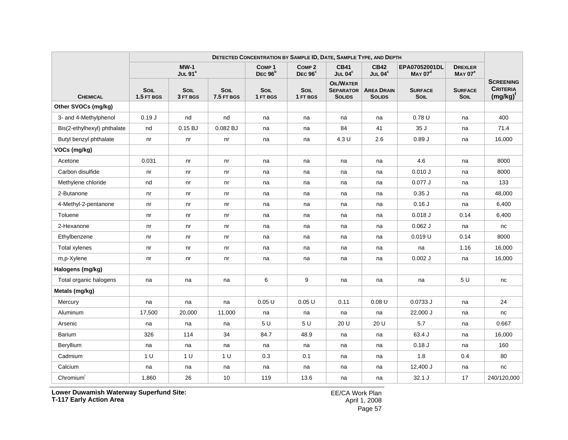|                             |                           |                         |                    | DETECTED CONCENTRATION BY SAMPLE ID, DATE, SAMPLE TYPE, AND DEPTH |                                          |                                                       |                                    |                                      |                                      |                                                      |
|-----------------------------|---------------------------|-------------------------|--------------------|-------------------------------------------------------------------|------------------------------------------|-------------------------------------------------------|------------------------------------|--------------------------------------|--------------------------------------|------------------------------------------------------|
|                             |                           | $MW-1$<br>JUL $91^a$    |                    | COMP <sub>1</sub><br>DEC $96b$                                    | COMP <sub>2</sub><br>DEC <sub>96</sub> ° | <b>CB41</b><br>JUL $04^c$                             | <b>CB42</b><br>JUL 04°             | EPA07052001DL<br>MAY 07 <sup>d</sup> | <b>DREXLER</b><br>MAYO7 <sup>e</sup> |                                                      |
| <b>CHEMICAL</b>             | <b>SOIL</b><br>1.5 FT BGS | <b>SOIL</b><br>3 FT BGS | SOIL<br>7.5 FT BGS | SOIL<br>1 FT BGS                                                  | SOIL<br>1 FT BGS                         | <b>OIL/WATER</b><br><b>SEPARATOR</b><br><b>SOLIDS</b> | <b>AREA DRAIN</b><br><b>SOLIDS</b> | <b>SURFACE</b><br><b>SOIL</b>        | <b>SURFACE</b><br><b>SOIL</b>        | <b>SCREENING</b><br><b>CRITERIA</b><br>$(mg/kg)^{t}$ |
| Other SVOCs (mg/kg)         |                           |                         |                    |                                                                   |                                          |                                                       |                                    |                                      |                                      |                                                      |
| 3- and 4-Methylphenol       | 0.19J                     | nd                      | nd                 | na                                                                | na                                       | na                                                    | na                                 | 0.78U                                | na                                   | 400                                                  |
| Bis(2-ethylhexyl) phthalate | nd                        | 0.15 BJ                 | 0.082 BJ           | na                                                                | na                                       | 84                                                    | 41                                 | 35 J                                 | na                                   | 71.4                                                 |
| Butyl benzyl phthalate      | nr                        | nr                      | nr                 | na                                                                | na                                       | 4.3 U                                                 | 2.6                                | 0.89J                                | na                                   | 16,000                                               |
| VOCs (mg/kg)                |                           |                         |                    |                                                                   |                                          |                                                       |                                    |                                      |                                      |                                                      |
| Acetone                     | 0.031                     | n <sub>r</sub>          | n <sub>r</sub>     | na                                                                | na                                       | na                                                    | na                                 | 4.6                                  | na                                   | 8000                                                 |
| Carbon disulfide            | nr                        | nr                      | nr                 | na                                                                | na                                       | na                                                    | na                                 | 0.010 J                              | na                                   | 8000                                                 |
| Methylene chloride          | nd                        | nr                      | nr                 | na                                                                | na                                       | na                                                    | na                                 | 0.077J                               | na                                   | 133                                                  |
| 2-Butanone                  | nr                        | nr                      | nr                 | na                                                                | na                                       | na                                                    | na                                 | $0.35$ $J$                           | na                                   | 48,000                                               |
| 4-Methyl-2-pentanone        | n <sub>r</sub>            | nr                      | nr                 | na                                                                | na                                       | na                                                    | na                                 | 0.16J                                | na                                   | 6,400                                                |
| Toluene                     | nr                        | nr                      | nr                 | na                                                                | na                                       | na                                                    | na                                 | 0.018J                               | 0.14                                 | 6,400                                                |
| 2-Hexanone                  | nr                        | nr                      | nr                 | na                                                                | na                                       | na                                                    | na                                 | $0.062$ J                            | na                                   | nc                                                   |
| Ethylbenzene                | nr                        | nr                      | nr                 | na                                                                | na                                       | na                                                    | na                                 | 0.019 U                              | 0.14                                 | 8000                                                 |
| <b>Total xylenes</b>        | nr                        | nr                      | nr                 | na                                                                | na                                       | na                                                    | na                                 | na                                   | 1.16                                 | 16,000                                               |
| m,p-Xylene                  | nr                        | nr                      | nr                 | na                                                                | na                                       | na                                                    | na                                 | $0.002$ J                            | na                                   | 16,000                                               |
| Halogens (mg/kg)            |                           |                         |                    |                                                                   |                                          |                                                       |                                    |                                      |                                      |                                                      |
| Total organic halogens      | na                        | na                      | na                 | 6                                                                 | 9                                        | na                                                    | na                                 | na                                   | 5 U                                  | nc                                                   |
| Metals (mg/kg)              |                           |                         |                    |                                                                   |                                          |                                                       |                                    |                                      |                                      |                                                      |
| Mercury                     | na                        | na                      | na                 | 0.05U                                                             | 0.05U                                    | 0.11                                                  | 0.08U                              | 0.0733 J                             | na                                   | 24                                                   |
| Aluminum                    | 17,500                    | 20,000                  | 11,000             | na                                                                | na                                       | na                                                    | na                                 | 22,000 J                             | na                                   | nc                                                   |
| Arsenic                     | na                        | na                      | na                 | 5 U                                                               | 5 U                                      | 20 U                                                  | 20 U                               | 5.7                                  | na                                   | 0.667                                                |
| Barium                      | 326                       | 114                     | 34                 | 84.7                                                              | 48.9                                     | na                                                    | na                                 | 63.4 J                               | na                                   | 16,000                                               |
| Beryllium                   | na                        | na                      | na                 | na                                                                | na                                       | na                                                    | na                                 | 0.18J                                | na                                   | 160                                                  |
| Cadmium                     | 1 <sub>U</sub>            | 1 U                     | 1 <sub>U</sub>     | 0.3                                                               | 0.1                                      | na                                                    | na                                 | 1.8                                  | 0.4                                  | 80                                                   |
| Calcium                     | na                        | na                      | na                 | na                                                                | na                                       | na                                                    | na                                 | 12,400 J                             | na                                   | nc                                                   |
| Chromium <sup>'</sup>       | 1,860                     | 26                      | 10                 | 119                                                               | 13.6                                     | na                                                    | na                                 | 32.1J                                | 17                                   | 240/120,000                                          |

**Lower Duwamish Waterway Superfund Site: T-117 Early Action Area**

EE/CA Work Plan April 1, 2008 Page 57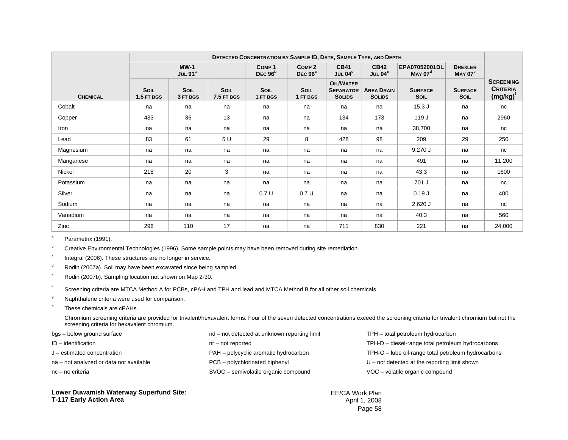|                 | DETECTED CONCENTRATION BY SAMPLE ID, DATE, SAMPLE TYPE, AND DEPTH |                         |                    |                  |                                          |                                                       |                                    |                                      |                                      |                                                    |
|-----------------|-------------------------------------------------------------------|-------------------------|--------------------|------------------|------------------------------------------|-------------------------------------------------------|------------------------------------|--------------------------------------|--------------------------------------|----------------------------------------------------|
|                 |                                                                   | $MW-1$<br>JUL $91^a$    |                    |                  | COMP <sub>2</sub><br>DEC <sub>96</sub> ° | <b>CB41</b><br>JUL $04^c$                             | <b>CB42</b><br>JUL $04^c$          | EPA07052001DL<br>MAX 07 <sup>d</sup> | <b>DREXLER</b><br>MAYO7 <sup>e</sup> |                                                    |
| <b>CHEMICAL</b> | <b>SOIL</b><br>1.5 FT BGS                                         | <b>SOIL</b><br>3 FT BGS | SOIL<br>7.5 FT BGS | SOIL<br>1 FT BGS | <b>SOIL</b><br>1 FT BGS                  | <b>OIL/WATER</b><br><b>SEPARATOR</b><br><b>SOLIDS</b> | <b>AREA DRAIN</b><br><b>SOLIDS</b> | <b>SURFACE</b><br><b>SOIL</b>        | <b>SURFACE</b><br><b>SOIL</b>        | <b>SCREENING</b><br><b>CRITERIA</b><br>$(mg/kg)^t$ |
| Cobalt          | na                                                                | na                      | na                 | na               | na                                       | na                                                    | na                                 | 15.3J                                | na                                   | nc                                                 |
| Copper          | 433                                                               | 36                      | 13                 | na               | na                                       | 134                                                   | 173                                | 119 J                                | na                                   | 2960                                               |
| Iron            | na                                                                | na                      | na                 | na               | na                                       | na                                                    | na                                 | 38,700                               | na                                   | nc                                                 |
| Lead            | 83                                                                | 61                      | 5 U                | 29               | 8                                        | 428                                                   | 98                                 | 209                                  | 29                                   | 250                                                |
| Magnesium       | na                                                                | na                      | na                 | na               | na                                       | na                                                    | na                                 | $9,270$ J                            | na                                   | nc                                                 |
| Manganese       | na                                                                | na                      | na                 | na               | na                                       | na                                                    | na                                 | 491                                  | na                                   | 11,200                                             |
| <b>Nickel</b>   | 218                                                               | 20                      | 3                  | na               | na                                       | na                                                    | na                                 | 43.3                                 | na                                   | 1600                                               |
| Potassium       | na                                                                | na                      | na                 | na               | na                                       | na                                                    | na                                 | 701 J                                | na                                   | nc                                                 |
| Silver          | na                                                                | na                      | na                 | 0.7U             | 0.7U                                     | na                                                    | na                                 | 0.19J                                | na                                   | 400                                                |
| Sodium          | na                                                                | na                      | na                 | na               | na                                       | na                                                    | na                                 | $2,620$ J                            | na                                   | nc                                                 |
| Vanadium        | na                                                                | na                      | na                 | na               | na                                       | na                                                    | na                                 | 40.3                                 | na                                   | 560                                                |
| Zinc            | 296                                                               | 110                     | 17                 | na               | na                                       | 711                                                   | 830                                | 221                                  | na                                   | 24,000                                             |

<sup>a</sup> Parametrix (1991).

<sup>b</sup> Creative Environmental Technologies (1996). Some sample points may have been removed during site remediation.

 $\degree$  Integral (2006). These structures are no longer in service.

 $d$  Rodin (2007a). Soil may have been excavated since being sampled.

e Rodin (2007b). Sampling location not shown on Map 2-30.

<sup>f</sup> Screening criteria are MTCA Method A for PCBs, cPAH and TPH and lead and MTCA Method B for all other soil chemicals.

<sup>9</sup> Naphthalene criteria were used for comparison.

h These chemicals are cPAHs.

<sup>i</sup> Chromium screening criteria are provided for trivalent/hexavalent forms. Four of the seven detected concentrations exceed the screening criteria for trivalent chromium but not the screening criteria for hexavalent chromium.

| bgs – below ground surface              | nd – not detected at unknown reporting limit | TPH - total petroleum hydrocarbon                   |
|-----------------------------------------|----------------------------------------------|-----------------------------------------------------|
| ID - identification                     | nr – not reported                            | TPH-D - diesel-range total petroleum hydrocarbons   |
| J – estimated concentration             | PAH – polycyclic aromatic hydrocarbon        | TPH-O - lube oil-range total petroleum hydrocarbons |
| na – not analyzed or data not available | PCB – polychlorinated biphenyl               | $U$ – not detected at the reporting limit shown     |
| nc – no criteria                        | SVOC - semivolatile organic compound         | VOC - volatile organic compound                     |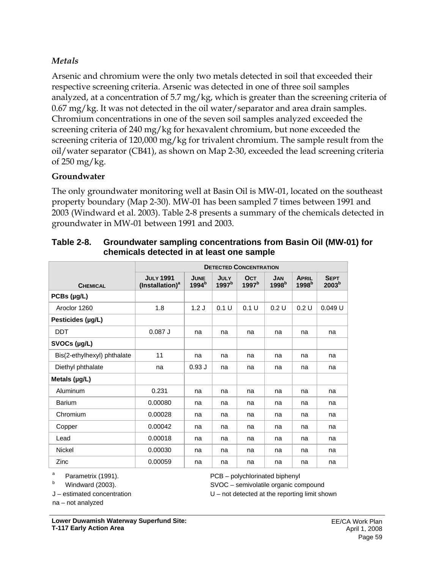## *Metals*

Arsenic and chromium were the only two metals detected in soil that exceeded their respective screening criteria. Arsenic was detected in one of three soil samples analyzed, at a concentration of 5.7 mg/kg, which is greater than the screening criteria of 0.67 mg/kg. It was not detected in the oil water/separator and area drain samples. Chromium concentrations in one of the seven soil samples analyzed exceeded the screening criteria of 240 mg/kg for hexavalent chromium, but none exceeded the screening criteria of 120,000 mg/kg for trivalent chromium. The sample result from the oil/water separator (CB41), as shown on Map 2-30, exceeded the lead screening criteria of 250 mg/kg.

### **Groundwater**

The only groundwater monitoring well at Basin Oil is MW-01, located on the southeast property boundary (Map 2-30). MW-01 has been sampled 7 times between 1991 and 2003 (Windward et al. 2003). Table 2-8 presents a summary of the chemicals detected in groundwater in MW-01 between 1991 and 2003.

|                             |                                                 |                                  |                                  |                                 | <b>DETECTED CONCENTRATION</b>   |                                   |                                  |  |  |  |  |  |  |  |
|-----------------------------|-------------------------------------------------|----------------------------------|----------------------------------|---------------------------------|---------------------------------|-----------------------------------|----------------------------------|--|--|--|--|--|--|--|
| <b>CHEMICAL</b>             | <b>JULY 1991</b><br>(Installation) <sup>a</sup> | <b>JUNE</b><br>1994 <sup>b</sup> | <b>JULY</b><br>1997 <sup>b</sup> | <b>OCT</b><br>1997 <sup>b</sup> | <b>JAN</b><br>1998 <sup>b</sup> | <b>APRIL</b><br>1998 <sup>b</sup> | <b>SEPT</b><br>2003 <sup>b</sup> |  |  |  |  |  |  |  |
| PCBs (µg/L)                 |                                                 |                                  |                                  |                                 |                                 |                                   |                                  |  |  |  |  |  |  |  |
| Aroclor 1260                | 1.8                                             | 1.2J                             | 0.1 U                            | 0.1 U                           | 0.2 U                           | 0.2 U                             | 0.049 U                          |  |  |  |  |  |  |  |
| Pesticides (µg/L)           |                                                 |                                  |                                  |                                 |                                 |                                   |                                  |  |  |  |  |  |  |  |
| <b>DDT</b>                  | $0.087$ J                                       | na                               | na                               | na                              | na                              | na                                | na                               |  |  |  |  |  |  |  |
| SVOCs (µg/L)                |                                                 |                                  |                                  |                                 |                                 |                                   |                                  |  |  |  |  |  |  |  |
| Bis(2-ethylhexyl) phthalate | 11                                              | na                               | na                               | na                              | na                              | na                                | na                               |  |  |  |  |  |  |  |
| Diethyl phthalate           | na                                              | 0.93J                            | na                               | na                              | na                              | na                                | na                               |  |  |  |  |  |  |  |
| Metals (µg/L)               |                                                 |                                  |                                  |                                 |                                 |                                   |                                  |  |  |  |  |  |  |  |
| Aluminum                    | 0.231                                           | na                               | na                               | na                              | na                              | na                                | na                               |  |  |  |  |  |  |  |
| <b>Barium</b>               | 0.00080                                         | na                               | na                               | na                              | na                              | na                                | na                               |  |  |  |  |  |  |  |
| Chromium                    | 0.00028                                         | na                               | na                               | na                              | na                              | na                                | na                               |  |  |  |  |  |  |  |
| Copper                      | 0.00042                                         | na                               | na                               | na                              | na                              | na                                | na                               |  |  |  |  |  |  |  |
| Lead                        | 0.00018                                         | na                               | na                               | na                              | na                              | na                                | na                               |  |  |  |  |  |  |  |
| Nickel                      | 0.00030                                         | na                               | na                               | na                              | na                              | na                                | na                               |  |  |  |  |  |  |  |
| Zinc                        | 0.00059                                         | na                               | na                               | na                              | na                              | na                                | na                               |  |  |  |  |  |  |  |

| Table 2-8. | <b>Groundwater sampling concentrations from Basin Oil (MW-01) for</b> |
|------------|-----------------------------------------------------------------------|
|            | chemicals detected in at least one sample                             |

a Parametrix (1991).

b Windward (2003).

J – estimated concentration

PCB – polychlorinated biphenyl

SVOC – semivolatile organic compound

U – not detected at the reporting limit shown

na – not analyzed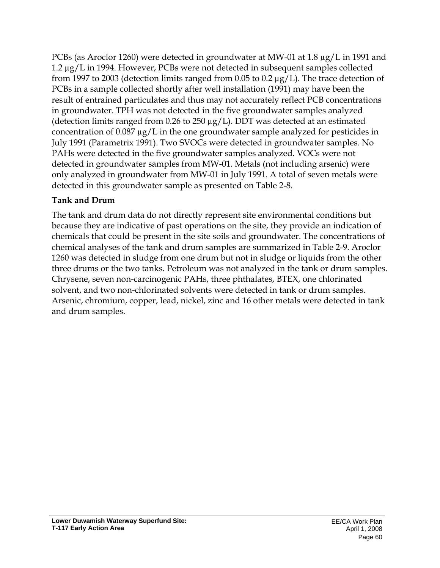PCBs (as Aroclor 1260) were detected in groundwater at MW-01 at 1.8  $\mu$ g/L in 1991 and 1.2 µg/L in 1994. However, PCBs were not detected in subsequent samples collected from 1997 to 2003 (detection limits ranged from 0.05 to 0.2 µg/L). The trace detection of PCBs in a sample collected shortly after well installation (1991) may have been the result of entrained particulates and thus may not accurately reflect PCB concentrations in groundwater. TPH was not detected in the five groundwater samples analyzed (detection limits ranged from 0.26 to 250 µg/L). DDT was detected at an estimated concentration of 0.087 µg/L in the one groundwater sample analyzed for pesticides in July 1991 (Parametrix 1991). Two SVOCs were detected in groundwater samples. No PAHs were detected in the five groundwater samples analyzed. VOCs were not detected in groundwater samples from MW-01. Metals (not including arsenic) were only analyzed in groundwater from MW-01 in July 1991. A total of seven metals were detected in this groundwater sample as presented on Table 2-8.

# **Tank and Drum**

The tank and drum data do not directly represent site environmental conditions but because they are indicative of past operations on the site, they provide an indication of chemicals that could be present in the site soils and groundwater. The concentrations of chemical analyses of the tank and drum samples are summarized in Table 2-9. Aroclor 1260 was detected in sludge from one drum but not in sludge or liquids from the other three drums or the two tanks. Petroleum was not analyzed in the tank or drum samples. Chrysene, seven non-carcinogenic PAHs, three phthalates, BTEX, one chlorinated solvent, and two non-chlorinated solvents were detected in tank or drum samples. Arsenic, chromium, copper, lead, nickel, zinc and 16 other metals were detected in tank and drum samples.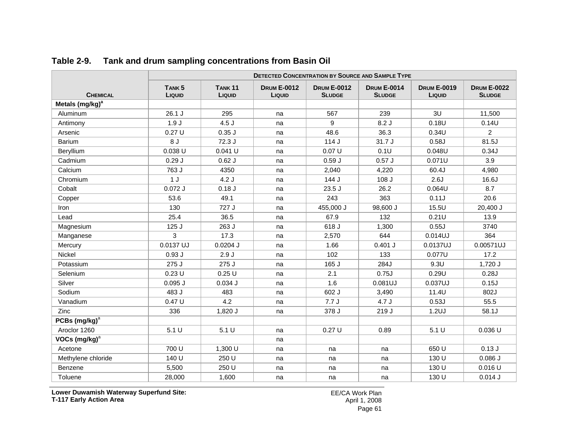|                             | <b>DETECTED CONCENTRATION BY SOURCE AND SAMPLE TYPE</b> |                              |                              |                                     |                                     |                              |                                     |  |
|-----------------------------|---------------------------------------------------------|------------------------------|------------------------------|-------------------------------------|-------------------------------------|------------------------------|-------------------------------------|--|
| <b>CHEMICAL</b>             | TANK <sub>5</sub><br>LIQUID                             | TANK <sub>11</sub><br>LIQUID | <b>DRUM E-0012</b><br>LIQUID | <b>DRUM E-0012</b><br><b>SLUDGE</b> | <b>DRUM E-0014</b><br><b>SLUDGE</b> | <b>DRUM E-0019</b><br>LIQUID | <b>DRUM E-0022</b><br><b>SLUDGE</b> |  |
| Metals (mg/kg) <sup>a</sup> |                                                         |                              |                              |                                     |                                     |                              |                                     |  |
| Aluminum                    | 26.1 J                                                  | 295                          | na                           | 567                                 | 239                                 | 3U                           | 11,500                              |  |
| Antimony                    | 1.9J                                                    | 4.5J                         | na                           | 9                                   | 8.2J                                | 0.18U                        | 0.14U                               |  |
| Arsenic                     | 0.27U                                                   | $0.35$ J                     | na                           | 48.6                                | 36.3                                | 0.34U                        | $\overline{2}$                      |  |
| Barium                      | 8J                                                      | 72.3 J                       | na                           | 114J                                | 31.7J                               | 0.58J                        | 81.5J                               |  |
| Beryllium                   | 0.038 U                                                 | $0.041$ U                    | na                           | 0.07U                               | 0.1U                                | 0.048U                       | 0.34J                               |  |
| Cadmium                     | 0.29J                                                   | $0.62$ J                     | na                           | 0.59J                               | 0.57J                               | 0.071U                       | 3.9                                 |  |
| Calcium                     | 763 J                                                   | 4350                         | na                           | 2,040                               | 4,220                               | 60.4J                        | 4,980                               |  |
| Chromium                    | 1J                                                      | 4.2J                         | na                           | 144 J                               | 108 J                               | 2.6J                         | 16.6J                               |  |
| Cobalt                      | $0.072$ J                                               | 0.18J                        | na                           | 23.5 J                              | 26.2                                | $0.064$ U                    | 8.7                                 |  |
| Copper                      | 53.6                                                    | 49.1                         | na                           | 243                                 | 363                                 | 0.11J                        | 20.6                                |  |
| Iron                        | 130                                                     | 727 J                        | na                           | 455,000 J                           | 98,600 J                            | 15.5U                        | 20,400 J                            |  |
| Lead                        | 25.4                                                    | 36.5                         | na                           | 67.9                                | 132                                 | 0.21U                        | 13.9                                |  |
| Magnesium                   | 125J                                                    | 263 J                        | na                           | 618 J                               | 1,300                               | 0.55J                        | 3740                                |  |
| Manganese                   | 3                                                       | 17.3                         | na                           | 2,570                               | 644                                 | 0.014UJ                      | 364                                 |  |
| Mercury                     | 0.0137 UJ                                               | $0.0204$ J                   | na                           | 1.66                                | $0.401$ J                           | 0.0137UJ                     | 0.00571UJ                           |  |
| <b>Nickel</b>               | 0.93J                                                   | 2.9J                         | na                           | 102                                 | 133                                 | 0.077U                       | 17.2                                |  |
| Potassium                   | 275 J                                                   | 275 J                        | na                           | 165 J                               | 284J                                | 9.3U                         | 1,720 J                             |  |
| Selenium                    | 0.23U                                                   | 0.25U                        | na                           | 2.1                                 | 0.75J                               | 0.29U                        | 0.28J                               |  |
| Silver                      | $0.095$ $J$                                             | 0.034J                       | na                           | 1.6                                 | 0.081UJ                             | 0.037UJ                      | 0.15J                               |  |
| Sodium                      | 483 J                                                   | 483                          | na                           | 602 J                               | 3,490                               | 11.4U                        | 802J                                |  |
| Vanadium                    | 0.47U                                                   | 4.2                          | na                           | 7.7J                                | 4.7J                                | 0.53J                        | 55.5                                |  |
| Zinc                        | 336                                                     | 1,820 J                      | na                           | 378 J                               | 219 J                               | 1.2UJ                        | 58.1J                               |  |
| PCBs $(mg/kg)^a$            |                                                         |                              |                              |                                     |                                     |                              |                                     |  |
| Aroclor 1260                | 5.1 U                                                   | 5.1 U                        | na                           | 0.27U                               | 0.89                                | 5.1 U                        | $0.036$ U                           |  |
| VOCs $(mg/kg)^a$            |                                                         |                              | na                           |                                     |                                     |                              |                                     |  |
| Acetone                     | 700 U                                                   | 1,300 U                      | na                           | na                                  | na                                  | 650 U                        | 0.13J                               |  |
| Methylene chloride          | 140 U                                                   | 250 U                        | na                           | na                                  | na                                  | 130 U                        | $0.086$ J                           |  |
| Benzene                     | 5,500                                                   | 250 U                        | na                           | na                                  | na                                  | 130 U                        | $0.016$ U                           |  |
| Toluene                     | 28,000                                                  | 1,600                        | na                           | na                                  | na                                  | 130 U                        | 0.014J                              |  |

### **Table 2-9. Tank and drum sampling concentrations from Basin Oil**

**Lower Duwamish Waterway Superfund Site: T-117 Early Action Area**

EE/CA Work Plan April 1, 2008 Page 61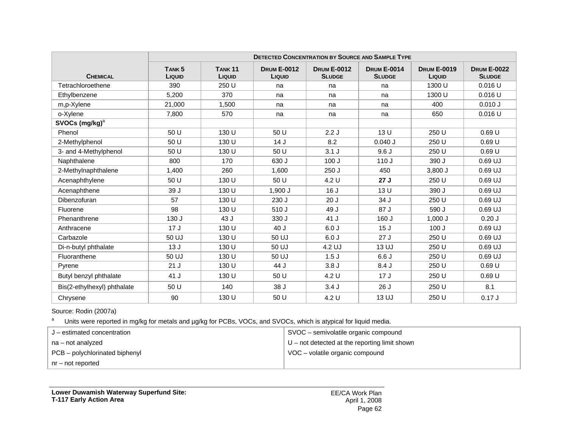|                             |                             |                          | <b>DETECTED CONCENTRATION BY SOURCE AND SAMPLE TYPE</b> |                                     |                                     |                              |                                     |
|-----------------------------|-----------------------------|--------------------------|---------------------------------------------------------|-------------------------------------|-------------------------------------|------------------------------|-------------------------------------|
| <b>CHEMICAL</b>             | TANK <sub>5</sub><br>LIQUID | <b>TANK 11</b><br>LIQUID | <b>DRUM E-0012</b><br>LIQUID                            | <b>DRUM E-0012</b><br><b>SLUDGE</b> | <b>DRUM E-0014</b><br><b>SLUDGE</b> | <b>DRUM E-0019</b><br>LIQUID | <b>DRUM E-0022</b><br><b>SLUDGE</b> |
| Tetrachloroethene           | 390                         | 250 U                    | na                                                      | na                                  | na                                  | 1300 U                       | $0.016$ U                           |
| Ethylbenzene                | 5.200                       | 370                      | na                                                      | na                                  | na                                  | 1300 U                       | $0.016$ U                           |
| m,p-Xylene                  | 21,000                      | 1,500                    | na                                                      | na                                  | na                                  | 400                          | 0.010 J                             |
| o-Xylene                    | 7,800                       | 570                      | na                                                      | na                                  | na                                  | 650                          | $0.016$ U                           |
| SVOCs $(mg/kg)^a$           |                             |                          |                                                         |                                     |                                     |                              |                                     |
| Phenol                      | 50 U                        | 130 U                    | 50 U                                                    | 2.2J                                | 13 U                                | 250 U                        | 0.69U                               |
| 2-Methylphenol              | 50 U                        | 130 U                    | 14J                                                     | 8.2                                 | $0.040$ J                           | 250 U                        | 0.69U                               |
| 3- and 4-Methylphenol       | 50 U                        | 130 U                    | 50 U                                                    | 3.1J                                | 9.6J                                | 250 U                        | 0.69U                               |
| Naphthalene                 | 800                         | 170                      | 630 J                                                   | 100J                                | 110J                                | 390 J                        | 0.69 UJ                             |
| 2-Methylnaphthalene         | 1,400                       | 260                      | 1,600                                                   | 250 J                               | 450                                 | $3,800$ J                    | 0.69 UJ                             |
| Acenaphthylene              | 50 U                        | 130 U                    | 50 U                                                    | 4.2 U                               | 27J                                 | 250 U                        | 0.69 UJ                             |
| Acenaphthene                | 39 J                        | 130 U                    | 1,900 J                                                 | 16J                                 | 13 <sub>U</sub>                     | 390 J                        | $0.69$ UJ                           |
| Dibenzofuran                | 57                          | 130 U                    | 230 J                                                   | 20J                                 | 34 J                                | 250 U                        | 0.69 UJ                             |
| Fluorene                    | 98                          | 130 U                    | 510 J                                                   | 49 J                                | 87 J                                | 590 J                        | $0.69$ UJ                           |
| Phenanthrene                | 130 J                       | 43 J                     | 330 J                                                   | 41 J                                | 160 J                               | $1,000$ J                    | 0.20J                               |
| Anthracene                  | 17J                         | 130 U                    | 40 J                                                    | 6.0J                                | 15J                                 | 100J                         | 0.69 UJ                             |
| Carbazole                   | 50 UJ                       | 130 U                    | 50 UJ                                                   | 6.0J                                | 27J                                 | 250 U                        | $0.69$ UJ                           |
| Di-n-butyl phthalate        | 13J                         | 130 U                    | 50 UJ                                                   | 4.2 UJ                              | 13 UJ                               | 250 U                        | 0.69 UJ                             |
| Fluoranthene                | 50 UJ                       | 130 U                    | 50 UJ                                                   | 1.5J                                | 6.6J                                | 250 U                        | $0.69$ UJ                           |
| Pyrene                      | 21J                         | 130 U                    | 44 J                                                    | 3.8J                                | 8.4J                                | 250 U                        | 0.69U                               |
| Butyl benzyl phthalate      | 41 J                        | 130 U                    | 50 U                                                    | 4.2 U                               | 17J                                 | 250 U                        | 0.69U                               |
| Bis(2-ethylhexyl) phthalate | 50 U                        | 140                      | 38 J                                                    | 3.4J                                | 26J                                 | 250 U                        | 8.1                                 |
| Chrysene                    | 90                          | 130 U                    | 50 U                                                    | 4.2 U                               | 13 UJ                               | 250 U                        | 0.17J                               |

#### Source: Rodin (2007a)

a Units were reported in mg/kg for metals and µg/kg for PCBs, VOCs, and SVOCs, which is atypical for liquid media.

| $J$ – estimated concentration  | SVOC – semivolatile organic compound            |
|--------------------------------|-------------------------------------------------|
| na – not analyzed              | $U$ – not detected at the reporting limit shown |
| PCB – polychlorinated biphenyl | VOC - volatile organic compound                 |
| nr – not reported              |                                                 |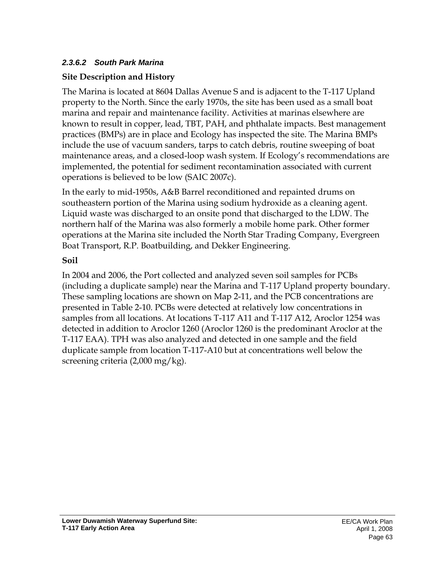# *2.3.6.2 South Park Marina*

# **Site Description and History**

The Marina is located at 8604 Dallas Avenue S and is adjacent to the T-117 Upland property to the North. Since the early 1970s, the site has been used as a small boat marina and repair and maintenance facility. Activities at marinas elsewhere are known to result in copper, lead, TBT, PAH, and phthalate impacts. Best management practices (BMPs) are in place and Ecology has inspected the site. The Marina BMPs include the use of vacuum sanders, tarps to catch debris, routine sweeping of boat maintenance areas, and a closed-loop wash system. If Ecology's recommendations are implemented, the potential for sediment recontamination associated with current operations is believed to be low (SAIC 2007c).

In the early to mid-1950s, A&B Barrel reconditioned and repainted drums on southeastern portion of the Marina using sodium hydroxide as a cleaning agent. Liquid waste was discharged to an onsite pond that discharged to the LDW. The northern half of the Marina was also formerly a mobile home park. Other former operations at the Marina site included the North Star Trading Company, Evergreen Boat Transport, R.P. Boatbuilding, and Dekker Engineering.

# **Soil**

In 2004 and 2006, the Port collected and analyzed seven soil samples for PCBs (including a duplicate sample) near the Marina and T-117 Upland property boundary. These sampling locations are shown on Map 2-11, and the PCB concentrations are presented in Table 2-10. PCBs were detected at relatively low concentrations in samples from all locations. At locations T-117 A11 and T-117 A12, Aroclor 1254 was detected in addition to Aroclor 1260 (Aroclor 1260 is the predominant Aroclor at the T-117 EAA). TPH was also analyzed and detected in one sample and the field duplicate sample from location T-117-A10 but at concentrations well below the screening criteria (2,000 mg/kg).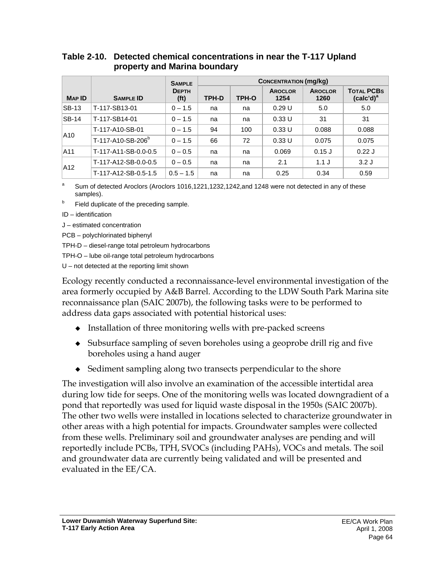|               |                               | <b>SAMPLE</b>                     |       | <b>CONCENTRATION (mg/kg)</b> |                        |                        |                                   |
|---------------|-------------------------------|-----------------------------------|-------|------------------------------|------------------------|------------------------|-----------------------------------|
| <b>MAP ID</b> | <b>SAMPLE ID</b>              | <b>DEPTH</b><br>(f <sub>t</sub> ) | TPH-D | TPH-O                        | <b>AROCLOR</b><br>1254 | <b>AROCLOR</b><br>1260 | <b>TOTAL PCBS</b><br>$(calc'd)^a$ |
| <b>SB-13</b>  | T-117-SB13-01                 | $0 - 1.5$                         | na    | na                           | 0.29U                  | 5.0                    | 5.0                               |
| $SB-14$       | T-117-SB14-01                 | $0 - 1.5$                         | na    | na                           | 0.33U                  | 31                     | 31                                |
| A10           | T-117-A10-SB-01               | $0 - 1.5$                         | 94    | 100                          | 0.33U                  | 0.088                  | 0.088                             |
|               | T-117-A10-SB-206 <sup>b</sup> | $0 - 1.5$                         | 66    | 72                           | 0.33U                  | 0.075                  | 0.075                             |
| A11           | T-117-A11-SB-0.0-0.5          | $0 - 0.5$                         | na    | na                           | 0.069                  | $0.15$ J               | 0.22J                             |
|               | T-117-A12-SB-0.0-0.5          | $0 - 0.5$                         | na    | na                           | 2.1                    | $1.1$ J                | 3.2J                              |
| A12           | T-117-A12-SB-0.5-1.5          | $0.5 - 1.5$                       | na    | na                           | 0.25                   | 0.34                   | 0.59                              |

#### **Table 2-10. Detected chemical concentrations in near the T-117 Upland property and Marina boundary**

a Sum of detected Aroclors (Aroclors 1016,1221,1232,1242,and 1248 were not detected in any of these samples).

b Field duplicate of the preceding sample.

ID – identification

J – estimated concentration

PCB – polychlorinated biphenyl

TPH-D – diesel-range total petroleum hydrocarbons

TPH-O – lube oil-range total petroleum hydrocarbons

U – not detected at the reporting limit shown

Ecology recently conducted a reconnaissance-level environmental investigation of the area formerly occupied by A&B Barrel. According to the LDW South Park Marina site reconnaissance plan (SAIC 2007b), the following tasks were to be performed to address data gaps associated with potential historical uses:

- $\bullet$  Installation of three monitoring wells with pre-packed screens
- Subsurface sampling of seven boreholes using a geoprobe drill rig and five boreholes using a hand auger
- Sediment sampling along two transects perpendicular to the shore

The investigation will also involve an examination of the accessible intertidal area during low tide for seeps. One of the monitoring wells was located downgradient of a pond that reportedly was used for liquid waste disposal in the 1950s (SAIC 2007b). The other two wells were installed in locations selected to characterize groundwater in other areas with a high potential for impacts. Groundwater samples were collected from these wells. Preliminary soil and groundwater analyses are pending and will reportedly include PCBs, TPH, SVOCs (including PAHs), VOCs and metals. The soil and groundwater data are currently being validated and will be presented and evaluated in the EE/CA.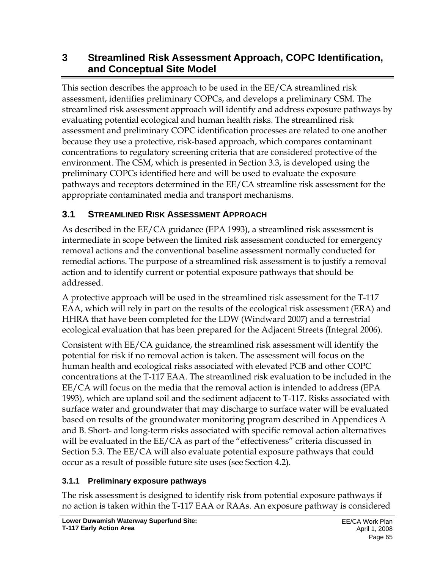# **3 Streamlined Risk Assessment Approach, COPC Identification, and Conceptual Site Model**

This section describes the approach to be used in the EE/CA streamlined risk assessment, identifies preliminary COPCs, and develops a preliminary CSM. The streamlined risk assessment approach will identify and address exposure pathways by evaluating potential ecological and human health risks. The streamlined risk assessment and preliminary COPC identification processes are related to one another because they use a protective, risk-based approach, which compares contaminant concentrations to regulatory screening criteria that are considered protective of the environment. The CSM, which is presented in Section 3.3, is developed using the preliminary COPCs identified here and will be used to evaluate the exposure pathways and receptors determined in the EE/CA streamline risk assessment for the appropriate contaminated media and transport mechanisms.

## **3.1 STREAMLINED RISK ASSESSMENT APPROACH**

As described in the EE/CA guidance (EPA 1993), a streamlined risk assessment is intermediate in scope between the limited risk assessment conducted for emergency removal actions and the conventional baseline assessment normally conducted for remedial actions. The purpose of a streamlined risk assessment is to justify a removal action and to identify current or potential exposure pathways that should be addressed.

A protective approach will be used in the streamlined risk assessment for the T-117 EAA, which will rely in part on the results of the ecological risk assessment (ERA) and HHRA that have been completed for the LDW (Windward 2007) and a terrestrial ecological evaluation that has been prepared for the Adjacent Streets (Integral 2006).

Consistent with EE/CA guidance, the streamlined risk assessment will identify the potential for risk if no removal action is taken. The assessment will focus on the human health and ecological risks associated with elevated PCB and other COPC concentrations at the T-117 EAA. The streamlined risk evaluation to be included in the EE/CA will focus on the media that the removal action is intended to address (EPA 1993), which are upland soil and the sediment adjacent to T-117. Risks associated with surface water and groundwater that may discharge to surface water will be evaluated based on results of the groundwater monitoring program described in Appendices A and B. Short- and long-term risks associated with specific removal action alternatives will be evaluated in the EE/CA as part of the "effectiveness" criteria discussed in Section 5.3. The EE/CA will also evaluate potential exposure pathways that could occur as a result of possible future site uses (see Section 4.2).

#### **3.1.1 Preliminary exposure pathways**

The risk assessment is designed to identify risk from potential exposure pathways if no action is taken within the T-117 EAA or RAAs. An exposure pathway is considered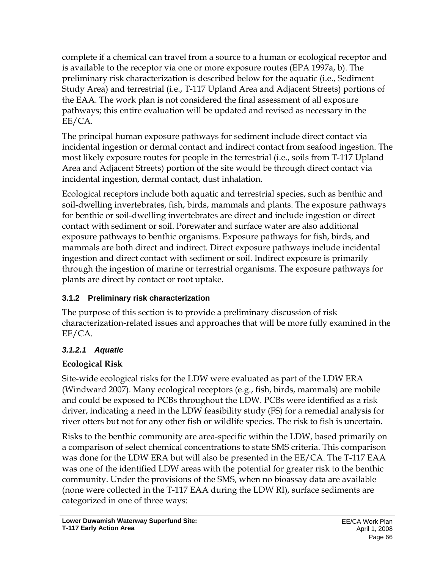complete if a chemical can travel from a source to a human or ecological receptor and is available to the receptor via one or more exposure routes (EPA 1997a, b). The preliminary risk characterization is described below for the aquatic (i.e., Sediment Study Area) and terrestrial (i.e., T-117 Upland Area and Adjacent Streets) portions of the EAA. The work plan is not considered the final assessment of all exposure pathways; this entire evaluation will be updated and revised as necessary in the EE/CA.

The principal human exposure pathways for sediment include direct contact via incidental ingestion or dermal contact and indirect contact from seafood ingestion. The most likely exposure routes for people in the terrestrial (i.e., soils from T-117 Upland Area and Adjacent Streets) portion of the site would be through direct contact via incidental ingestion, dermal contact, dust inhalation.

Ecological receptors include both aquatic and terrestrial species, such as benthic and soil-dwelling invertebrates, fish, birds, mammals and plants. The exposure pathways for benthic or soil-dwelling invertebrates are direct and include ingestion or direct contact with sediment or soil. Porewater and surface water are also additional exposure pathways to benthic organisms. Exposure pathways for fish, birds, and mammals are both direct and indirect. Direct exposure pathways include incidental ingestion and direct contact with sediment or soil. Indirect exposure is primarily through the ingestion of marine or terrestrial organisms. The exposure pathways for plants are direct by contact or root uptake.

#### **3.1.2 Preliminary risk characterization**

The purpose of this section is to provide a preliminary discussion of risk characterization-related issues and approaches that will be more fully examined in the EE/CA.

### *3.1.2.1 Aquatic*

#### **Ecological Risk**

Site-wide ecological risks for the LDW were evaluated as part of the LDW ERA (Windward 2007). Many ecological receptors (e.g., fish, birds, mammals) are mobile and could be exposed to PCBs throughout the LDW. PCBs were identified as a risk driver, indicating a need in the LDW feasibility study (FS) for a remedial analysis for river otters but not for any other fish or wildlife species. The risk to fish is uncertain.

Risks to the benthic community are area-specific within the LDW, based primarily on a comparison of select chemical concentrations to state SMS criteria. This comparison was done for the LDW ERA but will also be presented in the EE/CA. The T-117 EAA was one of the identified LDW areas with the potential for greater risk to the benthic community. Under the provisions of the SMS, when no bioassay data are available (none were collected in the T-117 EAA during the LDW RI), surface sediments are categorized in one of three ways: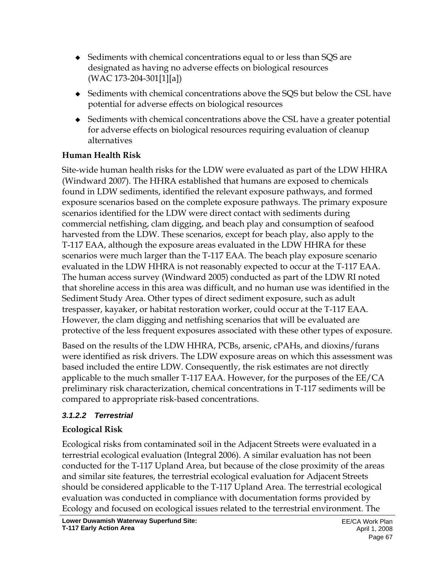- Sediments with chemical concentrations equal to or less than SQS are designated as having no adverse effects on biological resources (WAC 173-204-301[1][a])
- Sediments with chemical concentrations above the SQS but below the CSL have potential for adverse effects on biological resources
- Sediments with chemical concentrations above the CSL have a greater potential for adverse effects on biological resources requiring evaluation of cleanup alternatives

#### **Human Health Risk**

Site-wide human health risks for the LDW were evaluated as part of the LDW HHRA (Windward 2007). The HHRA established that humans are exposed to chemicals found in LDW sediments, identified the relevant exposure pathways, and formed exposure scenarios based on the complete exposure pathways. The primary exposure scenarios identified for the LDW were direct contact with sediments during commercial netfishing, clam digging, and beach play and consumption of seafood harvested from the LDW. These scenarios, except for beach play, also apply to the T-117 EAA, although the exposure areas evaluated in the LDW HHRA for these scenarios were much larger than the T-117 EAA. The beach play exposure scenario evaluated in the LDW HHRA is not reasonably expected to occur at the T-117 EAA. The human access survey (Windward 2005) conducted as part of the LDW RI noted that shoreline access in this area was difficult, and no human use was identified in the Sediment Study Area. Other types of direct sediment exposure, such as adult trespasser, kayaker, or habitat restoration worker, could occur at the T-117 EAA. However, the clam digging and netfishing scenarios that will be evaluated are protective of the less frequent exposures associated with these other types of exposure.

Based on the results of the LDW HHRA, PCBs, arsenic, cPAHs, and dioxins/furans were identified as risk drivers. The LDW exposure areas on which this assessment was based included the entire LDW. Consequently, the risk estimates are not directly applicable to the much smaller T-117 EAA. However, for the purposes of the EE/CA preliminary risk characterization, chemical concentrations in T-117 sediments will be compared to appropriate risk-based concentrations.

### *3.1.2.2 Terrestrial*

# **Ecological Risk**

Ecological risks from contaminated soil in the Adjacent Streets were evaluated in a terrestrial ecological evaluation (Integral 2006). A similar evaluation has not been conducted for the T-117 Upland Area, but because of the close proximity of the areas and similar site features, the terrestrial ecological evaluation for Adjacent Streets should be considered applicable to the T-117 Upland Area. The terrestrial ecological evaluation was conducted in compliance with documentation forms provided by Ecology and focused on ecological issues related to the terrestrial environment. The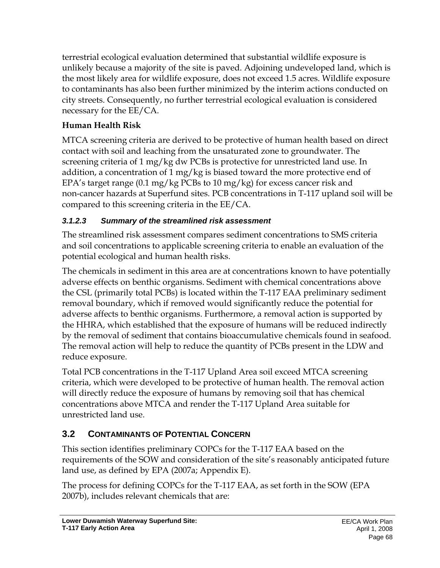terrestrial ecological evaluation determined that substantial wildlife exposure is unlikely because a majority of the site is paved. Adjoining undeveloped land, which is the most likely area for wildlife exposure, does not exceed 1.5 acres. Wildlife exposure to contaminants has also been further minimized by the interim actions conducted on city streets. Consequently, no further terrestrial ecological evaluation is considered necessary for the EE/CA.

# **Human Health Risk**

MTCA screening criteria are derived to be protective of human health based on direct contact with soil and leaching from the unsaturated zone to groundwater. The screening criteria of 1 mg/kg dw PCBs is protective for unrestricted land use. In addition, a concentration of 1 mg/kg is biased toward the more protective end of EPA's target range (0.1 mg/kg PCBs to 10 mg/kg) for excess cancer risk and non-cancer hazards at Superfund sites. PCB concentrations in T-117 upland soil will be compared to this screening criteria in the EE/CA.

### *3.1.2.3 Summary of the streamlined risk assessment*

The streamlined risk assessment compares sediment concentrations to SMS criteria and soil concentrations to applicable screening criteria to enable an evaluation of the potential ecological and human health risks.

The chemicals in sediment in this area are at concentrations known to have potentially adverse effects on benthic organisms. Sediment with chemical concentrations above the CSL (primarily total PCBs) is located within the T-117 EAA preliminary sediment removal boundary, which if removed would significantly reduce the potential for adverse affects to benthic organisms. Furthermore, a removal action is supported by the HHRA, which established that the exposure of humans will be reduced indirectly by the removal of sediment that contains bioaccumulative chemicals found in seafood. The removal action will help to reduce the quantity of PCBs present in the LDW and reduce exposure.

Total PCB concentrations in the T-117 Upland Area soil exceed MTCA screening criteria, which were developed to be protective of human health. The removal action will directly reduce the exposure of humans by removing soil that has chemical concentrations above MTCA and render the T-117 Upland Area suitable for unrestricted land use.

# **3.2 CONTAMINANTS OF POTENTIAL CONCERN**

This section identifies preliminary COPCs for the T-117 EAA based on the requirements of the SOW and consideration of the site's reasonably anticipated future land use, as defined by EPA (2007a; Appendix E).

The process for defining COPCs for the T-117 EAA, as set forth in the SOW (EPA 2007b), includes relevant chemicals that are: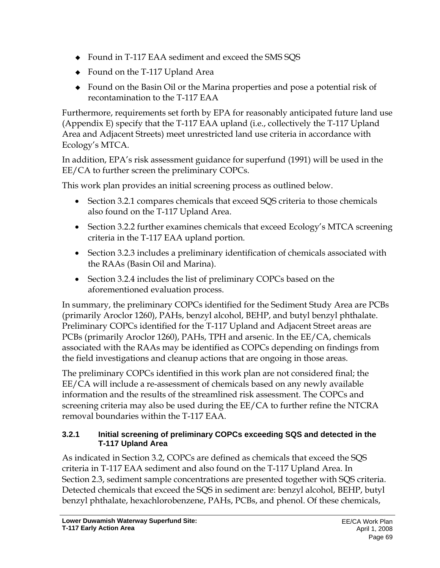- Found in T-117 EAA sediment and exceed the SMS SQS
- Found on the T-117 Upland Area
- Found on the Basin Oil or the Marina properties and pose a potential risk of recontamination to the T-117 EAA

Furthermore, requirements set forth by EPA for reasonably anticipated future land use (Appendix E) specify that the T-117 EAA upland (i.e., collectively the T-117 Upland Area and Adjacent Streets) meet unrestricted land use criteria in accordance with Ecology's MTCA.

In addition, EPA's risk assessment guidance for superfund (1991) will be used in the EE/CA to further screen the preliminary COPCs.

This work plan provides an initial screening process as outlined below.

- Section 3.2.1 compares chemicals that exceed SQS criteria to those chemicals also found on the T-117 Upland Area.
- Section 3.2.2 further examines chemicals that exceed Ecology's MTCA screening criteria in the T-117 EAA upland portion.
- Section 3.2.3 includes a preliminary identification of chemicals associated with the RAAs (Basin Oil and Marina).
- Section 3.2.4 includes the list of preliminary COPCs based on the aforementioned evaluation process.

In summary, the preliminary COPCs identified for the Sediment Study Area are PCBs (primarily Aroclor 1260), PAHs, benzyl alcohol, BEHP, and butyl benzyl phthalate. Preliminary COPCs identified for the T-117 Upland and Adjacent Street areas are PCBs (primarily Aroclor 1260), PAHs, TPH and arsenic. In the EE/CA, chemicals associated with the RAAs may be identified as COPCs depending on findings from the field investigations and cleanup actions that are ongoing in those areas.

The preliminary COPCs identified in this work plan are not considered final; the EE/CA will include a re-assessment of chemicals based on any newly available information and the results of the streamlined risk assessment. The COPCs and screening criteria may also be used during the EE/CA to further refine the NTCRA removal boundaries within the T-117 EAA.

#### **3.2.1 Initial screening of preliminary COPCs exceeding SQS and detected in the T-117 Upland Area**

As indicated in Section 3.2, COPCs are defined as chemicals that exceed the SQS criteria in T-117 EAA sediment and also found on the T-117 Upland Area. In Section 2.3, sediment sample concentrations are presented together with SQS criteria. Detected chemicals that exceed the SQS in sediment are: benzyl alcohol, BEHP, butyl benzyl phthalate, hexachlorobenzene, PAHs, PCBs, and phenol. Of these chemicals,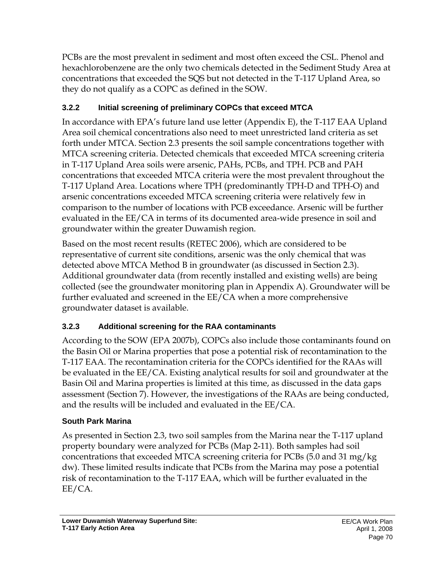PCBs are the most prevalent in sediment and most often exceed the CSL. Phenol and hexachlorobenzene are the only two chemicals detected in the Sediment Study Area at concentrations that exceeded the SQS but not detected in the T-117 Upland Area, so they do not qualify as a COPC as defined in the SOW.

# **3.2.2 Initial screening of preliminary COPCs that exceed MTCA**

In accordance with EPA's future land use letter (Appendix E), the T-117 EAA Upland Area soil chemical concentrations also need to meet unrestricted land criteria as set forth under MTCA. Section 2.3 presents the soil sample concentrations together with MTCA screening criteria. Detected chemicals that exceeded MTCA screening criteria in T-117 Upland Area soils were arsenic, PAHs, PCBs, and TPH. PCB and PAH concentrations that exceeded MTCA criteria were the most prevalent throughout the T-117 Upland Area. Locations where TPH (predominantly TPH-D and TPH-O) and arsenic concentrations exceeded MTCA screening criteria were relatively few in comparison to the number of locations with PCB exceedance. Arsenic will be further evaluated in the EE/CA in terms of its documented area-wide presence in soil and groundwater within the greater Duwamish region.

Based on the most recent results (RETEC 2006), which are considered to be representative of current site conditions, arsenic was the only chemical that was detected above MTCA Method B in groundwater (as discussed in Section 2.3). Additional groundwater data (from recently installed and existing wells) are being collected (see the groundwater monitoring plan in Appendix A). Groundwater will be further evaluated and screened in the EE/CA when a more comprehensive groundwater dataset is available.

# **3.2.3 Additional screening for the RAA contaminants**

According to the SOW (EPA 2007b), COPCs also include those contaminants found on the Basin Oil or Marina properties that pose a potential risk of recontamination to the T-117 EAA. The recontamination criteria for the COPCs identified for the RAAs will be evaluated in the EE/CA. Existing analytical results for soil and groundwater at the Basin Oil and Marina properties is limited at this time, as discussed in the data gaps assessment (Section 7). However, the investigations of the RAAs are being conducted, and the results will be included and evaluated in the EE/CA.

# **South Park Marina**

As presented in Section 2.3, two soil samples from the Marina near the T-117 upland property boundary were analyzed for PCBs (Map 2-11). Both samples had soil concentrations that exceeded MTCA screening criteria for PCBs (5.0 and 31 mg/kg dw). These limited results indicate that PCBs from the Marina may pose a potential risk of recontamination to the T-117 EAA, which will be further evaluated in the EE/CA.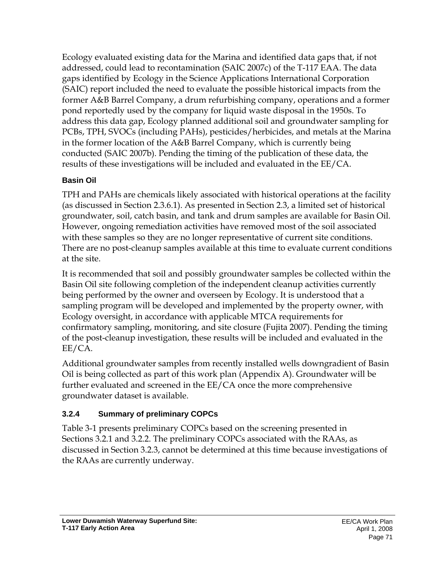Ecology evaluated existing data for the Marina and identified data gaps that, if not addressed, could lead to recontamination (SAIC 2007c) of the T-117 EAA. The data gaps identified by Ecology in the Science Applications International Corporation (SAIC) report included the need to evaluate the possible historical impacts from the former A&B Barrel Company, a drum refurbishing company, operations and a former pond reportedly used by the company for liquid waste disposal in the 1950s. To address this data gap, Ecology planned additional soil and groundwater sampling for PCBs, TPH, SVOCs (including PAHs), pesticides/herbicides, and metals at the Marina in the former location of the A&B Barrel Company, which is currently being conducted (SAIC 2007b). Pending the timing of the publication of these data, the results of these investigations will be included and evaluated in the EE/CA.

#### **Basin Oil**

TPH and PAHs are chemicals likely associated with historical operations at the facility (as discussed in Section 2.3.6.1). As presented in Section 2.3, a limited set of historical groundwater, soil, catch basin, and tank and drum samples are available for Basin Oil. However, ongoing remediation activities have removed most of the soil associated with these samples so they are no longer representative of current site conditions. There are no post-cleanup samples available at this time to evaluate current conditions at the site.

It is recommended that soil and possibly groundwater samples be collected within the Basin Oil site following completion of the independent cleanup activities currently being performed by the owner and overseen by Ecology. It is understood that a sampling program will be developed and implemented by the property owner, with Ecology oversight, in accordance with applicable MTCA requirements for confirmatory sampling, monitoring, and site closure (Fujita 2007). Pending the timing of the post-cleanup investigation, these results will be included and evaluated in the EE/CA.

Additional groundwater samples from recently installed wells downgradient of Basin Oil is being collected as part of this work plan (Appendix A). Groundwater will be further evaluated and screened in the EE/CA once the more comprehensive groundwater dataset is available.

### **3.2.4 Summary of preliminary COPCs**

Table 3-1 presents preliminary COPCs based on the screening presented in Sections 3.2.1 and 3.2.2. The preliminary COPCs associated with the RAAs, as discussed in Section 3.2.3, cannot be determined at this time because investigations of the RAAs are currently underway.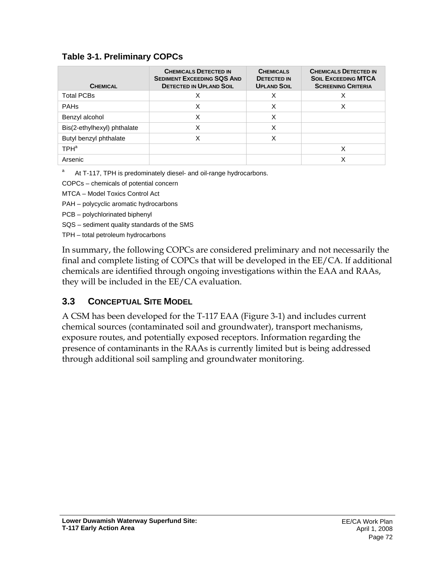#### **Table 3-1. Preliminary COPCs**

| <b>CHEMICAL</b>             | <b>CHEMICALS DETECTED IN</b><br><b>SEDIMENT EXCEEDING SQS AND</b><br><b>DETECTED IN UPLAND SOIL</b> | <b>CHEMICALS</b><br><b>DETECTED IN</b><br><b>UPLAND SOIL</b> | <b>CHEMICALS DETECTED IN</b><br><b>SOIL EXCEEDING MTCA</b><br><b>SCREENING CRITERIA</b> |
|-----------------------------|-----------------------------------------------------------------------------------------------------|--------------------------------------------------------------|-----------------------------------------------------------------------------------------|
| <b>Total PCBs</b>           |                                                                                                     | X                                                            |                                                                                         |
| <b>PAHs</b>                 |                                                                                                     | X                                                            |                                                                                         |
| Benzyl alcohol              |                                                                                                     | X                                                            |                                                                                         |
| Bis(2-ethylhexyl) phthalate |                                                                                                     | Χ                                                            |                                                                                         |
| Butyl benzyl phthalate      |                                                                                                     |                                                              |                                                                                         |
| TPH <sup>a</sup>            |                                                                                                     |                                                              |                                                                                         |
| Arsenic                     |                                                                                                     |                                                              |                                                                                         |

a At T-117, TPH is predominately diesel- and oil-range hydrocarbons.

COPCs – chemicals of potential concern

MTCA – Model Toxics Control Act

PAH – polycyclic aromatic hydrocarbons

- PCB polychlorinated biphenyl
- SQS sediment quality standards of the SMS

TPH – total petroleum hydrocarbons

In summary, the following COPCs are considered preliminary and not necessarily the final and complete listing of COPCs that will be developed in the EE/CA. If additional chemicals are identified through ongoing investigations within the EAA and RAAs, they will be included in the EE/CA evaluation.

# **3.3 CONCEPTUAL SITE MODEL**

A CSM has been developed for the T-117 EAA (Figure 3-1) and includes current chemical sources (contaminated soil and groundwater), transport mechanisms, exposure routes, and potentially exposed receptors. Information regarding the presence of contaminants in the RAAs is currently limited but is being addressed through additional soil sampling and groundwater monitoring.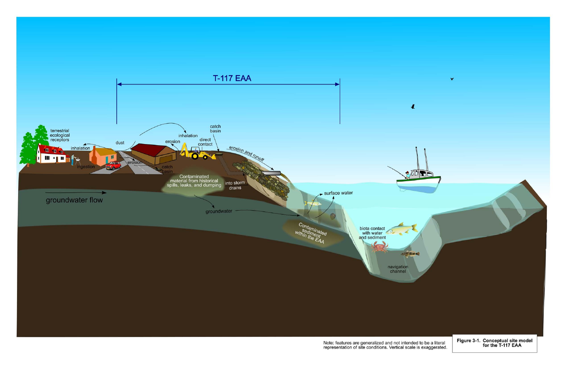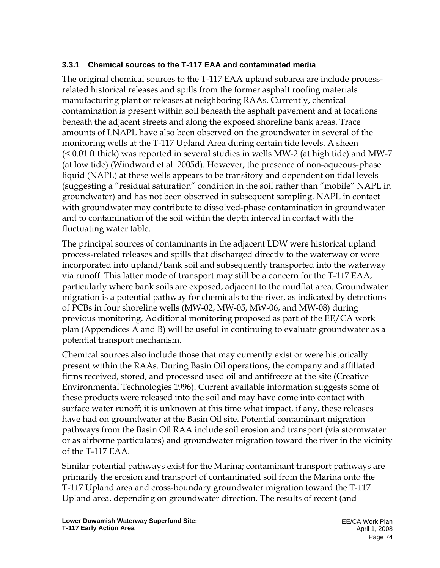#### **3.3.1 Chemical sources to the T-117 EAA and contaminated media**

The original chemical sources to the T-117 EAA upland subarea are include processrelated historical releases and spills from the former asphalt roofing materials manufacturing plant or releases at neighboring RAAs. Currently, chemical contamination is present within soil beneath the asphalt pavement and at locations beneath the adjacent streets and along the exposed shoreline bank areas. Trace amounts of LNAPL have also been observed on the groundwater in several of the monitoring wells at the T-117 Upland Area during certain tide levels. A sheen (< 0.01 ft thick) was reported in several studies in wells MW-2 (at high tide) and MW-7 (at low tide) (Windward et al. 2005d). However, the presence of non-aqueous-phase liquid (NAPL) at these wells appears to be transitory and dependent on tidal levels (suggesting a "residual saturation" condition in the soil rather than "mobile" NAPL in groundwater) and has not been observed in subsequent sampling. NAPL in contact with groundwater may contribute to dissolved-phase contamination in groundwater and to contamination of the soil within the depth interval in contact with the fluctuating water table.

The principal sources of contaminants in the adjacent LDW were historical upland process-related releases and spills that discharged directly to the waterway or were incorporated into upland/bank soil and subsequently transported into the waterway via runoff. This latter mode of transport may still be a concern for the T-117 EAA, particularly where bank soils are exposed, adjacent to the mudflat area. Groundwater migration is a potential pathway for chemicals to the river, as indicated by detections of PCBs in four shoreline wells (MW-02, MW-05, MW-06, and MW-08) during previous monitoring. Additional monitoring proposed as part of the EE/CA work plan (Appendices A and B) will be useful in continuing to evaluate groundwater as a potential transport mechanism.

Chemical sources also include those that may currently exist or were historically present within the RAAs. During Basin Oil operations, the company and affiliated firms received, stored, and processed used oil and antifreeze at the site (Creative Environmental Technologies 1996). Current available information suggests some of these products were released into the soil and may have come into contact with surface water runoff; it is unknown at this time what impact, if any, these releases have had on groundwater at the Basin Oil site. Potential contaminant migration pathways from the Basin Oil RAA include soil erosion and transport (via stormwater or as airborne particulates) and groundwater migration toward the river in the vicinity of the T-117 EAA.

Similar potential pathways exist for the Marina; contaminant transport pathways are primarily the erosion and transport of contaminated soil from the Marina onto the T-117 Upland area and cross-boundary groundwater migration toward the T-117 Upland area, depending on groundwater direction. The results of recent (and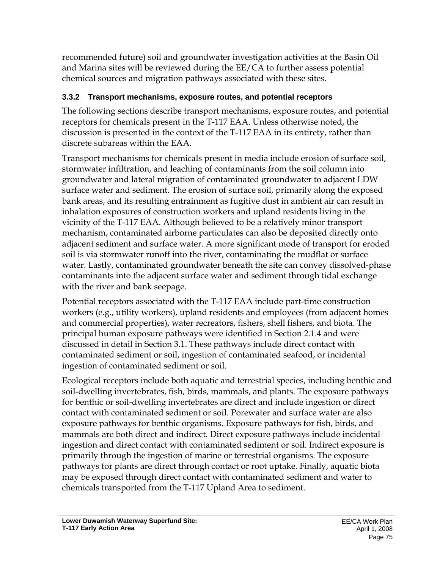recommended future) soil and groundwater investigation activities at the Basin Oil and Marina sites will be reviewed during the EE/CA to further assess potential chemical sources and migration pathways associated with these sites.

#### **3.3.2 Transport mechanisms, exposure routes, and potential receptors**

The following sections describe transport mechanisms, exposure routes, and potential receptors for chemicals present in the T-117 EAA. Unless otherwise noted, the discussion is presented in the context of the T-117 EAA in its entirety, rather than discrete subareas within the EAA.

Transport mechanisms for chemicals present in media include erosion of surface soil, stormwater infiltration, and leaching of contaminants from the soil column into groundwater and lateral migration of contaminated groundwater to adjacent LDW surface water and sediment. The erosion of surface soil, primarily along the exposed bank areas, and its resulting entrainment as fugitive dust in ambient air can result in inhalation exposures of construction workers and upland residents living in the vicinity of the T-117 EAA. Although believed to be a relatively minor transport mechanism, contaminated airborne particulates can also be deposited directly onto adjacent sediment and surface water. A more significant mode of transport for eroded soil is via stormwater runoff into the river, contaminating the mudflat or surface water. Lastly, contaminated groundwater beneath the site can convey dissolved-phase contaminants into the adjacent surface water and sediment through tidal exchange with the river and bank seepage.

Potential receptors associated with the T-117 EAA include part-time construction workers (e.g., utility workers), upland residents and employees (from adjacent homes and commercial properties), water recreators, fishers, shell fishers, and biota. The principal human exposure pathways were identified in Section 2.1.4 and were discussed in detail in Section 3.1. These pathways include direct contact with contaminated sediment or soil, ingestion of contaminated seafood, or incidental ingestion of contaminated sediment or soil.

Ecological receptors include both aquatic and terrestrial species, including benthic and soil-dwelling invertebrates, fish, birds, mammals, and plants. The exposure pathways for benthic or soil-dwelling invertebrates are direct and include ingestion or direct contact with contaminated sediment or soil. Porewater and surface water are also exposure pathways for benthic organisms. Exposure pathways for fish, birds, and mammals are both direct and indirect. Direct exposure pathways include incidental ingestion and direct contact with contaminated sediment or soil. Indirect exposure is primarily through the ingestion of marine or terrestrial organisms. The exposure pathways for plants are direct through contact or root uptake. Finally, aquatic biota may be exposed through direct contact with contaminated sediment and water to chemicals transported from the T-117 Upland Area to sediment.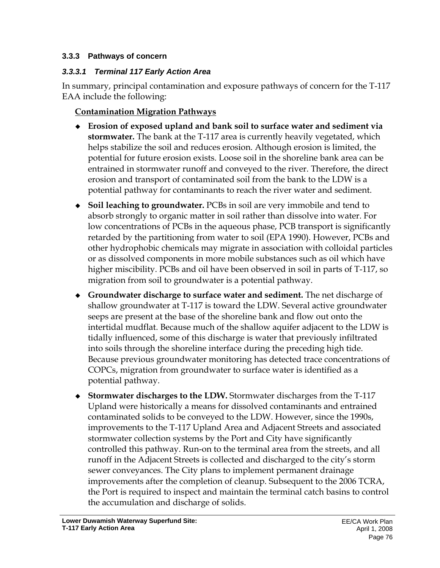#### **3.3.3 Pathways of concern**

#### *3.3.3.1 Terminal 117 Early Action Area*

In summary, principal contamination and exposure pathways of concern for the T-117 EAA include the following:

#### **Contamination Migration Pathways**

- **Erosion of exposed upland and bank soil to surface water and sediment via stormwater.** The bank at the T-117 area is currently heavily vegetated, which helps stabilize the soil and reduces erosion. Although erosion is limited, the potential for future erosion exists. Loose soil in the shoreline bank area can be entrained in stormwater runoff and conveyed to the river. Therefore, the direct erosion and transport of contaminated soil from the bank to the LDW is a potential pathway for contaminants to reach the river water and sediment.
- **Soil leaching to groundwater.** PCBs in soil are very immobile and tend to absorb strongly to organic matter in soil rather than dissolve into water. For low concentrations of PCBs in the aqueous phase, PCB transport is significantly retarded by the partitioning from water to soil (EPA 1990). However, PCBs and other hydrophobic chemicals may migrate in association with colloidal particles or as dissolved components in more mobile substances such as oil which have higher miscibility. PCBs and oil have been observed in soil in parts of T-117, so migration from soil to groundwater is a potential pathway.
- **Groundwater discharge to surface water and sediment.** The net discharge of shallow groundwater at T-117 is toward the LDW. Several active groundwater seeps are present at the base of the shoreline bank and flow out onto the intertidal mudflat. Because much of the shallow aquifer adjacent to the LDW is tidally influenced, some of this discharge is water that previously infiltrated into soils through the shoreline interface during the preceding high tide. Because previous groundwater monitoring has detected trace concentrations of COPCs, migration from groundwater to surface water is identified as a potential pathway.
- **Stormwater discharges to the LDW.** Stormwater discharges from the T-117 Upland were historically a means for dissolved contaminants and entrained contaminated solids to be conveyed to the LDW. However, since the 1990s, improvements to the T-117 Upland Area and Adjacent Streets and associated stormwater collection systems by the Port and City have significantly controlled this pathway. Run-on to the terminal area from the streets, and all runoff in the Adjacent Streets is collected and discharged to the city's storm sewer conveyances. The City plans to implement permanent drainage improvements after the completion of cleanup. Subsequent to the 2006 TCRA, the Port is required to inspect and maintain the terminal catch basins to control the accumulation and discharge of solids.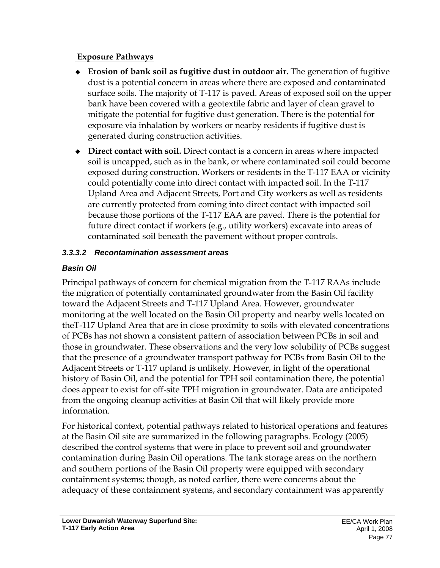#### **Exposure Pathways**

- **Erosion of bank soil as fugitive dust in outdoor air.** The generation of fugitive dust is a potential concern in areas where there are exposed and contaminated surface soils. The majority of T-117 is paved. Areas of exposed soil on the upper bank have been covered with a geotextile fabric and layer of clean gravel to mitigate the potential for fugitive dust generation. There is the potential for exposure via inhalation by workers or nearby residents if fugitive dust is generated during construction activities.
- **Direct contact with soil.** Direct contact is a concern in areas where impacted soil is uncapped, such as in the bank, or where contaminated soil could become exposed during construction. Workers or residents in the T-117 EAA or vicinity could potentially come into direct contact with impacted soil. In the T-117 Upland Area and Adjacent Streets, Port and City workers as well as residents are currently protected from coming into direct contact with impacted soil because those portions of the T-117 EAA are paved. There is the potential for future direct contact if workers (e.g., utility workers) excavate into areas of contaminated soil beneath the pavement without proper controls.

#### *3.3.3.2 Recontamination assessment areas*

### *Basin Oil*

Principal pathways of concern for chemical migration from the T-117 RAAs include the migration of potentially contaminated groundwater from the Basin Oil facility toward the Adjacent Streets and T-117 Upland Area. However, groundwater monitoring at the well located on the Basin Oil property and nearby wells located on theT-117 Upland Area that are in close proximity to soils with elevated concentrations of PCBs has not shown a consistent pattern of association between PCBs in soil and those in groundwater. These observations and the very low solubility of PCBs suggest that the presence of a groundwater transport pathway for PCBs from Basin Oil to the Adjacent Streets or T-117 upland is unlikely. However, in light of the operational history of Basin Oil, and the potential for TPH soil contamination there, the potential does appear to exist for off-site TPH migration in groundwater. Data are anticipated from the ongoing cleanup activities at Basin Oil that will likely provide more information.

For historical context, potential pathways related to historical operations and features at the Basin Oil site are summarized in the following paragraphs. Ecology (2005) described the control systems that were in place to prevent soil and groundwater contamination during Basin Oil operations. The tank storage areas on the northern and southern portions of the Basin Oil property were equipped with secondary containment systems; though, as noted earlier, there were concerns about the adequacy of these containment systems, and secondary containment was apparently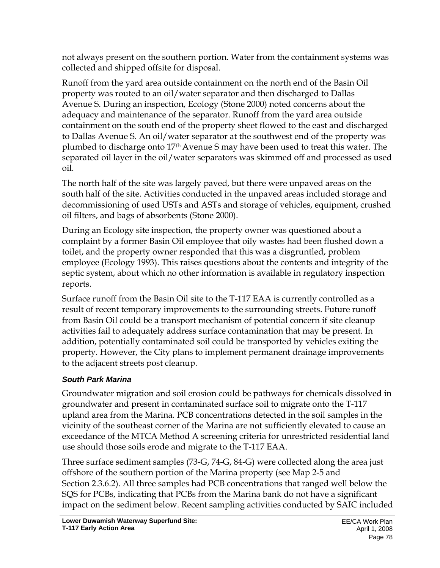not always present on the southern portion. Water from the containment systems was collected and shipped offsite for disposal.

Runoff from the yard area outside containment on the north end of the Basin Oil property was routed to an oil/water separator and then discharged to Dallas Avenue S. During an inspection, Ecology (Stone 2000) noted concerns about the adequacy and maintenance of the separator. Runoff from the yard area outside containment on the south end of the property sheet flowed to the east and discharged to Dallas Avenue S. An oil/water separator at the southwest end of the property was plumbed to discharge onto 17th Avenue S may have been used to treat this water. The separated oil layer in the oil/water separators was skimmed off and processed as used oil.

The north half of the site was largely paved, but there were unpaved areas on the south half of the site. Activities conducted in the unpaved areas included storage and decommissioning of used USTs and ASTs and storage of vehicles, equipment, crushed oil filters, and bags of absorbents (Stone 2000).

During an Ecology site inspection, the property owner was questioned about a complaint by a former Basin Oil employee that oily wastes had been flushed down a toilet, and the property owner responded that this was a disgruntled, problem employee (Ecology 1993). This raises questions about the contents and integrity of the septic system, about which no other information is available in regulatory inspection reports.

Surface runoff from the Basin Oil site to the T-117 EAA is currently controlled as a result of recent temporary improvements to the surrounding streets. Future runoff from Basin Oil could be a transport mechanism of potential concern if site cleanup activities fail to adequately address surface contamination that may be present. In addition, potentially contaminated soil could be transported by vehicles exiting the property. However, the City plans to implement permanent drainage improvements to the adjacent streets post cleanup.

### *South Park Marina*

Groundwater migration and soil erosion could be pathways for chemicals dissolved in groundwater and present in contaminated surface soil to migrate onto the T-117 upland area from the Marina. PCB concentrations detected in the soil samples in the vicinity of the southeast corner of the Marina are not sufficiently elevated to cause an exceedance of the MTCA Method A screening criteria for unrestricted residential land use should those soils erode and migrate to the T-117 EAA.

Three surface sediment samples (73-G, 74-G, 84-G) were collected along the area just offshore of the southern portion of the Marina property (see Map 2-5 and Section 2.3.6.2). All three samples had PCB concentrations that ranged well below the SQS for PCBs, indicating that PCBs from the Marina bank do not have a significant impact on the sediment below. Recent sampling activities conducted by SAIC included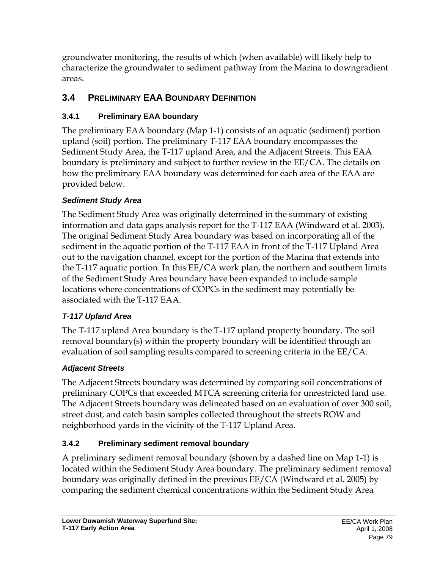groundwater monitoring, the results of which (when available) will likely help to characterize the groundwater to sediment pathway from the Marina to downgradient areas.

# **3.4 PRELIMINARY EAA BOUNDARY DEFINITION**

### **3.4.1 Preliminary EAA boundary**

The preliminary EAA boundary (Map 1-1) consists of an aquatic (sediment) portion upland (soil) portion. The preliminary T-117 EAA boundary encompasses the Sediment Study Area, the T-117 upland Area, and the Adjacent Streets. This EAA boundary is preliminary and subject to further review in the EE/CA. The details on how the preliminary EAA boundary was determined for each area of the EAA are provided below.

### *Sediment Study Area*

The Sediment Study Area was originally determined in the summary of existing information and data gaps analysis report for the T-117 EAA (Windward et al. 2003). The original Sediment Study Area boundary was based on incorporating all of the sediment in the aquatic portion of the T-117 EAA in front of the T-117 Upland Area out to the navigation channel, except for the portion of the Marina that extends into the T-117 aquatic portion. In this EE/CA work plan, the northern and southern limits of the Sediment Study Area boundary have been expanded to include sample locations where concentrations of COPCs in the sediment may potentially be associated with the T-117 EAA.

### *T-117 Upland Area*

The T-117 upland Area boundary is the T-117 upland property boundary. The soil removal boundary(s) within the property boundary will be identified through an evaluation of soil sampling results compared to screening criteria in the EE/CA.

### *Adjacent Streets*

The Adjacent Streets boundary was determined by comparing soil concentrations of preliminary COPCs that exceeded MTCA screening criteria for unrestricted land use. The Adjacent Streets boundary was delineated based on an evaluation of over 300 soil, street dust, and catch basin samples collected throughout the streets ROW and neighborhood yards in the vicinity of the T-117 Upland Area.

### **3.4.2 Preliminary sediment removal boundary**

A preliminary sediment removal boundary (shown by a dashed line on Map 1-1) is located within the Sediment Study Area boundary. The preliminary sediment removal boundary was originally defined in the previous EE/CA (Windward et al. 2005) by comparing the sediment chemical concentrations within the Sediment Study Area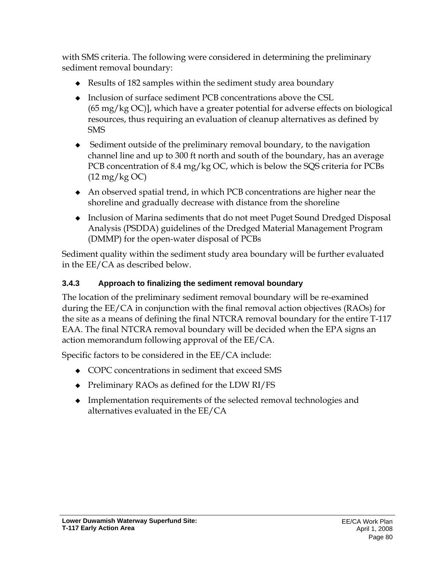with SMS criteria. The following were considered in determining the preliminary sediment removal boundary:

- Results of 182 samples within the sediment study area boundary
- Inclusion of surface sediment PCB concentrations above the CSL (65 mg/kg OC)], which have a greater potential for adverse effects on biological resources, thus requiring an evaluation of cleanup alternatives as defined by SMS
- $\bullet$  Sediment outside of the preliminary removal boundary, to the navigation channel line and up to 300 ft north and south of the boundary, has an average PCB concentration of 8.4 mg/kg OC, which is below the SQS criteria for PCBs (12 mg/kg OC)
- An observed spatial trend, in which PCB concentrations are higher near the shoreline and gradually decrease with distance from the shoreline
- Inclusion of Marina sediments that do not meet Puget Sound Dredged Disposal Analysis (PSDDA) guidelines of the Dredged Material Management Program (DMMP) for the open-water disposal of PCBs

Sediment quality within the sediment study area boundary will be further evaluated in the EE/CA as described below.

#### **3.4.3 Approach to finalizing the sediment removal boundary**

The location of the preliminary sediment removal boundary will be re-examined during the EE/CA in conjunction with the final removal action objectives (RAOs) for the site as a means of defining the final NTCRA removal boundary for the entire T-117 EAA. The final NTCRA removal boundary will be decided when the EPA signs an action memorandum following approval of the EE/CA.

Specific factors to be considered in the EE/CA include:

- COPC concentrations in sediment that exceed SMS
- ◆ Preliminary RAOs as defined for the LDW RI/FS
- Implementation requirements of the selected removal technologies and alternatives evaluated in the EE/CA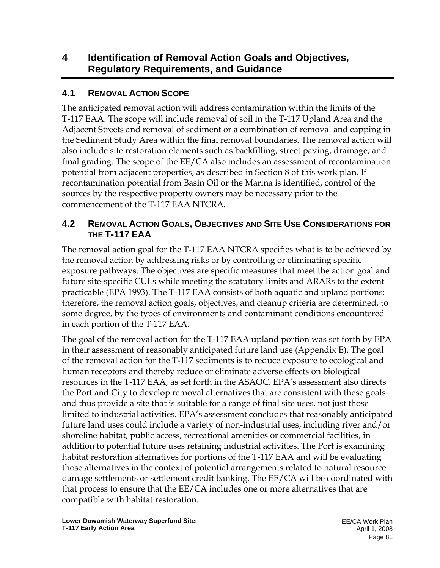# **4 Identification of Removal Action Goals and Objectives, Regulatory Requirements, and Guidance**

#### **4.1 REMOVAL ACTION SCOPE**

The anticipated removal action will address contamination within the limits of the T-117 EAA. The scope will include removal of soil in the T-117 Upland Area and the Adjacent Streets and removal of sediment or a combination of removal and capping in the Sediment Study Area within the final removal boundaries. The removal action will also include site restoration elements such as backfilling, street paving, drainage, and final grading. The scope of the EE/CA also includes an assessment of recontamination potential from adjacent properties, as described in Section 8 of this work plan. If recontamination potential from Basin Oil or the Marina is identified, control of the sources by the respective property owners may be necessary prior to the commencement of the T-117 EAA NTCRA.

#### **4.2 REMOVAL ACTION GOALS, OBJECTIVES AND SITE USE CONSIDERATIONS FOR THE T-117 EAA**

The removal action goal for the T-117 EAA NTCRA specifies what is to be achieved by the removal action by addressing risks or by controlling or eliminating specific exposure pathways. The objectives are specific measures that meet the action goal and future site-specific CULs while meeting the statutory limits and ARARs to the extent practicable (EPA 1993). The T-117 EAA consists of both aquatic and upland portions; therefore, the removal action goals, objectives, and cleanup criteria are determined, to some degree, by the types of environments and contaminant conditions encountered in each portion of the T-117 EAA.

The goal of the removal action for the T-117 EAA upland portion was set forth by EPA in their assessment of reasonably anticipated future land use (Appendix E). The goal of the removal action for the T-117 sediments is to reduce exposure to ecological and human receptors and thereby reduce or eliminate adverse effects on biological resources in the T-117 EAA, as set forth in the ASAOC. EPA's assessment also directs the Port and City to develop removal alternatives that are consistent with these goals and thus provide a site that is suitable for a range of final site uses, not just those limited to industrial activities. EPA's assessment concludes that reasonably anticipated future land uses could include a variety of non-industrial uses, including river and/or shoreline habitat, public access, recreational amenities or commercial facilities, in addition to potential future uses retaining industrial activities. The Port is examining habitat restoration alternatives for portions of the T-117 EAA and will be evaluating those alternatives in the context of potential arrangements related to natural resource damage settlements or settlement credit banking. The EE/CA will be coordinated with that process to ensure that the EE/CA includes one or more alternatives that are compatible with habitat restoration.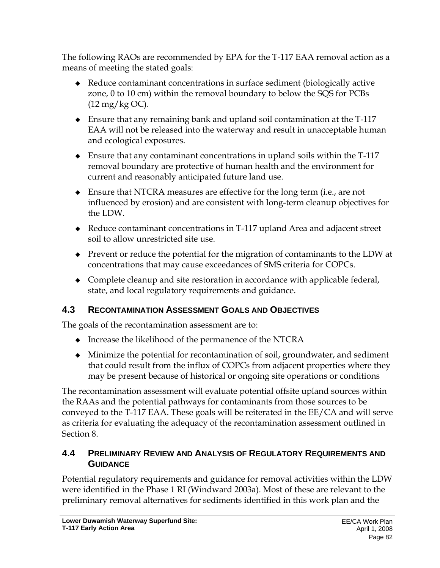The following RAOs are recommended by EPA for the T-117 EAA removal action as a means of meeting the stated goals:

- Reduce contaminant concentrations in surface sediment (biologically active zone, 0 to 10 cm) within the removal boundary to below the SQS for PCBs (12 mg/kg OC).
- Ensure that any remaining bank and upland soil contamination at the T-117 EAA will not be released into the waterway and result in unacceptable human and ecological exposures.
- Ensure that any contaminant concentrations in upland soils within the T-117 removal boundary are protective of human health and the environment for current and reasonably anticipated future land use.
- Ensure that NTCRA measures are effective for the long term (i.e., are not influenced by erosion) and are consistent with long-term cleanup objectives for the LDW.
- Reduce contaminant concentrations in T-117 upland Area and adjacent street soil to allow unrestricted site use.
- Prevent or reduce the potential for the migration of contaminants to the LDW at concentrations that may cause exceedances of SMS criteria for COPCs.
- Complete cleanup and site restoration in accordance with applicable federal, state, and local regulatory requirements and guidance.

### **4.3 RECONTAMINATION ASSESSMENT GOALS AND OBJECTIVES**

The goals of the recontamination assessment are to:

- Increase the likelihood of the permanence of the NTCRA
- Minimize the potential for recontamination of soil, groundwater, and sediment that could result from the influx of COPCs from adjacent properties where they may be present because of historical or ongoing site operations or conditions

The recontamination assessment will evaluate potential offsite upland sources within the RAAs and the potential pathways for contaminants from those sources to be conveyed to the T-117 EAA. These goals will be reiterated in the EE/CA and will serve as criteria for evaluating the adequacy of the recontamination assessment outlined in Section 8.

#### **4.4 PRELIMINARY REVIEW AND ANALYSIS OF REGULATORY REQUIREMENTS AND GUIDANCE**

Potential regulatory requirements and guidance for removal activities within the LDW were identified in the Phase 1 RI (Windward 2003a). Most of these are relevant to the preliminary removal alternatives for sediments identified in this work plan and the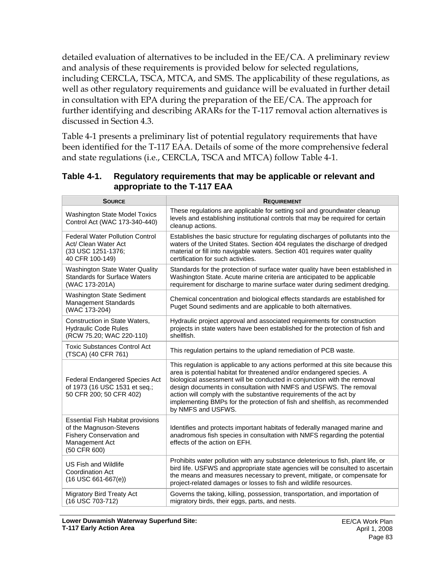detailed evaluation of alternatives to be included in the EE/CA. A preliminary review and analysis of these requirements is provided below for selected regulations, including CERCLA, TSCA, MTCA, and SMS. The applicability of these regulations, as well as other regulatory requirements and guidance will be evaluated in further detail in consultation with EPA during the preparation of the EE/CA. The approach for further identifying and describing ARARs for the T-117 removal action alternatives is discussed in Section 4.3.

Table 4-1 presents a preliminary list of potential regulatory requirements that have been identified for the T-117 EAA. Details of some of the more comprehensive federal and state regulations (i.e., CERCLA, TSCA and MTCA) follow Table 4-1.

| <b>SOURCE</b>                                                                                                                     | <b>REQUIREMENT</b>                                                                                                                                                                                                                                                                                                                                                                                                                                                                  |
|-----------------------------------------------------------------------------------------------------------------------------------|-------------------------------------------------------------------------------------------------------------------------------------------------------------------------------------------------------------------------------------------------------------------------------------------------------------------------------------------------------------------------------------------------------------------------------------------------------------------------------------|
| <b>Washington State Model Toxics</b><br>Control Act (WAC 173-340-440)                                                             | These regulations are applicable for setting soil and groundwater cleanup<br>levels and establishing institutional controls that may be required for certain<br>cleanup actions.                                                                                                                                                                                                                                                                                                    |
| <b>Federal Water Pollution Control</b><br>Act/ Clean Water Act<br>(33 USC 1251-1376;<br>40 CFR 100-149)                           | Establishes the basic structure for regulating discharges of pollutants into the<br>waters of the United States. Section 404 regulates the discharge of dredged<br>material or fill into navigable waters. Section 401 requires water quality<br>certification for such activities.                                                                                                                                                                                                 |
| <b>Washington State Water Quality</b><br><b>Standards for Surface Waters</b><br>(WAC 173-201A)                                    | Standards for the protection of surface water quality have been established in<br>Washington State. Acute marine criteria are anticipated to be applicable<br>requirement for discharge to marine surface water during sediment dredging.                                                                                                                                                                                                                                           |
| <b>Washington State Sediment</b><br>Management Standards<br>(WAC 173-204)                                                         | Chemical concentration and biological effects standards are established for<br>Puget Sound sediments and are applicable to both alternatives.                                                                                                                                                                                                                                                                                                                                       |
| Construction in State Waters,<br><b>Hydraulic Code Rules</b><br>(RCW 75.20; WAC 220-110)                                          | Hydraulic project approval and associated requirements for construction<br>projects in state waters have been established for the protection of fish and<br>shellfish.                                                                                                                                                                                                                                                                                                              |
| <b>Toxic Substances Control Act</b><br>(TSCA) (40 CFR 761)                                                                        | This regulation pertains to the upland remediation of PCB waste.                                                                                                                                                                                                                                                                                                                                                                                                                    |
| <b>Federal Endangered Species Act</b><br>of 1973 (16 USC 1531 et seq.;<br>50 CFR 200; 50 CFR 402)                                 | This regulation is applicable to any actions performed at this site because this<br>area is potential habitat for threatened and/or endangered species. A<br>biological assessment will be conducted in conjunction with the removal<br>design documents in consultation with NMFS and USFWS. The removal<br>action will comply with the substantive requirements of the act by<br>implementing BMPs for the protection of fish and shellfish, as recommended<br>by NMFS and USFWS. |
| <b>Essential Fish Habitat provisions</b><br>of the Magnuson-Stevens<br>Fishery Conservation and<br>Management Act<br>(50 CFR 600) | Identifies and protects important habitats of federally managed marine and<br>anadromous fish species in consultation with NMFS regarding the potential<br>effects of the action on EFH.                                                                                                                                                                                                                                                                                            |
| US Fish and Wildlife<br><b>Coordination Act</b><br>$(16$ USC 661-667(e))                                                          | Prohibits water pollution with any substance deleterious to fish, plant life, or<br>bird life. USFWS and appropriate state agencies will be consulted to ascertain<br>the means and measures necessary to prevent, mitigate, or compensate for<br>project-related damages or losses to fish and wildlife resources.                                                                                                                                                                 |
| <b>Migratory Bird Treaty Act</b><br>(16 USC 703-712)                                                                              | Governs the taking, killing, possession, transportation, and importation of<br>migratory birds, their eggs, parts, and nests.                                                                                                                                                                                                                                                                                                                                                       |

**Table 4-1. Regulatory requirements that may be applicable or relevant and appropriate to the T-117 EAA**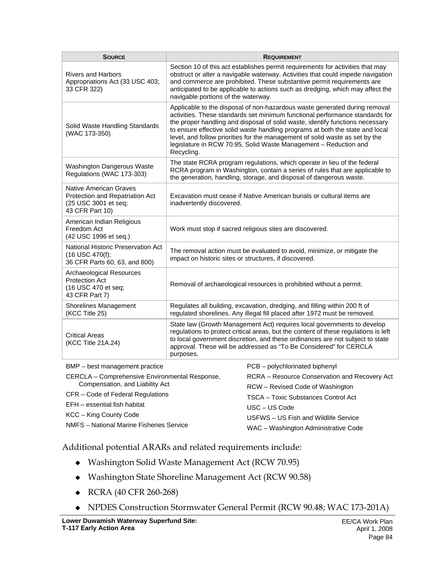| <b>SOURCE</b>                                                                                        | <b>REQUIREMENT</b>                                                                                                                                                                                                                                                                                                                                                                                                                                                                             |
|------------------------------------------------------------------------------------------------------|------------------------------------------------------------------------------------------------------------------------------------------------------------------------------------------------------------------------------------------------------------------------------------------------------------------------------------------------------------------------------------------------------------------------------------------------------------------------------------------------|
| <b>Rivers and Harbors</b><br>Appropriations Act (33 USC 403;<br>33 CFR 322)                          | Section 10 of this act establishes permit requirements for activities that may<br>obstruct or alter a navigable waterway. Activities that could impede navigation<br>and commerce are prohibited. These substantive permit requirements are<br>anticipated to be applicable to actions such as dredging, which may affect the<br>navigable portions of the waterway.                                                                                                                           |
| Solid Waste Handling Standards<br>(WAC 173-350)                                                      | Applicable to the disposal of non-hazardous waste generated during removal<br>activities. These standards set minimum functional performance standards for<br>the proper handling and disposal of solid waste, identify functions necessary<br>to ensure effective solid waste handling programs at both the state and local<br>level, and follow priorities for the management of solid waste as set by the<br>legislature in RCW 70.95, Solid Waste Management - Reduction and<br>Recycling. |
| Washington Dangerous Waste<br>Regulations (WAC 173-303)                                              | The state RCRA program regulations, which operate in lieu of the federal<br>RCRA program in Washington, contain a series of rules that are applicable to<br>the generation, handling, storage, and disposal of dangerous waste.                                                                                                                                                                                                                                                                |
| Native American Graves<br>Protection and Repatriation Act<br>(25 USC 3001 et seq;<br>43 CFR Part 10) | Excavation must cease if Native American burials or cultural items are<br>inadvertently discovered.                                                                                                                                                                                                                                                                                                                                                                                            |
| American Indian Religious<br>Freedom Act<br>(42 USC 1996 et seq.)                                    | Work must stop if sacred religious sites are discovered.                                                                                                                                                                                                                                                                                                                                                                                                                                       |
| National Historic Preservation Act<br>$(16$ USC $470(f)$ ;<br>36 CFR Parts 60, 63, and 800)          | The removal action must be evaluated to avoid, minimize, or mitigate the<br>impact on historic sites or structures, if discovered.                                                                                                                                                                                                                                                                                                                                                             |
| <b>Archaeological Resources</b><br><b>Protection Act</b><br>(16 USC 470 et seq;<br>43 CFR Part 7)    | Removal of archaeological resources is prohibited without a permit.                                                                                                                                                                                                                                                                                                                                                                                                                            |
| Shorelines Management<br>(KCC Title 25)                                                              | Regulates all building, excavation, dredging, and filling within 200 ft of<br>regulated shorelines. Any illegal fill placed after 1972 must be removed.                                                                                                                                                                                                                                                                                                                                        |
| <b>Critical Areas</b><br>(KCC Title 21A.24)                                                          | State law (Growth Management Act) requires local governments to develop<br>regulations to protect critical areas, but the content of these regulations is left<br>to local government discretion, and these ordinances are not subject to state<br>approval. These will be addressed as "To Be Considered" for CERCLA<br>purposes.                                                                                                                                                             |
| BMP - best management practice                                                                       | PCB - polychlorinated biphenyl                                                                                                                                                                                                                                                                                                                                                                                                                                                                 |

| $P = 1$ Dest management practice               | $FUD - DUIVGIIOIIIAIEU DIIIIEIIVI$            |  |  |  |  |
|------------------------------------------------|-----------------------------------------------|--|--|--|--|
| CERCLA - Comprehensive Environmental Response, | RCRA – Resource Conservation and Recovery Act |  |  |  |  |
| Compensation, and Liability Act                | RCW - Revised Code of Washington              |  |  |  |  |
| CFR – Code of Federal Regulations              | TSCA - Toxic Substances Control Act           |  |  |  |  |
| EFH - essential fish habitat                   | $USC - US Code$                               |  |  |  |  |
| KCC – King County Code                         | USFWS - US Fish and Wildlife Service          |  |  |  |  |
| NMFS - National Marine Fisheries Service       | WAC - Washington Administrative Code          |  |  |  |  |
|                                                |                                               |  |  |  |  |

Additional potential ARARs and related requirements include:

- Washington Solid Waste Management Act (RCW 70.95)
- Washington State Shoreline Management Act (RCW 90.58)
- ◆ RCRA (40 CFR 260-268)
- NPDES Construction Stormwater General Permit (RCW 90.48; WAC 173-201A)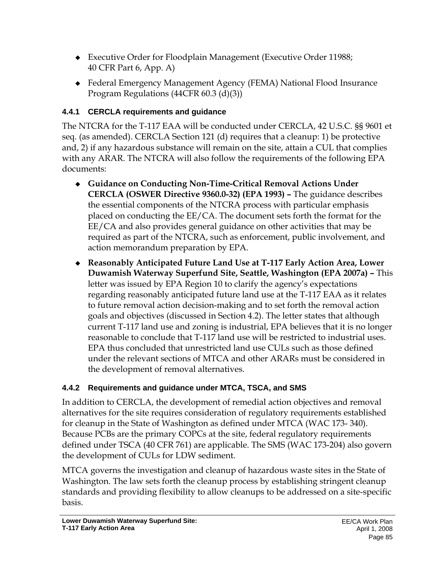- Executive Order for Floodplain Management (Executive Order 11988; 40 CFR Part 6, App. A)
- Federal Emergency Management Agency (FEMA) National Flood Insurance Program Regulations (44CFR 60.3 (d)(3))

### **4.4.1 CERCLA requirements and guidance**

The NTCRA for the T-117 EAA will be conducted under CERCLA, 42 U.S.C. §§ 9601 et seq. (as amended). CERCLA Section 121 (d) requires that a cleanup: 1) be protective and, 2) if any hazardous substance will remain on the site, attain a CUL that complies with any ARAR. The NTCRA will also follow the requirements of the following EPA documents:

- **Guidance on Conducting Non-Time-Critical Removal Actions Under CERCLA (OSWER Directive 9360.0-32) (EPA 1993) –** The guidance describes the essential components of the NTCRA process with particular emphasis placed on conducting the EE/CA. The document sets forth the format for the EE/CA and also provides general guidance on other activities that may be required as part of the NTCRA, such as enforcement, public involvement, and action memorandum preparation by EPA.
- **Reasonably Anticipated Future Land Use at T-117 Early Action Area, Lower Duwamish Waterway Superfund Site, Seattle, Washington (EPA 2007a) –** This letter was issued by EPA Region 10 to clarify the agency's expectations regarding reasonably anticipated future land use at the T-117 EAA as it relates to future removal action decision-making and to set forth the removal action goals and objectives (discussed in Section 4.2). The letter states that although current T-117 land use and zoning is industrial, EPA believes that it is no longer reasonable to conclude that T-117 land use will be restricted to industrial uses. EPA thus concluded that unrestricted land use CULs such as those defined under the relevant sections of MTCA and other ARARs must be considered in the development of removal alternatives.

# **4.4.2 Requirements and guidance under MTCA, TSCA, and SMS**

In addition to CERCLA, the development of remedial action objectives and removal alternatives for the site requires consideration of regulatory requirements established for cleanup in the State of Washington as defined under MTCA (WAC 173- 340). Because PCBs are the primary COPCs at the site, federal regulatory requirements defined under TSCA (40 CFR 761) are applicable. The SMS (WAC 173-204) also govern the development of CULs for LDW sediment.

MTCA governs the investigation and cleanup of hazardous waste sites in the State of Washington. The law sets forth the cleanup process by establishing stringent cleanup standards and providing flexibility to allow cleanups to be addressed on a site-specific basis.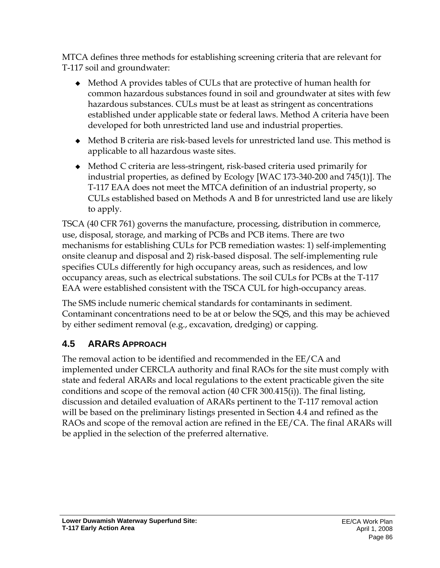MTCA defines three methods for establishing screening criteria that are relevant for T-117 soil and groundwater:

- Method A provides tables of CULs that are protective of human health for common hazardous substances found in soil and groundwater at sites with few hazardous substances. CULs must be at least as stringent as concentrations established under applicable state or federal laws. Method A criteria have been developed for both unrestricted land use and industrial properties.
- Method B criteria are risk-based levels for unrestricted land use. This method is applicable to all hazardous waste sites.
- Method C criteria are less-stringent, risk-based criteria used primarily for industrial properties, as defined by Ecology [WAC 173-340-200 and 745(1)]. The T-117 EAA does not meet the MTCA definition of an industrial property, so CULs established based on Methods A and B for unrestricted land use are likely to apply.

TSCA (40 CFR 761) governs the manufacture, processing, distribution in commerce, use, disposal, storage, and marking of PCBs and PCB items. There are two mechanisms for establishing CULs for PCB remediation wastes: 1) self-implementing onsite cleanup and disposal and 2) risk-based disposal. The self-implementing rule specifies CULs differently for high occupancy areas, such as residences, and low occupancy areas, such as electrical substations. The soil CULs for PCBs at the T-117 EAA were established consistent with the TSCA CUL for high-occupancy areas.

The SMS include numeric chemical standards for contaminants in sediment. Contaminant concentrations need to be at or below the SQS, and this may be achieved by either sediment removal (e.g., excavation, dredging) or capping.

# **4.5 ARARS APPROACH**

The removal action to be identified and recommended in the EE/CA and implemented under CERCLA authority and final RAOs for the site must comply with state and federal ARARs and local regulations to the extent practicable given the site conditions and scope of the removal action (40 CFR 300.415(i)). The final listing, discussion and detailed evaluation of ARARs pertinent to the T-117 removal action will be based on the preliminary listings presented in Section 4.4 and refined as the RAOs and scope of the removal action are refined in the EE/CA. The final ARARs will be applied in the selection of the preferred alternative.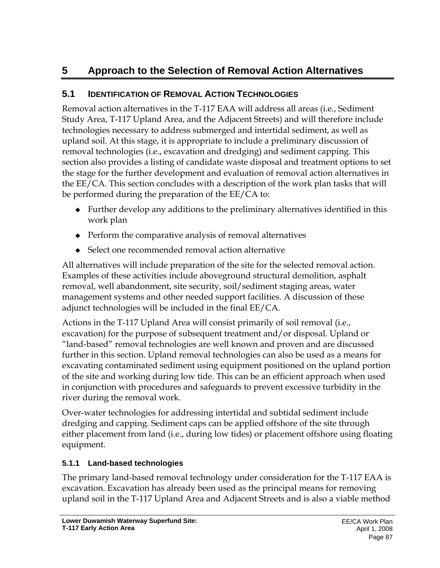# **5 Approach to the Selection of Removal Action Alternatives**

## **5.1 IDENTIFICATION OF REMOVAL ACTION TECHNOLOGIES**

Removal action alternatives in the T-117 EAA will address all areas (i.e., Sediment Study Area, T-117 Upland Area, and the Adjacent Streets) and will therefore include technologies necessary to address submerged and intertidal sediment, as well as upland soil. At this stage, it is appropriate to include a preliminary discussion of removal technologies (i.e., excavation and dredging) and sediment capping. This section also provides a listing of candidate waste disposal and treatment options to set the stage for the further development and evaluation of removal action alternatives in the EE/CA. This section concludes with a description of the work plan tasks that will be performed during the preparation of the EE/CA to:

- $\bullet$  Further develop any additions to the preliminary alternatives identified in this work plan
- Perform the comparative analysis of removal alternatives
- Select one recommended removal action alternative

All alternatives will include preparation of the site for the selected removal action. Examples of these activities include aboveground structural demolition, asphalt removal, well abandonment, site security, soil/sediment staging areas, water management systems and other needed support facilities. A discussion of these adjunct technologies will be included in the final EE/CA.

Actions in the T-117 Upland Area will consist primarily of soil removal (i.e., excavation) for the purpose of subsequent treatment and/or disposal. Upland or "land-based" removal technologies are well known and proven and are discussed further in this section. Upland removal technologies can also be used as a means for excavating contaminated sediment using equipment positioned on the upland portion of the site and working during low tide. This can be an efficient approach when used in conjunction with procedures and safeguards to prevent excessive turbidity in the river during the removal work.

Over-water technologies for addressing intertidal and subtidal sediment include dredging and capping. Sediment caps can be applied offshore of the site through either placement from land (i.e., during low tides) or placement offshore using floating equipment.

### **5.1.1 Land-based technologies**

The primary land-based removal technology under consideration for the T-117 EAA is excavation. Excavation has already been used as the principal means for removing upland soil in the T-117 Upland Area and Adjacent Streets and is also a viable method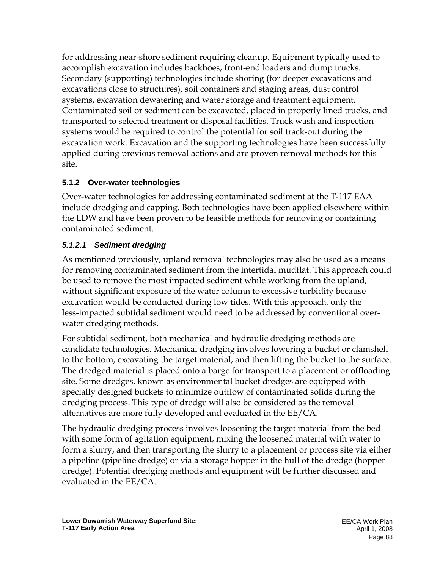for addressing near-shore sediment requiring cleanup. Equipment typically used to accomplish excavation includes backhoes, front-end loaders and dump trucks. Secondary (supporting) technologies include shoring (for deeper excavations and excavations close to structures), soil containers and staging areas, dust control systems, excavation dewatering and water storage and treatment equipment. Contaminated soil or sediment can be excavated, placed in properly lined trucks, and transported to selected treatment or disposal facilities. Truck wash and inspection systems would be required to control the potential for soil track-out during the excavation work. Excavation and the supporting technologies have been successfully applied during previous removal actions and are proven removal methods for this site.

### **5.1.2 Over-water technologies**

Over-water technologies for addressing contaminated sediment at the T-117 EAA include dredging and capping. Both technologies have been applied elsewhere within the LDW and have been proven to be feasible methods for removing or containing contaminated sediment.

### *5.1.2.1 Sediment dredging*

As mentioned previously, upland removal technologies may also be used as a means for removing contaminated sediment from the intertidal mudflat. This approach could be used to remove the most impacted sediment while working from the upland, without significant exposure of the water column to excessive turbidity because excavation would be conducted during low tides. With this approach, only the less-impacted subtidal sediment would need to be addressed by conventional overwater dredging methods.

For subtidal sediment, both mechanical and hydraulic dredging methods are candidate technologies. Mechanical dredging involves lowering a bucket or clamshell to the bottom, excavating the target material, and then lifting the bucket to the surface. The dredged material is placed onto a barge for transport to a placement or offloading site. Some dredges, known as environmental bucket dredges are equipped with specially designed buckets to minimize outflow of contaminated solids during the dredging process. This type of dredge will also be considered as the removal alternatives are more fully developed and evaluated in the EE/CA.

The hydraulic dredging process involves loosening the target material from the bed with some form of agitation equipment, mixing the loosened material with water to form a slurry, and then transporting the slurry to a placement or process site via either a pipeline (pipeline dredge) or via a storage hopper in the hull of the dredge (hopper dredge). Potential dredging methods and equipment will be further discussed and evaluated in the EE/CA.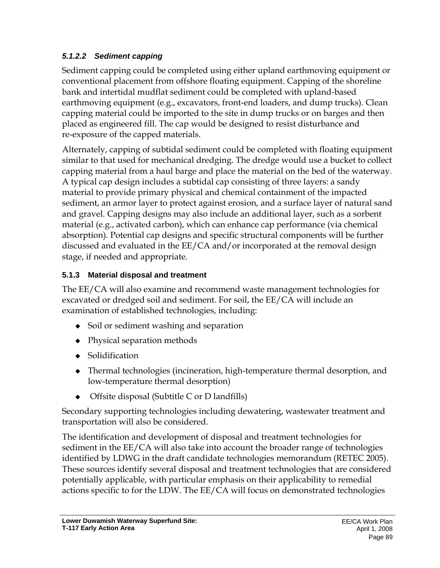### *5.1.2.2 Sediment capping*

Sediment capping could be completed using either upland earthmoving equipment or conventional placement from offshore floating equipment. Capping of the shoreline bank and intertidal mudflat sediment could be completed with upland-based earthmoving equipment (e.g., excavators, front-end loaders, and dump trucks). Clean capping material could be imported to the site in dump trucks or on barges and then placed as engineered fill. The cap would be designed to resist disturbance and re-exposure of the capped materials.

Alternately, capping of subtidal sediment could be completed with floating equipment similar to that used for mechanical dredging. The dredge would use a bucket to collect capping material from a haul barge and place the material on the bed of the waterway. A typical cap design includes a subtidal cap consisting of three layers: a sandy material to provide primary physical and chemical containment of the impacted sediment, an armor layer to protect against erosion, and a surface layer of natural sand and gravel. Capping designs may also include an additional layer, such as a sorbent material (e.g., activated carbon), which can enhance cap performance (via chemical absorption). Potential cap designs and specific structural components will be further discussed and evaluated in the EE/CA and/or incorporated at the removal design stage, if needed and appropriate.

# **5.1.3 Material disposal and treatment**

The EE/CA will also examine and recommend waste management technologies for excavated or dredged soil and sediment. For soil, the EE/CA will include an examination of established technologies, including:

- Soil or sediment washing and separation
- Physical separation methods
- ◆ Solidification
- Thermal technologies (incineration, high-temperature thermal desorption, and low-temperature thermal desorption)
- ◆ Offsite disposal (Subtitle C or D landfills)

Secondary supporting technologies including dewatering, wastewater treatment and transportation will also be considered.

The identification and development of disposal and treatment technologies for sediment in the EE/CA will also take into account the broader range of technologies identified by LDWG in the draft candidate technologies memorandum (RETEC 2005). These sources identify several disposal and treatment technologies that are considered potentially applicable, with particular emphasis on their applicability to remedial actions specific to for the LDW. The EE/CA will focus on demonstrated technologies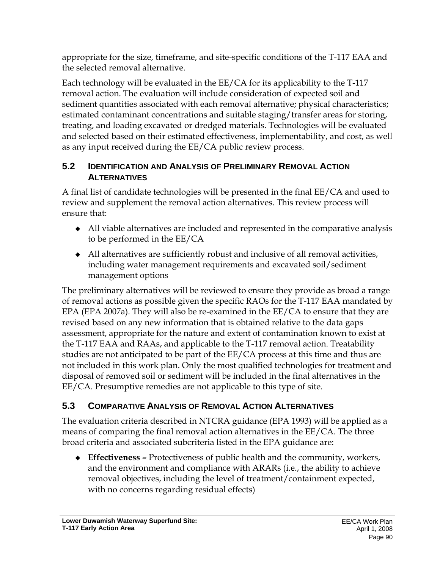appropriate for the size, timeframe, and site-specific conditions of the T-117 EAA and the selected removal alternative.

Each technology will be evaluated in the EE/CA for its applicability to the T-117 removal action. The evaluation will include consideration of expected soil and sediment quantities associated with each removal alternative; physical characteristics; estimated contaminant concentrations and suitable staging/transfer areas for storing, treating, and loading excavated or dredged materials. Technologies will be evaluated and selected based on their estimated effectiveness, implementability, and cost, as well as any input received during the EE/CA public review process.

#### **5.2 IDENTIFICATION AND ANALYSIS OF PRELIMINARY REMOVAL ACTION ALTERNATIVES**

A final list of candidate technologies will be presented in the final EE/CA and used to review and supplement the removal action alternatives. This review process will ensure that:

- All viable alternatives are included and represented in the comparative analysis to be performed in the EE/CA
- All alternatives are sufficiently robust and inclusive of all removal activities, including water management requirements and excavated soil/sediment management options

The preliminary alternatives will be reviewed to ensure they provide as broad a range of removal actions as possible given the specific RAOs for the T-117 EAA mandated by EPA (EPA 2007a). They will also be re-examined in the EE/CA to ensure that they are revised based on any new information that is obtained relative to the data gaps assessment, appropriate for the nature and extent of contamination known to exist at the T-117 EAA and RAAs, and applicable to the T-117 removal action. Treatability studies are not anticipated to be part of the EE/CA process at this time and thus are not included in this work plan. Only the most qualified technologies for treatment and disposal of removed soil or sediment will be included in the final alternatives in the EE/CA. Presumptive remedies are not applicable to this type of site.

# **5.3 COMPARATIVE ANALYSIS OF REMOVAL ACTION ALTERNATIVES**

The evaluation criteria described in NTCRA guidance (EPA 1993) will be applied as a means of comparing the final removal action alternatives in the EE/CA. The three broad criteria and associated subcriteria listed in the EPA guidance are:

 **Effectiveness –** Protectiveness of public health and the community, workers, and the environment and compliance with ARARs (i.e., the ability to achieve removal objectives, including the level of treatment/containment expected, with no concerns regarding residual effects)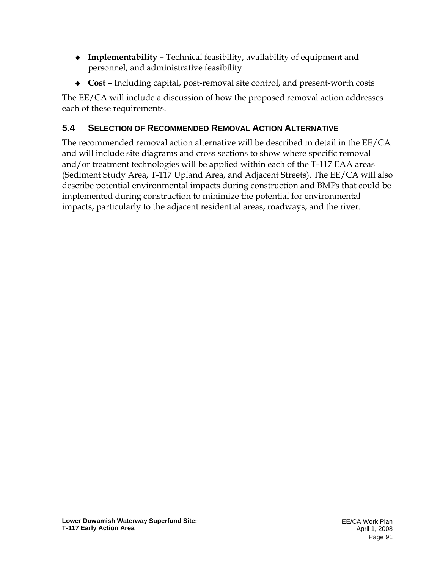- **Implementability** Technical feasibility, availability of equipment and personnel, and administrative feasibility
- **Cost** Including capital, post-removal site control, and present-worth costs

The EE/CA will include a discussion of how the proposed removal action addresses each of these requirements.

### **5.4 SELECTION OF RECOMMENDED REMOVAL ACTION ALTERNATIVE**

The recommended removal action alternative will be described in detail in the EE/CA and will include site diagrams and cross sections to show where specific removal and/or treatment technologies will be applied within each of the T-117 EAA areas (Sediment Study Area, T-117 Upland Area, and Adjacent Streets). The EE/CA will also describe potential environmental impacts during construction and BMPs that could be implemented during construction to minimize the potential for environmental impacts, particularly to the adjacent residential areas, roadways, and the river.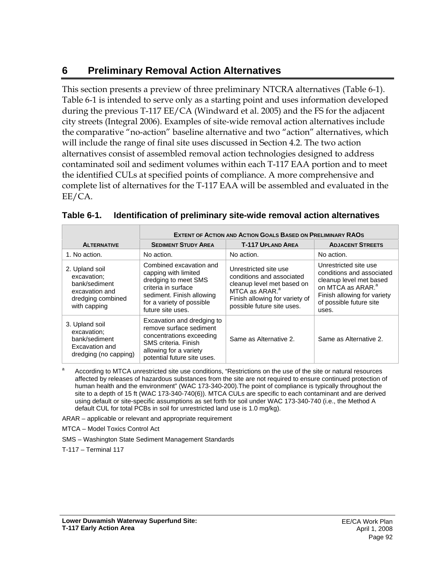# **6 Preliminary Removal Action Alternatives**

This section presents a preview of three preliminary NTCRA alternatives (Table 6-1). Table 6-1 is intended to serve only as a starting point and uses information developed during the previous T-117 EE/CA (Windward et al. 2005) and the FS for the adjacent city streets (Integral 2006). Examples of site-wide removal action alternatives include the comparative "no-action" baseline alternative and two "action" alternatives, which will include the range of final site uses discussed in Section 4.2. The two action alternatives consist of assembled removal action technologies designed to address contaminated soil and sediment volumes within each T-117 EAA portion and to meet the identified CULs at specified points of compliance. A more comprehensive and complete list of alternatives for the T-117 EAA will be assembled and evaluated in the EE/CA.

|                                                                                                       | <b>EXTENT OF ACTION AND ACTION GOALS BASED ON PRELIMINARY RAOS</b>                                                                                                            |                                                                                                                                                                                |                                                                                                                                                                                   |  |
|-------------------------------------------------------------------------------------------------------|-------------------------------------------------------------------------------------------------------------------------------------------------------------------------------|--------------------------------------------------------------------------------------------------------------------------------------------------------------------------------|-----------------------------------------------------------------------------------------------------------------------------------------------------------------------------------|--|
| <b>ALTERNATIVE</b>                                                                                    | <b>SEDIMENT STUDY AREA</b>                                                                                                                                                    | <b>T-117 UPLAND AREA</b>                                                                                                                                                       | <b>ADJACENT STREETS</b>                                                                                                                                                           |  |
| 1. No action.                                                                                         | No action.                                                                                                                                                                    | No action.                                                                                                                                                                     | No action.                                                                                                                                                                        |  |
| 2. Upland soil<br>excavation;<br>bank/sediment<br>excavation and<br>dredging combined<br>with capping | Combined excavation and<br>capping with limited<br>dredging to meet SMS<br>criteria in surface<br>sediment. Finish allowing<br>for a variety of possible<br>future site uses. | Unrestricted site use<br>conditions and associated<br>cleanup level met based on<br>MTCA as ARAR. <sup>a</sup><br>Finish allowing for variety of<br>possible future site uses. | Unrestricted site use<br>conditions and associated<br>cleanup level met based<br>on MTCA as ARAR. <sup>a</sup><br>Finish allowing for variety<br>of possible future site<br>uses. |  |
| 3. Upland soil<br>excavation;<br>bank/sediment<br>Excavation and<br>dredging (no capping)             | Excavation and dredging to<br>remove surface sediment<br>concentrations exceeding<br>SMS criteria. Finish<br>allowing for a variety<br>potential future site uses.            | Same as Alternative 2.                                                                                                                                                         | Same as Alternative 2.                                                                                                                                                            |  |

| Table 6-1. | Identification of preliminary site-wide removal action alternatives |  |  |  |  |  |
|------------|---------------------------------------------------------------------|--|--|--|--|--|
|------------|---------------------------------------------------------------------|--|--|--|--|--|

a According to MTCA unrestricted site use conditions, "Restrictions on the use of the site or natural resources affected by releases of hazardous substances from the site are not required to ensure continued protection of human health and the environment" (WAC 173-340-200).The point of compliance is typically throughout the site to a depth of 15 ft (WAC 173-340-740(6)). MTCA CULs are specific to each contaminant and are derived using default or site-specific assumptions as set forth for soil under WAC 173-340-740 (i.e., the Method A default CUL for total PCBs in soil for unrestricted land use is 1.0 mg/kg).

ARAR – applicable or relevant and appropriate requirement

MTCA – Model Toxics Control Act

SMS – Washington State Sediment Management Standards

T-117 – Terminal 117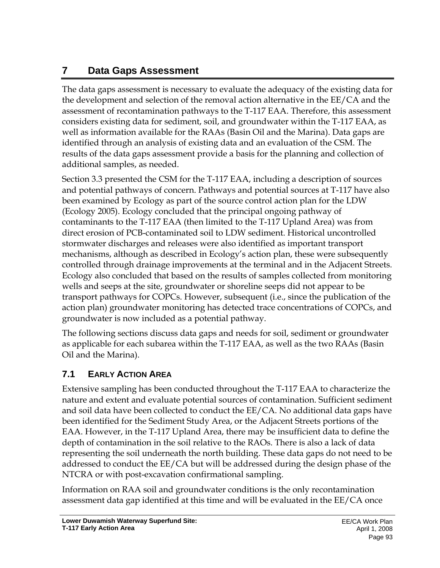# **7 Data Gaps Assessment**

The data gaps assessment is necessary to evaluate the adequacy of the existing data for the development and selection of the removal action alternative in the EE/CA and the assessment of recontamination pathways to the T-117 EAA. Therefore, this assessment considers existing data for sediment, soil, and groundwater within the T-117 EAA, as well as information available for the RAAs (Basin Oil and the Marina). Data gaps are identified through an analysis of existing data and an evaluation of the CSM. The results of the data gaps assessment provide a basis for the planning and collection of additional samples, as needed.

Section 3.3 presented the CSM for the T-117 EAA, including a description of sources and potential pathways of concern. Pathways and potential sources at T-117 have also been examined by Ecology as part of the source control action plan for the LDW (Ecology 2005). Ecology concluded that the principal ongoing pathway of contaminants to the T-117 EAA (then limited to the T-117 Upland Area) was from direct erosion of PCB-contaminated soil to LDW sediment. Historical uncontrolled stormwater discharges and releases were also identified as important transport mechanisms, although as described in Ecology's action plan, these were subsequently controlled through drainage improvements at the terminal and in the Adjacent Streets. Ecology also concluded that based on the results of samples collected from monitoring wells and seeps at the site, groundwater or shoreline seeps did not appear to be transport pathways for COPCs. However, subsequent (i.e., since the publication of the action plan) groundwater monitoring has detected trace concentrations of COPCs, and groundwater is now included as a potential pathway.

The following sections discuss data gaps and needs for soil, sediment or groundwater as applicable for each subarea within the T-117 EAA, as well as the two RAAs (Basin Oil and the Marina).

# **7.1 EARLY ACTION AREA**

Extensive sampling has been conducted throughout the T-117 EAA to characterize the nature and extent and evaluate potential sources of contamination. Sufficient sediment and soil data have been collected to conduct the EE/CA. No additional data gaps have been identified for the Sediment Study Area, or the Adjacent Streets portions of the EAA. However, in the T-117 Upland Area, there may be insufficient data to define the depth of contamination in the soil relative to the RAOs. There is also a lack of data representing the soil underneath the north building. These data gaps do not need to be addressed to conduct the EE/CA but will be addressed during the design phase of the NTCRA or with post-excavation confirmational sampling.

Information on RAA soil and groundwater conditions is the only recontamination assessment data gap identified at this time and will be evaluated in the EE/CA once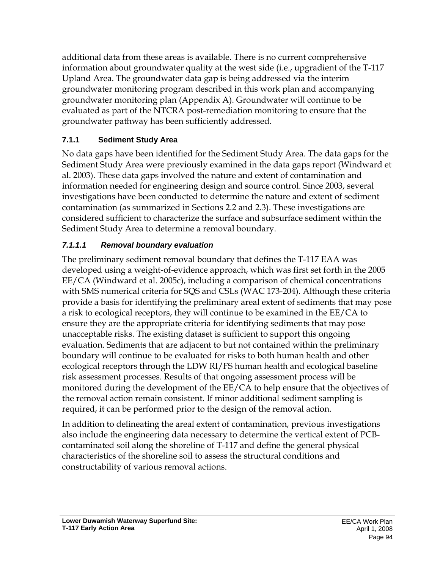additional data from these areas is available. There is no current comprehensive information about groundwater quality at the west side (i.e., upgradient of the T-117 Upland Area. The groundwater data gap is being addressed via the interim groundwater monitoring program described in this work plan and accompanying groundwater monitoring plan (Appendix A). Groundwater will continue to be evaluated as part of the NTCRA post-remediation monitoring to ensure that the groundwater pathway has been sufficiently addressed.

### **7.1.1 Sediment Study Area**

No data gaps have been identified for the Sediment Study Area. The data gaps for the Sediment Study Area were previously examined in the data gaps report (Windward et al. 2003). These data gaps involved the nature and extent of contamination and information needed for engineering design and source control. Since 2003, several investigations have been conducted to determine the nature and extent of sediment contamination (as summarized in Sections 2.2 and 2.3). These investigations are considered sufficient to characterize the surface and subsurface sediment within the Sediment Study Area to determine a removal boundary.

### *7.1.1.1 Removal boundary evaluation*

The preliminary sediment removal boundary that defines the T-117 EAA was developed using a weight-of-evidence approach, which was first set forth in the 2005 EE/CA (Windward et al. 2005c), including a comparison of chemical concentrations with SMS numerical criteria for SQS and CSLs (WAC 173-204). Although these criteria provide a basis for identifying the preliminary areal extent of sediments that may pose a risk to ecological receptors, they will continue to be examined in the EE/CA to ensure they are the appropriate criteria for identifying sediments that may pose unacceptable risks. The existing dataset is sufficient to support this ongoing evaluation. Sediments that are adjacent to but not contained within the preliminary boundary will continue to be evaluated for risks to both human health and other ecological receptors through the LDW RI/FS human health and ecological baseline risk assessment processes. Results of that ongoing assessment process will be monitored during the development of the EE/CA to help ensure that the objectives of the removal action remain consistent. If minor additional sediment sampling is required, it can be performed prior to the design of the removal action.

In addition to delineating the areal extent of contamination, previous investigations also include the engineering data necessary to determine the vertical extent of PCBcontaminated soil along the shoreline of T-117 and define the general physical characteristics of the shoreline soil to assess the structural conditions and constructability of various removal actions.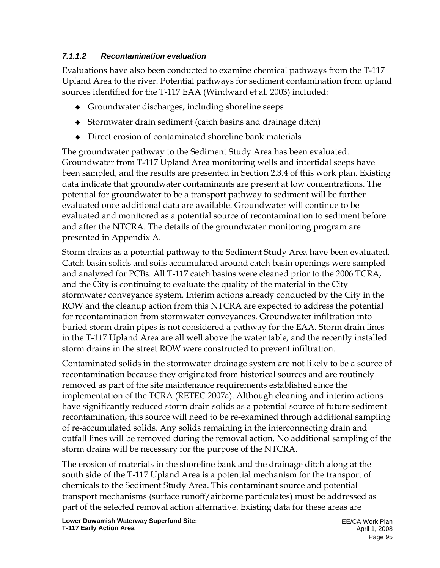#### *7.1.1.2 Recontamination evaluation*

Evaluations have also been conducted to examine chemical pathways from the T-117 Upland Area to the river. Potential pathways for sediment contamination from upland sources identified for the T-117 EAA (Windward et al. 2003) included:

- Groundwater discharges, including shoreline seeps
- Stormwater drain sediment (catch basins and drainage ditch)
- Direct erosion of contaminated shoreline bank materials

The groundwater pathway to the Sediment Study Area has been evaluated. Groundwater from T-117 Upland Area monitoring wells and intertidal seeps have been sampled, and the results are presented in Section 2.3.4 of this work plan. Existing data indicate that groundwater contaminants are present at low concentrations. The potential for groundwater to be a transport pathway to sediment will be further evaluated once additional data are available. Groundwater will continue to be evaluated and monitored as a potential source of recontamination to sediment before and after the NTCRA. The details of the groundwater monitoring program are presented in Appendix A.

Storm drains as a potential pathway to the Sediment Study Area have been evaluated. Catch basin solids and soils accumulated around catch basin openings were sampled and analyzed for PCBs. All T-117 catch basins were cleaned prior to the 2006 TCRA, and the City is continuing to evaluate the quality of the material in the City stormwater conveyance system. Interim actions already conducted by the City in the ROW and the cleanup action from this NTCRA are expected to address the potential for recontamination from stormwater conveyances. Groundwater infiltration into buried storm drain pipes is not considered a pathway for the EAA. Storm drain lines in the T-117 Upland Area are all well above the water table, and the recently installed storm drains in the street ROW were constructed to prevent infiltration.

Contaminated solids in the stormwater drainage system are not likely to be a source of recontamination because they originated from historical sources and are routinely removed as part of the site maintenance requirements established since the implementation of the TCRA (RETEC 2007a). Although cleaning and interim actions have significantly reduced storm drain solids as a potential source of future sediment recontamination, this source will need to be re-examined through additional sampling of re-accumulated solids. Any solids remaining in the interconnecting drain and outfall lines will be removed during the removal action. No additional sampling of the storm drains will be necessary for the purpose of the NTCRA.

The erosion of materials in the shoreline bank and the drainage ditch along at the south side of the T-117 Upland Area is a potential mechanism for the transport of chemicals to the Sediment Study Area. This contaminant source and potential transport mechanisms (surface runoff/airborne particulates) must be addressed as part of the selected removal action alternative. Existing data for these areas are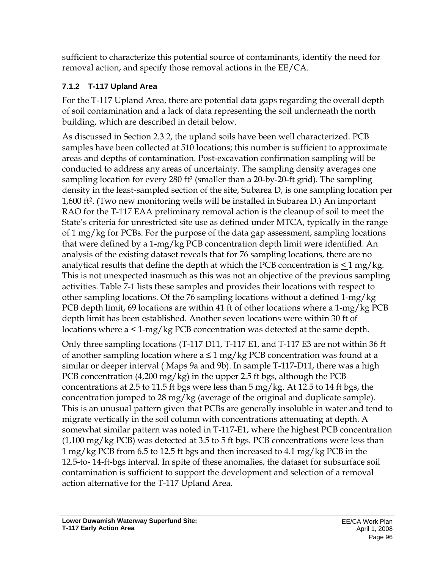sufficient to characterize this potential source of contaminants, identify the need for removal action, and specify those removal actions in the EE/CA.

### **7.1.2 T-117 Upland Area**

For the T-117 Upland Area, there are potential data gaps regarding the overall depth of soil contamination and a lack of data representing the soil underneath the north building, which are described in detail below.

As discussed in Section 2.3.2, the upland soils have been well characterized. PCB samples have been collected at 510 locations; this number is sufficient to approximate areas and depths of contamination. Post-excavation confirmation sampling will be conducted to address any areas of uncertainty. The sampling density averages one sampling location for every 280 ft2 (smaller than a 20-by-20-ft grid). The sampling density in the least-sampled section of the site, Subarea D, is one sampling location per 1,600 ft2. (Two new monitoring wells will be installed in Subarea D.) An important RAO for the T-117 EAA preliminary removal action is the cleanup of soil to meet the State's criteria for unrestricted site use as defined under MTCA, typically in the range of 1 mg/kg for PCBs. For the purpose of the data gap assessment, sampling locations that were defined by a 1-mg/kg PCB concentration depth limit were identified. An analysis of the existing dataset reveals that for 76 sampling locations, there are no analytical results that define the depth at which the PCB concentration is  $\leq 1$  mg/kg. This is not unexpected inasmuch as this was not an objective of the previous sampling activities. Table 7-1 lists these samples and provides their locations with respect to other sampling locations. Of the 76 sampling locations without a defined 1-mg/kg PCB depth limit, 69 locations are within 41 ft of other locations where a 1-mg/kg PCB depth limit has been established. Another seven locations were within 30 ft of locations where a < 1-mg/kg PCB concentration was detected at the same depth.

Only three sampling locations (T-117 D11, T-117 E1, and T-117 E3 are not within 36 ft of another sampling location where  $a \leq 1$  mg/kg PCB concentration was found at a similar or deeper interval ( Maps 9a and 9b). In sample T-117-D11, there was a high PCB concentration (4,200 mg/kg) in the upper 2.5 ft bgs, although the PCB concentrations at 2.5 to 11.5 ft bgs were less than 5 mg/kg. At 12.5 to 14 ft bgs, the concentration jumped to 28 mg/kg (average of the original and duplicate sample). This is an unusual pattern given that PCBs are generally insoluble in water and tend to migrate vertically in the soil column with concentrations attenuating at depth. A somewhat similar pattern was noted in T-117-E1, where the highest PCB concentration (1,100 mg/kg PCB) was detected at 3.5 to 5 ft bgs. PCB concentrations were less than 1 mg/kg PCB from 6.5 to 12.5 ft bgs and then increased to 4.1 mg/kg PCB in the 12.5-to- 14-ft-bgs interval. In spite of these anomalies, the dataset for subsurface soil contamination is sufficient to support the development and selection of a removal action alternative for the T-117 Upland Area.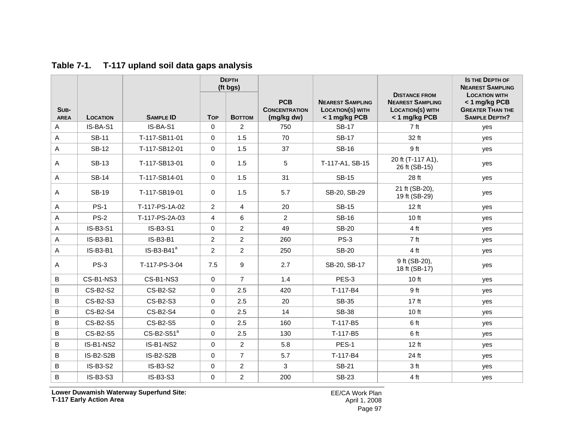|                           |                 |                  | <b>DEPTH</b><br>(ft bgs) |                |                                                  |                                                                     |                                                                                             | <b>IS THE DEPTH OF</b><br><b>NEAREST SAMPLING</b>                                        |
|---------------------------|-----------------|------------------|--------------------------|----------------|--------------------------------------------------|---------------------------------------------------------------------|---------------------------------------------------------------------------------------------|------------------------------------------------------------------------------------------|
| SUB-<br><b>AREA</b>       | <b>LOCATION</b> | <b>SAMPLE ID</b> | <b>Top</b>               | <b>BOTTOM</b>  | <b>PCB</b><br><b>CONCENTRATION</b><br>(mg/kg dw) | <b>NEAREST SAMPLING</b><br><b>LOCATION(S) WITH</b><br>< 1 mg/kg PCB | <b>DISTANCE FROM</b><br><b>NEAREST SAMPLING</b><br><b>LOCATION(S) WITH</b><br>< 1 mg/kg PCB | <b>LOCATION WITH</b><br>< 1 mg/kg PCB<br><b>GREATER THAN THE</b><br><b>SAMPLE DEPTH?</b> |
| Α                         | IS-BA-S1        | IS-BA-S1         | $\Omega$                 | $\overline{2}$ | 750                                              | <b>SB-17</b>                                                        | 7 <sub>ft</sub>                                                                             | yes                                                                                      |
| A                         | <b>SB-11</b>    | T-117-SB11-01    | 0                        | 1.5            | 70                                               | <b>SB-17</b>                                                        | 32 ft                                                                                       | yes                                                                                      |
| $\boldsymbol{\mathsf{A}}$ | <b>SB-12</b>    | T-117-SB12-01    | $\mathbf 0$              | 1.5            | 37                                               | <b>SB-16</b>                                                        | 9 ft                                                                                        | yes                                                                                      |
| $\mathsf{A}$              | <b>SB-13</b>    | T-117-SB13-01    | $\Omega$                 | 1.5            | 5                                                | T-117-A1, SB-15                                                     | 20 ft (T-117 A1),<br>26 ft (SB-15)                                                          | yes                                                                                      |
| $\mathsf{A}$              | <b>SB-14</b>    | T-117-SB14-01    | $\mathbf 0$              | 1.5            | 31                                               | <b>SB-15</b>                                                        | 28 ft                                                                                       | yes                                                                                      |
| A                         | <b>SB-19</b>    | T-117-SB19-01    | $\mathbf 0$              | 1.5            | 5.7                                              | SB-20, SB-29                                                        | 21 ft (SB-20),<br>19 ft (SB-29)                                                             | yes                                                                                      |
| $\mathsf{A}$              | <b>PS-1</b>     | T-117-PS-1A-02   | 2                        | $\overline{4}$ | 20                                               | <b>SB-15</b>                                                        | 12 ft                                                                                       | yes                                                                                      |
| A                         | $PS-2$          | T-117-PS-2A-03   | $\overline{4}$           | 6              | $\overline{2}$                                   | <b>SB-16</b>                                                        | 10 ft                                                                                       | yes                                                                                      |
| A                         | IS-B3-S1        | IS-B3-S1         | $\Omega$                 | $\overline{2}$ | 49                                               | <b>SB-20</b>                                                        | 4 ft                                                                                        | yes                                                                                      |
| A                         | IS-B3-B1        | IS-B3-B1         | $\overline{c}$           | $\overline{a}$ | 260                                              | <b>PS-3</b>                                                         | 7 ft                                                                                        | yes                                                                                      |
| Α                         | IS-B3-B1        | $IS-B3-B41a$     | $\overline{2}$           | $\overline{2}$ | 250                                              | <b>SB-20</b>                                                        | 4 ft                                                                                        | yes                                                                                      |
| $\mathsf{A}$              | <b>PS-3</b>     | T-117-PS-3-04    | 7.5                      | 9              | 2.7                                              | SB-20, SB-17                                                        | 9 ft (SB-20),<br>18 ft (SB-17)                                                              | yes                                                                                      |
| B                         | CS-B1-NS3       | CS-B1-NS3        | $\Omega$                 | $\overline{7}$ | 1.4                                              | PES-3                                                               | 10 ft                                                                                       | yes                                                                                      |
| B                         | CS-B2-S2        | <b>CS-B2-S2</b>  | $\mathbf 0$              | 2.5            | 420                                              | T-117-B4                                                            | 9 ft                                                                                        | yes                                                                                      |
| B                         | CS-B2-S3        | CS-B2-S3         | $\mathbf 0$              | 2.5            | 20                                               | <b>SB-35</b>                                                        | 17 ft                                                                                       | yes                                                                                      |
| B                         | CS-B2-S4        | CS-B2-S4         | $\Omega$                 | 2.5            | 14                                               | <b>SB-38</b>                                                        | 10 ft                                                                                       | yes                                                                                      |
| B                         | CS-B2-S5        | CS-B2-S5         | 0                        | 2.5            | 160                                              | T-117-B5                                                            | 6 ft                                                                                        | yes                                                                                      |
| B                         | CS-B2-S5        | $CS-B2-S51a$     | $\mathbf 0$              | 2.5            | 130                                              | T-117-B5                                                            | 6 ft                                                                                        | yes                                                                                      |
| B                         | IS-B1-NS2       | IS-B1-NS2        | $\Omega$                 | $\overline{2}$ | 5.8                                              | PES-1                                                               | 12 ft                                                                                       | yes                                                                                      |
| B                         | IS-B2-S2B       | <b>IS-B2-S2B</b> | $\mathbf 0$              | $\overline{7}$ | 5.7                                              | T-117-B4                                                            | 24 ft                                                                                       | yes                                                                                      |
| B                         | IS-B3-S2        | IS-B3-S2         | $\mathbf 0$              | $\overline{a}$ | 3                                                | <b>SB-21</b>                                                        | 3 <sub>ft</sub>                                                                             | yes                                                                                      |
| B                         | IS-B3-S3        | IS-B3-S3         | $\Omega$                 | $\overline{2}$ | 200                                              | <b>SB-23</b>                                                        | 4 ft                                                                                        | yes                                                                                      |

#### **Table 7-1. T-117 upland soil data gaps analysis**

**Lower Duwamish Waterway Superfund Site: T-117 Early Action Area**

EE/CA Work Plan April 1, 2008 Page 97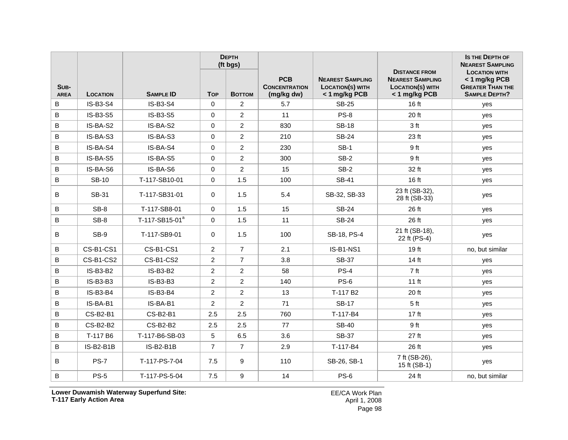|                     |                 |                            |                | <b>DEPTH</b><br>(ft bgs) |                                                  |                                                                     |                                                                                             | <b>IS THE DEPTH OF</b><br><b>NEAREST SAMPLING</b>                                        |
|---------------------|-----------------|----------------------------|----------------|--------------------------|--------------------------------------------------|---------------------------------------------------------------------|---------------------------------------------------------------------------------------------|------------------------------------------------------------------------------------------|
| SUB-<br><b>AREA</b> | <b>LOCATION</b> | <b>SAMPLE ID</b>           | <b>Top</b>     | <b>Воттом</b>            | <b>PCB</b><br><b>CONCENTRATION</b><br>(mg/kg dw) | <b>NEAREST SAMPLING</b><br><b>LOCATION(S) WITH</b><br>< 1 mg/kg PCB | <b>DISTANCE FROM</b><br><b>NEAREST SAMPLING</b><br><b>LOCATION(S) WITH</b><br>< 1 mg/kg PCB | <b>LOCATION WITH</b><br>< 1 mg/kg PCB<br><b>GREATER THAN THE</b><br><b>SAMPLE DEPTH?</b> |
| B                   | IS-B3-S4        | <b>IS-B3-S4</b>            | $\Omega$       | $\overline{2}$           | 5.7                                              | <b>SB-25</b>                                                        | 16 ft                                                                                       | yes                                                                                      |
| $\, {\bf B}$        | IS-B3-S5        | IS-B3-S5                   | $\mathbf 0$    | $\overline{2}$           | 11                                               | $PS-8$                                                              | 20 ft                                                                                       | yes                                                                                      |
| $\, {\bf B}$        | IS-BA-S2        | IS-BA-S2                   | $\mathbf 0$    | $\overline{2}$           | 830                                              | <b>SB-18</b>                                                        | 3 ft                                                                                        | yes                                                                                      |
| B                   | IS-BA-S3        | IS-BA-S3                   | $\Omega$       | $\overline{2}$           | 210                                              | <b>SB-24</b>                                                        | 23 ft                                                                                       | yes                                                                                      |
| B                   | IS-BA-S4        | IS-BA-S4                   | $\Omega$       | $\overline{2}$           | 230                                              | $SB-1$                                                              | 9 ft                                                                                        | yes                                                                                      |
| B                   | IS-BA-S5        | IS-BA-S5                   | $\mathbf 0$    | $\overline{2}$           | 300                                              | $SB-2$                                                              | 9 ft                                                                                        | yes                                                                                      |
| B                   | IS-BA-S6        | IS-BA-S6                   | $\mathbf 0$    | $\overline{2}$           | 15                                               | <b>SB-2</b>                                                         | 32 ft                                                                                       | yes                                                                                      |
| $\sf B$             | <b>SB-10</b>    | T-117-SB10-01              | $\mathbf 0$    | 1.5                      | 100                                              | <b>SB-41</b>                                                        | 16 ft                                                                                       | yes                                                                                      |
| B                   | SB-31           | T-117-SB31-01              | $\Omega$       | 1.5                      | 5.4                                              | SB-32, SB-33                                                        | 23 ft (SB-32),<br>28 ft (SB-33)                                                             | yes                                                                                      |
| $\, {\bf B}$        | SB-8            | T-117-SB8-01               | $\mathbf 0$    | 1.5                      | 15                                               | <b>SB-24</b>                                                        | 26 ft                                                                                       | yes                                                                                      |
| $\, {\bf B}$        | SB-8            | T-117-SB15-01 <sup>a</sup> | $\mathbf 0$    | 1.5                      | 11                                               | <b>SB-24</b>                                                        | 26 ft                                                                                       | yes                                                                                      |
| $\, {\bf B}$        | SB-9            | T-117-SB9-01               | $\Omega$       | 1.5                      | 100                                              | SB-18, PS-4                                                         | 21 ft (SB-18),<br>22 ft (PS-4)                                                              | yes                                                                                      |
| B                   | CS-B1-CS1       | CS-B1-CS1                  | 2              | $\overline{7}$           | 2.1                                              | IS-B1-NS1                                                           | 19 <sub>ft</sub>                                                                            | no. but similar                                                                          |
| B                   | CS-B1-CS2       | CS-B1-CS2                  | 2              | $\overline{7}$           | 3.8                                              | <b>SB-37</b>                                                        | 14 <sub>ft</sub>                                                                            | yes                                                                                      |
| B                   | <b>IS-B3-B2</b> | <b>IS-B3-B2</b>            | $\overline{2}$ | $\overline{2}$           | 58                                               | $PS-4$                                                              | 7 <sub>ft</sub>                                                                             | yes                                                                                      |
| B                   | $IS-B3-B3$      | IS-B3-B3                   | $\overline{2}$ | $\overline{2}$           | 140                                              | PS-6                                                                | $11$ ft                                                                                     | yes                                                                                      |
| B                   | <b>IS-B3-B4</b> | IS-B3-B4                   | $\overline{2}$ | $\overline{2}$           | 13                                               | T-117 B <sub>2</sub>                                                | 20 ft                                                                                       | yes                                                                                      |
| B                   | IS-BA-B1        | IS-BA-B1                   | $\overline{2}$ | $\overline{2}$           | 71                                               | <b>SB-17</b>                                                        | 5 <sub>ft</sub>                                                                             | yes                                                                                      |
| B                   | CS-B2-B1        | <b>CS-B2-B1</b>            | 2.5            | 2.5                      | 760                                              | T-117-B4                                                            | 17 <sub>ft</sub>                                                                            | yes                                                                                      |
| B                   | CS-B2-B2        | CS-B2-B2                   | 2.5            | 2.5                      | 77                                               | <b>SB-40</b>                                                        | 9 ft                                                                                        | yes                                                                                      |
| B                   | T-117 B6        | T-117-B6-SB-03             | 5              | 6.5                      | 3.6                                              | <b>SB-37</b>                                                        | 27 ft                                                                                       | yes                                                                                      |
| B                   | IS-B2-B1B       | IS-B2-B1B                  | $\overline{7}$ | $\overline{7}$           | 2.9                                              | T-117-B4                                                            | 26 ft                                                                                       | yes                                                                                      |
| $\, {\bf B}$        | <b>PS-7</b>     | T-117-PS-7-04              | 7.5            | 9                        | 110                                              | SB-26, SB-1                                                         | 7 ft (SB-26),<br>15 ft (SB-1)                                                               | yes                                                                                      |
| B                   | <b>PS-5</b>     | T-117-PS-5-04              | 7.5            | 9                        | 14                                               | <b>PS-6</b>                                                         | 24 ft                                                                                       | no, but similar                                                                          |

**Lower Duwamish Waterway Superfund Site: T-117 Early Action Area**

EE/CA Work Plan April 1, 2008 Page 98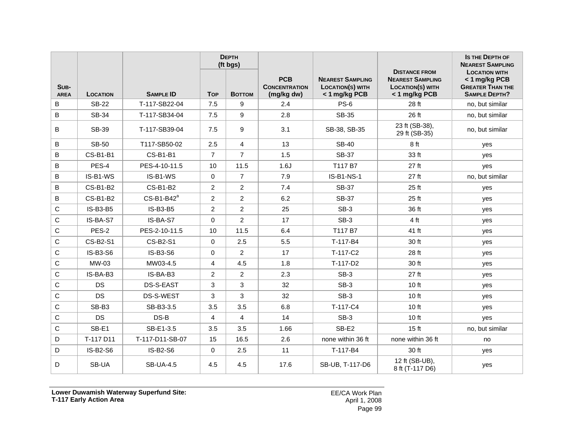|                     |                 |                  |                | <b>DEPTH</b><br>(ft bgs) |                                                  |                                                                     |                                                                                             | <b>IS THE DEPTH OF</b><br><b>NEAREST SAMPLING</b>                                        |
|---------------------|-----------------|------------------|----------------|--------------------------|--------------------------------------------------|---------------------------------------------------------------------|---------------------------------------------------------------------------------------------|------------------------------------------------------------------------------------------|
| SUB-<br><b>AREA</b> | <b>LOCATION</b> | <b>SAMPLE ID</b> | <b>Top</b>     | <b>BOTTOM</b>            | <b>PCB</b><br><b>CONCENTRATION</b><br>(mg/kg dw) | <b>NEAREST SAMPLING</b><br><b>LOCATION(S) WITH</b><br>< 1 mg/kg PCB | <b>DISTANCE FROM</b><br><b>NEAREST SAMPLING</b><br><b>LOCATION(S) WITH</b><br>< 1 mg/kg PCB | <b>LOCATION WITH</b><br>< 1 mg/kg PCB<br><b>GREATER THAN THE</b><br><b>SAMPLE DEPTH?</b> |
| B                   | <b>SB-22</b>    | T-117-SB22-04    | 7.5            | 9                        | 2.4                                              | $PS-6$                                                              | 28 ft                                                                                       | no, but similar                                                                          |
| B                   | <b>SB-34</b>    | T-117-SB34-04    | 7.5            | 9                        | 2.8                                              | <b>SB-35</b>                                                        | 26 ft                                                                                       | no, but similar                                                                          |
| B                   | <b>SB-39</b>    | T-117-SB39-04    | 7.5            | 9                        | 3.1                                              | SB-38, SB-35                                                        | 23 ft (SB-38),<br>29 ft (SB-35)                                                             | no, but similar                                                                          |
| B                   | <b>SB-50</b>    | T117-SB50-02     | 2.5            | $\overline{4}$           | 13                                               | <b>SB-40</b>                                                        | 8 ft                                                                                        | yes                                                                                      |
| $\, {\bf B}$        | CS-B1-B1        | <b>CS-B1-B1</b>  | $\overline{7}$ | $\overline{7}$           | 1.5                                              | <b>SB-37</b>                                                        | 33 ft                                                                                       | yes                                                                                      |
| B                   | PES-4           | PES-4-10-11.5    | 10             | 11.5                     | 1.6J                                             | T117 B7                                                             | 27 ft                                                                                       | yes                                                                                      |
| B                   | IS-B1-WS        | IS-B1-WS         | $\mathbf 0$    | $\overline{7}$           | 7.9                                              | <b>IS-B1-NS-1</b>                                                   | 27 ft                                                                                       | no, but similar                                                                          |
| B                   | <b>CS-B1-B2</b> | <b>CS-B1-B2</b>  | $\overline{2}$ | $\overline{2}$           | 7.4                                              | <b>SB-37</b>                                                        | 25 ft                                                                                       | yes                                                                                      |
| B                   | <b>CS-B1-B2</b> | $CS-B1-B42^a$    | $\overline{c}$ | $\overline{c}$           | 6.2                                              | <b>SB-37</b>                                                        | 25 ft                                                                                       | yes                                                                                      |
| С                   | <b>IS-B3-B5</b> | <b>IS-B3-B5</b>  | $\overline{2}$ | $\overline{2}$           | 25                                               | SB-3                                                                | 36 ft                                                                                       | yes                                                                                      |
| $\mathsf{C}$        | IS-BA-S7        | IS-BA-S7         | $\Omega$       | $\overline{2}$           | 17                                               | $SB-3$                                                              | 4 ft                                                                                        | yes                                                                                      |
| $\mathsf{C}$        | PES-2           | PES-2-10-11.5    | 10             | 11.5                     | 6.4                                              | T117 B7                                                             | 41 ft                                                                                       | yes                                                                                      |
| $\mathbf C$         | CS-B2-S1        | CS-B2-S1         | $\Omega$       | 2.5                      | 5.5                                              | T-117-B4                                                            | 30 ft                                                                                       | yes                                                                                      |
| $\mathsf{C}$        | <b>IS-B3-S6</b> | <b>IS-B3-S6</b>  | $\Omega$       | $\overline{2}$           | 17                                               | T-117-C2                                                            | 28 ft                                                                                       | yes                                                                                      |
| $\mathsf C$         | MW-03           | MW03-4.5         | 4              | 4.5                      | 1.8                                              | $T-117-D2$                                                          | 30 ft                                                                                       | yes                                                                                      |
| $\mathsf C$         | IS-BA-B3        | IS-BA-B3         | 2              | $\overline{2}$           | 2.3                                              | $SB-3$                                                              | 27 ft                                                                                       | yes                                                                                      |
| $\mathsf C$         | DS              | DS-S-EAST        | 3              | 3                        | 32                                               | $SB-3$                                                              | 10 ft                                                                                       | yes                                                                                      |
| $\mathsf C$         | <b>DS</b>       | DS-S-WEST        | 3              | 3                        | 32                                               | $SB-3$                                                              | 10 ft                                                                                       | yes                                                                                      |
| $\mathsf C$         | SB-B3           | SB-B3-3.5        | 3.5            | 3.5                      | 6.8                                              | T-117-C4                                                            | 10 ft                                                                                       | yes                                                                                      |
| $\mathsf C$         | <b>DS</b>       | DS-B             | $\overline{4}$ | $\overline{4}$           | 14                                               | $SB-3$                                                              | 10 ft                                                                                       | yes                                                                                      |
| $\mathsf C$         | SB-E1           | SB-E1-3.5        | 3.5            | 3.5                      | 1.66                                             | SB-E2                                                               | 15 <sub>ft</sub>                                                                            | no, but similar                                                                          |
| D                   | T-117 D11       | T-117-D11-SB-07  | 15             | 16.5                     | 2.6                                              | none within 36 ft                                                   | none within 36 ft                                                                           | no                                                                                       |
| D                   | <b>IS-B2-S6</b> | <b>IS-B2-S6</b>  | $\mathbf 0$    | 2.5                      | 11                                               | T-117-B4                                                            | 30 ft                                                                                       | yes                                                                                      |
| D                   | SB-UA           | <b>SB-UA-4.5</b> | 4.5            | 4.5                      | 17.6                                             | SB-UB, T-117-D6                                                     | 12 ft (SB-UB),<br>8 ft (T-117 D6)                                                           | yes                                                                                      |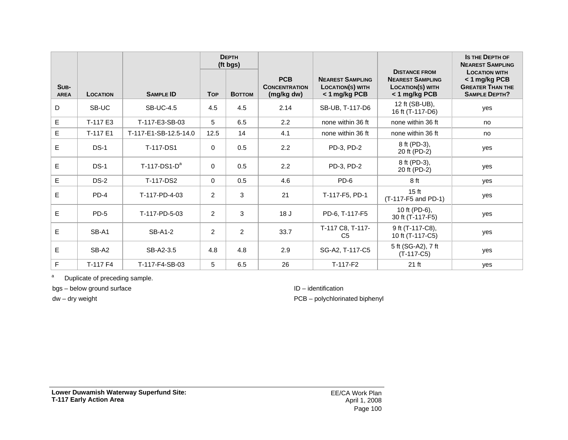|                     |                 |                       | <b>DEPTH</b><br>(ft bgs) |        |                                                  |                                                              |                                                                                             | <b>IS THE DEPTH OF</b><br><b>NEAREST SAMPLING</b>                                        |
|---------------------|-----------------|-----------------------|--------------------------|--------|--------------------------------------------------|--------------------------------------------------------------|---------------------------------------------------------------------------------------------|------------------------------------------------------------------------------------------|
| SUB-<br><b>AREA</b> | <b>LOCATION</b> | <b>SAMPLE ID</b>      | <b>Top</b>               | Воттом | <b>PCB</b><br><b>CONCENTRATION</b><br>(mg/kg dw) | <b>NEAREST SAMPLING</b><br>LOCATION(S) WITH<br>< 1 mg/kg PCB | <b>DISTANCE FROM</b><br><b>NEAREST SAMPLING</b><br><b>LOCATION(S) WITH</b><br>< 1 mg/kg PCB | <b>LOCATION WITH</b><br>< 1 mg/kg PCB<br><b>GREATER THAN THE</b><br><b>SAMPLE DEPTH?</b> |
| D                   | SB-UC           | <b>SB-UC-4.5</b>      | 4.5                      | 4.5    | 2.14                                             | SB-UB, T-117-D6                                              | 12 ft (SB-UB),<br>16 ft (T-117-D6)                                                          | yes                                                                                      |
| E                   | T-117 E3        | T-117-E3-SB-03        | 5                        | 6.5    | 2.2                                              | none within 36 ft                                            | none within 36 ft                                                                           | no                                                                                       |
| E                   | T-117 E1        | T-117-E1-SB-12.5-14.0 | 12.5                     | 14     | 4.1                                              | none within 36 ft                                            | none within 36 ft                                                                           | no                                                                                       |
| E                   | $DS-1$          | T-117-DS1             | $\Omega$                 | 0.5    | 2.2                                              | PD-3, PD-2                                                   | 8 ft (PD-3),<br>20 ft (PD-2)                                                                | yes                                                                                      |
| E                   | $DS-1$          | $T-117-DS1-Da$        | $\Omega$                 | 0.5    | 2.2                                              | PD-3, PD-2                                                   | 8 ft (PD-3),<br>20 ft (PD-2)                                                                | yes                                                                                      |
| E                   | $DS-2$          | T-117-DS2             | $\Omega$                 | 0.5    | 4.6                                              | PD-6                                                         | 8 ft                                                                                        | ves                                                                                      |
| E                   | $PD-4$          | T-117-PD-4-03         | 2                        | 3      | 21                                               | T-117-F5, PD-1                                               | 15 <sub>ft</sub><br>(T-117-F5 and PD-1)                                                     | yes                                                                                      |
| E                   | $PD-5$          | T-117-PD-5-03         | $\overline{2}$           | 3      | 18 <sub>J</sub>                                  | PD-6, T-117-F5                                               | 10 ft (PD-6),<br>30 ft (T-117-F5)                                                           | yes                                                                                      |
| E                   | SB-A1           | <b>SB-A1-2</b>        | 2                        | 2      | 33.7                                             | T-117 C8, T-117-<br>C <sub>5</sub>                           | 9 ft (T-117-C8),<br>10 ft (T-117-C5)                                                        | yes                                                                                      |
| E                   | SB-A2           | SB-A2-3.5             | 4.8                      | 4.8    | 2.9                                              | SG-A2, T-117-C5                                              | 5 ft (SG-A2), 7 ft<br>$(T-117-C5)$                                                          | yes                                                                                      |
| F                   | T-117 F4        | T-117-F4-SB-03        | 5                        | 6.5    | 26                                               | $T-117-F2$                                                   | 21 ft                                                                                       | yes                                                                                      |

a Duplicate of preceding sample.

bgs – below ground surface

dw – dry weight

#### ID – identification

PCB – polychlorinated biphenyl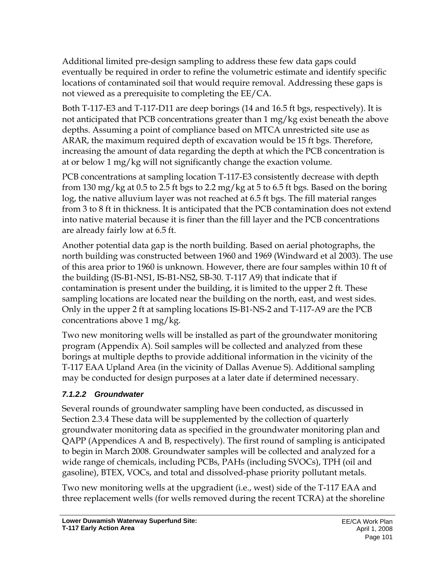Additional limited pre-design sampling to address these few data gaps could eventually be required in order to refine the volumetric estimate and identify specific locations of contaminated soil that would require removal. Addressing these gaps is not viewed as a prerequisite to completing the EE/CA.

Both T-117-E3 and T-117-D11 are deep borings (14 and 16.5 ft bgs, respectively). It is not anticipated that PCB concentrations greater than 1 mg/kg exist beneath the above depths. Assuming a point of compliance based on MTCA unrestricted site use as ARAR, the maximum required depth of excavation would be 15 ft bgs. Therefore, increasing the amount of data regarding the depth at which the PCB concentration is at or below 1 mg/kg will not significantly change the exaction volume.

PCB concentrations at sampling location T-117-E3 consistently decrease with depth from 130 mg/kg at 0.5 to 2.5 ft bgs to 2.2 mg/kg at 5 to 6.5 ft bgs. Based on the boring log, the native alluvium layer was not reached at 6.5 ft bgs. The fill material ranges from 3 to 8 ft in thickness. It is anticipated that the PCB contamination does not extend into native material because it is finer than the fill layer and the PCB concentrations are already fairly low at 6.5 ft.

Another potential data gap is the north building. Based on aerial photographs, the north building was constructed between 1960 and 1969 (Windward et al 2003). The use of this area prior to 1960 is unknown. However, there are four samples within 10 ft of the building (IS-B1-NS1, IS-B1-NS2, SB-30. T-117 A9) that indicate that if contamination is present under the building, it is limited to the upper 2 ft. These sampling locations are located near the building on the north, east, and west sides. Only in the upper 2 ft at sampling locations IS-B1-NS-2 and T-117-A9 are the PCB concentrations above 1 mg/kg.

Two new monitoring wells will be installed as part of the groundwater monitoring program (Appendix A). Soil samples will be collected and analyzed from these borings at multiple depths to provide additional information in the vicinity of the T-117 EAA Upland Area (in the vicinity of Dallas Avenue S). Additional sampling may be conducted for design purposes at a later date if determined necessary.

#### *7.1.2.2 Groundwater*

Several rounds of groundwater sampling have been conducted, as discussed in Section 2.3.4 These data will be supplemented by the collection of quarterly groundwater monitoring data as specified in the groundwater monitoring plan and QAPP (Appendices A and B, respectively). The first round of sampling is anticipated to begin in March 2008. Groundwater samples will be collected and analyzed for a wide range of chemicals, including PCBs, PAHs (including SVOCs), TPH (oil and gasoline), BTEX, VOCs, and total and dissolved-phase priority pollutant metals.

Two new monitoring wells at the upgradient (i.e., west) side of the T-117 EAA and three replacement wells (for wells removed during the recent TCRA) at the shoreline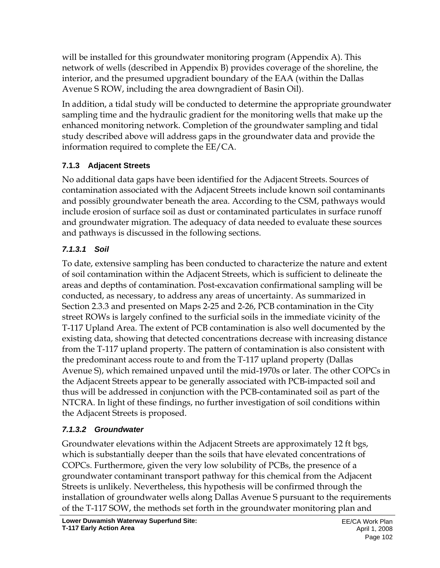will be installed for this groundwater monitoring program (Appendix A). This network of wells (described in Appendix B) provides coverage of the shoreline, the interior, and the presumed upgradient boundary of the EAA (within the Dallas Avenue S ROW, including the area downgradient of Basin Oil).

In addition, a tidal study will be conducted to determine the appropriate groundwater sampling time and the hydraulic gradient for the monitoring wells that make up the enhanced monitoring network. Completion of the groundwater sampling and tidal study described above will address gaps in the groundwater data and provide the information required to complete the EE/CA.

#### **7.1.3 Adjacent Streets**

No additional data gaps have been identified for the Adjacent Streets. Sources of contamination associated with the Adjacent Streets include known soil contaminants and possibly groundwater beneath the area. According to the CSM, pathways would include erosion of surface soil as dust or contaminated particulates in surface runoff and groundwater migration. The adequacy of data needed to evaluate these sources and pathways is discussed in the following sections.

#### *7.1.3.1 Soil*

To date, extensive sampling has been conducted to characterize the nature and extent of soil contamination within the Adjacent Streets, which is sufficient to delineate the areas and depths of contamination. Post-excavation confirmational sampling will be conducted, as necessary, to address any areas of uncertainty. As summarized in Section 2.3.3 and presented on Maps 2-25 and 2-26, PCB contamination in the City street ROWs is largely confined to the surficial soils in the immediate vicinity of the T-117 Upland Area. The extent of PCB contamination is also well documented by the existing data, showing that detected concentrations decrease with increasing distance from the T-117 upland property. The pattern of contamination is also consistent with the predominant access route to and from the T-117 upland property (Dallas Avenue S), which remained unpaved until the mid-1970s or later. The other COPCs in the Adjacent Streets appear to be generally associated with PCB-impacted soil and thus will be addressed in conjunction with the PCB-contaminated soil as part of the NTCRA. In light of these findings, no further investigation of soil conditions within the Adjacent Streets is proposed.

## *7.1.3.2 Groundwater*

Groundwater elevations within the Adjacent Streets are approximately 12 ft bgs, which is substantially deeper than the soils that have elevated concentrations of COPCs. Furthermore, given the very low solubility of PCBs, the presence of a groundwater contaminant transport pathway for this chemical from the Adjacent Streets is unlikely. Nevertheless, this hypothesis will be confirmed through the installation of groundwater wells along Dallas Avenue S pursuant to the requirements of the T-117 SOW, the methods set forth in the groundwater monitoring plan and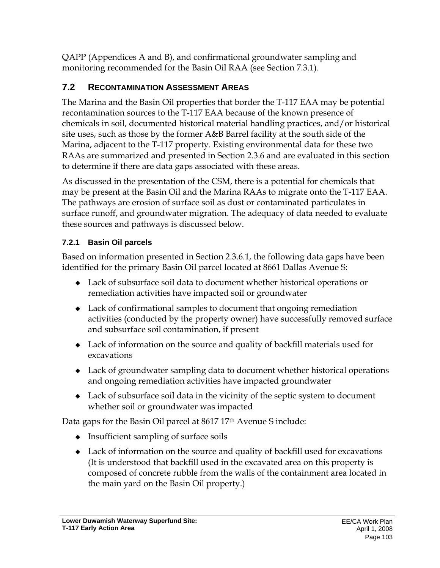QAPP (Appendices A and B), and confirmational groundwater sampling and monitoring recommended for the Basin Oil RAA (see Section 7.3.1).

#### **7.2 RECONTAMINATION ASSESSMENT AREAS**

The Marina and the Basin Oil properties that border the T-117 EAA may be potential recontamination sources to the T-117 EAA because of the known presence of chemicals in soil, documented historical material handling practices, and/or historical site uses, such as those by the former A&B Barrel facility at the south side of the Marina, adjacent to the T-117 property. Existing environmental data for these two RAAs are summarized and presented in Section 2.3.6 and are evaluated in this section to determine if there are data gaps associated with these areas.

As discussed in the presentation of the CSM, there is a potential for chemicals that may be present at the Basin Oil and the Marina RAAs to migrate onto the T-117 EAA. The pathways are erosion of surface soil as dust or contaminated particulates in surface runoff, and groundwater migration. The adequacy of data needed to evaluate these sources and pathways is discussed below.

#### **7.2.1 Basin Oil parcels**

Based on information presented in Section 2.3.6.1, the following data gaps have been identified for the primary Basin Oil parcel located at 8661 Dallas Avenue S:

- Lack of subsurface soil data to document whether historical operations or remediation activities have impacted soil or groundwater
- Lack of confirmational samples to document that ongoing remediation activities (conducted by the property owner) have successfully removed surface and subsurface soil contamination, if present
- Lack of information on the source and quality of backfill materials used for excavations
- Lack of groundwater sampling data to document whether historical operations and ongoing remediation activities have impacted groundwater
- Lack of subsurface soil data in the vicinity of the septic system to document whether soil or groundwater was impacted

Data gaps for the Basin Oil parcel at 8617 17<sup>th</sup> Avenue S include:

- $\bullet$  Insufficient sampling of surface soils
- Lack of information on the source and quality of backfill used for excavations (It is understood that backfill used in the excavated area on this property is composed of concrete rubble from the walls of the containment area located in the main yard on the Basin Oil property.)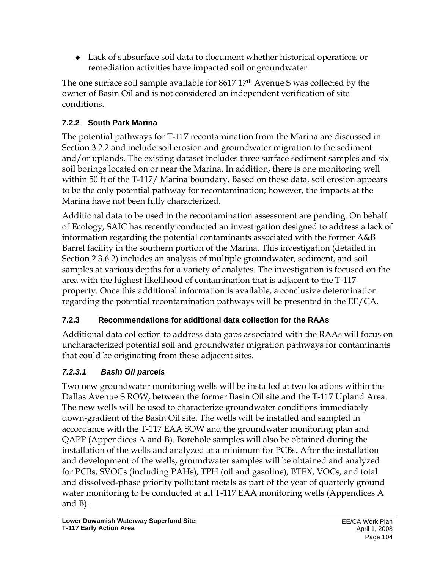Lack of subsurface soil data to document whether historical operations or remediation activities have impacted soil or groundwater

The one surface soil sample available for 8617 17<sup>th</sup> Avenue S was collected by the owner of Basin Oil and is not considered an independent verification of site conditions.

#### **7.2.2 South Park Marina**

The potential pathways for T-117 recontamination from the Marina are discussed in Section 3.2.2 and include soil erosion and groundwater migration to the sediment and/or uplands. The existing dataset includes three surface sediment samples and six soil borings located on or near the Marina. In addition, there is one monitoring well within 50 ft of the T-117/ Marina boundary. Based on these data, soil erosion appears to be the only potential pathway for recontamination; however, the impacts at the Marina have not been fully characterized.

Additional data to be used in the recontamination assessment are pending. On behalf of Ecology, SAIC has recently conducted an investigation designed to address a lack of information regarding the potential contaminants associated with the former A&B Barrel facility in the southern portion of the Marina. This investigation (detailed in Section 2.3.6.2) includes an analysis of multiple groundwater, sediment, and soil samples at various depths for a variety of analytes. The investigation is focused on the area with the highest likelihood of contamination that is adjacent to the T-117 property. Once this additional information is available, a conclusive determination regarding the potential recontamination pathways will be presented in the EE/CA.

#### **7.2.3 Recommendations for additional data collection for the RAAs**

Additional data collection to address data gaps associated with the RAAs will focus on uncharacterized potential soil and groundwater migration pathways for contaminants that could be originating from these adjacent sites.

## *7.2.3.1 Basin Oil parcels*

Two new groundwater monitoring wells will be installed at two locations within the Dallas Avenue S ROW, between the former Basin Oil site and the T-117 Upland Area. The new wells will be used to characterize groundwater conditions immediately down-gradient of the Basin Oil site. The wells will be installed and sampled in accordance with the T-117 EAA SOW and the groundwater monitoring plan and QAPP (Appendices A and B). Borehole samples will also be obtained during the installation of the wells and analyzed at a minimum for PCBs**.** After the installation and development of the wells, groundwater samples will be obtained and analyzed for PCBs, SVOCs (including PAHs), TPH (oil and gasoline), BTEX, VOCs, and total and dissolved-phase priority pollutant metals as part of the year of quarterly ground water monitoring to be conducted at all T-117 EAA monitoring wells (Appendices A and B).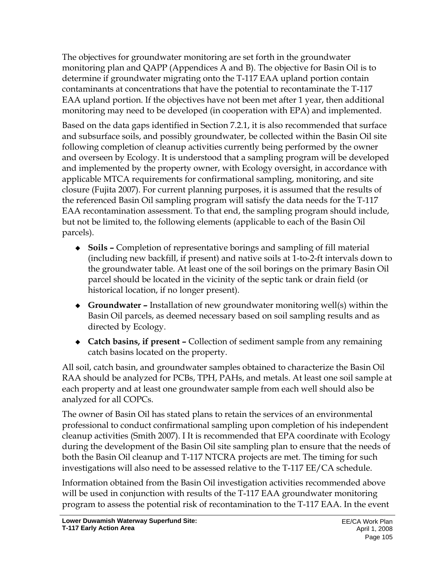The objectives for groundwater monitoring are set forth in the groundwater monitoring plan and QAPP (Appendices A and B). The objective for Basin Oil is to determine if groundwater migrating onto the T-117 EAA upland portion contain contaminants at concentrations that have the potential to recontaminate the T-117 EAA upland portion. If the objectives have not been met after 1 year, then additional monitoring may need to be developed (in cooperation with EPA) and implemented.

Based on the data gaps identified in Section 7.2.1, it is also recommended that surface and subsurface soils, and possibly groundwater, be collected within the Basin Oil site following completion of cleanup activities currently being performed by the owner and overseen by Ecology. It is understood that a sampling program will be developed and implemented by the property owner, with Ecology oversight, in accordance with applicable MTCA requirements for confirmational sampling, monitoring, and site closure (Fujita 2007). For current planning purposes, it is assumed that the results of the referenced Basin Oil sampling program will satisfy the data needs for the T-117 EAA recontamination assessment. To that end, the sampling program should include, but not be limited to, the following elements (applicable to each of the Basin Oil parcels).

- **Soils** Completion of representative borings and sampling of fill material (including new backfill, if present) and native soils at 1-to-2-ft intervals down to the groundwater table. At least one of the soil borings on the primary Basin Oil parcel should be located in the vicinity of the septic tank or drain field (or historical location, if no longer present).
- **Groundwater** Installation of new groundwater monitoring well(s) within the Basin Oil parcels, as deemed necessary based on soil sampling results and as directed by Ecology.
- **Catch basins, if present** Collection of sediment sample from any remaining catch basins located on the property.

All soil, catch basin, and groundwater samples obtained to characterize the Basin Oil RAA should be analyzed for PCBs, TPH, PAHs, and metals. At least one soil sample at each property and at least one groundwater sample from each well should also be analyzed for all COPCs.

The owner of Basin Oil has stated plans to retain the services of an environmental professional to conduct confirmational sampling upon completion of his independent cleanup activities (Smith 2007). I It is recommended that EPA coordinate with Ecology during the development of the Basin Oil site sampling plan to ensure that the needs of both the Basin Oil cleanup and T-117 NTCRA projects are met. The timing for such investigations will also need to be assessed relative to the T-117 EE/CA schedule.

Information obtained from the Basin Oil investigation activities recommended above will be used in conjunction with results of the T-117 EAA groundwater monitoring program to assess the potential risk of recontamination to the T-117 EAA. In the event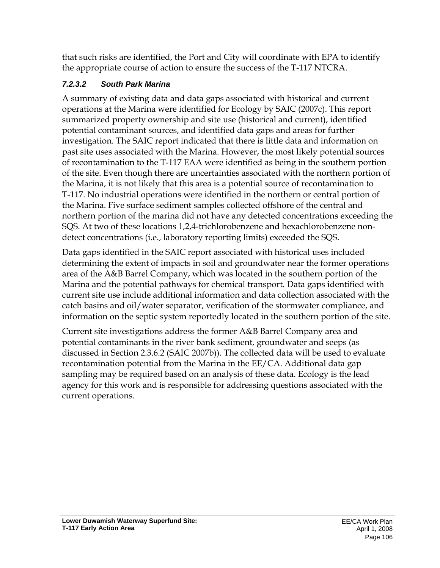that such risks are identified, the Port and City will coordinate with EPA to identify the appropriate course of action to ensure the success of the T-117 NTCRA.

#### *7.2.3.2 South Park Marina*

A summary of existing data and data gaps associated with historical and current operations at the Marina were identified for Ecology by SAIC (2007c). This report summarized property ownership and site use (historical and current), identified potential contaminant sources, and identified data gaps and areas for further investigation. The SAIC report indicated that there is little data and information on past site uses associated with the Marina. However, the most likely potential sources of recontamination to the T-117 EAA were identified as being in the southern portion of the site. Even though there are uncertainties associated with the northern portion of the Marina, it is not likely that this area is a potential source of recontamination to T-117. No industrial operations were identified in the northern or central portion of the Marina. Five surface sediment samples collected offshore of the central and northern portion of the marina did not have any detected concentrations exceeding the SQS. At two of these locations 1,2,4-trichlorobenzene and hexachlorobenzene nondetect concentrations (i.e., laboratory reporting limits) exceeded the SQS.

Data gaps identified in the SAIC report associated with historical uses included determining the extent of impacts in soil and groundwater near the former operations area of the A&B Barrel Company, which was located in the southern portion of the Marina and the potential pathways for chemical transport. Data gaps identified with current site use include additional information and data collection associated with the catch basins and oil/water separator, verification of the stormwater compliance, and information on the septic system reportedly located in the southern portion of the site.

Current site investigations address the former A&B Barrel Company area and potential contaminants in the river bank sediment, groundwater and seeps (as discussed in Section 2.3.6.2 (SAIC 2007b)). The collected data will be used to evaluate recontamination potential from the Marina in the EE/CA. Additional data gap sampling may be required based on an analysis of these data. Ecology is the lead agency for this work and is responsible for addressing questions associated with the current operations.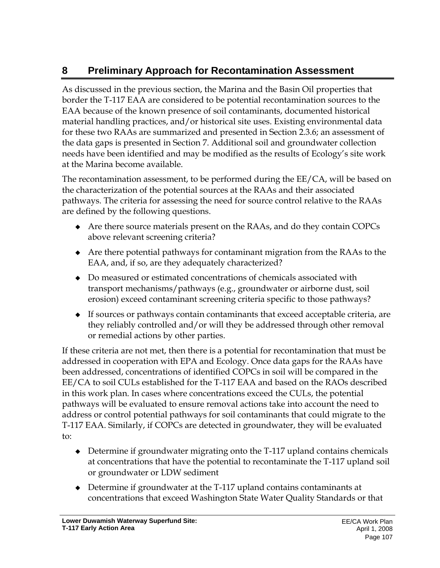# **8 Preliminary Approach for Recontamination Assessment**

As discussed in the previous section, the Marina and the Basin Oil properties that border the T-117 EAA are considered to be potential recontamination sources to the EAA because of the known presence of soil contaminants, documented historical material handling practices, and/or historical site uses. Existing environmental data for these two RAAs are summarized and presented in Section 2.3.6; an assessment of the data gaps is presented in Section 7. Additional soil and groundwater collection needs have been identified and may be modified as the results of Ecology's site work at the Marina become available.

The recontamination assessment, to be performed during the EE/CA, will be based on the characterization of the potential sources at the RAAs and their associated pathways. The criteria for assessing the need for source control relative to the RAAs are defined by the following questions.

- Are there source materials present on the RAAs, and do they contain COPCs above relevant screening criteria?
- Are there potential pathways for contaminant migration from the RAAs to the EAA, and, if so, are they adequately characterized?
- Do measured or estimated concentrations of chemicals associated with transport mechanisms/pathways (e.g., groundwater or airborne dust, soil erosion) exceed contaminant screening criteria specific to those pathways?
- $\bullet$  If sources or pathways contain contaminants that exceed acceptable criteria, are they reliably controlled and/or will they be addressed through other removal or remedial actions by other parties.

If these criteria are not met, then there is a potential for recontamination that must be addressed in cooperation with EPA and Ecology. Once data gaps for the RAAs have been addressed, concentrations of identified COPCs in soil will be compared in the EE/CA to soil CULs established for the T-117 EAA and based on the RAOs described in this work plan. In cases where concentrations exceed the CULs, the potential pathways will be evaluated to ensure removal actions take into account the need to address or control potential pathways for soil contaminants that could migrate to the T-117 EAA. Similarly, if COPCs are detected in groundwater, they will be evaluated to:

- Determine if groundwater migrating onto the T-117 upland contains chemicals at concentrations that have the potential to recontaminate the T-117 upland soil or groundwater or LDW sediment
- Determine if groundwater at the T-117 upland contains contaminants at concentrations that exceed Washington State Water Quality Standards or that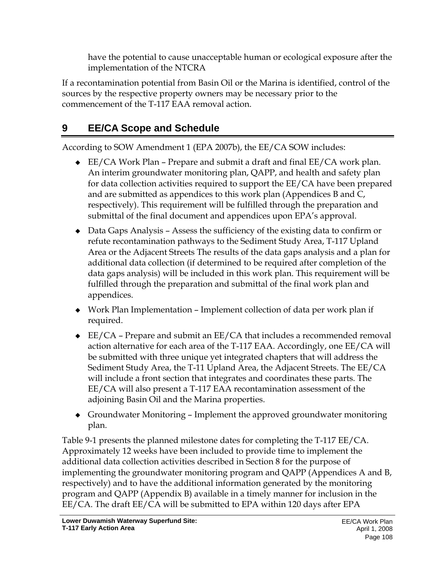have the potential to cause unacceptable human or ecological exposure after the implementation of the NTCRA

If a recontamination potential from Basin Oil or the Marina is identified, control of the sources by the respective property owners may be necessary prior to the commencement of the T-117 EAA removal action.

## **9 EE/CA Scope and Schedule**

According to SOW Amendment 1 (EPA 2007b), the EE/CA SOW includes:

- EE/CA Work Plan Prepare and submit a draft and final EE/CA work plan. An interim groundwater monitoring plan, QAPP, and health and safety plan for data collection activities required to support the EE/CA have been prepared and are submitted as appendices to this work plan (Appendices B and C, respectively). This requirement will be fulfilled through the preparation and submittal of the final document and appendices upon EPA's approval.
- Data Gaps Analysis Assess the sufficiency of the existing data to confirm or refute recontamination pathways to the Sediment Study Area, T-117 Upland Area or the Adjacent Streets The results of the data gaps analysis and a plan for additional data collection (if determined to be required after completion of the data gaps analysis) will be included in this work plan. This requirement will be fulfilled through the preparation and submittal of the final work plan and appendices.
- Work Plan Implementation Implement collection of data per work plan if required.
- $\triangleleft$  EE/CA Prepare and submit an EE/CA that includes a recommended removal action alternative for each area of the T-117 EAA. Accordingly, one EE/CA will be submitted with three unique yet integrated chapters that will address the Sediment Study Area, the T-11 Upland Area, the Adjacent Streets. The EE/CA will include a front section that integrates and coordinates these parts. The EE/CA will also present a T-117 EAA recontamination assessment of the adjoining Basin Oil and the Marina properties.
- Groundwater Monitoring Implement the approved groundwater monitoring plan.

Table 9-1 presents the planned milestone dates for completing the T-117 EE/CA. Approximately 12 weeks have been included to provide time to implement the additional data collection activities described in Section 8 for the purpose of implementing the groundwater monitoring program and QAPP (Appendices A and B, respectively) and to have the additional information generated by the monitoring program and QAPP (Appendix B) available in a timely manner for inclusion in the EE/CA. The draft EE/CA will be submitted to EPA within 120 days after EPA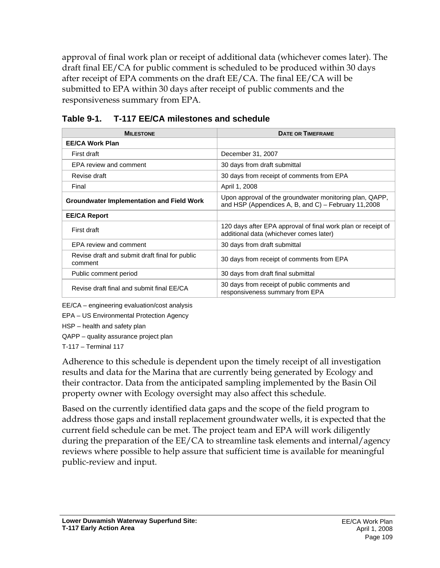approval of final work plan or receipt of additional data (whichever comes later). The draft final EE/CA for public comment is scheduled to be produced within 30 days after receipt of EPA comments on the draft EE/CA. The final EE/CA will be submitted to EPA within 30 days after receipt of public comments and the responsiveness summary from EPA.

| <b>MILESTONE</b>                                          | <b>DATE OR TIMEFRAME</b>                                                                                       |  |  |
|-----------------------------------------------------------|----------------------------------------------------------------------------------------------------------------|--|--|
| <b>EE/CA Work Plan</b>                                    |                                                                                                                |  |  |
| First draft                                               | December 31, 2007                                                                                              |  |  |
| EPA review and comment                                    | 30 days from draft submittal                                                                                   |  |  |
| Revise draft                                              | 30 days from receipt of comments from EPA                                                                      |  |  |
| Final                                                     | April 1, 2008                                                                                                  |  |  |
| <b>Groundwater Implementation and Field Work</b>          | Upon approval of the groundwater monitoring plan, QAPP,<br>and HSP (Appendices A, B, and C) - February 11,2008 |  |  |
| <b>EE/CA Report</b>                                       |                                                                                                                |  |  |
| First draft                                               | 120 days after EPA approval of final work plan or receipt of<br>additional data (whichever comes later)        |  |  |
| EPA review and comment                                    | 30 days from draft submittal                                                                                   |  |  |
| Revise draft and submit draft final for public<br>comment | 30 days from receipt of comments from EPA                                                                      |  |  |
| Public comment period                                     | 30 days from draft final submittal                                                                             |  |  |
| Revise draft final and submit final EE/CA                 | 30 days from receipt of public comments and<br>responsiveness summary from EPA                                 |  |  |

#### **Table 9-1. T-117 EE/CA milestones and schedule**

EE/CA – engineering evaluation/cost analysis

EPA – US Environmental Protection Agency

HSP – health and safety plan

QAPP – quality assurance project plan

T-117 – Terminal 117

Adherence to this schedule is dependent upon the timely receipt of all investigation results and data for the Marina that are currently being generated by Ecology and their contractor. Data from the anticipated sampling implemented by the Basin Oil property owner with Ecology oversight may also affect this schedule.

Based on the currently identified data gaps and the scope of the field program to address those gaps and install replacement groundwater wells, it is expected that the current field schedule can be met. The project team and EPA will work diligently during the preparation of the EE/CA to streamline task elements and internal/agency reviews where possible to help assure that sufficient time is available for meaningful public-review and input.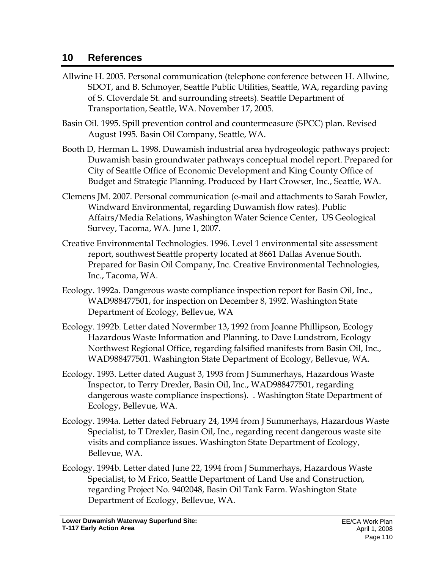#### **10 References**

- Allwine H. 2005. Personal communication (telephone conference between H. Allwine, SDOT, and B. Schmoyer, Seattle Public Utilities, Seattle, WA, regarding paving of S. Cloverdale St. and surrounding streets). Seattle Department of Transportation, Seattle, WA. November 17, 2005.
- Basin Oil. 1995. Spill prevention control and countermeasure (SPCC) plan. Revised August 1995. Basin Oil Company, Seattle, WA.
- Booth D, Herman L. 1998. Duwamish industrial area hydrogeologic pathways project: Duwamish basin groundwater pathways conceptual model report. Prepared for City of Seattle Office of Economic Development and King County Office of Budget and Strategic Planning. Produced by Hart Crowser, Inc., Seattle, WA.
- Clemens JM. 2007. Personal communication (e-mail and attachments to Sarah Fowler, Windward Environmental, regarding Duwamish flow rates). Public Affairs/Media Relations, Washington Water Science Center, US Geological Survey, Tacoma, WA. June 1, 2007.
- Creative Environmental Technologies. 1996. Level 1 environmental site assessment report, southwest Seattle property located at 8661 Dallas Avenue South. Prepared for Basin Oil Company, Inc. Creative Environmental Technologies, Inc., Tacoma, WA.
- Ecology. 1992a. Dangerous waste compliance inspection report for Basin Oil, Inc., WAD988477501, for inspection on December 8, 1992. Washington State Department of Ecology, Bellevue, WA
- Ecology. 1992b. Letter dated Novermber 13, 1992 from Joanne Phillipson, Ecology Hazardous Waste Information and Planning, to Dave Lundstrom, Ecology Northwest Regional Office, regarding falsified manifests from Basin Oil, Inc., WAD988477501. Washington State Department of Ecology, Bellevue, WA.
- Ecology. 1993. Letter dated August 3, 1993 from J Summerhays, Hazardous Waste Inspector, to Terry Drexler, Basin Oil, Inc., WAD988477501, regarding dangerous waste compliance inspections). . Washington State Department of Ecology, Bellevue, WA.
- Ecology. 1994a. Letter dated February 24, 1994 from J Summerhays, Hazardous Waste Specialist, to T Drexler, Basin Oil, Inc., regarding recent dangerous waste site visits and compliance issues. Washington State Department of Ecology, Bellevue, WA.
- Ecology. 1994b. Letter dated June 22, 1994 from J Summerhays, Hazardous Waste Specialist, to M Frico, Seattle Department of Land Use and Construction, regarding Project No. 9402048, Basin Oil Tank Farm. Washington State Department of Ecology, Bellevue, WA.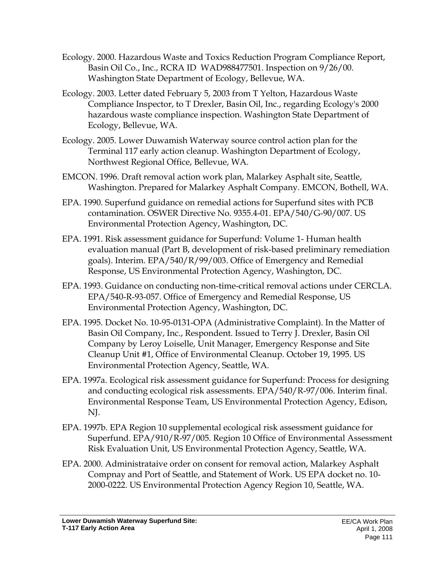- Ecology. 2000. Hazardous Waste and Toxics Reduction Program Compliance Report, Basin Oil Co., Inc., RCRA ID WAD988477501. Inspection on 9/26/00. Washington State Department of Ecology, Bellevue, WA.
- Ecology. 2003. Letter dated February 5, 2003 from T Yelton, Hazardous Waste Compliance Inspector, to T Drexler, Basin Oil, Inc., regarding Ecology's 2000 hazardous waste compliance inspection. Washington State Department of Ecology, Bellevue, WA.
- Ecology. 2005. Lower Duwamish Waterway source control action plan for the Terminal 117 early action cleanup. Washington Department of Ecology, Northwest Regional Office, Bellevue, WA.
- EMCON. 1996. Draft removal action work plan, Malarkey Asphalt site, Seattle, Washington. Prepared for Malarkey Asphalt Company. EMCON, Bothell, WA.
- EPA. 1990. Superfund guidance on remedial actions for Superfund sites with PCB contamination. OSWER Directive No. 9355.4-01. EPA/540/G-90/007. US Environmental Protection Agency, Washington, DC.
- EPA. 1991. Risk assessment guidance for Superfund: Volume 1- Human health evaluation manual (Part B, development of risk-based preliminary remediation goals). Interim. EPA/540/R/99/003. Office of Emergency and Remedial Response, US Environmental Protection Agency, Washington, DC.
- EPA. 1993. Guidance on conducting non-time-critical removal actions under CERCLA. EPA/540-R-93-057. Office of Emergency and Remedial Response, US Environmental Protection Agency, Washington, DC.
- EPA. 1995. Docket No. 10-95-0131-OPA (Administrative Complaint). In the Matter of Basin Oil Company, Inc., Respondent. Issued to Terry J. Drexler, Basin Oil Company by Leroy Loiselle, Unit Manager, Emergency Response and Site Cleanup Unit #1, Office of Environmental Cleanup. October 19, 1995. US Environmental Protection Agency, Seattle, WA.
- EPA. 1997a. Ecological risk assessment guidance for Superfund: Process for designing and conducting ecological risk assessments. EPA/540/R-97/006. Interim final. Environmental Response Team, US Environmental Protection Agency, Edison, NJ.
- EPA. 1997b. EPA Region 10 supplemental ecological risk assessment guidance for Superfund. EPA/910/R-97/005. Region 10 Office of Environmental Assessment Risk Evaluation Unit, US Environmental Protection Agency, Seattle, WA.
- EPA. 2000. Administrataive order on consent for removal action, Malarkey Asphalt Compnay and Port of Seattle, and Statement of Work. US EPA docket no. 10- 2000-0222. US Environmental Protection Agency Region 10, Seattle, WA.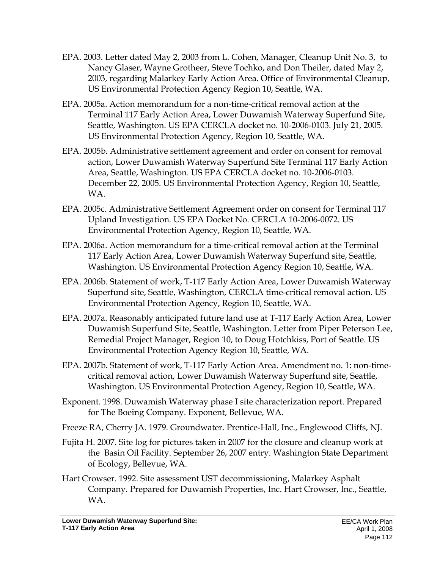- EPA. 2003. Letter dated May 2, 2003 from L. Cohen, Manager, Cleanup Unit No. 3, to Nancy Glaser, Wayne Grotheer, Steve Tochko, and Don Theiler, dated May 2, 2003, regarding Malarkey Early Action Area. Office of Environmental Cleanup, US Environmental Protection Agency Region 10, Seattle, WA.
- EPA. 2005a. Action memorandum for a non-time-critical removal action at the Terminal 117 Early Action Area, Lower Duwamish Waterway Superfund Site, Seattle, Washington. US EPA CERCLA docket no. 10-2006-0103. July 21, 2005. US Environmental Protection Agency, Region 10, Seattle, WA.
- EPA. 2005b. Administrative settlement agreement and order on consent for removal action, Lower Duwamish Waterway Superfund Site Terminal 117 Early Action Area, Seattle, Washington. US EPA CERCLA docket no. 10-2006-0103. December 22, 2005. US Environmental Protection Agency, Region 10, Seattle, WA.
- EPA. 2005c. Administrative Settlement Agreement order on consent for Terminal 117 Upland Investigation. US EPA Docket No. CERCLA 10-2006-0072. US Environmental Protection Agency, Region 10, Seattle, WA.
- EPA. 2006a. Action memorandum for a time-critical removal action at the Terminal 117 Early Action Area, Lower Duwamish Waterway Superfund site, Seattle, Washington. US Environmental Protection Agency Region 10, Seattle, WA.
- EPA. 2006b. Statement of work, T-117 Early Action Area, Lower Duwamish Waterway Superfund site, Seattle, Washington, CERCLA time-critical removal action. US Environmental Protection Agency, Region 10, Seattle, WA.
- EPA. 2007a. Reasonably anticipated future land use at T-117 Early Action Area, Lower Duwamish Superfund Site, Seattle, Washington. Letter from Piper Peterson Lee, Remedial Project Manager, Region 10, to Doug Hotchkiss, Port of Seattle. US Environmental Protection Agency Region 10, Seattle, WA.
- EPA. 2007b. Statement of work, T-117 Early Action Area. Amendment no. 1: non-timecritical removal action, Lower Duwamish Waterway Superfund site, Seattle, Washington. US Environmental Protection Agency, Region 10, Seattle, WA.
- Exponent. 1998. Duwamish Waterway phase I site characterization report. Prepared for The Boeing Company. Exponent, Bellevue, WA.
- Freeze RA, Cherry JA. 1979. Groundwater. Prentice-Hall, Inc., Englewood Cliffs, NJ.
- Fujita H. 2007. Site log for pictures taken in 2007 for the closure and cleanup work at the Basin Oil Facility. September 26, 2007 entry. Washington State Department of Ecology, Bellevue, WA.
- Hart Crowser. 1992. Site assessment UST decommissioning, Malarkey Asphalt Company. Prepared for Duwamish Properties, Inc. Hart Crowser, Inc., Seattle, WA.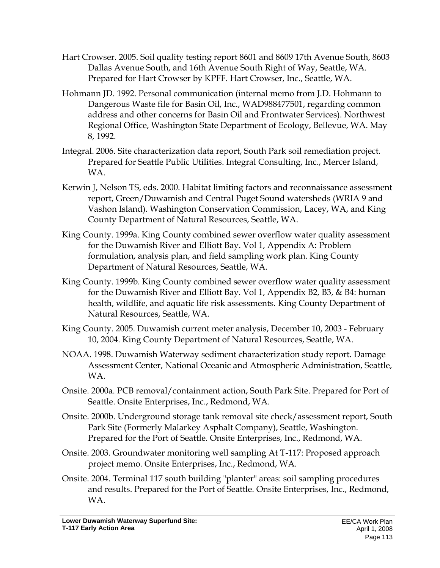- Hart Crowser. 2005. Soil quality testing report 8601 and 8609 17th Avenue South, 8603 Dallas Avenue South, and 16th Avenue South Right of Way, Seattle, WA. Prepared for Hart Crowser by KPFF. Hart Crowser, Inc., Seattle, WA.
- Hohmann JD. 1992. Personal communication (internal memo from J.D. Hohmann to Dangerous Waste file for Basin Oil, Inc., WAD988477501, regarding common address and other concerns for Basin Oil and Frontwater Services). Northwest Regional Office, Washington State Department of Ecology, Bellevue, WA. May 8, 1992.
- Integral. 2006. Site characterization data report, South Park soil remediation project. Prepared for Seattle Public Utilities. Integral Consulting, Inc., Mercer Island, WA.
- Kerwin J, Nelson TS, eds. 2000. Habitat limiting factors and reconnaissance assessment report, Green/Duwamish and Central Puget Sound watersheds (WRIA 9 and Vashon Island). Washington Conservation Commission, Lacey, WA, and King County Department of Natural Resources, Seattle, WA.
- King County. 1999a. King County combined sewer overflow water quality assessment for the Duwamish River and Elliott Bay. Vol 1, Appendix A: Problem formulation, analysis plan, and field sampling work plan. King County Department of Natural Resources, Seattle, WA.
- King County. 1999b. King County combined sewer overflow water quality assessment for the Duwamish River and Elliott Bay. Vol 1, Appendix B2, B3, & B4: human health, wildlife, and aquatic life risk assessments. King County Department of Natural Resources, Seattle, WA.
- King County. 2005. Duwamish current meter analysis, December 10, 2003 February 10, 2004. King County Department of Natural Resources, Seattle, WA.
- NOAA. 1998. Duwamish Waterway sediment characterization study report. Damage Assessment Center, National Oceanic and Atmospheric Administration, Seattle, WA.
- Onsite. 2000a. PCB removal/containment action, South Park Site. Prepared for Port of Seattle. Onsite Enterprises, Inc., Redmond, WA.
- Onsite. 2000b. Underground storage tank removal site check/assessment report, South Park Site (Formerly Malarkey Asphalt Company), Seattle, Washington. Prepared for the Port of Seattle. Onsite Enterprises, Inc., Redmond, WA.
- Onsite. 2003. Groundwater monitoring well sampling At T-117: Proposed approach project memo. Onsite Enterprises, Inc., Redmond, WA.
- Onsite. 2004. Terminal 117 south building "planter" areas: soil sampling procedures and results. Prepared for the Port of Seattle. Onsite Enterprises, Inc., Redmond, WA.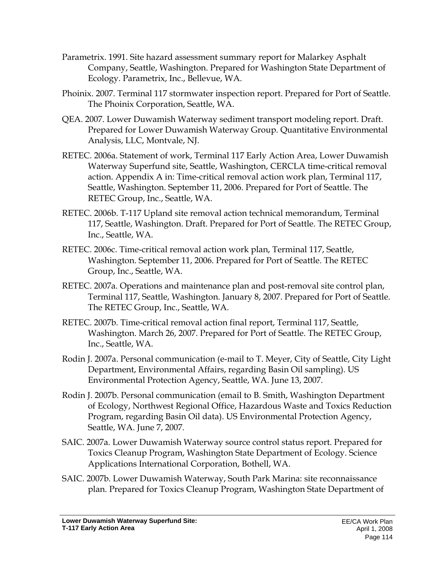- Parametrix. 1991. Site hazard assessment summary report for Malarkey Asphalt Company, Seattle, Washington. Prepared for Washington State Department of Ecology. Parametrix, Inc., Bellevue, WA.
- Phoinix. 2007. Terminal 117 stormwater inspection report. Prepared for Port of Seattle. The Phoinix Corporation, Seattle, WA.
- QEA. 2007. Lower Duwamish Waterway sediment transport modeling report. Draft. Prepared for Lower Duwamish Waterway Group. Quantitative Environmental Analysis, LLC, Montvale, NJ.
- RETEC. 2006a. Statement of work, Terminal 117 Early Action Area, Lower Duwamish Waterway Superfund site, Seattle, Washington, CERCLA time-critical removal action. Appendix A in: Time-critical removal action work plan, Terminal 117, Seattle, Washington. September 11, 2006. Prepared for Port of Seattle. The RETEC Group, Inc., Seattle, WA.
- RETEC. 2006b. T-117 Upland site removal action technical memorandum, Terminal 117, Seattle, Washington. Draft. Prepared for Port of Seattle. The RETEC Group, Inc., Seattle, WA.
- RETEC. 2006c. Time-critical removal action work plan, Terminal 117, Seattle, Washington. September 11, 2006. Prepared for Port of Seattle. The RETEC Group, Inc., Seattle, WA.
- RETEC. 2007a. Operations and maintenance plan and post-removal site control plan, Terminal 117, Seattle, Washington. January 8, 2007. Prepared for Port of Seattle. The RETEC Group, Inc., Seattle, WA.
- RETEC. 2007b. Time-critical removal action final report, Terminal 117, Seattle, Washington. March 26, 2007. Prepared for Port of Seattle. The RETEC Group, Inc., Seattle, WA.
- Rodin J. 2007a. Personal communication (e-mail to T. Meyer, City of Seattle, City Light Department, Environmental Affairs, regarding Basin Oil sampling). US Environmental Protection Agency, Seattle, WA. June 13, 2007.
- Rodin J. 2007b. Personal communication (email to B. Smith, Washington Department of Ecology, Northwest Regional Office, Hazardous Waste and Toxics Reduction Program, regarding Basin Oil data). US Environmental Protection Agency, Seattle, WA. June 7, 2007.
- SAIC. 2007a. Lower Duwamish Waterway source control status report. Prepared for Toxics Cleanup Program, Washington State Department of Ecology. Science Applications International Corporation, Bothell, WA.
- SAIC. 2007b. Lower Duwamish Waterway, South Park Marina: site reconnaissance plan. Prepared for Toxics Cleanup Program, Washington State Department of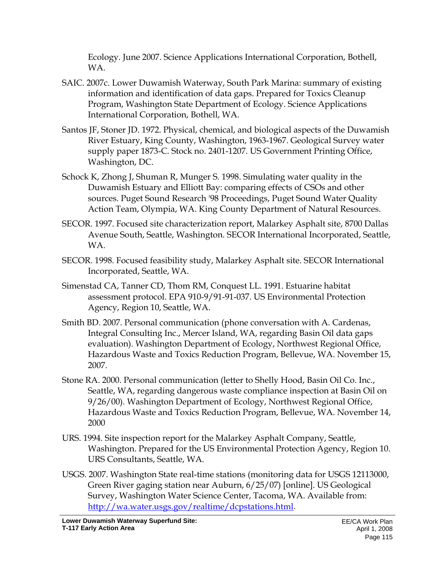Ecology. June 2007. Science Applications International Corporation, Bothell, WA.

- SAIC. 2007c. Lower Duwamish Waterway, South Park Marina: summary of existing information and identification of data gaps. Prepared for Toxics Cleanup Program, Washington State Department of Ecology. Science Applications International Corporation, Bothell, WA.
- Santos JF, Stoner JD. 1972. Physical, chemical, and biological aspects of the Duwamish River Estuary, King County, Washington, 1963-1967. Geological Survey water supply paper 1873-C. Stock no. 2401-1207. US Government Printing Office, Washington, DC.
- Schock K, Zhong J, Shuman R, Munger S. 1998. Simulating water quality in the Duwamish Estuary and Elliott Bay: comparing effects of CSOs and other sources. Puget Sound Research '98 Proceedings, Puget Sound Water Quality Action Team, Olympia, WA. King County Department of Natural Resources.
- SECOR. 1997. Focused site characterization report, Malarkey Asphalt site, 8700 Dallas Avenue South, Seattle, Washington. SECOR International Incorporated, Seattle, WA.
- SECOR. 1998. Focused feasibility study, Malarkey Asphalt site. SECOR International Incorporated, Seattle, WA.
- Simenstad CA, Tanner CD, Thom RM, Conquest LL. 1991. Estuarine habitat assessment protocol. EPA 910-9/91-91-037. US Environmental Protection Agency, Region 10, Seattle, WA.
- Smith BD. 2007. Personal communication (phone conversation with A. Cardenas, Integral Consulting Inc., Mercer Island, WA, regarding Basin Oil data gaps evaluation). Washington Department of Ecology, Northwest Regional Office, Hazardous Waste and Toxics Reduction Program, Bellevue, WA. November 15, 2007.
- Stone RA. 2000. Personal communication (letter to Shelly Hood, Basin Oil Co. Inc., Seattle, WA, regarding dangerous waste compliance inspection at Basin Oil on 9/26/00). Washington Department of Ecology, Northwest Regional Office, Hazardous Waste and Toxics Reduction Program, Bellevue, WA. November 14, 2000
- URS. 1994. Site inspection report for the Malarkey Asphalt Company, Seattle, Washington. Prepared for the US Environmental Protection Agency, Region 10. URS Consultants, Seattle, WA.
- USGS. 2007. Washington State real-time stations (monitoring data for USGS 12113000, Green River gaging station near Auburn, 6/25/07) [online]. US Geological Survey, Washington Water Science Center, Tacoma, WA. Available from: http://wa.water.usgs.gov/realtime/dcpstations.html.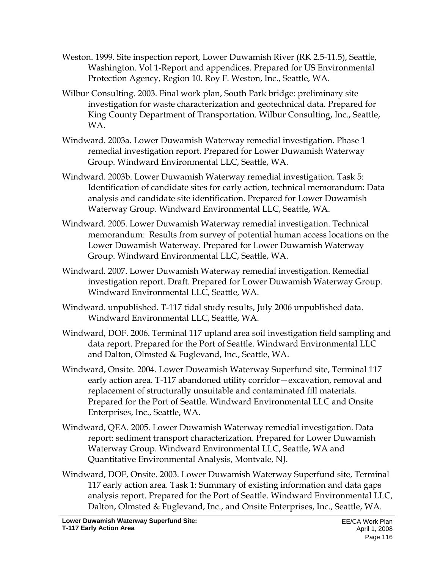- Weston. 1999. Site inspection report, Lower Duwamish River (RK 2.5-11.5), Seattle, Washington. Vol 1-Report and appendices. Prepared for US Environmental Protection Agency, Region 10. Roy F. Weston, Inc., Seattle, WA.
- Wilbur Consulting. 2003. Final work plan, South Park bridge: preliminary site investigation for waste characterization and geotechnical data. Prepared for King County Department of Transportation. Wilbur Consulting, Inc., Seattle, WA.
- Windward. 2003a. Lower Duwamish Waterway remedial investigation. Phase 1 remedial investigation report. Prepared for Lower Duwamish Waterway Group. Windward Environmental LLC, Seattle, WA.
- Windward. 2003b. Lower Duwamish Waterway remedial investigation. Task 5: Identification of candidate sites for early action, technical memorandum: Data analysis and candidate site identification. Prepared for Lower Duwamish Waterway Group. Windward Environmental LLC, Seattle, WA.
- Windward. 2005. Lower Duwamish Waterway remedial investigation. Technical memorandum: Results from survey of potential human access locations on the Lower Duwamish Waterway. Prepared for Lower Duwamish Waterway Group. Windward Environmental LLC, Seattle, WA.
- Windward. 2007. Lower Duwamish Waterway remedial investigation. Remedial investigation report. Draft. Prepared for Lower Duwamish Waterway Group. Windward Environmental LLC, Seattle, WA.
- Windward. unpublished. T-117 tidal study results, July 2006 unpublished data. Windward Environmental LLC, Seattle, WA.
- Windward, DOF. 2006. Terminal 117 upland area soil investigation field sampling and data report. Prepared for the Port of Seattle. Windward Environmental LLC and Dalton, Olmsted & Fuglevand, Inc., Seattle, WA.
- Windward, Onsite. 2004. Lower Duwamish Waterway Superfund site, Terminal 117 early action area. T-117 abandoned utility corridor—excavation, removal and replacement of structurally unsuitable and contaminated fill materials. Prepared for the Port of Seattle. Windward Environmental LLC and Onsite Enterprises, Inc., Seattle, WA.
- Windward, QEA. 2005. Lower Duwamish Waterway remedial investigation. Data report: sediment transport characterization. Prepared for Lower Duwamish Waterway Group. Windward Environmental LLC, Seattle, WA and Quantitative Environmental Analysis, Montvale, NJ.
- Windward, DOF, Onsite. 2003. Lower Duwamish Waterway Superfund site, Terminal 117 early action area. Task 1: Summary of existing information and data gaps analysis report. Prepared for the Port of Seattle. Windward Environmental LLC, Dalton, Olmsted & Fuglevand, Inc., and Onsite Enterprises, Inc., Seattle, WA.